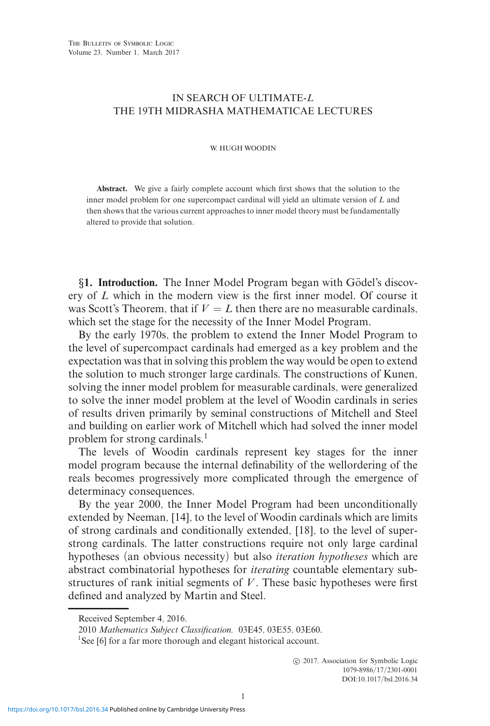# IN SEARCH OF ULTIMATE-*L* THE 19TH MIDRASHA MATHEMATICAE LECTURES

#### W. HUGH WOODIN

**Abstract.** We give a fairly complete account which first shows that the solution to the inner model problem for one supercompact cardinal will yield an ultimate version of *L* and then shows that the various current approaches to inner model theory must be fundamentally altered to provide that solution.

*§***1. Introduction.** The Inner Model Program began with Godel's discov- ¨ ery of *L* which in the modern view is the first inner model. Of course it was Scott's Theorem, that if  $V = L$  then there are no measurable cardinals, which set the stage for the necessity of the Inner Model Program.

By the early 1970s, the problem to extend the Inner Model Program to the level of supercompact cardinals had emerged as a key problem and the expectation was that in solving this problem the way would be open to extend the solution to much stronger large cardinals. The constructions of Kunen, solving the inner model problem for measurable cardinals, were generalized to solve the inner model problem at the level of Woodin cardinals in series of results driven primarily by seminal constructions of Mitchell and Steel and building on earlier work of Mitchell which had solved the inner model problem for strong cardinals.<sup>1</sup>

The levels of Woodin cardinals represent key stages for the inner model program because the internal definability of the wellordering of the reals becomes progressively more complicated through the emergence of determinacy consequences.

By the year 2000, the Inner Model Program had been unconditionally extended by Neeman, [14], to the level of Woodin cardinals which are limits of strong cardinals and conditionally extended, [18], to the level of superstrong cardinals. The latter constructions require not only large cardinal hypotheses (an obvious necessity) but also *iteration hypotheses* which are abstract combinatorial hypotheses for *iterating* countable elementary substructures of rank initial segments of *V* . These basic hypotheses were first defined and analyzed by Martin and Steel.

Received September 4, 2016.

<sup>2010</sup> *Mathematics Subject Classification.* 03E45, 03E55, 03E60.

<sup>&</sup>lt;sup>1</sup>See [6] for a far more thorough and elegant historical account.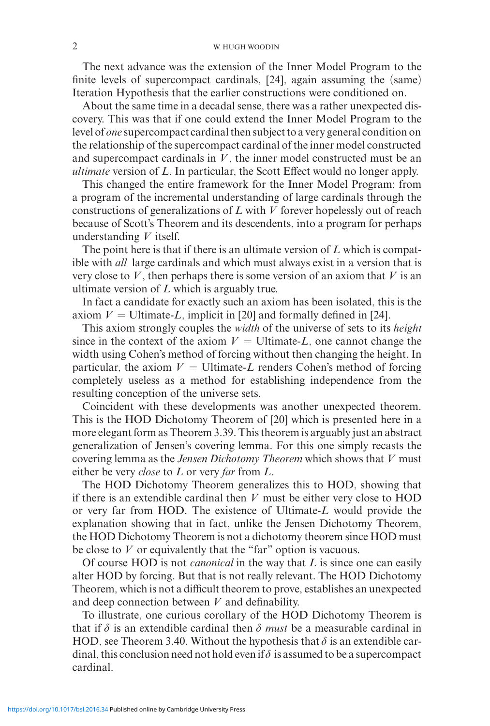### 2 W. HUGH WOODIN

The next advance was the extension of the Inner Model Program to the finite levels of supercompact cardinals, [24], again assuming the (same) Iteration Hypothesis that the earlier constructions were conditioned on.

About the same time in a decadal sense, there was a rather unexpected discovery. This was that if one could extend the Inner Model Program to the level of *one* supercompact cardinal then subject to a very general condition on the relationship of the supercompact cardinal of the inner model constructed and supercompact cardinals in *V* , the inner model constructed must be an *ultimate* version of *L*. In particular, the Scott Effect would no longer apply.

This changed the entire framework for the Inner Model Program; from a program of the incremental understanding of large cardinals through the constructions of generalizations of *L* with *V* forever hopelessly out of reach because of Scott's Theorem and its descendents, into a program for perhaps understanding *V* itself.

The point here is that if there is an ultimate version of *L* which is compatible with *all* large cardinals and which must always exist in a version that is very close to  $V$ , then perhaps there is some version of an axiom that  $V$  is an ultimate version of *L* which is arguably true.

In fact a candidate for exactly such an axiom has been isolated, this is the axiom  $V =$  Ultimate-*L*, implicit in [20] and formally defined in [24].

This axiom strongly couples the *width* of the universe of sets to its *height* since in the context of the axiom  $V =$  Ultimate-*L*, one cannot change the width using Cohen's method of forcing without then changing the height. In particular, the axiom  $V =$  Ultimate-*L* renders Cohen's method of forcing completely useless as a method for establishing independence from the resulting conception of the universe sets.

Coincident with these developments was another unexpected theorem. This is the HOD Dichotomy Theorem of [20] which is presented here in a more elegant form as Theorem 3.39. This theorem is arguably just an abstract generalization of Jensen's covering lemma. For this one simply recasts the covering lemma as the *Jensen Dichotomy Theorem* which shows that *V* must either be very *close* to *L* or very *far* from *L*.

The HOD Dichotomy Theorem generalizes this to HOD, showing that if there is an extendible cardinal then *V* must be either very close to HOD or very far from HOD. The existence of Ultimate-*L* would provide the explanation showing that in fact, unlike the Jensen Dichotomy Theorem, the HOD Dichotomy Theorem is not a dichotomy theorem since HOD must be close to *V* or equivalently that the "far" option is vacuous.

Of course HOD is not *canonical* in the way that *L* is since one can easily alter HOD by forcing. But that is not really relevant. The HOD Dichotomy Theorem, which is not a difficult theorem to prove, establishes an unexpected and deep connection between *V* and definability.

To illustrate, one curious corollary of the HOD Dichotomy Theorem is that if  $\delta$  is an extendible cardinal then  $\delta$  *must* be a measurable cardinal in HOD, see Theorem 3.40. Without the hypothesis that  $\delta$  is an extendible cardinal, this conclusion need not hold even if  $\delta$  is assumed to be a supercompact cardinal.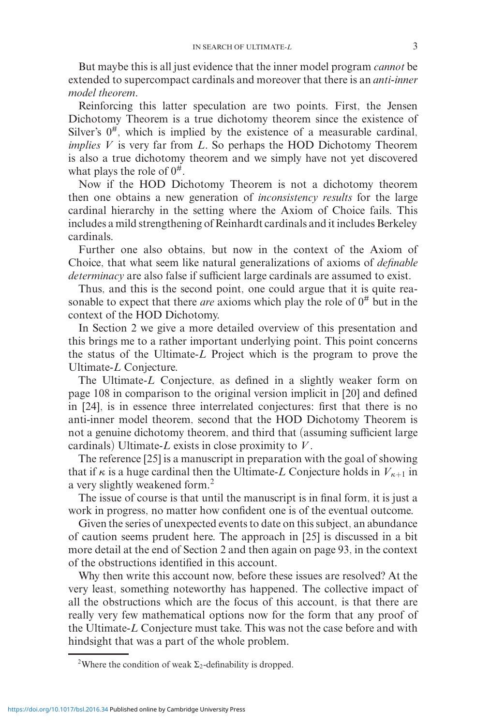But maybe this is all just evidence that the inner model program *cannot* be extended to supercompact cardinals and moreover that there is an *anti-inner model theorem*.

Reinforcing this latter speculation are two points. First, the Jensen Dichotomy Theorem is a true dichotomy theorem since the existence of Silver's  $0^{\#}$ , which is implied by the existence of a measurable cardinal, *implies V* is very far from *L*. So perhaps the HOD Dichotomy Theorem is also a true dichotomy theorem and we simply have not yet discovered what plays the role of  $0^{\#}$ .

Now if the HOD Dichotomy Theorem is not a dichotomy theorem then one obtains a new generation of *inconsistency results* for the large cardinal hierarchy in the setting where the Axiom of Choice fails. This includes a mild strengthening of Reinhardt cardinals and it includes Berkeley cardinals.

Further one also obtains, but now in the context of the Axiom of Choice, that what seem like natural generalizations of axioms of *definable determinacy* are also false if sufficient large cardinals are assumed to exist.

Thus, and this is the second point, one could argue that it is quite reasonable to expect that there *are* axioms which play the role of  $0^{\#}$  but in the context of the HOD Dichotomy.

In Section 2 we give a more detailed overview of this presentation and this brings me to a rather important underlying point. This point concerns the status of the Ultimate-*L* Project which is the program to prove the Ultimate-*L* Conjecture.

The Ultimate-*L* Conjecture, as defined in a slightly weaker form on page 108 in comparison to the original version implicit in [20] and defined in [24], is in essence three interrelated conjectures: first that there is no anti-inner model theorem, second that the HOD Dichotomy Theorem is not a genuine dichotomy theorem, and third that (assuming sufficient large cardinals) Ultimate-*L* exists in close proximity to *V* .

The reference [25] is a manuscript in preparation with the goal of showing that if  $\kappa$  is a huge cardinal then the Ultimate-*L* Conjecture holds in  $V_{\kappa+1}$  in a very slightly weakened form.<sup>2</sup>

The issue of course is that until the manuscript is in final form, it is just a work in progress, no matter how confident one is of the eventual outcome.

Given the series of unexpected events to date on this subject, an abundance of caution seems prudent here. The approach in [25] is discussed in a bit more detail at the end of Section 2 and then again on page 93, in the context of the obstructions identified in this account.

Why then write this account now, before these issues are resolved? At the very least, something noteworthy has happened. The collective impact of all the obstructions which are the focus of this account, is that there are really very few mathematical options now for the form that any proof of the Ultimate-*L* Conjecture must take. This was not the case before and with hindsight that was a part of the whole problem.

<sup>&</sup>lt;sup>2</sup>Where the condition of weak  $\Sigma_2$ -definability is dropped.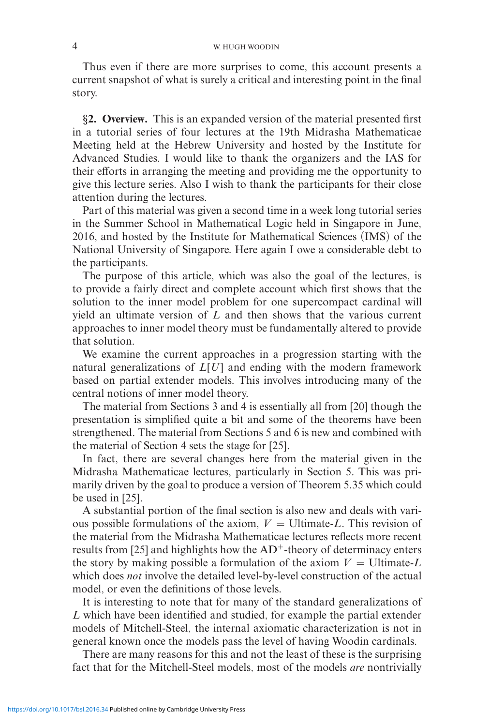#### 4 W. HUGH WOODIN

Thus even if there are more surprises to come, this account presents a current snapshot of what is surely a critical and interesting point in the final story.

*§***2. Overview.** This is an expanded version of the material presented first in a tutorial series of four lectures at the 19th Midrasha Mathematicae Meeting held at the Hebrew University and hosted by the Institute for Advanced Studies. I would like to thank the organizers and the IAS for their efforts in arranging the meeting and providing me the opportunity to give this lecture series. Also I wish to thank the participants for their close attention during the lectures.

Part of this material was given a second time in a week long tutorial series in the Summer School in Mathematical Logic held in Singapore in June, 2016, and hosted by the Institute for Mathematical Sciences (IMS) of the National University of Singapore. Here again I owe a considerable debt to the participants.

The purpose of this article, which was also the goal of the lectures, is to provide a fairly direct and complete account which first shows that the solution to the inner model problem for one supercompact cardinal will yield an ultimate version of *L* and then shows that the various current approaches to inner model theory must be fundamentally altered to provide that solution.

We examine the current approaches in a progression starting with the natural generalizations of *L*[*U*] and ending with the modern framework based on partial extender models. This involves introducing many of the central notions of inner model theory.

The material from Sections 3 and 4 is essentially all from [20] though the presentation is simplified quite a bit and some of the theorems have been strengthened. The material from Sections 5 and 6 is new and combined with the material of Section 4 sets the stage for [25].

In fact, there are several changes here from the material given in the Midrasha Mathematicae lectures, particularly in Section 5. This was primarily driven by the goal to produce a version of Theorem 5.35 which could be used in [25].

A substantial portion of the final section is also new and deals with various possible formulations of the axiom,  $V =$  Ultimate-*L*. This revision of the material from the Midrasha Mathematicae lectures reflects more recent results from [25] and highlights how the  $AD^+$ -theory of determinacy enters the story by making possible a formulation of the axiom  $V =$  Ultimate-L which does *not* involve the detailed level-by-level construction of the actual model, or even the definitions of those levels.

It is interesting to note that for many of the standard generalizations of *L* which have been identified and studied, for example the partial extender models of Mitchell-Steel, the internal axiomatic characterization is not in general known once the models pass the level of having Woodin cardinals.

There are many reasons for this and not the least of these is the surprising fact that for the Mitchell-Steel models, most of the models *are* nontrivially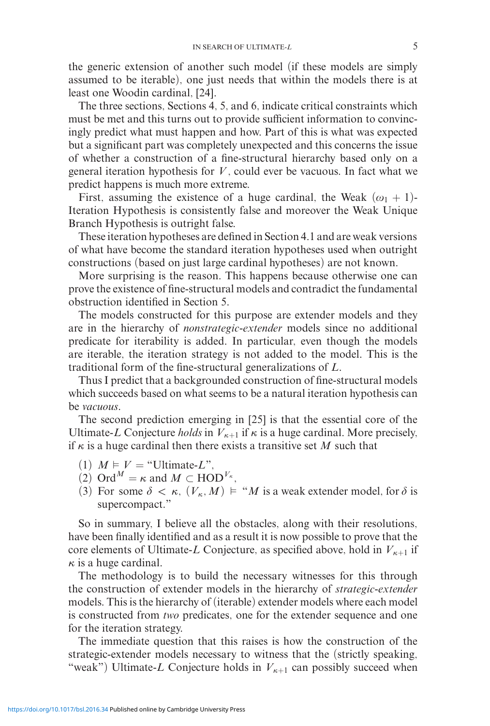the generic extension of another such model (if these models are simply assumed to be iterable), one just needs that within the models there is at least one Woodin cardinal, [24].

The three sections, Sections 4, 5, and 6, indicate critical constraints which must be met and this turns out to provide sufficient information to convincingly predict what must happen and how. Part of this is what was expected but a significant part was completely unexpected and this concerns the issue of whether a construction of a fine-structural hierarchy based only on a general iteration hypothesis for *V* , could ever be vacuous. In fact what we predict happens is much more extreme.

First, assuming the existence of a huge cardinal, the Weak  $(\omega_1 + 1)$ -Iteration Hypothesis is consistently false and moreover the Weak Unique Branch Hypothesis is outright false.

These iteration hypotheses are defined in Section 4.1 and are weak versions of what have become the standard iteration hypotheses used when outright constructions (based on just large cardinal hypotheses) are not known.

More surprising is the reason. This happens because otherwise one can prove the existence of fine-structural models and contradict the fundamental obstruction identified in Section 5.

The models constructed for this purpose are extender models and they are in the hierarchy of *nonstrategic-extender* models since no additional predicate for iterability is added. In particular, even though the models are iterable, the iteration strategy is not added to the model. This is the traditional form of the fine-structural generalizations of *L*.

Thus I predict that a backgrounded construction of fine-structural models which succeeds based on what seems to be a natural iteration hypothesis can be *vacuous*.

The second prediction emerging in [25] is that the essential core of the Ultimate-*L* Conjecture *holds* in  $V_{\kappa+1}$  if  $\kappa$  is a huge cardinal. More precisely, if  $\kappa$  is a huge cardinal then there exists a transitive set M such that

- $(1)$   $M \models V =$  "Ultimate-L",
- (2) Ord<sup>*M*</sup> =  $\kappa$  and *M* ⊂ HOD<sup>*V<sub>κ</sub>*</sup>,
- (3) For some  $\delta < \kappa$ ,  $(V_{\kappa}, M) \models "M$  is a weak extender model, for  $\delta$  is supercompact."

So in summary, I believe all the obstacles, along with their resolutions, have been finally identified and as a result it is now possible to prove that the core elements of Ultimate-*L* Conjecture, as specified above, hold in  $V_{\kappa+1}$  if  $\kappa$  is a huge cardinal.

The methodology is to build the necessary witnesses for this through the construction of extender models in the hierarchy of *strategic-extender* models. This is the hierarchy of (iterable) extender models where each model is constructed from *two* predicates, one for the extender sequence and one for the iteration strategy.

The immediate question that this raises is how the construction of the strategic-extender models necessary to witness that the (strictly speaking, "weak") Ultimate-*L* Conjecture holds in  $V_{\kappa+1}$  can possibly succeed when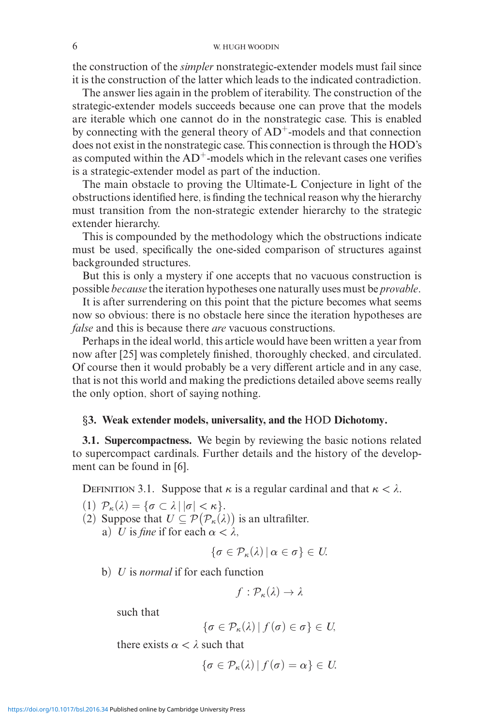the construction of the *simpler* nonstrategic-extender models must fail since it is the construction of the latter which leads to the indicated contradiction.

The answer lies again in the problem of iterability. The construction of the strategic-extender models succeeds because one can prove that the models are iterable which one cannot do in the nonstrategic case. This is enabled by connecting with the general theory of  $AD^+$ -models and that connection does not exist in the nonstrategic case. This connection is through the HOD's as computed within the  $AD^+$ -models which in the relevant cases one verifies is a strategic-extender model as part of the induction.

The main obstacle to proving the Ultimate-L Conjecture in light of the obstructions identified here, is finding the technical reason why the hierarchy must transition from the non-strategic extender hierarchy to the strategic extender hierarchy.

This is compounded by the methodology which the obstructions indicate must be used, specifically the one-sided comparison of structures against backgrounded structures.

But this is only a mystery if one accepts that no vacuous construction is possible *because* the iteration hypotheses one naturally uses must be *provable*.

It is after surrendering on this point that the picture becomes what seems now so obvious: there is no obstacle here since the iteration hypotheses are *false* and this is because there *are* vacuous constructions.

Perhaps in the ideal world, this article would have been written a year from now after [25] was completely finished, thoroughly checked, and circulated. Of course then it would probably be a very different article and in any case, that is not this world and making the predictions detailed above seems really the only option, short of saying nothing.

### *§***3. Weak extender models, universality, and the** HOD **Dichotomy.**

**3.1. Supercompactness.** We begin by reviewing the basic notions related to supercompact cardinals. Further details and the history of the development can be found in [6].

DEFINITION 3.1. Suppose that *κ* is a regular cardinal and that  $κ < λ$ .

- (1)  $\mathcal{P}_{\kappa}(\lambda) = {\sigma \subset \lambda | |\sigma| < \kappa}.$
- (2) Suppose that  $U \subseteq \mathcal{P}(\mathcal{P}_{\kappa}(\lambda))$  is an ultrafilter.
	- a) *U* is *fine* if for each  $\alpha < \lambda$ ,

$$
\{\sigma\in\mathcal{P}_{\kappa}(\lambda)\,|\,\alpha\in\sigma\}\in U.
$$

b) *U* is *normal* if for each function

$$
f:\mathcal{P}_{\kappa}(\lambda)\to\lambda
$$

such that

$$
\{\sigma\in\mathcal{P}_{\kappa}(\lambda)\,|\,f(\sigma)\in\sigma\}\in U,
$$

there exists  $\alpha < \lambda$  such that

$$
\{\sigma\in\mathcal{P}_{\kappa}(\lambda)\,|\,f(\sigma)=\alpha\}\in U.
$$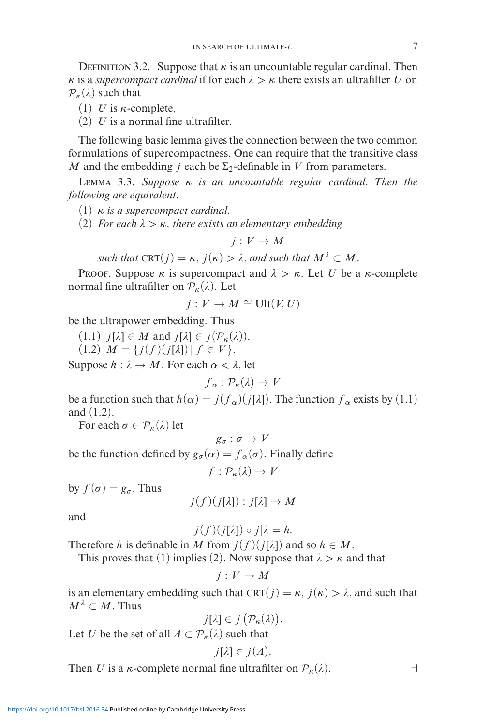DEFINITION 3.2. Suppose that  $\kappa$  is an uncountable regular cardinal. Then *κ* is a *supercompact cardinal* if for each  $\lambda > \kappa$  there exists an ultrafilter *U* on  $P_{\kappa}(\lambda)$  such that

- (1) *U* is  $\kappa$ -complete,
- (2) *U* is a normal fine ultrafilter.

The following basic lemma gives the connection between the two common formulations of supercompactness. One can require that the transitive class *M* and the embedding *j* each be  $\Sigma_2$ -definable in *V* from parameters.

Lemma 3.3. *Suppose κ is an uncountable regular cardinal. Then the following are equivalent.*

- (1) *κ is a supercompact cardinal.*
- (2) *For each >κ, there exists an elementary embedding*

$$
j:V\to M
$$

*such that*  $CRT(j) = \kappa$ ,  $j(\kappa) > \lambda$ , and such that  $M^{\lambda} \subset M$ .

Proof. Suppose  $\kappa$  is supercompact and  $\lambda > \kappa$ . Let *U* be a  $\kappa$ -complete normal fine ultrafilter on  $P_{\kappa}(\lambda)$ . Let

$$
j: V \to M \cong \text{Ult}(V, U)
$$

be the ultrapower embedding. Thus

 $(1.1)$   $j[\lambda] \in M$  and  $j[\lambda] \in j(\mathcal{P}_{\kappa}(\lambda)),$  $(1.2)$  *M* = { $j(f)(j[\lambda]) | f \in V$  }.

Suppose  $h : \lambda \to M$ . For each  $\alpha < \lambda$ , let

$$
f_{\alpha} : \mathcal{P}_{\kappa}(\lambda) \to V
$$

be a function such that  $h(\alpha) = j(f_\alpha)(j[\lambda])$ . The function  $f_\alpha$  exists by (1.1) and (1.2).

For each  $\sigma \in \mathcal{P}_{\kappa}(\lambda)$  let

$$
g_\sigma:\sigma\to V
$$

be the function defined by  $g_{\sigma}(\alpha) = f_{\alpha}(\sigma)$ . Finally define

$$
f:\mathcal{P}_{\kappa}(\lambda)\to V
$$

by  $f(\sigma) = g_{\sigma}$ . Thus

$$
j(f)(j[\lambda]):j[\lambda]\to M
$$

and

$$
j(f)(j[\lambda]) \circ j|\lambda = h.
$$

Therefore *h* is definable in *M* from  $j(f)(j[\lambda])$  and so  $h \in M$ .

This proves that (1) implies (2). Now suppose that  $\lambda > \kappa$  and that

$$
j:V\to M
$$

is an elementary embedding such that  $CRT(j) = \kappa$ ,  $j(\kappa) > \lambda$ , and such that  $M^{\lambda} \subset M$ . Thus

$$
j[\lambda] \in j(\mathcal{P}_{\kappa}(\lambda)).
$$
  
Let *U* be the set of all  $A \subset \mathcal{P}_{\kappa}(\lambda)$  such that

$$
j[\lambda] \in j(A).
$$

Then *U* is a *κ*-complete normal fine ultrafilter on  $P_{\kappa}(\lambda)$ .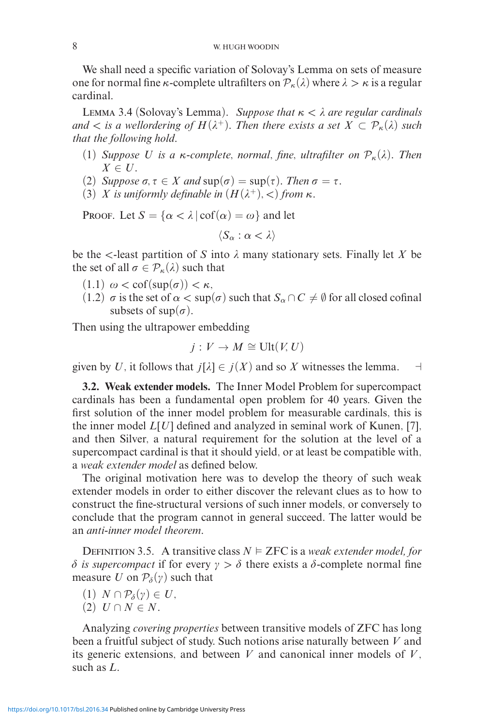We shall need a specific variation of Solovay's Lemma on sets of measure one for normal fine *κ*-complete ultrafilters on  $P_k(\lambda)$  where  $\lambda > \kappa$  is a regular cardinal.

LEMMA 3.4 (Solovay's Lemma). *Suppose that*  $\kappa < \lambda$  *are regular cardinals and*  $\lt$  *is a wellordering of*  $H(\lambda^+)$ *. Then there exists a set*  $X \subset \mathcal{P}_{\kappa}(\lambda)$  *such that the following hold.*

- (1) *Suppose U is a κ-complete, normal, fine, ultrafilter on*  $\mathcal{P}_{\kappa}(\lambda)$ *. Then*  $X \in U$ .
- (2) *Suppose*  $\sigma, \tau \in X$  *and*  $\sup(\sigma) = \sup(\tau)$ *. Then*  $\sigma = \tau$ *.*
- (3) *X is uniformly definable in*  $(H(\lambda^+), <)$  *from*  $\kappa$ *.*

Proof. Let  $S = \{\alpha < \lambda \mid \text{cof}(\alpha) = \omega\}$  and let

$$
\langle S_\alpha : \alpha < \lambda \rangle
$$

be the  $\lt$ -least partition of *S* into  $\lambda$  many stationary sets. Finally let *X* be the set of all  $\sigma \in \mathcal{P}_{\kappa}(\lambda)$  such that

- $(1.1)$   $\omega < \text{cof}(\text{sup}(\sigma)) < \kappa$ ,
- (1.2)  $\sigma$  is the set of  $\alpha < \sup(\sigma)$  such that  $S_\alpha \cap C \neq \emptyset$  for all closed cofinal subsets of  $\sup(\sigma)$ .

Then using the ultrapower embedding

$$
j: V \to M \cong \text{Ult}(V, U)
$$

given by *U*, it follows that  $j[\lambda] \in j(X)$  and so *X* witnesses the lemma.  $\exists$ 

**3.2. Weak extender models.** The Inner Model Problem for supercompact cardinals has been a fundamental open problem for 40 years. Given the first solution of the inner model problem for measurable cardinals, this is the inner model *L*[*U*] defined and analyzed in seminal work of Kunen, [7], and then Silver, a natural requirement for the solution at the level of a supercompact cardinal is that it should yield, or at least be compatible with, a *weak extender model* as defined below.

The original motivation here was to develop the theory of such weak extender models in order to either discover the relevant clues as to how to construct the fine-structural versions of such inner models, or conversely to conclude that the program cannot in general succeed. The latter would be an *anti-inner model theorem*.

DEFINITION 3.5. A transitive class  $N \models$  ZFC is a *weak extender model, for*  $\delta$  *is supercompact* if for every  $\gamma > \delta$  there exists a δ-complete normal fine measure *U* on  $\mathcal{P}_{\delta}(\gamma)$  such that

- $(1)$   $N \cap \mathcal{P}_{\delta}(\gamma) \in U$ ,
- (2)  $U \cap N \in N$ .

Analyzing *covering properties* between transitive models of ZFC has long been a fruitful subject of study. Such notions arise naturally between *V* and its generic extensions, and between  $V$  and canonical inner models of  $V$ , such as *L*.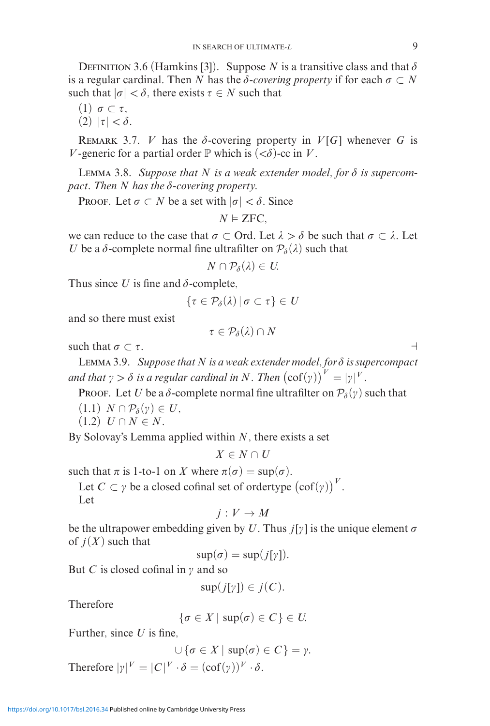DEFINITION 3.6 (Hamkins [3]). Suppose *N* is a transitive class and that  $\delta$ is a regular cardinal. Then *N* has the  $\delta$ -*covering property* if for each  $\sigma \subset N$ such that  $|\sigma| < \delta$ , there exists  $\tau \in N$  such that

- (1)  $\sigma \subset \tau$ .
- $(2)$   $|\tau| < \delta$ .

REMARK 3.7. *V* has the  $\delta$ -covering property in  $V[G]$  whenever *G* is *V*-generic for a partial order  $\mathbb P$  which is  $( $\delta$ )$ -cc in *V*.

LEMMA 3.8. Suppose that  $N$  is a weak extender model, for  $\delta$  is supercom*pact. Then N has the --covering property.*

PROOF. Let  $\sigma \subset N$  be a set with  $|\sigma| < \delta$ . Since

$$
N \vDash \textsf{ZFC},
$$

we can reduce to the case that  $\sigma \subset \text{Ord.}$  Let  $\lambda > \delta$  be such that  $\sigma \subset \lambda$ . Let *U* be a  $\delta$ -complete normal fine ultrafilter on  $\mathcal{P}_{\delta}(\lambda)$  such that

$$
N\cap\mathcal{P}_{\delta}(\lambda)\in U
$$

Thus since U is fine and  $\delta$ -complete,

$$
\{\tau\in\mathcal{P}_{\delta}(\lambda)\,|\,\sigma\subset\tau\}\in U
$$

and so there must exist

$$
\tau\in\mathcal{P}_{\delta}(\lambda)\cap N
$$

such that  $\sigma \subset \tau$ .

LEMMA 3.9. Suppose that N is a weak extender model, for  $\delta$  is supercompact and that  $\gamma > \delta$  is a regular cardinal in N. Then  $(\operatorname{cof}(\gamma))^V = |\gamma|^V$ .

Proof. Let *U* be a  $\delta$ -complete normal fine ultrafilter on  $\mathcal{P}_{\delta}(\gamma)$  such that

- $(1.1)$   $N \cap \mathcal{P}_{\delta}(\gamma) \in U$ ,
- $(1.2) U \cap N \in N$ .

By Solovay's Lemma applied within *N*, there exists a set

$$
X \in N \cap U
$$

such that  $\pi$  is 1-to-1 on *X* where  $\pi(\sigma) = \sup(\sigma)$ .

Let  $C \subset \gamma$  be a closed cofinal set of ordertype  $(\text{cof}(\gamma))^V$ .

Let

$$
j: V \to M
$$

be the ultrapower embedding given by U. Thus  $j[y]$  is the unique element  $\sigma$ of  $j(X)$  such that

 $\sup(\sigma) = \sup(j[\gamma]).$ 

But *C* is closed cofinal in  $\gamma$  and so

$$
\sup(j[\gamma]) \in j(C).
$$

Therefore

$$
\{\sigma \in X \mid \sup(\sigma) \in C\} \in U.
$$

Further, since *U* is fine,

$$
\bigcup \{\sigma \in X \mid \sup(\sigma) \in C\} = \gamma.
$$
  
Therefore  $|\gamma|^V = |C|^V \cdot \delta = (\text{cof}(\gamma))^V \cdot \delta.$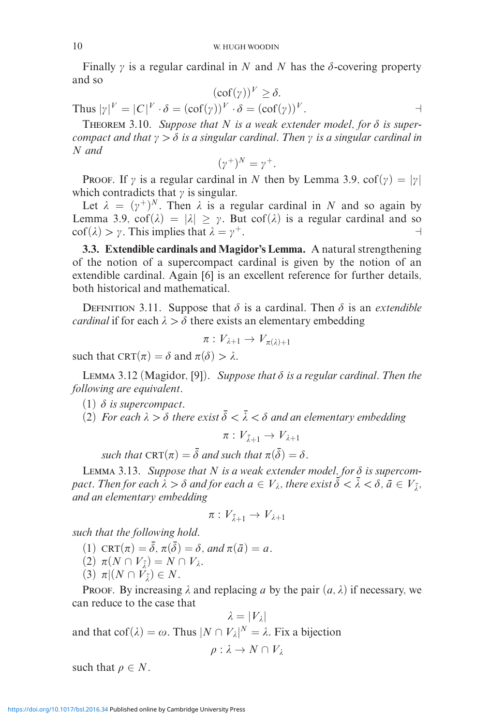Finally  $\gamma$  is a regular cardinal in N and N has the  $\delta$ -covering property and so

$$
(\operatorname{cof}(\gamma))^V \ge \delta.
$$
  
of( $\gamma$ ) $V \cdot \delta = (\operatorname{cof}(\gamma))^V$ 

Thus  $|\gamma|^V = |C|^V \cdot \delta = (\operatorname{cof}(\gamma))^V \cdot \delta = (\operatorname{cof}(\gamma))^V$ .

THEOREM 3.10. Suppose that  $N$  is a weak extender model, for  $\delta$  is super*compact and that*  $\gamma > \delta$  *is a singular cardinal. Then*  $\gamma$  *is a singular cardinal in N and*

$$
(\gamma^+)^N = \gamma^+.
$$

**PROOF.** If  $\gamma$  is a regular cardinal in N then by Lemma 3.9,  $\text{cof}(\gamma) = |\gamma|$ which contradicts that  $\gamma$  is singular.

Let  $\lambda = (\gamma^+)^N$ . Then  $\lambda$  is a regular cardinal in *N* and so again by Lemma 3.9,  $\cot(\lambda) = |\lambda| > \gamma$ . But  $\cot(\lambda)$  is a regular cardinal and so  $\cot(\lambda) > \gamma$ . This implies that  $\lambda = \gamma^+$ .

**3.3. Extendible cardinals and Magidor's Lemma.** A natural strengthening of the notion of a supercompact cardinal is given by the notion of an extendible cardinal. Again [6] is an excellent reference for further details, both historical and mathematical.

DEFINITION 3.11. Suppose that  $\delta$  is a cardinal. Then  $\delta$  is an *extendible cardinal* if for each  $\lambda > \delta$  there exists an elementary embedding

$$
\pi: V_{\lambda+1} \to V_{\pi(\lambda)+1}
$$

such that  $CRT(\pi) = \delta$  and  $\pi(\delta) > \lambda$ .

LEMMA 3.12 (Magidor, [9]). Suppose that  $\delta$  is a regular cardinal. Then the *following are equivalent.*

- $(1)$   $\delta$  *is supercompact.*
- (2) For each  $\lambda > \delta$  there exist  $\overline{\delta} < \overline{\lambda} < \delta$  and an elementary embedding

$$
\pi: V_{\bar{\lambda}+1} \to V_{\lambda+1}
$$

 $\textit{such that} \ \textsc{CRT}(\pi) = \bar{\delta} \ \textit{and such that} \ \pi(\bar{\delta}) = \delta.$ 

LEMMA 3.13. Suppose that  $N$  is a weak extender model, for  $\delta$  is supercom $pact.$  *Then for each*  $\hat{\lambda} > \delta$  *and for each*  $a \in V_{\lambda}$ *, there exist*  $\vec{\delta} < \bar{\lambda} < \delta$  *,*  $\vec{a} \in V_{\bar{\lambda}}$ *, and an elementary embedding*

$$
\pi: V_{\bar{\lambda}+1} \to V_{\lambda+1}
$$

*such that the following hold.*

- (1)  $CRT(\pi) = \overline{\delta}, \pi(\overline{\delta}) = \delta, \text{ and } \pi(\overline{\alpha}) = a.$
- $(2)$   $\pi(N \cap V_{\bar{\lambda}}) = N \cap V_{\lambda}$ .
- $(3)$   $\pi | (N \cap V_{\bar{\lambda}}) \in N$ .

Proof. By increasing  $\lambda$  and replacing a by the pair  $(a, \lambda)$  if necessary, we can reduce to the case that

 $\lambda = |V_{\lambda}|$ and that  $\text{cof}(\lambda) = \omega$ . Thus  $|N \cap V_{\lambda}|^{N} = \lambda$ . Fix a bijection

$$
\rho: \lambda \to N \cap V_\lambda
$$

such that  $\rho \in N$ .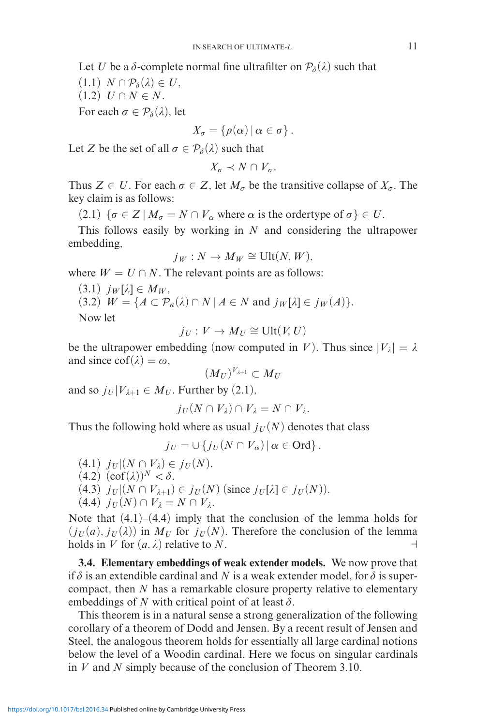Let *U* be a  $\delta$ -complete normal fine ultrafilter on  $\mathcal{P}_{\delta}(\lambda)$  such that

 $(1.1)$   $N \cap \mathcal{P}_{\delta}(\lambda) \in U$ ,

 $(1.2) U \cap N \in N$ .

For each  $\sigma \in \mathcal{P}_{\delta}(\lambda)$ , let

$$
X_{\sigma} = \{ \rho(\alpha) \, | \, \alpha \in \sigma \} \, .
$$

Let *Z* be the set of all  $\sigma \in \mathcal{P}_{\delta}(\lambda)$  such that

 $X_{\sigma} \prec N \cap V_{\sigma}$ .

Thus  $Z \in U$ . For each  $\sigma \in Z$ , let  $M_{\sigma}$  be the transitive collapse of  $X_{\sigma}$ . The key claim is as follows:

 $(2.1) \{ \sigma \in Z \mid M_{\sigma} = N \cap V_{\alpha} \text{ where } \alpha \text{ is the order type of } \sigma \} \in U.$ 

This follows easily by working in *N* and considering the ultrapower embedding,

$$
j_W: N \to M_W \cong \text{Ult}(N,W),
$$

where  $W = U \cap N$ . The relevant points are as follows:

 $(3.1)$   $j_W[\lambda] \in M_W$ ,  $(3.2)$   $W = \{A \subset \mathcal{P}_{\kappa}(\lambda) \cap N \mid A \in N \text{ and } j_{W}[\lambda] \in j_{W}(A)\}.$ Now let

 $j_U: V \to M_U \cong \text{Ult}(V, U)$ 

be the ultrapower embedding (now computed in *V*). Thus since  $|V_\lambda| = \lambda$ and since  $\text{cof}(\lambda) = \omega$ .

$$
(M_U)^{V_{\lambda+1}}\subset M_U
$$

and so  $j_U | V_{\lambda+1} \in M_U$ . Further by (2.1),

$$
j_U(N \cap V_\lambda) \cap V_\lambda = N \cap V_\lambda.
$$

Thus the following hold where as usual  $j_U(N)$  denotes that class

 $j_U = \cup \{j_U(N \cap V_\alpha) | \alpha \in \text{Ord}\}.$ 

- $(4.1)$   $j_U|(N \cap V_\lambda) \in j_U(N)$ .
- $(4.2)$   $(\text{cof}(\lambda))^N < \delta$ .
- $(4.3)$   $j_U | (N \cap V_{\lambda+1}) \in j_U(N)$  (since  $j_U[\lambda] \in j_U(N)$ ).

$$
(4.4) j_U(N) \cap V_{\lambda} = N \cap V_{\lambda}.
$$

Note that  $(4.1)$ – $(4.4)$  imply that the conclusion of the lemma holds for  $(j_U(a), j_U(\lambda))$  in  $M_U$  for  $j_U(N)$ . Therefore the conclusion of the lemma holds in *V* for  $(a, \lambda)$  relative to *N*.

**3.4. Elementary embeddings of weak extender models.** We now prove that if  $\delta$  is an extendible cardinal and N is a weak extender model, for  $\delta$  is supercompact, then *N* has a remarkable closure property relative to elementary embeddings of N with critical point of at least  $\delta$ .

This theorem is in a natural sense a strong generalization of the following corollary of a theorem of Dodd and Jensen. By a recent result of Jensen and Steel, the analogous theorem holds for essentially all large cardinal notions below the level of a Woodin cardinal. Here we focus on singular cardinals in *V* and *N* simply because of the conclusion of Theorem 3.10.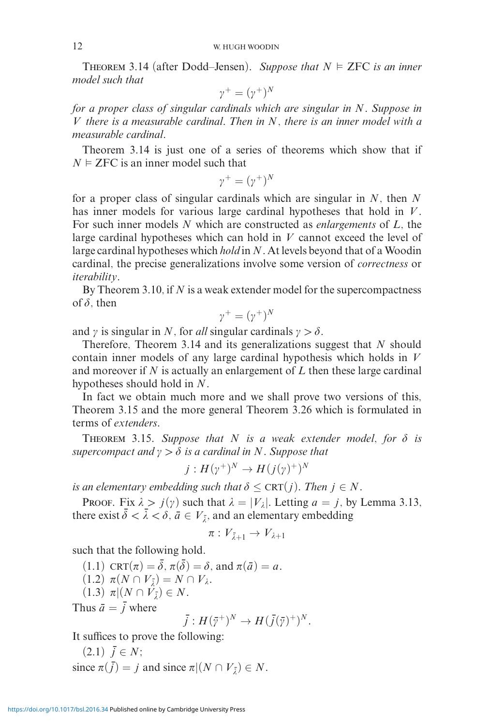THEOREM 3.14 (after Dodd–Jensen). Suppose that  $N \models$  ZFC is an inner *model such that*

$$
\gamma^+ = (\gamma^+)^N
$$

*for a proper class of singular cardinals which are singular in N. Suppose in V there is a measurable cardinal. Then in N, there is an inner model with a measurable cardinal.*

Theorem 3.14 is just one of a series of theorems which show that if  $N \models$  ZFC is an inner model such that

 $\gamma^{+} = (\gamma^{+})^{N}$ 

for a proper class of singular cardinals which are singular in *N*, then *N* has inner models for various large cardinal hypotheses that hold in *V* . For such inner models *N* which are constructed as *enlargements* of *L*, the large cardinal hypotheses which can hold in *V* cannot exceed the level of large cardinal hypotheses which *hold* in *N*. At levels beyond that of a Woodin cardinal, the precise generalizations involve some version of *correctness* or *iterability*.

By Theorem 3.10, if *N* is a weak extender model for the supercompactness of  $\delta$ , then

$$
\gamma^+ = (\gamma^+)^N
$$

and  $\gamma$  is singular in *N*, for *all* singular cardinals  $\gamma > \delta$ .

Therefore, Theorem 3.14 and its generalizations suggest that *N* should contain inner models of any large cardinal hypothesis which holds in *V* and moreover if *N* is actually an enlargement of *L* then these large cardinal hypotheses should hold in *N*.

In fact we obtain much more and we shall prove two versions of this, Theorem 3.15 and the more general Theorem 3.26 which is formulated in terms of *extenders*.

THEOREM 3.15. Suppose that  $N$  is a weak extender model, for  $\delta$  is supercompact and  $\gamma > \delta$  is a cardinal in N. Suppose that

$$
j: H(\gamma^+)^N \to H(j(\gamma)^+)^N
$$

*is an elementary embedding such that*  $\delta \leq \text{CRT}(j)$ *. Then*  $j \in N$ *.* 

Proof. Fix  $\lambda > j(\gamma)$  such that  $\lambda = |V_{\lambda}|$ . Letting  $a = j$ , by Lemma 3.13, there exist  $\bar{\delta} < \bar{\lambda} < \delta$ ,  $\bar{a} \in V_{\bar{\lambda}}$ , and an elementary embedding

$$
\pi: V_{\bar{\lambda}+1} \to V_{\lambda+1}
$$

such that the following hold.

- $(1.1) \operatorname{CRT}(\pi) = \overline{\delta}, \pi(\overline{\delta}) = \delta, \text{ and } \pi(\overline{\alpha}) = a.$
- $(1.2) \pi(N \cap V_{\bar{\lambda}}) = N \cap V_{\lambda}.$
- $(1.3)$   $\pi | (N \cap V_{\bar{\lambda}}) \in N$ .

Thus  $\bar{a} = \bar{j}$  where

$$
\bar{j}: H(\bar{\gamma}^+)^N \to H(\bar{j}(\bar{\gamma})^+)^N.
$$

It suffices to prove the following:

 $(2.1)$   $\bar{j} \in N$ ; since  $\pi(j) = j$  and since  $\pi | (N \cap V_{\bar{\lambda}}) \in N$ .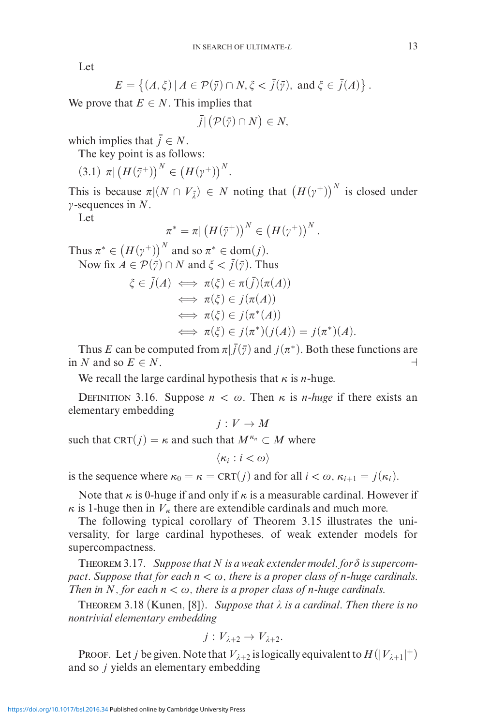Let

$$
E = \left\{ (A, \xi) \, | \, A \in \mathcal{P}(\overline{\gamma}) \cap N, \xi < \overline{j}(\overline{\gamma}), \text{ and } \xi \in \overline{j}(A) \right\}.
$$

We prove that  $E \in N$ . This implies that

$$
\bar{j}|\left(\mathcal{P}(\bar{\gamma})\cap N\right)\in N,
$$

which implies that  $\bar{j} \in N$ .

The key point is as follows:

$$
(3.1) \ \pi \vert \left( H(\bar{\gamma}^+) \right)^N \in \left( H(\gamma^+) \right)^N.
$$

This is because  $\pi |(N \cap V_{\bar{\lambda}})| \in N$  noting that  $(H(\gamma^+))^N$  is closed under -sequences in *N*.

Let

$$
\pi^* = \pi \vert \left( H(\bar{\gamma}^+) \right)^N \in \left( H(\gamma^+) \right)^N.
$$

Thus  $\pi^* \in (H(\gamma^+))^N$  and so  $\pi^* \in \text{dom}(j)$ . Now fix  $A \in \mathcal{P}(\overline{\gamma}) \cap N$  and  $\xi < \overline{j}(\overline{\gamma})$ . Thus

$$
\xi \in \bar{j}(A) \iff \pi(\xi) \in \pi(\bar{j})(\pi(A))
$$
  
\n
$$
\iff \pi(\xi) \in j(\pi(A))
$$
  
\n
$$
\iff \pi(\xi) \in j(\pi^*(A))
$$
  
\n
$$
\iff \pi(\xi) \in j(\pi^*)(j(A)) = j(\pi^*)(A).
$$

Thus *E* can be computed from  $\pi$   $|\bar{j}(\bar{y})$  and  $j(\pi^*)$ . Both these functions are in *N* and so  $E \in N$ .

We recall the large cardinal hypothesis that  $\kappa$  is *n*-huge.

DEFINITION 3.16. Suppose  $n < \omega$ . Then  $\kappa$  is *n*-*huge* if there exists an elementary embedding

 $j: V \to M$ 

such that CRT( $j$ ) =  $\kappa$  and such that  $M^{\kappa_n} \subset M$  where

 $\langle \kappa_i : i < \omega \rangle$ 

is the sequence where  $\kappa_0 = \kappa = \text{CRT}(i)$  and for all  $i < \omega, \kappa_{i+1} = j(\kappa_i)$ .

Note that  $\kappa$  is 0-huge if and only if  $\kappa$  is a measurable cardinal. However if  $\kappa$  is 1-huge then in  $V_{\kappa}$  there are extendible cardinals and much more.

The following typical corollary of Theorem 3.15 illustrates the universality, for large cardinal hypotheses, of weak extender models for supercompactness.

THEOREM 3.17. Suppose that  $N$  is a weak extender model, for  $\delta$  is supercom*pact. Suppose that for each*  $n < \omega$ , there is a proper class of *n*-huge cardinals. *Then in*  $N$ *, for each*  $n < \omega$ *, there is a proper class of n-huge cardinals.* 

Theorem 3.18 (Kunen, [8]). *Suppose that is a cardinal. Then there is no nontrivial elementary embedding*

$$
j:V_{\lambda+2}\to V_{\lambda+2}.
$$

Proof. Let *j* be given. Note that  $V_{\lambda+2}$  is logically equivalent to  $H(|V_{\lambda+1}|^+)$ and so *j* yields an elementary embedding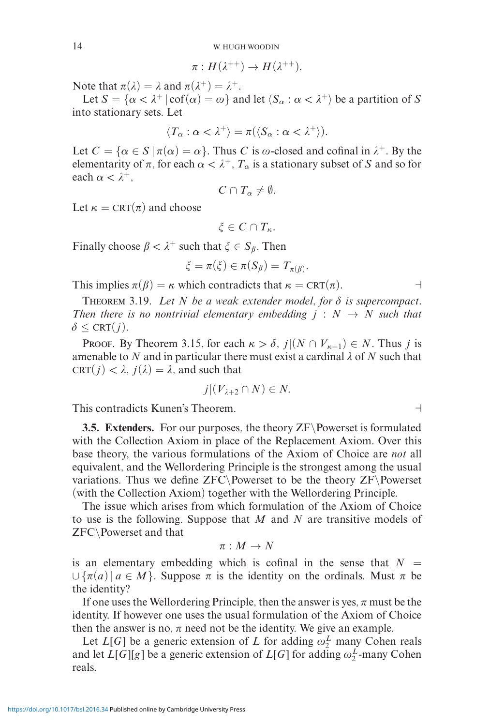$$
\pi: H(\lambda^{++})\to H(\lambda^{++}).
$$

Note that  $\pi(\lambda) = \lambda$  and  $\pi(\lambda^+) = \lambda^+$ .

Let  $S = {\alpha < \lambda^+ | \operatorname{cof}(\alpha) = \omega}$  and let  $\langle S_\alpha : \alpha < \lambda^+ \rangle$  be a partition of S into stationary sets. Let

$$
\langle T_{\alpha} : \alpha < \lambda^+ \rangle = \pi(\langle S_{\alpha} : \alpha < \lambda^+ \rangle).
$$

Let  $C = \{ \alpha \in S \mid \pi(\alpha) = \alpha \}.$  Thus *C* is  $\omega$ -closed and cofinal in  $\lambda^+$ . By the elementarity of  $\pi$ , for each  $\alpha < \lambda^+$ ,  $T_\alpha$  is a stationary subset of *S* and so for each  $\alpha < \lambda^+$ ,

$$
C\cap T_{\alpha}\neq\emptyset.
$$

Let  $\kappa = \text{CRT}(\pi)$  and choose

 $\xi \in C \cap T_{\kappa}$ .

Finally choose  $\beta < \lambda^+$  such that  $\xi \in S_\beta$ . Then

$$
\xi = \pi(\xi) \in \pi(S_\beta) = T_{\pi(\beta)}.
$$

This implies  $\pi(\beta) = \kappa$  which contradicts that  $\kappa = \text{CRT}(\pi)$  $\Box$ 

THEOREM 3.19. Let  $N$  be a weak extender model, for  $\delta$  is supercompact. *Then there is no nontrivial elementary embedding*  $j : N \rightarrow N$  *such that*  $\delta \leq \text{CRT}(j)$ .

Proof. By Theorem 3.15, for each  $\kappa > \delta$ ,  $j|(N \cap V_{\kappa+1}) \in N$ . Thus *j* is amenable to N and in particular there must exist a cardinal  $\lambda$  of N such that CRT( $j$ )  $< \lambda$ ,  $j(\lambda) = \lambda$ , and such that

$$
j|(V_{\lambda+2}\cap N)\in N.
$$

This contradicts Kunen's Theorem.

**3.5. Extenders.** For our purposes, the theory ZF\Powerset is formulated with the Collection Axiom in place of the Replacement Axiom. Over this base theory, the various formulations of the Axiom of Choice are *not* all equivalent, and the Wellordering Principle is the strongest among the usual variations. Thus we define ZFC\Powerset to be the theory ZF\Powerset (with the Collection Axiom) together with the Wellordering Principle.

The issue which arises from which formulation of the Axiom of Choice to use is the following. Suppose that *M* and *N* are transitive models of ZFC\Powerset and that

$$
\pi:M\to N
$$

is an elementary embedding which is cofinal in the sense that  $N =$  $\cup \{\pi(a) \mid a \in M\}$ . Suppose  $\pi$  is the identity on the ordinals. Must  $\pi$  be the identity?

If one uses the Wellordering Principle, then the answer is yes,  $\pi$  must be the identity. If however one uses the usual formulation of the Axiom of Choice then the answer is no,  $\pi$  need not be the identity. We give an example.

Let  $L[G]$  be a generic extension of  $L$  for adding  $\omega_2^L$  many Cohen reals and let  $L[G][g]$  be a generic extension of  $L[G]$  for adding  $\omega_2^L$ -many Cohen reals.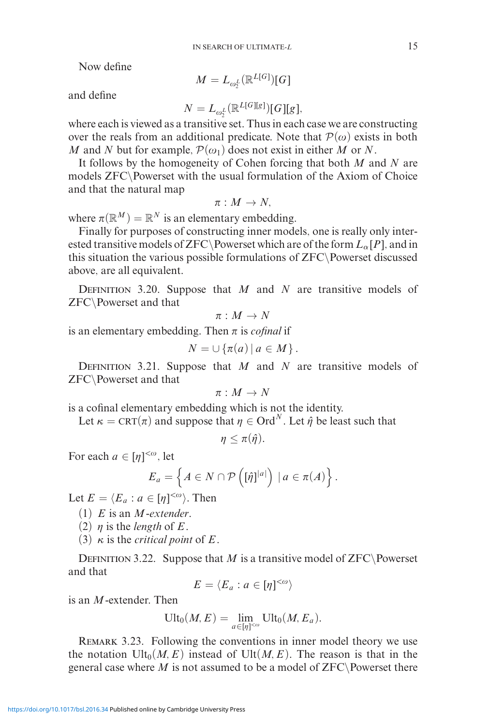Now define

$$
M=L_{\omega_2^L}(\mathbb{R}^{L[G]})[G]
$$

and define

$$
N = L_{\omega_2^L}(\mathbb{R}^{L[G][g]})[G][g],
$$

where each is viewed as a transitive set. Thus in each case we are constructing over the reals from an additional predicate. Note that  $\mathcal{P}(\omega)$  exists in both *M* and *N* but for example,  $\mathcal{P}(\omega_1)$  does not exist in either *M* or *N*.

It follows by the homogeneity of Cohen forcing that both *M* and *N* are models ZFC\Powerset with the usual formulation of the Axiom of Choice and that the natural map

$$
\pi: M \to N,
$$

where  $\pi(\mathbb{R}^M) = \mathbb{R}^N$  is an elementary embedding.

Finally for purposes of constructing inner models, one is really only interested transitive models of ZFC\Powerset which are of the form  $L_{\alpha}[P]$ , and in this situation the various possible formulations of ZFC\Powerset discussed above, are all equivalent.

Definition 3.20. Suppose that *M* and *N* are transitive models of ZFC\Powerset and that

$$
\pi:M\to N
$$

is an elementary embedding. Then  is *cofinal* if

$$
N=\cup \{\pi(a)\,|\,a\in M\}\,.
$$

DEFINITION 3.21. Suppose that *M* and *N* are transitive models of ZFC\Powerset and that

$$
\pi:M\to N
$$

is a cofinal elementary embedding which is not the identity.

Let  $\kappa = \text{CRT}(\pi)$  and suppose that  $\eta \in \text{Ord}^N$ . Let  $\hat{\eta}$  be least such that

$$
\eta \leq \pi(\hat{\eta}).
$$

For each  $a \in [\eta]^{<\omega}$ , let

$$
E_a = \left\{ A \in N \cap \mathcal{P} \left( [\hat{\eta}]^{|a|} \right) \mid a \in \pi(A) \right\}.
$$

Let  $E = \langle E_a : a \in [\eta]^{<\omega} \rangle$ . Then

- (1) *E* is an *M*-*extender*.
- (2)  $\eta$  is the *length* of *E*.
- (3) *κ* is the *critical point* of *E*.

DEFINITION 3.22. Suppose that *M* is a transitive model of ZFC\Powerset and that

$$
E = \langle E_a : a \in [\eta]^{<\omega} \rangle
$$

is an *M*-extender. Then

$$
\text{Ult}_0(M,E)=\lim_{a\in[\eta]^{<\omega}}\text{Ult}_0(M,E_a).
$$

REMARK 3.23. Following the conventions in inner model theory we use the notation  $Ult_0(M, E)$  instead of  $Ult(M, E)$ . The reason is that in the general case where  $M$  is not assumed to be a model of  $ZFC\$ Powerset there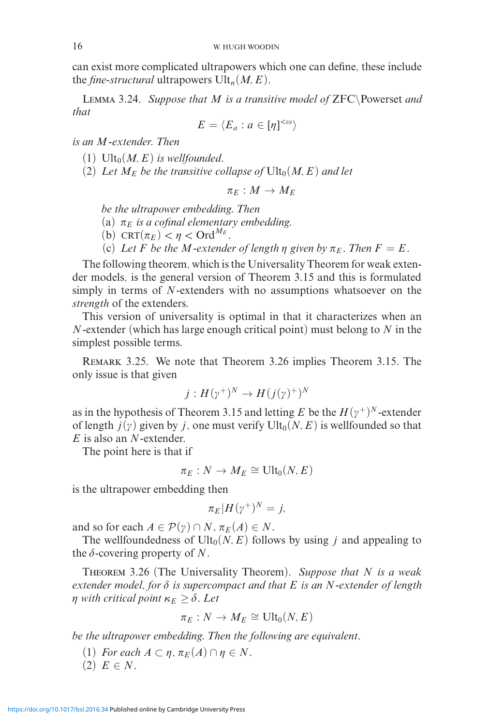can exist more complicated ultrapowers which one can define, these include the *fine-structural* ultrapowers  $Ult_n(M, E)$ .

Lemma 3.24. *Suppose that M is a transitive model of* ZFC\Powerset *and that*

$$
E = \langle E_a : a \in [\eta]^{<\omega} \rangle
$$

*is an M-extender. Then*

(1)  $Ult_0(M, E)$  *is wellfounded.* 

(2) Let  $M_F$  be the transitive collapse of  $Ult_0(M, E)$  and let

$$
\pi_E:M\to M_E
$$

*be the ultrapower embedding. Then*

(a)  $\pi_E$  *is a cofinal elementary embedding.* 

(b) CRT $(\pi_E) < \eta <$  Ord<sup> $M_E$ </sup>.

(c) Let *F* be the *M*-extender of length  $\eta$  given by  $\pi_E$ . Then  $F = E$ .

The following theorem, which is the Universality Theorem for weak extender models, is the general version of Theorem 3.15 and this is formulated simply in terms of *N*-extenders with no assumptions whatsoever on the *strength* of the extenders.

This version of universality is optimal in that it characterizes when an *N*-extender (which has large enough critical point) must belong to *N* in the simplest possible terms.

Remark 3.25. We note that Theorem 3.26 implies Theorem 3.15. The only issue is that given

$$
j:H(\gamma^+)^N\to H(j(\gamma)^+)^N
$$

as in the hypothesis of Theorem 3.15 and letting *E* be the  $H(\gamma^+)^N$ -extender of length  $j(y)$  given by *j*, one must verify  $Ult_0(N, E)$  is wellfounded so that *E* is also an *N*-extender.

The point here is that if

$$
\pi_E : N \to M_E \cong \text{Ult}_0(N,E)
$$

is the ultrapower embedding then

$$
\pi_E|H(\gamma^+)^N=j,
$$

and so for each  $A \in \mathcal{P}(\gamma) \cap N$ ,  $\pi_E(A) \in N$ .

The wellfoundedness of  $Ult_0(N, E)$  follows by using *j* and appealing to the  $\delta$ -covering property of N.

Theorem 3.26 (The Universality Theorem). *Suppose that N is a weak*  $e$ xtender model, for  $\delta$  is supercompact and that  $E$  is an N-extender of length *n* with critical point  $\kappa_E \geq \delta$  . Let

$$
\pi_E : N \to M_E \cong \text{Ult}_0(N,E)
$$

*be the ultrapower embedding. Then the following are equivalent.*

- (1) *For each*  $A \subset \eta$ ,  $\pi_E(A) \cap \eta \in N$ .
- $(2)$   $E \in N$ .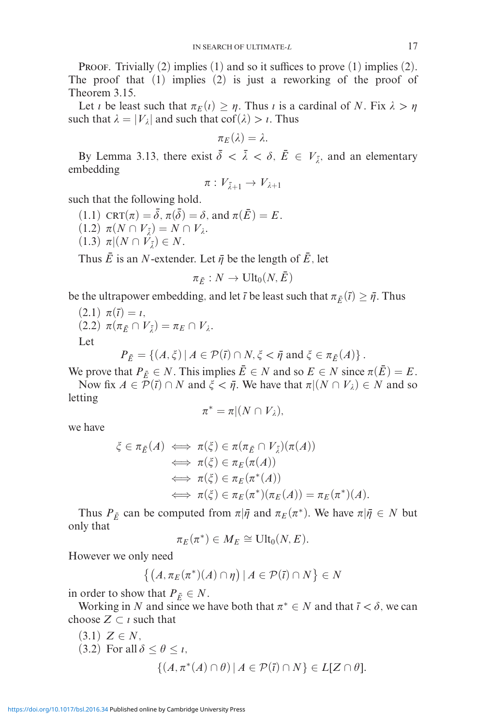**PROOF.** Trivially  $(2)$  implies  $(1)$  and so it suffices to prove  $(1)$  implies  $(2)$ . The proof that (1) implies (2) is just a reworking of the proof of Theorem 3.15.

Let *i* be least such that  $\pi_E(i) \geq \eta$ . Thus *i* is a cardinal of *N*. Fix  $\lambda > \eta$ such that  $\lambda = |V_{\lambda}|$  and such that cof( $\lambda$ ) > *i*. Thus

$$
\pi_E(\lambda)=\lambda.
$$

By Lemma 3.13, there exist  $\bar{\delta} < \bar{\lambda} < \delta$ ,  $\bar{E} \in V_{\bar{\lambda}}$ , and an elementary embedding

$$
\pi: V_{\bar{\lambda}+1} \to V_{\lambda+1}
$$

such that the following hold.

- $(1.1) \operatorname{CRT}(\pi) = \overline{\delta}, \pi(\overline{\delta}) = \delta, \text{ and } \pi(\overline{E}) = E.$
- $(1.2) \pi(N \cap V_{\bar{\lambda}}) = N \cap V_{\lambda}.$
- $(1.3)$   $\pi | (N \cap V_{\bar{\lambda}}) \in N$ .

Thus  $\overline{E}$  is an *N*-extender. Let  $\overline{\eta}$  be the length of  $\overline{E}$ , let

$$
\pi_{\bar{E}}: N \to \text{Ult}_0(N,\bar{E})
$$

be the ultrapower embedding, and let  $\bar{\iota}$  be least such that  $\pi_{\bar{E}}(\bar{\iota}) \geq \bar{\eta}$ . Thus

(2.1) 
$$
\pi(\bar{t}) = t
$$
,  
(2.2)  $\pi(\pi_{\bar{E}} \cap V_{\bar{\lambda}}) = \pi_E \cap V_{\lambda}$ .  
Let

$$
P_{\bar{E}} = \{(A,\xi) | A \in \mathcal{P}(\bar{\imath}) \cap N, \xi < \bar{\eta} \text{ and } \xi \in \pi_{\bar{E}}(A)\}.
$$

We prove that  $P_{\bar{E}} \in N$ . This implies  $\bar{E} \in N$  and so  $E \in N$  since  $\pi(\bar{E}) = E$ .

Now fix  $A \in \mathcal{P}(\overline{\imath}) \cap N$  and  $\xi < \overline{\eta}$ . We have that  $\pi | (N \cap V_{\lambda}) \in N$  and so letting

$$
\pi^* = \pi | (N \cap V_\lambda),
$$

we have

$$
\xi \in \pi_{\bar{E}}(A) \iff \pi(\xi) \in \pi(\pi_{\bar{E}} \cap V_{\bar{\lambda}})(\pi(A))
$$
  
\n
$$
\iff \pi(\xi) \in \pi_{E}(\pi(A))
$$
  
\n
$$
\iff \pi(\xi) \in \pi_{E}(\pi^{*}(A))
$$
  
\n
$$
\iff \pi(\xi) \in \pi_{E}(\pi^{*})(\pi_{E}(A)) = \pi_{E}(\pi^{*})(A).
$$

Thus  $P_{\bar{E}}$  can be computed from  $\pi|\bar{\eta}$  and  $\pi_E(\pi^*)$ . We have  $\pi|\bar{\eta} \in N$  but only that

$$
\pi_E(\pi^*) \in M_E \cong \text{Ult}_0(N,E).
$$

However we only need

$$
\{(A,\pi_E(\pi^*)(A)\cap\eta)\,|\,A\in\mathcal{P}(\overline{\iota})\cap N\}\in N
$$

in order to show that  $P_{\bar{E}} \in N$ .

Working in *N* and since we have both that  $\pi^* \in N$  and that  $\bar{i} < \delta$ , we can choose  $Z \subset i$  such that

(3.1) 
$$
Z \in N
$$
,  
(3.2) For all  $\delta \le \theta \le \iota$ ,  
 $\{(A, \pi^*(A) \cap \theta) | A \in \mathcal{P}(\overline{\iota}) \cap N\} \in L[Z \cap \theta].$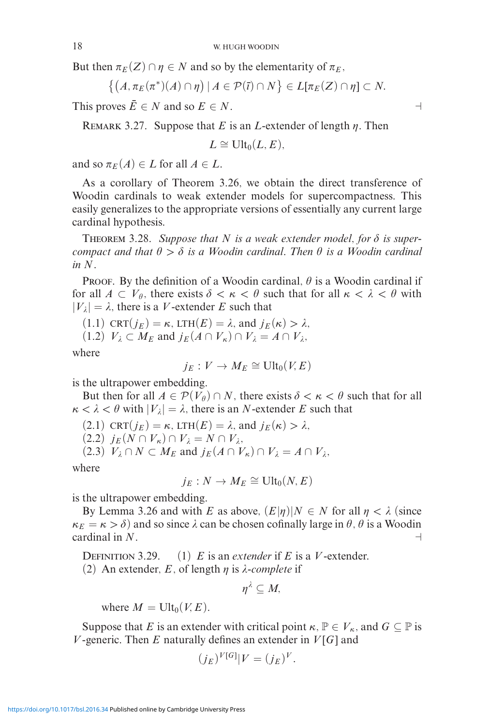But then  $\pi_E(Z) \cap \eta \in N$  and so by the elementarity of  $\pi_E$ ,

$$
\{(A,\pi_E(\pi^*)(A)\cap\eta)\,|\,A\in\mathcal{P}(\overline{\iota})\cap N\}\in L[\pi_E(Z)\cap\eta]\subset N.
$$

This proves  $\overline{E} \in N$  and so  $E \in N$ .

REMARK 3.27. Suppose that *E* is an *L*-extender of length  $\eta$ . Then

$$
L \cong \text{Ult}_0(L,E),
$$

and so  $\pi_E(A) \in L$  for all  $A \in L$ .

As a corollary of Theorem 3.26, we obtain the direct transference of Woodin cardinals to weak extender models for supercompactness. This easily generalizes to the appropriate versions of essentially any current large cardinal hypothesis.

THEOREM 3.28. Suppose that  $N$  is a weak extender model, for  $\delta$  is super*compact and that*  $\theta > \delta$  *is a Woodin cardinal. Then*  $\theta$  *is a Woodin cardinal in N.*

PROOF. By the definition of a Woodin cardinal,  $\theta$  is a Woodin cardinal if for all  $A \subset V_\theta$ , there exists  $\delta < \kappa < \theta$  such that for all  $\kappa < \lambda < \theta$  with  $|V_{\lambda}| = \lambda$ , there is a *V*-extender *E* such that

 $(1.1)$  CRT $(j_E) = \kappa$ , LTH $(E) = \lambda$ , and  $j_E(\kappa) > \lambda$ ,

$$
(1.2) V_{\lambda} \subset M_E \text{ and } j_E(A \cap V_{\kappa}) \cap V_{\lambda} = A \cap V_{\lambda},
$$

where

$$
j_E: V \to M_E \cong \text{Ult}_0(V,E)
$$

is the ultrapower embedding.

But then for all  $A \in \mathcal{P}(V_{\theta}) \cap N$ , there exists  $\delta < \kappa < \theta$  such that for all  $\kappa < \lambda < \theta$  with  $|V_{\lambda}| = \lambda$ , there is an *N*-extender *E* such that

 $(2.1)$  CRT $(j_E) = \kappa$ , LTH $(E) = \lambda$ , and  $j_E(\kappa) > \lambda$ ,

 $(2.2)$  *j<sub>E</sub>*(*N* ∩ *V<sub>κ</sub>*) ∩ *V<sub>λ</sub>* = *N* ∩ *V<sub>λ</sub>*,

(2.3)  $V_{\lambda} \cap N \subset M_E$  and  $j_E(A \cap V_{\kappa}) \cap V_{\lambda} = A \cap V_{\lambda}$ ,

where

$$
j_E: N \to M_E \cong \text{Ult}_0(N,E)
$$

is the ultrapower embedding.

By Lemma 3.26 and with *E* as above,  $(E|\eta)|N \in N$  for all  $\eta < \lambda$  (since  $\kappa_E = \kappa > \delta$  and so since  $\lambda$  can be chosen cofinally large in  $\theta$ ,  $\theta$  is a Woodin cardinal in *N*.

DEFINITION 3.29. (1) *E* is an *extender* if *E* is a *V*-extender.

 $\frac{1}{2}$   $\frac{1}{2}$   $\frac{1}{2}$   $\frac{1}{2}$ 

(2) An extender, *E*, of length  $\eta$  is  $\lambda$ -*complete* if

$$
\eta^{\lambda} \subseteq M,
$$

where  $M = \text{Ult}_0(V, E)$ .

Suppose that *E* is an extender with critical point  $\kappa$ ,  $\mathbb{P} \in V_{\kappa}$ , and  $G \subseteq \mathbb{P}$  is *V* -generic. Then *E* naturally defines an extender in *V* [*G*] and

$$
(j_E)^{V[G]}|V = (j_E)^V.
$$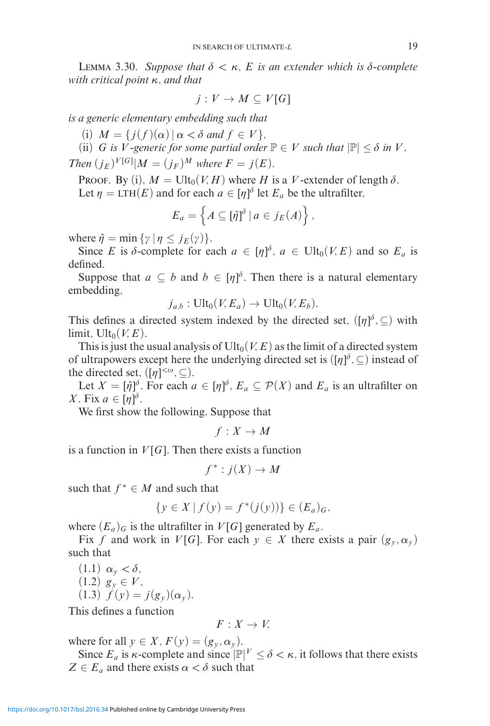LEMMA 3.30. *Suppose that*  $\delta < \kappa$ , *E is an extender which is*  $\delta$ -complete *with critical point κ, and that*

$$
j: V \to M \subseteq V[G]
$$

*is a generic elementary embedding such that*

 $(i)$   $M = \{j(f)(\alpha) | \alpha < \delta \text{ and } f \in V\},\$ 

(ii) *G* is *V*-generic for some partial order  $\mathbb{P} \in V$  such that  $|\mathbb{P}| \leq \delta$  in *V*. *Then*  $(j_E)^{V[G]} | M = (j_F)^M$  *where*  $F = j(E)$ *.* 

PROOF. By (i),  $M = \text{Ult}_0(V, H)$  where *H* is a *V*-extender of length  $\delta$ . Let  $\eta = LTH(E)$  and for each  $a \in [\eta]^{\delta}$  let  $E_a$  be the ultrafilter,

$$
E_a = \left\{ A \subseteq [\hat{\eta}]^{\delta} \, | \, a \in j_E(A) \right\},\
$$

where  $\hat{\eta} = \min \{ \gamma \mid \eta \leq j_E(\gamma) \}.$ 

Since *E* is  $\delta$ -complete for each  $a \in [\eta]^{\delta}$ ,  $a \in \text{Ult}_0(V, E)$  and so  $E_a$  is defined.

Suppose that  $a \subseteq b$  and  $b \in [\eta]^{\delta}$ . Then there is a natural elementary embedding,

$$
j_{a,b}:\text{Ult}_0(V,E_a)\to\text{Ult}_0(V,E_b).
$$

This defines a directed system indexed by the directed set,  $([\eta]^{\delta}, \subseteq)$  with limit,  $Ult_0(V, E)$ .

This is just the usual analysis of  $Ult_0(V, E)$  as the limit of a directed system of ultrapowers except here the underlying directed set is  $([η]$ <sup> $\delta$ </sup>,  $\subseteq$ ) instead of the directed set,  $([\eta]^{<\omega}, \subseteq)$ .

Let  $X = [\hat{\eta}]^{\delta}$ . For each  $a \in [\eta]^{\delta}$ ,  $E_a \subseteq \mathcal{P}(X)$  and  $E_a$  is an ultrafilter on *X*. Fix  $a \in [\eta]^{\delta}$ .

We first show the following. Suppose that

 $f: X \to M$ 

is a function in  $V[G]$ . Then there exists a function

$$
f^*: j(X) \to M
$$

such that  $f^* \in M$  and such that

$$
\{y \in X \,|\, f(y) = f^*(j(y))\} \in (E_a)_G,
$$

where  $(E_a)_G$  is the ultrafilter in  $V[G]$  generated by  $E_a$ .

Fix *f* and work in *V*[*G*]. For each  $y \in X$  there exists a pair  $(g_y, \alpha_y)$ such that

 $(1.1) \alpha_y < \delta,$  $(1.2)$   $g_y \in V$ , (1.3)  $f(y) = j(g_y)(\alpha_y)$ .

This defines a function

$$
F:X\to V,
$$

where for all  $y \in X$ ,  $F(y) = (g_y, \alpha_y)$ .

Since  $E_a$  is  $\kappa$ -complete and since  $|\mathbb{P}|^V \leq \delta < \kappa$ , it follows that there exists  $Z \in E_a$  and there exists  $\alpha < \delta$  such that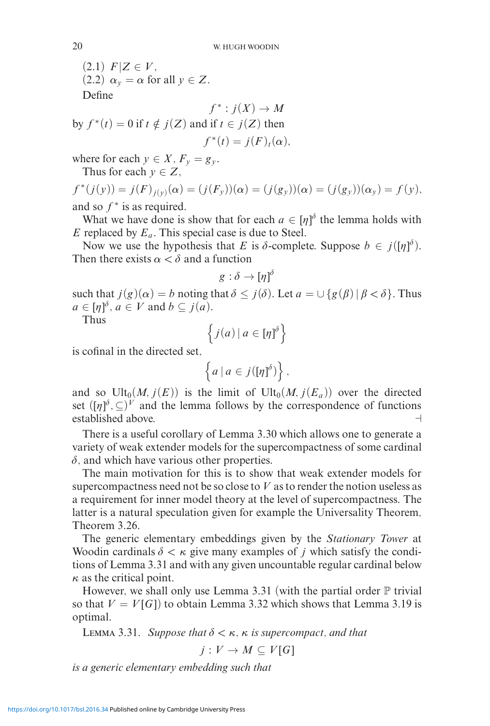$(2.1)$   $F|Z \in V$ , (2.2)  $\alpha_v = \alpha$  for all  $v \in Z$ . Define

$$
f^* : j(X) \to M
$$
  
by  $f^*(t) = 0$  if  $t \notin j(Z)$  and if  $t \in j(Z)$  then  

$$
f^*(t) = j(F)_t(\alpha),
$$

where for each  $y \in X$ ,  $F_y = g_y$ .

Thus for each  $y \in Z$ ,

$$
f^*(j(y)) = j(F)_{j(y)}(\alpha) = (j(F_y))(\alpha) = (j(g_y))(\alpha) = (j(g_y))(\alpha_y) = f(y),
$$
  
and so  $f^*$  is as required.

What we have done is show that for each  $a \in [\eta]^{\delta}$  the lemma holds with *E* replaced by *Ea*. This special case is due to Steel.

Now we use the hypothesis that *E* is  $\delta$ -complete. Suppose  $b \in j([\eta]^{\delta})$ . Then there exists  $\alpha < \delta$  and a function

$$
g:\delta\to[\eta]^\delta
$$

such that  $j(g)(\alpha) = b$  noting that  $\delta \leq j(\delta)$ . Let  $a = \cup \{g(\beta) | \beta < \delta\}$ . Thus  $a \in [\eta]^{\delta}, a \in V \text{ and } b \subseteq j(a).$ 

Thus

$$
\left\{ j(a) \, | \, a \in [\eta]^{\delta} \right\}
$$

is cofinal in the directed set,

$$
\left\{a \mid a \in j([\eta]^{\delta})\right\},\
$$

and so  $Ult_0(M, j(E))$  is the limit of  $Ult_0(M, j(E_a))$  over the directed set  $([\eta]^\delta, \subseteq)^V$  and the lemma follows by the correspondence of functions established above.

There is a useful corollary of Lemma 3.30 which allows one to generate a variety of weak extender models for the supercompactness of some cardinal  $\delta$ , and which have various other properties.

The main motivation for this is to show that weak extender models for supercompactness need not be so close to *V* as to render the notion useless as a requirement for inner model theory at the level of supercompactness. The latter is a natural speculation given for example the Universality Theorem, Theorem 3.26.

The generic elementary embeddings given by the *Stationary Tower* at Woodin cardinals  $\delta < \kappa$  give many examples of *j* which satisfy the conditions of Lemma 3.31 and with any given uncountable regular cardinal below *κ* as the critical point.

However, we shall only use Lemma 3.31 (with the partial order  $\mathbb P$  trivial so that  $V = V[G]$  to obtain Lemma 3.32 which shows that Lemma 3.19 is optimal.

LEMMA 3.31. *Suppose that*  $\delta < \kappa$ ,  $\kappa$  *is supercompact, and that* 

$$
j: V \to M \subseteq V[G]
$$

*is a generic elementary embedding such that*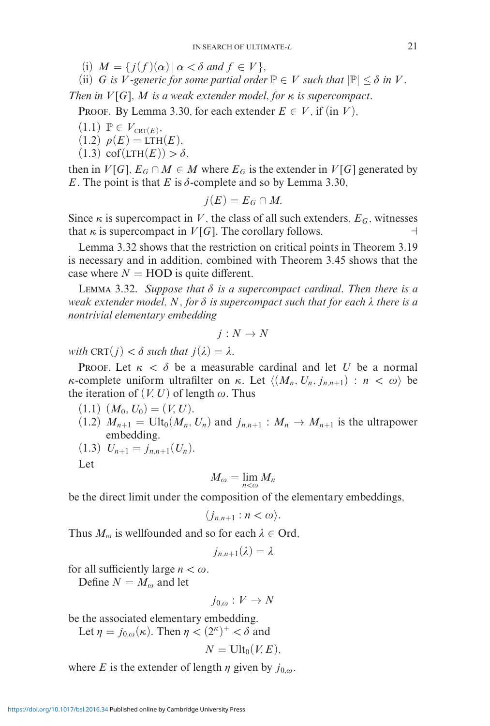- $(i)$   $M = \{j(f)(\alpha) | \alpha < \delta \text{ and } f \in V\},\$
- (ii) *G is V*-generic for some partial order  $\mathbb{P} \in V$  *such that*  $|\mathbb{P}| \leq \delta$  *in V*.

*Then in*  $V[G]$ *, M is a weak extender model, for*  $\kappa$  *is supercompact.* 

**PROOF.** By Lemma 3.30, for each extender  $E \in V$ , if (in *V*),

- $(1.1)$   $\mathbb{P} \in V_{\text{CRT}(E)}$ ,
- $(1.2) \rho(E) = LTH(E),$
- $(1.3) \operatorname{cof}(\operatorname{LTH}(E)) > \delta,$

then in  $V[G], E_G \cap M \in M$  where  $E_G$  is the extender in  $V[G]$  generated by *E*. The point is that *E* is  $\delta$ -complete and so by Lemma 3.30,

$$
j(E)=E_G\cap M.
$$

Since  $\kappa$  is supercompact in V, the class of all such extenders,  $E_G$ , witnesses that  $\kappa$  is supercompact in  $V[G]$ . The corollary follows.

Lemma 3.32 shows that the restriction on critical points in Theorem 3.19 is necessary and in addition, combined with Theorem 3.45 shows that the case where  $N = \text{HOD}$  is quite different.

LEMMA 3.32. Suppose that  $\delta$  is a supercompact cardinal. Then there is a weak extender model, N, for  $\delta$  is supercompact such that for each  $\lambda$  there is a *nontrivial elementary embedding*

$$
j:N\to N
$$

*with*  $CRT(j) < \delta$  *such that*  $j(\lambda) = \lambda$ .

Proof. Let  $\kappa < \delta$  be a measurable cardinal and let *U* be a normal *κ*-complete uniform ultrafilter on *κ*. Let  $\langle (M_n, U_n, j_{n,n+1}) : n < \omega \rangle$  be the iteration of  $(V, U)$  of length  $\omega$ . Thus

- $(1.1)$   $(M_0, U_0) = (V, U).$
- $(1.2)$   $M_{n+1} = \text{Ult}_0(M_n, U_n)$  and  $j_{n,n+1} : M_n \to M_{n+1}$  is the ultrapower embedding.
- $(1.3)$   $U_{n+1} = j_{n,n+1}(U_n).$

Let

$$
M_{\omega}=\lim_{n<\omega}M_n
$$

be the direct limit under the composition of the elementary embeddings,

$$
\langle j_{n,n+1} : n < \omega \rangle.
$$

Thus  $M_{\omega}$  is wellfounded and so for each  $\lambda \in \text{Ord}$ ,

$$
j_{n,n+1}(\lambda)=\lambda
$$

for all sufficiently large  $n < \omega$ .

Define  $N = M_{\omega}$  and let

$$
j_{0,\omega}:V\to N
$$

be the associated elementary embedding.

Let  $\eta = j_{0,\omega}(\kappa)$ . Then  $\eta < (2^{\kappa})^+ < \delta$  and

$$
N = \text{Ult}_0(V,E),
$$

where *E* is the extender of length  $\eta$  given by  $j_{0,\omega}$ .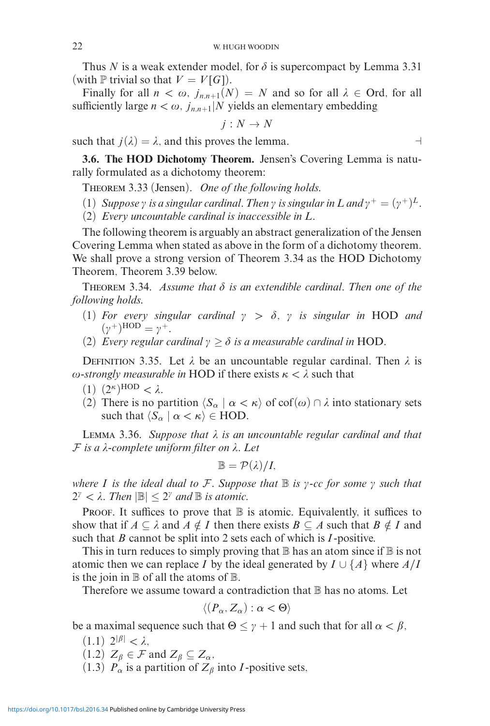Thus *N* is a weak extender model, for  $\delta$  is supercompact by Lemma 3.31 (with  $\mathbb P$  trivial so that  $V = V[G]$ ).

Finally for all  $n < \omega$ ,  $j_{n,n+1}(N) = N$  and so for all  $\lambda \in$  Ord, for all sufficiently large  $n < \omega$ ,  $j_{n,n+1}|N$  yields an elementary embedding

$$
j:N\to N
$$

such that  $j(\lambda) = \lambda$ , and this proves the lemma.

**3.6. The HOD Dichotomy Theorem.** Jensen's Covering Lemma is naturally formulated as a dichotomy theorem:

Theorem 3.33 (Jensen). *One of the following holds.*

- (1) *Suppose*  $\gamma$  *is a singular cardinal. Then*  $\gamma$  *is singular in*  $L$  *and*  $\gamma^+ = (\gamma^+)^L$ *.*
- (2) *Every uncountable cardinal is inaccessible in L.*

The following theorem is arguably an abstract generalization of the Jensen Covering Lemma when stated as above in the form of a dichotomy theorem. We shall prove a strong version of Theorem 3.34 as the HOD Dichotomy Theorem, Theorem 3.39 below.

THEOREM 3.34. Assume that  $\delta$  is an extendible cardinal. Then one of the *following holds.*

- (1) For every singular cardinal  $\gamma > \delta$ ,  $\gamma$  is singular in HOD and  $(\gamma^+)^{\text{HOD}} = \gamma^+$ .
- (2) *Every regular cardinal*  $\gamma \geq \delta$  *is a measurable cardinal in* HOD.

DEFINITION 3.35. Let  $\lambda$  be an uncountable regular cardinal. Then  $\lambda$  is  $ω\text{-}strongly measurable in HOD if there exists  $κ < λ$  such that$ 

- (1)  $(2^{\kappa})^{\text{HOD}} < \lambda$ .
- (2) There is no partition  $\langle S_\alpha | \alpha \langle \kappa \rangle$  of cof $(\omega) \cap \lambda$  into stationary sets such that  $\langle S_\alpha | \alpha \langle \kappa \rangle \in \text{HOD}.$

Lemma 3.36. *Suppose that is an uncountable regular cardinal and that* F *is a -complete uniform filter on . Let*

$$
\mathbb{B}=\mathcal{P}(\lambda)/I,
$$

*where I* is the ideal dual to F. Suppose that  $\mathbb B$  is  $\gamma$ -cc for some  $\gamma$  such that  $2^{\gamma} < \lambda$ . Then  $|\mathbb{B}| \leq 2^{\gamma}$  and  $\mathbb{B}$  *is atomic.* 

PROOF. It suffices to prove that  $\mathbb B$  is atomic. Equivalently, it suffices to show that if  $A \subseteq \lambda$  and  $A \notin I$  then there exists  $B \subseteq A$  such that  $B \notin I$  and such that *B* cannot be split into 2 sets each of which is *I* -positive.

This in turn reduces to simply proving that  $\mathbb B$  has an atom since if  $\mathbb B$  is not atomic then we can replace *I* by the ideal generated by  $I \cup \{A\}$  where  $A/I$ is the join in  $\mathbb B$  of all the atoms of  $\mathbb B$ .

Therefore we assume toward a contradiction that  $\mathbb B$  has no atoms. Let

$$
\langle (P_\alpha, Z_\alpha) : \alpha < \Theta \rangle
$$

be a maximal sequence such that  $\Theta \leq \gamma + 1$  and such that for all  $\alpha < \beta$ ,

- $(1.1)$   $2^{|\beta|} < \lambda$ , (1.2)  $Z_{\beta} \in \mathcal{F}$  and  $Z_{\beta} \subseteq Z_{\alpha}$ ,
- 
- (1.3)  $P_{\alpha}$  is a partition of  $Z_{\beta}$  into *I*-positive sets,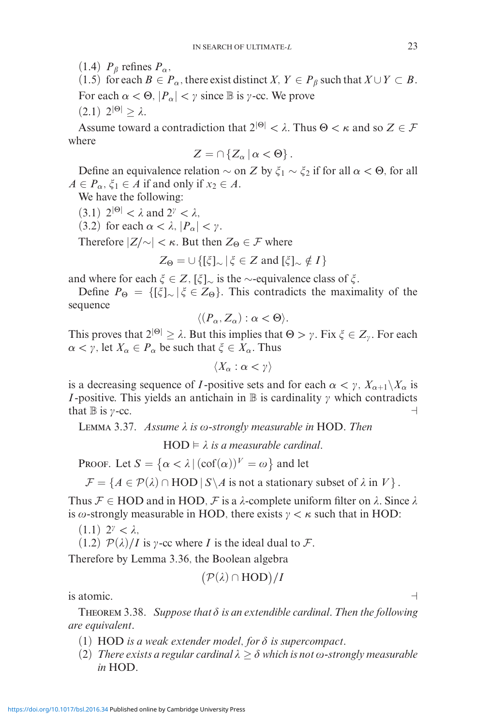(1.4)  $P_\beta$  refines  $P_\alpha$ ,

(1.5) for each  $B \in P_\alpha$ , there exist distinct *X*,  $Y \in P_\beta$  such that  $X \cup Y \subset B$ . For each  $\alpha < \Theta$ ,  $|P_{\alpha}| < \gamma$  since B is  $\gamma$ -cc. We prove  $(2.1)$   $2^{|\Theta|} > λ$ .

Assume toward a contradiction that  $2^{|\Theta|} < \lambda$ . Thus  $\Theta < \kappa$  and so  $Z \in \mathcal{F}$ where

$$
Z=\cap\left\{ Z_{\alpha}\,|\,\alpha<\Theta\right\} .
$$

Define an equivalence relation  $\sim$  on *Z* by  $\xi_1 \sim \xi_2$  if for all *α* < Θ, for all  $A \in P_\alpha$ ,  $\xi_1 \in A$  if and only if  $x_2 \in A$ .

We have the following:

(3.1)  $2^{|\Theta|} < \lambda$  and  $2^{\gamma} < \lambda$ ,

(3.2) for each  $\alpha < \lambda$ ,  $|P_{\alpha}| < \gamma$ .

Therefore  $|Z/\sim| < \kappa$ . But then  $Z_{\Theta} \in \mathcal{F}$  where

$$
Z_{\Theta} = \cup \{ [\xi]_{\sim} \mid \xi \in Z \text{ and } [\xi]_{\sim} \notin I \}
$$

and where for each  $\xi \in Z$ ,  $\lfloor \xi \rfloor_{\sim}$  is the ∼-equivalence class of  $\xi$ .

Define  $P_{\Theta} = \{ [\xi]_{\sim} | \xi \in Z_{\Theta} \}$ . This contradicts the maximality of the sequence

$$
\langle (P_\alpha, Z_\alpha) : \alpha < \Theta \rangle.
$$

This proves that  $2^{|0|} \geq \lambda$ . But this implies that  $\Theta > \gamma$ . Fix  $\xi \in Z_{\gamma}$ . For each  $\alpha < \gamma$ , let  $X_{\alpha} \in P_{\alpha}$  be such that  $\xi \in X_{\alpha}$ . Thus

 $\langle X_\alpha : \alpha < \gamma \rangle$ 

is a decreasing sequence of *I*-positive sets and for each  $\alpha < \gamma$ ,  $X_{\alpha+1}\setminus X_\alpha$  is *I* -positive. This yields an antichain in  $\mathbb B$  is cardinality  $\gamma$  which contradicts that  $\mathbb B$  is  $\gamma$ -cc.

LEMMA 3.37. *Assume*  $λ$  *is*  $ω$ -strongly measurable in HOD. Then

 $HOD \models \lambda$  is a measurable cardinal.

PROOF. Let  $S = \{ \alpha < \lambda \mid (\operatorname{cof}(\alpha))^V = \omega \}$  and let

 $\mathcal{F} = \{A \in \mathcal{P}(\lambda) \cap \text{HOD} \mid S \setminus A \text{ is not a stationary subset of } \lambda \text{ in } V\}.$ 

Thus  $\mathcal{F} \in \text{HOD}$  and in HOD,  $\mathcal{F}$  is a  $\lambda$ -complete uniform filter on  $\lambda$ . Since  $\lambda$ is  $\omega$ -strongly measurable in HOD, there exists  $\gamma < \kappa$  such that in HOD:

 $(1.1)$   $2^{\gamma} < \lambda$ ,

 $(1.2)$   $\mathcal{P}(\lambda)/I$  is *y*-cc where *I* is the ideal dual to *F*.

Therefore by Lemma 3.36, the Boolean algebra

$$
(\mathcal{P}(\lambda) \cap \text{HOD})/I
$$

is atomic.  $\Box$ 

THEOREM 3.38. Suppose that  $\delta$  is an extendible cardinal. Then the following *are equivalent.*

- $(1)$  HOD *is a weak extender model, for*  $\delta$  *is supercompact.*
- (2) *There exists a regular cardinal*  $\lambda \geq \delta$  *which is not*  $\omega$ -strongly measurable *in* HOD*.*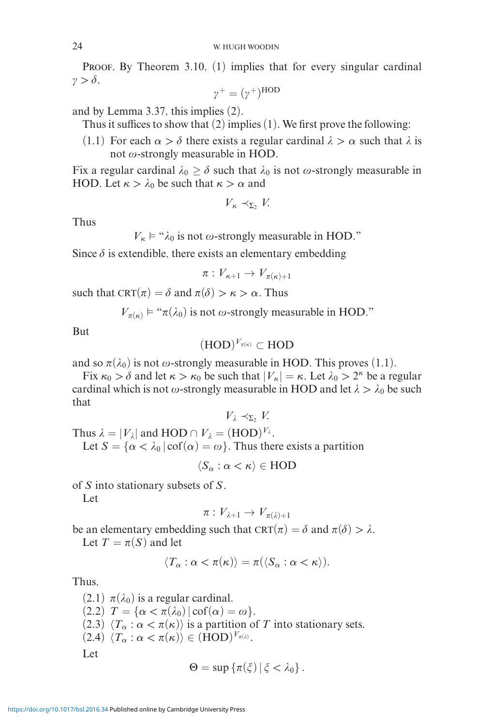PROOF. By Theorem 3.10, (1) implies that for every singular cardinal  $\gamma > \delta$ ,

$$
\gamma^+ = (\gamma^+)^{\text{HOD}}
$$

and by Lemma 3.37, this implies (2).

Thus it suffices to show that (2) implies (1). We first prove the following:

(1.1) For each  $\alpha > \delta$  there exists a regular cardinal  $\lambda > \alpha$  such that  $\lambda$  is not  $\omega$ -strongly measurable in HOD.

Fix a regular cardinal  $\lambda_0 \ge \delta$  such that  $\lambda_0$  is not  $\omega$ -strongly measurable in HOD. Let  $\kappa > \lambda_0$  be such that  $\kappa > \alpha$  and

*V<sub>κ</sub>*  $\prec_{\Sigma}$ , *V*.

Thus

 $V_{\kappa} \models$  " $\lambda_0$  is not  $\omega$ -strongly measurable in HOD."

Since  $\delta$  is extendible, there exists an elementary embedding

$$
\pi: V_{\kappa+1} \to V_{\pi(\kappa)+1}
$$

such that  $CRT(\pi) = \delta$  and  $\pi(\delta) > \kappa > \alpha$ . Thus

 $V_{\pi(\kappa)} \models$  " $\pi(\lambda_0)$  is not  $\omega$ -strongly measurable in HOD."

But

$$
(\text{HOD})^{V_{\pi(\kappa)}} \subset \text{HOD}
$$

and so  $\pi(\lambda_0)$  is not  $\omega$ -strongly measurable in HOD. This proves (1.1).

Fix  $\kappa_0 > \delta$  and let  $\kappa > \kappa_0$  be such that  $|V_\kappa| = \kappa$ . Let  $\lambda_0 > 2^\kappa$  be a regular cardinal which is not  $\omega$ -strongly measurable in HOD and let  $\lambda > \lambda_0$  be such that

$$
V_{\lambda} \prec_{\Sigma_2} V.
$$

Thus  $\lambda = |V_{\lambda}|$  and HOD  $\cap$   $V_{\lambda} = (HOD)^{V_{\lambda}}$ . Let  $S = \{\alpha < \lambda_0 | \text{cof}(\alpha) = \omega\}$ . Thus there exists a partition

$$
\langle S_\alpha : \alpha < \kappa \rangle \in \text{HOD}
$$

of *S* into stationary subsets of *S*.

Let

$$
\pi: V_{\lambda+1} \to V_{\pi(\lambda)+1}
$$

be an elementary embedding such that  $CRT(\pi) = \delta$  and  $\pi(\delta) > \lambda$ .

Let  $T = \pi(S)$  and let

$$
\langle T_{\alpha} : \alpha < \pi(\kappa) \rangle = \pi(\langle S_{\alpha} : \alpha < \kappa \rangle).
$$

Thus,

 $(2.1)$   $\pi(\lambda_0)$  is a regular cardinal.  $(2.2)$   $T = {\alpha < \pi(\lambda_0) | \operatorname{cof}(\alpha) = \omega}.$ (2.3)  $\langle T_\alpha : \alpha < \pi(\kappa) \rangle$  is a partition of *T* into stationary sets.  $(2.4)$   $\langle T_\alpha : \alpha < \pi(\kappa) \rangle \in (HOD)^{V_{\pi(\lambda)}}$ . Let

$$
\Theta = \sup \{ \pi(\xi) \, | \, \xi < \lambda_0 \} \, .
$$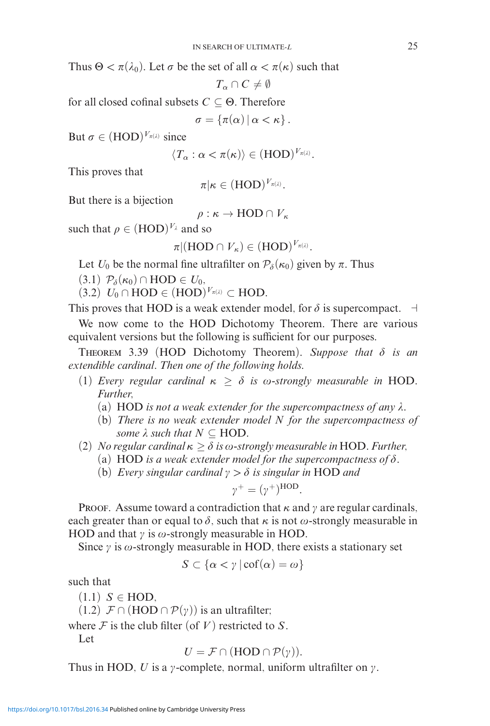Thus  $\Theta < \pi(\lambda_0)$ . Let  $\sigma$  be the set of all  $\alpha < \pi(\kappa)$  such that

 $T_{\alpha} \cap C \neq \emptyset$ 

for all closed cofinal subsets *C* ⊆ Θ. Therefore

 $\sigma = \{\pi(\alpha) \,|\, \alpha < \kappa\}$  .

But  $\sigma \in (HOD)^{V_{\pi(\lambda)}}$  since

$$
\langle T_{\alpha} : \alpha < \pi(\kappa) \rangle \in (\text{HOD})^{V_{\pi(\lambda)}}.
$$

This proves that

$$
\pi|\kappa\in(\mathrm{HOD})^{V_{\pi(\lambda)}}.
$$

But there is a bijection

$$
\rho : \kappa \to \text{HOD} \cap V_{\kappa}
$$

such that  $\rho \in (HOD)^{V_{\lambda}}$  and so

$$
\pi|(\mathrm{HOD}\cap V_{\kappa})\in (\mathrm{HOD})^{V_{\pi(\lambda)}}.
$$

Let  $U_0$  be the normal fine ultrafilter on  $\mathcal{P}_{\delta}(\kappa_0)$  given by  $\pi$ . Thus

 $(3.1)$   $\mathcal{P}_{\delta}(\kappa_0) \cap \text{HOD} \in U_0$ ,

 $(3.2)$   $U_0 \cap \text{HOD} \in (\text{HOD})^{V_{\pi(\lambda)}} \subset \text{HOD}.$ 

This proves that HOD is a weak extender model, for  $\delta$  is supercompact.  $\exists$ 

We now come to the HOD Dichotomy Theorem. There are various equivalent versions but the following is sufficient for our purposes.

THEOREM 3.39 (HOD Dichotomy Theorem). Suppose that  $\delta$  is an *extendible cardinal. Then one of the following holds.*

- (1) *Every regular cardinal*  $\kappa \geq \delta$  *is*  $\omega$ *-strongly measurable in* HOD. *Further,*
	- (a) HOD *is not a weak extender for the supercompactness of any*  $\lambda$ .
	- (b) *There is no weak extender model N for the supercompactness of some*  $\lambda$  *such that*  $N \subseteq \text{HOD}$ *.*
- $(2)$  *No regular cardinal*  $κ ≥ δ$  *is*  $ω$ -strongly measurable in HOD. Further,
	- (a) HOD is a weak extender model for the supercompactness of  $\delta$ .
	- (b) *Every singular cardinal*  $\gamma > \delta$  *is singular in* HOD *and*

$$
\gamma^+ = (\gamma^+)^{\text{HOD}}.
$$

Proof. Assume toward a contradiction that  $\kappa$  and  $\gamma$  are regular cardinals, each greater than or equal to  $\delta$ , such that  $\kappa$  is not  $\omega$ -strongly measurable in HOD and that  $\gamma$  is  $\omega$ -strongly measurable in HOD.

Since  $\gamma$  is  $\omega$ -strongly measurable in HOD, there exists a stationary set

$$
S \subset \{\alpha < \gamma \mid \operatorname{cof}(\alpha) = \omega\}
$$

such that

 $(1.1)$  *S*  $\in$  HOD,

(1.2)  $\mathcal{F} \cap (\text{HOD} \cap \mathcal{P}(\gamma))$  is an ultrafilter;

where  $\mathcal F$  is the club filter (of  $V$ ) restricted to  $S$ .

Let

$$
U = \mathcal{F} \cap (\text{HOD} \cap \mathcal{P}(\gamma)).
$$

Thus in HOD, *U* is a  $\gamma$ -complete, normal, uniform ultrafilter on  $\gamma$ .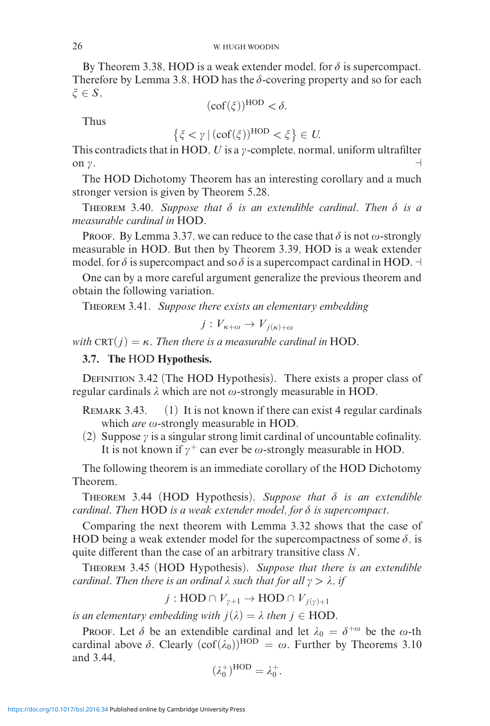By Theorem 3.38, HOD is a weak extender model, for  $\delta$  is supercompact. Therefore by Lemma 3.8, HOD has the  $\delta$ -covering property and so for each  $\xi \in S$ ,

$$
(\mathrm{cof}(\xi))^{\mathrm{HOD}} < \delta.
$$

Thus

$$
\{\xi < \gamma \mid (\operatorname{cof}(\xi))^{\operatorname{HOD}} < \xi\} \in U.
$$

This contradicts that in HOD,  $U$  is a  $\gamma$ -complete, normal, uniform ultrafilter on  $\gamma$ .

The HOD Dichotomy Theorem has an interesting corollary and a much stronger version is given by Theorem 5.28.

THEOREM 3.40. Suppose that  $\delta$  is an extendible cardinal. Then  $\delta$  is a *measurable cardinal in* HOD*.*

Proof. By Lemma 3.37, we can reduce to the case that  $\delta$  is not  $\omega$ -strongly measurable in HOD. But then by Theorem 3.39, HOD is a weak extender model, for  $\delta$  is supercompact and so  $\delta$  is a supercompact cardinal in HOD.  $\dashv$ 

One can by a more careful argument generalize the previous theorem and obtain the following variation.

Theorem 3.41. *Suppose there exists an elementary embedding*

$$
j: V_{\kappa+\omega} \to V_{j(\kappa)+\omega}
$$

*with*  $CRT(j) = \kappa$ . Then there is a measurable cardinal in HOD.

## **3.7. The** HOD **Hypothesis.**

DEFINITION 3.42 (The HOD Hypothesis). There exists a proper class of regular cardinals  $\lambda$  which are not  $\omega$ -strongly measurable in HOD.

REMARK 3.43.  $(1)$  It is not known if there can exist 4 regular cardinals which *are*  $\omega$ -strongly measurable in HOD.

(2) Suppose  $\gamma$  is a singular strong limit cardinal of uncountable cofinality. It is not known if  $\gamma^+$  can ever be  $\omega$ -strongly measurable in HOD.

The following theorem is an immediate corollary of the HOD Dichotomy Theorem.

THEOREM 3.44 (HOD Hypothesis). Suppose that  $\delta$  is an extendible *cardinal. Then* HOD *is a weak extender model, for*  $\delta$  *is supercompact.* 

Comparing the next theorem with Lemma 3.32 shows that the case of HOD being a weak extender model for the supercompactness of some  $\delta$ , is quite different than the case of an arbitrary transitive class *N*.

Theorem 3.45 (HOD Hypothesis). *Suppose that there is an extendible cardinal. Then there is an ordinal*  $\lambda$  *such that for all*  $\gamma > \lambda$ *, if* 

 $j: \text{HOD} \cap V_{\nu+1} \to \text{HOD} \cap V_{i(\nu)+1}$ 

*is an elementary embedding with*  $j(\lambda) = \lambda$  *then*  $j \in HOD$ .

Proof. Let  $\delta$  be an extendible cardinal and let  $\lambda_0 = \delta^{+\omega}$  be the  $\omega$ -th cardinal above  $\delta$ . Clearly  $(\text{cof}(\lambda_0))^{\text{HOD}} = \omega$ . Further by Theorems 3.10 and 3.44,

$$
(\lambda_0^+)^{\text{HOD}} = \lambda_0^+.
$$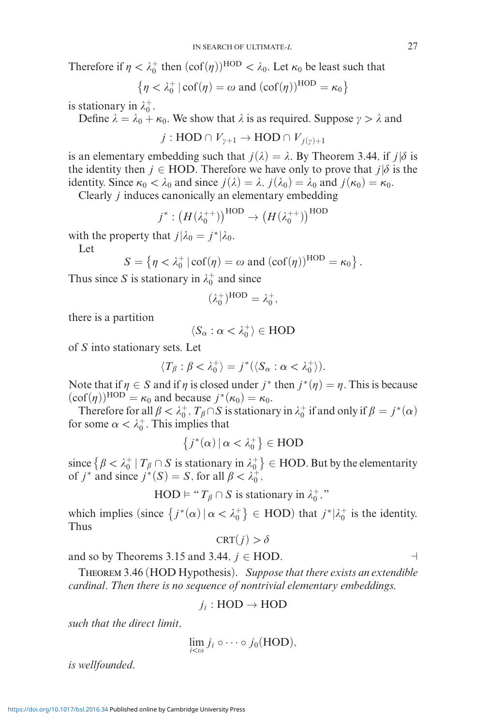Therefore if  $\eta < \lambda_0^+$  then  $(\text{cof}(\eta))^\text{HOD} < \lambda_0$ . Let  $\kappa_0$  be least such that

$$
\{\eta < \lambda_0^+ \,|\, cof(\eta) = \omega \text{ and } (cof(\eta))^{\text{HOD}} = \kappa_0\}
$$

is stationary in  $\lambda_0^+$ .

Define  $\lambda = \lambda_0 + \kappa_0$ . We show that  $\lambda$  is as required. Suppose  $\gamma > \lambda$  and

$$
j: \text{HOD} \cap V_{\gamma+1} \to \text{HOD} \cap V_{j(\gamma)+1}
$$

is an elementary embedding such that  $j(\lambda) = \lambda$ . By Theorem 3.44, if  $j|\delta$  is the identity then  $j \in \text{HOD}$ . Therefore we have only to prove that  $j | \delta$  is the identity. Since  $\kappa_0 < \lambda_0$  and since  $j(\lambda) = \lambda$ ,  $j(\lambda_0) = \lambda_0$  and  $j(\kappa_0) = \kappa_0$ .

Clearly *j* induces canonically an elementary embedding

$$
j^*: (H(\lambda_0^{++}))^{\text{HOD}} \to (H(\lambda_0^{++}))^{\text{HOD}}
$$

with the property that  $j|\lambda_0 = j^*|\lambda_0$ .

Let

$$
S = \{ \eta < \lambda_0^+ \, | \, \text{cof}(\eta) = \omega \text{ and } (\text{cof}(\eta))^\text{HOD} = \kappa_0 \} \, .
$$

Thus since *S* is stationary in  $\lambda_0^+$  and since

$$
(\lambda_0^+)^{\text{HOD}} = \lambda_0^+,
$$

there is a partition

$$
\langle S_\alpha : \alpha < \lambda_0^+ \rangle \in \text{HOD}
$$

of *S* into stationary sets. Let

$$
\langle T_{\beta} : \beta < \lambda_0^+ \rangle = j^* (\langle S_{\alpha} : \alpha < \lambda_0^+ \rangle).
$$

Note that if  $\eta \in S$  and if  $\eta$  is closed under  $j^*$  then  $j^*(\eta) = \eta$ . This is because  $(\text{cof}(\eta))^\text{HOD} = \kappa_0$  and because  $j^*(\kappa_0) = \kappa_0$ .

Therefore for all  $\beta < \lambda_0^+$ ,  $T_\beta \cap S$  is stationary in  $\lambda_0^+$  if and only if  $\beta = j^*(\alpha)$ for some  $\alpha < \lambda_0^+$ . This implies that

$$
\left\{j^*(\alpha) \, | \, \alpha < \lambda_0^+\right\} \in \text{HOD}
$$

since  $\{ \beta < \lambda_0^+ \mid T_\beta \cap S \text{ is stationary in } \lambda_0^+ \} \in \text{HOD.}$  But by the elementarity of *j*<sup>\*</sup> and since  $j^*(S) = S$ , for all  $\beta < \lambda_0^+$ ,

$$
HOD \vDash "T_{\beta} \cap S \text{ is stationary in } \lambda_0^+,"
$$

which implies (since  $\{j^*(\alpha) | \alpha < \lambda_0^+\} \in \text{HOD}$ ) that  $j^*|\lambda_0^+$  is the identity. Thus

$$
\text{CRT}(j) > \delta
$$

and so by Theorems 3.15 and 3.44,  $j \in HOD$ .

Theorem 3.46 (HOD Hypothesis). *Suppose that there exists an extendible cardinal. Then there is no sequence of nontrivial elementary embeddings,*

$$
j_i:\text{HOD}\to\text{HOD}
$$

*such that the direct limit,*

$$
\lim_{i<\omega} j_i \circ \cdots \circ j_0(\text{HOD}),
$$

*is wellfounded.*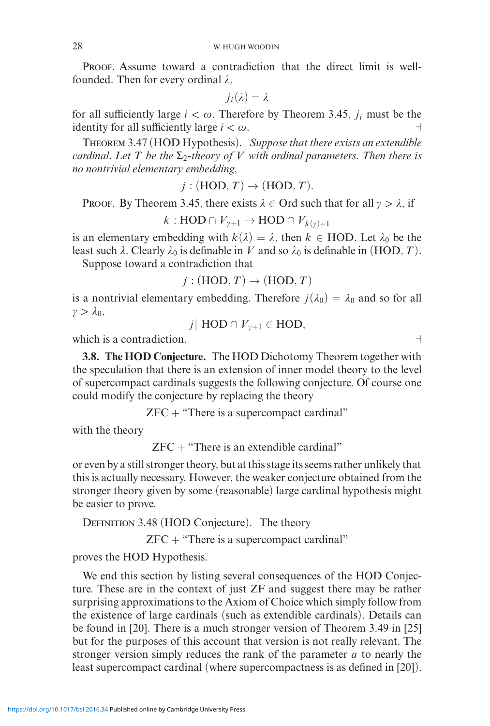PROOF. Assume toward a contradiction that the direct limit is wellfounded. Then for every ordinal  $\lambda$ ,

$$
j_i(\lambda)=\lambda
$$

for all sufficiently large  $i < \omega$ . Therefore by Theorem 3.45,  $j_i$  must be the identity for all sufficiently large  $i < \omega$ .

Theorem 3.47 (HOD Hypothesis). *Suppose that there exists an extendible cardinal. Let T be the*  $\Sigma$ <sub>2</sub>-theory of *V* with ordinal parameters. Then there is *no nontrivial elementary embedding,*

 $j: (HOD, T) \rightarrow (HOD, T)$ .

**PROOF.** By Theorem 3.45, there exists  $\lambda \in \text{Ord}$  such that for all  $\gamma > \lambda$ , if

*k* : HOD ∩  $V_{\gamma+1}$  → HOD ∩  $V_{k(\gamma)+1}$ 

is an elementary embedding with  $k(\lambda) = \lambda$ , then  $k \in \text{HOD}$ . Let  $\lambda_0$  be the least such  $\lambda$ . Clearly  $\lambda_0$  is definable in *V* and so  $\lambda_0$  is definable in (HOD, *T*).

Suppose toward a contradiction that

 $j : (HOD, T) \rightarrow (HOD, T)$ 

is a nontrivial elementary embedding. Therefore  $j(\lambda_0) = \lambda_0$  and so for all  $\gamma > \lambda_0$ ,

$$
j
$$
 HOD  $\cap$   $V_{\gamma+1} \in$  HOD,

which is a contradiction.  $\Box$ 

**3.8. The HOD Conjecture.** The HOD Dichotomy Theorem together with the speculation that there is an extension of inner model theory to the level of supercompact cardinals suggests the following conjecture. Of course one could modify the conjecture by replacing the theory

 $ZFC + "There is a supercompact cardinal"$ 

with the theory

 $ZFC + "There is an extendible cardinal"$ 

or even by a still stronger theory, but at this stage its seems rather unlikely that this is actually necessary. However, the weaker conjecture obtained from the stronger theory given by some (reasonable) large cardinal hypothesis might be easier to prove.

DEFINITION 3.48 (HOD Conjecture). The theory

 $ZFC + "There is a supercompact cardinal"$ 

proves the HOD Hypothesis.

We end this section by listing several consequences of the HOD Conjecture. These are in the context of just ZF and suggest there may be rather surprising approximations to the Axiom of Choice which simply follow from the existence of large cardinals (such as extendible cardinals). Details can be found in [20]. There is a much stronger version of Theorem 3.49 in [25] but for the purposes of this account that version is not really relevant. The stronger version simply reduces the rank of the parameter *a* to nearly the least supercompact cardinal (where supercompactness is as defined in [20]).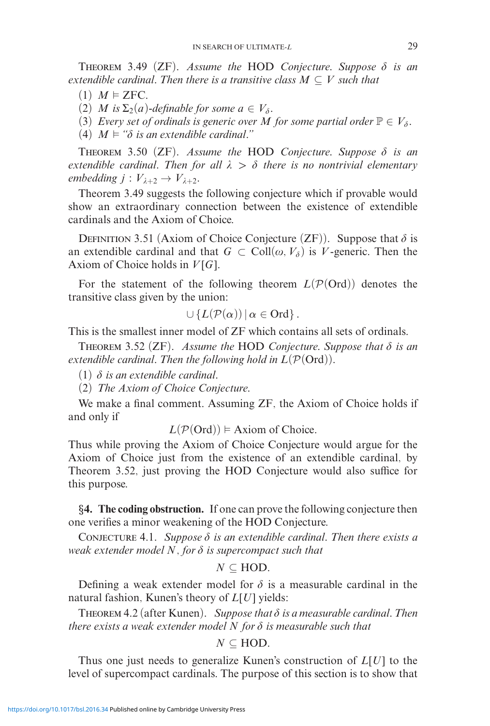THEOREM 3.49 (ZF). Assume the HOD Conjecture. Suppose  $\delta$  is an *extendible cardinal. Then there is a transitive class*  $M \subseteq V$  *such that* 

 $(1)$  *M*  $\models$  **ZFC**.

(2) *M* is  $\Sigma_2(a)$ -definable for some  $a \in V_\delta$ .

(3) *Every set of ordinals is generic over M for some partial order*  $\mathbb{P} \in V_{\delta}$ *.* 

 $(4)$   $M \models$  " $\delta$  *is an extendible cardinal."* 

THEOREM 3.50 (ZF). Assume the HOD Conjecture. Suppose  $\delta$  is an *extendible cardinal. Then for all >- there is no nontrivial elementary embedding*  $j: V_{\lambda+2} \to V_{\lambda+2}$ *.* 

Theorem 3.49 suggests the following conjecture which if provable would show an extraordinary connection between the existence of extendible cardinals and the Axiom of Choice.

DEFINITION 3.51 (Axiom of Choice Conjecture  $(ZF)$ ). Suppose that  $\delta$  is an extendible cardinal and that  $G \subset Coll(\omega, V_{\delta})$  is *V*-generic. Then the Axiom of Choice holds in *V* [*G*].

For the statement of the following theorem  $L(\mathcal{P}(\text{Ord}))$  denotes the transitive class given by the union:

$$
\cup \{L(\mathcal{P}(\alpha)) \, | \, \alpha \in \text{Ord}\} \, .
$$

This is the smallest inner model of ZF which contains all sets of ordinals.

THEOREM 3.52  $(ZF)$ . Assume the HOD Conjecture. Suppose that  $\delta$  is an *extendible cardinal. Then the following hold in*  $L(\mathcal{P}(\text{Ord}))$ *.* 

 $(1)$   $\delta$  *is an extendible cardinal.* 

(2) *The Axiom of Choice Conjecture.*

We make a final comment. Assuming ZF, the Axiom of Choice holds if and only if

 $L(P(Ord)) \models$  Axiom of Choice.

Thus while proving the Axiom of Choice Conjecture would argue for the Axiom of Choice just from the existence of an extendible cardinal, by Theorem 3.52, just proving the HOD Conjecture would also suffice for this purpose.

*§***4. The coding obstruction.** If one can prove the following conjecture then one verifies a minor weakening of the HOD Conjecture.

CONJECTURE 4.1. Suppose  $\delta$  is an extendible cardinal. Then there exists a *weak extender model N, for - is supercompact such that*

$$
N\subseteq \text{HOD}.
$$

Defining a weak extender model for  $\delta$  is a measurable cardinal in the natural fashion, Kunen's theory of *L*[*U*] yields:

THEOREM 4.2 (after Kunen). Suppose that  $\delta$  is a measurable cardinal. Then *there exists a weak extender model N for - is measurable such that*

$$
N\subseteq \text{HOD}.
$$

Thus one just needs to generalize Kunen's construction of *L*[*U*] to the level of supercompact cardinals. The purpose of this section is to show that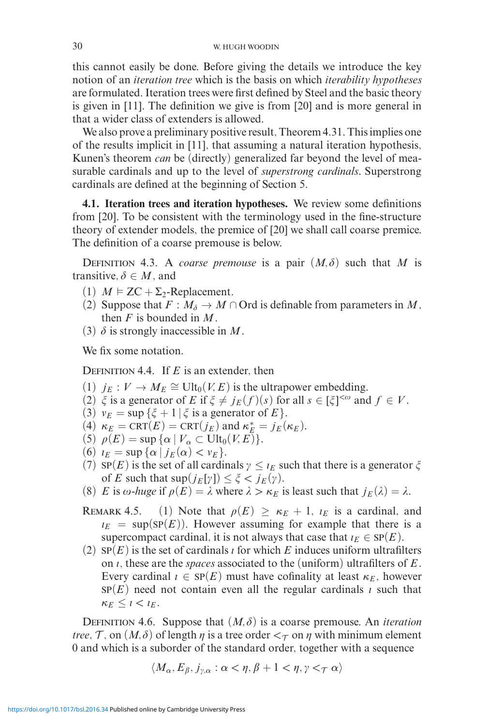this cannot easily be done. Before giving the details we introduce the key notion of an *iteration tree* which is the basis on which *iterability hypotheses* are formulated. Iteration trees were first defined by Steel and the basic theory is given in [11]. The definition we give is from [20] and is more general in that a wider class of extenders is allowed.

We also prove a preliminary positive result, Theorem 4.31. This implies one of the results implicit in [11], that assuming a natural iteration hypothesis, Kunen's theorem *can* be (directly) generalized far beyond the level of measurable cardinals and up to the level of *superstrong cardinals*. Superstrong cardinals are defined at the beginning of Section 5.

**4.1. Iteration trees and iteration hypotheses.** We review some definitions from [20]. To be consistent with the terminology used in the fine-structure theory of extender models, the premice of [20] we shall call coarse premice. The definition of a coarse premouse is below.

DEFINITION 4.3. A *coarse premouse* is a pair  $(M, \delta)$  such that *M* is transitive,  $\delta \in M$ , and

- (1)  $M \models ZC + \Sigma_2$ -Replacement.
- (2) Suppose that  $F : M_{\delta} \to M \cap \text{Ord}$  is definable from parameters in M, then *F* is bounded in *M*.
- (3)  $\delta$  is strongly inaccessible in  $M$ .

We fix some notation.

DEFINITION 4.4. If *E* is an extender, then

- (1)  $j_E : V \to M_E \cong \text{Ult}_0(V, E)$  is the ultrapower embedding.
- (2)  $\xi$  is a generator of *E* if  $\xi \neq j_E(f)(s)$  for all  $s \in [\xi]^{<\omega}$  and  $f \in V$ .
- (3)  $v_E = \sup \{\xi + 1 \mid \xi \text{ is a generator of } E\}.$
- (4)  $\kappa_E = \text{CRT}(E) = \text{CRT}(j_E)$  and  $\kappa_E^* = j_E(\kappa_E)$ .
- (5)  $\rho(E) = \sup \{ \alpha \mid V_\alpha \subset \text{Ult}_0(V,E) \}.$
- (6)  $\iota_E = \sup{\{\alpha \mid j_E(\alpha) < \nu_E\}}$ .
- (7)  $SP(E)$  is the set of all cardinals  $\gamma \leq \iota_E$  such that there is a generator  $\xi$ of *E* such that  $\sup(j_E[\gamma]) \leq \xi < j_E(\gamma)$ .
- (8) *E* is  $\omega$ -*huge* if  $\rho(E) = \lambda$  where  $\lambda > \kappa_E$  is least such that  $j_E(\lambda) = \lambda$ .

REMARK 4.5. (1) Note that  $\rho(E) \ge \kappa_E + 1$ ,  $\iota_E$  is a cardinal, and  $E_E$  = sup(SP(*E*)). However assuming for example that there is a supercompact cardinal, it is not always that case that  $\iota_E \in \text{SP}(E)$ .

(2)  $SP(E)$  is the set of cardinals *i* for which *E* induces uniform ultrafilters on , these are the *spaces* associated to the (uniform) ultrafilters of *E*. Every cardinal  $\iota \in \text{SP}(E)$  must have cofinality at least  $\kappa_E$ , however  $SP(E)$  need not contain even all the regular cardinals  $\iota$  such that  $\kappa_E \leq l \leq l_E$ .

DEFINITION 4.6. Suppose that  $(M, \delta)$  is a coarse premouse. An *iteration tree*,  $\mathcal{T}$ , on  $(M, \delta)$  of length  $\eta$  is a tree order  $\lt_{\mathcal{T}}$  on  $\eta$  with minimum element 0 and which is a suborder of the standard order, together with a sequence

$$
\langle M_{\alpha}, E_{\beta}, j_{\gamma,\alpha} : \alpha < \eta, \beta + 1 < \eta, \gamma <_{\mathcal{T}} \alpha \rangle
$$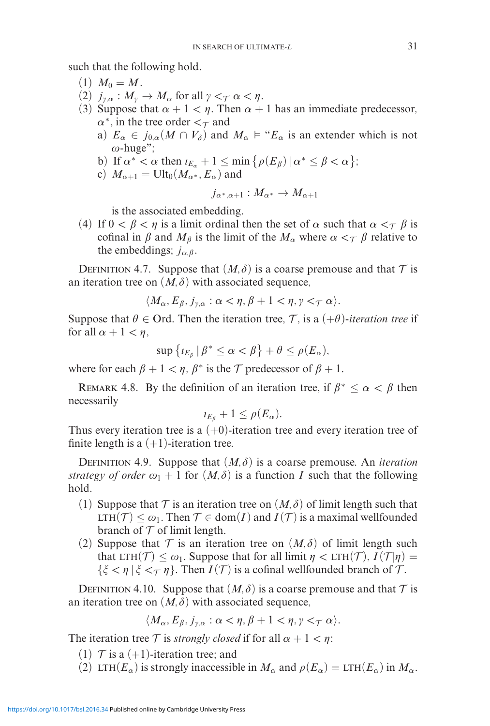such that the following hold.

- $(1)$   $M_0 = M$ .
- (2)  $j_{\gamma,\alpha}: M_{\gamma} \to M_{\alpha}$  for all  $\gamma <_{\mathcal{T}} \alpha < \eta$ .
- (3) Suppose that  $\alpha + 1 < \eta$ . Then  $\alpha + 1$  has an immediate predecessor,  $\alpha^*$ , in the tree order  $\alpha^*$  and
	- a)  $E_{\alpha} \in j_{0,\alpha}(M \cap V_{\delta})$  and  $M_{\alpha} \models "E_{\alpha}$  is an extender which is not  $\omega$ -huge";
	- b) If  $\alpha^* < \alpha$  then  $\iota_{E_\alpha} + 1 \le \min \{ \rho(E_\beta) \mid \alpha^* \le \beta < \alpha \};$
	- c)  $M_{\alpha+1} = \text{Ult}_0(M_{\alpha^*}, E_{\alpha})$  and

$$
j_{\alpha^*,\alpha+1}:M_{\alpha^*}\to M_{\alpha+1}
$$

is the associated embedding.

(4) If  $0 < \beta < \eta$  is a limit ordinal then the set of  $\alpha$  such that  $\alpha <_{\mathcal{T}} \beta$  is cofinal in  $\beta$  and  $M_\beta$  is the limit of the  $M_\alpha$  where  $\alpha <_{\mathcal{T}} \beta$  relative to the embeddings;  $j_{\alpha,\beta}$ .

DEFINITION 4.7. Suppose that  $(M, \delta)$  is a coarse premouse and that  $T$  is an iteration tree on  $(M, \delta)$  with associated sequence,

$$
\langle M_{\alpha}, E_{\beta}, j_{\gamma,\alpha} : \alpha < \eta, \beta + 1 < \eta, \gamma < \tau \alpha \rangle.
$$

Suppose that  $\theta \in \text{Ord}$ . Then the iteration tree,  $\mathcal T$ , is a  $(+\theta)$ -iteration tree if for all  $\alpha + 1 < \eta$ ,

$$
\sup\left\{t_{E_{\beta}}\,|\,\beta^*\leq\alpha<\beta\right\}+\theta\leq\rho(E_{\alpha}),
$$

where for each  $\beta + 1 < \eta$ ,  $\beta^*$  is the  $\mathcal T$  predecessor of  $\beta + 1$ .

REMARK 4.8. By the definition of an iteration tree, if  $\beta^* \leq \alpha < \beta$  then necessarily

$$
\iota_{E_{\beta}}+1\leq \rho(E_{\alpha}).
$$

Thus every iteration tree is a  $(+0)$ -iteration tree and every iteration tree of finite length is a  $(+1)$ -iteration tree.

DEFINITION 4.9. Suppose that  $(M, \delta)$  is a coarse premouse. An *iteration strategy of order*  $\omega_1 + 1$  for  $(M, \delta)$  is a function *I* such that the following hold.

- (1) Suppose that  $\mathcal T$  is an iteration tree on  $(M, \delta)$  of limit length such that LTH(*T*) ≤  $ω_1$ . Then *T* ∈ dom(*I*) and *I*(*T*) is a maximal wellfounded branch of  $T$  of limit length.
- (2) Suppose that  $\mathcal T$  is an iteration tree on  $(M, \delta)$  of limit length such that LTH(T)  $\leq \omega_1$ . Suppose that for all limit  $\eta <$  LTH(T),  $I(\mathcal{T}|\eta) =$  $\{\xi < \eta \mid \xi <_{\mathcal{T}} \eta\}$ . Then  $I(\mathcal{T})$  is a cofinal wellfounded branch of  $\mathcal{T}$ .

DEFINITION 4.10. Suppose that  $(M, \delta)$  is a coarse premouse and that  $\mathcal T$  is an iteration tree on  $(M, \delta)$  with associated sequence,

$$
\langle M_{\alpha}, E_{\beta}, j_{\gamma,\alpha} : \alpha < \eta, \beta + 1 < \eta, \gamma <_{\mathcal{T}} \alpha \rangle.
$$

The iteration tree T is *strongly closed* if for all  $\alpha + 1 < \eta$ :

- (1)  $\mathcal{T}$  is a (+1)-iteration tree; and
- (2) LTH( $E_\alpha$ ) is strongly inaccessible in  $M_\alpha$  and  $\rho(E_\alpha) = LTH(E_\alpha)$  in  $M_\alpha$ .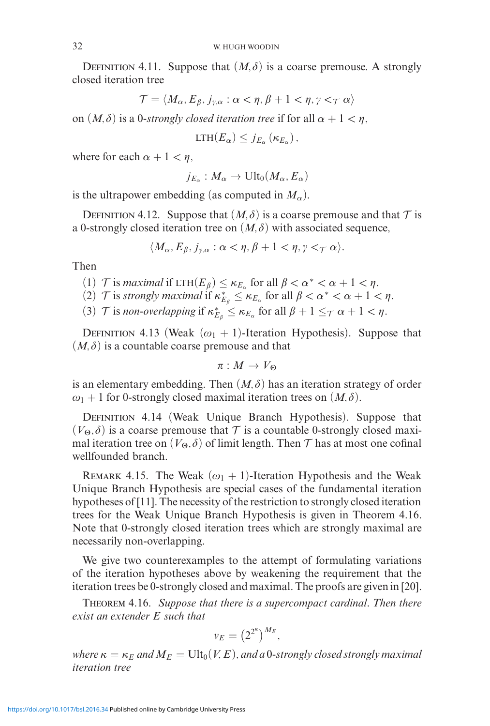DEFINITION 4.11. Suppose that  $(M, \delta)$  is a coarse premouse. A strongly closed iteration tree

$$
\mathcal{T} = \langle M_{\alpha}, E_{\beta}, j_{\gamma,\alpha} : \alpha < \eta, \beta + 1 < \eta, \gamma <_{\mathcal{T}} \alpha \rangle
$$

on  $(M, \delta)$  is a 0-strongly closed iteration tree if for all  $\alpha + 1 < \eta$ ,

$$
LTH(E_{\alpha}) \leq j_{E_{\alpha}} (\kappa_{E_{\alpha}}),
$$

where for each  $\alpha + 1 < \eta$ ,

$$
j_{E_{\alpha}}: M_{\alpha} \to \text{Ult}_0(M_{\alpha}, E_{\alpha})
$$

is the ultrapower embedding (as computed in  $M_{\alpha}$ ).

DEFINITION 4.12. Suppose that  $(M, \delta)$  is a coarse premouse and that  $T$  is a 0-strongly closed iteration tree on  $(M, \delta)$  with associated sequence,

$$
\langle M_{\alpha}, E_{\beta}, j_{\gamma,\alpha} : \alpha < \eta, \beta + 1 < \eta, \gamma <_{\mathcal{T}} \alpha \rangle.
$$

Then

- (1)  $\mathcal{T}$  is *maximal* if  $LTH(E_\beta) \leq \kappa_{E_\alpha}$  for all  $\beta < \alpha^* < \alpha + 1 < \eta$ .
- (2)  $\mathcal{T}$  is *strongly maximal* if  $\kappa_{E_\beta}^* \leq \kappa_{E_\alpha}$  for all  $\beta < \alpha^* < \alpha + 1 < \eta$ .
- (3)  $\mathcal{T}$  is *non-overlapping* if  $\kappa_{E_{\beta}}^* \leq \kappa_{E_{\alpha}}$  for all  $\beta + 1 \leq_{\mathcal{T}} \alpha + 1 < \eta$ .

DEFINITION 4.13 (Weak  $(\omega_1 + 1)$ -Iteration Hypothesis). Suppose that  $(M, \delta)$  is a countable coarse premouse and that

 $\pi : M \to V_\Theta$ 

is an elementary embedding. Then  $(M, \delta)$  has an iteration strategy of order  $\omega_1 + 1$  for 0-strongly closed maximal iteration trees on  $(M, \delta)$ .

DEFINITION 4.14 (Weak Unique Branch Hypothesis). Suppose that  $(V_{\Theta}, \delta)$  is a coarse premouse that  $\mathcal T$  is a countable 0-strongly closed maximal iteration tree on  $(V_\Theta,\delta)$  of limit length. Then  ${\cal T}$  has at most one cofinal wellfounded branch.

REMARK 4.15. The Weak  $(\omega_1 + 1)$ -Iteration Hypothesis and the Weak Unique Branch Hypothesis are special cases of the fundamental iteration hypotheses of [11]. The necessity of the restriction to strongly closed iteration trees for the Weak Unique Branch Hypothesis is given in Theorem 4.16. Note that 0-strongly closed iteration trees which are strongly maximal are necessarily non-overlapping.

We give two counterexamples to the attempt of formulating variations of the iteration hypotheses above by weakening the requirement that the iteration trees be 0-strongly closed and maximal. The proofs are given in [20].

Theorem 4.16. *Suppose that there is a supercompact cardinal. Then there exist an extender E such that*

$$
v_E = \left(2^{2^{\kappa}}\right)^{M_E},
$$

*where*  $\kappa = \kappa_E$  *and*  $M_E = \text{Ult}_0(V, E)$ *, and a* 0*-strongly closed strongly maximal iteration tree*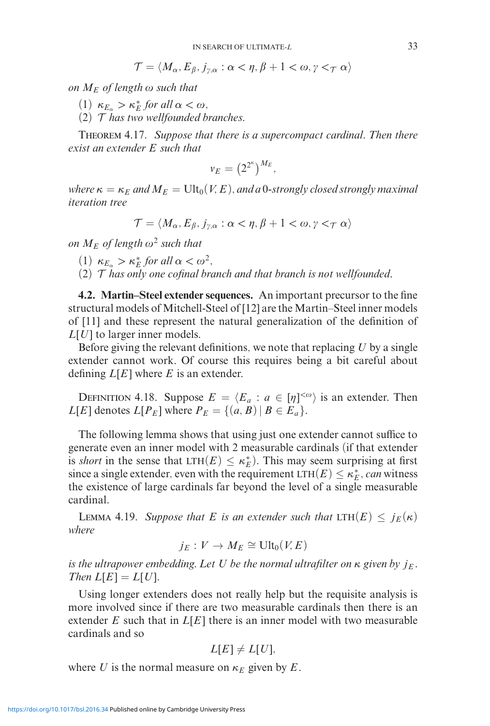$$
\mathcal{T} = \langle M_{\alpha}, E_{\beta}, j_{\gamma,\alpha} : \alpha < \eta, \beta + 1 < \omega, \gamma <_{\mathcal{T}} \alpha \rangle
$$

*on*  $M_E$  *of length*  $\omega$  *such that* 

- (1)  $\kappa_{E_\alpha} > \kappa_E^*$  *for all*  $\alpha < \omega$ ,
- (2) T *has two wellfounded branches.*

Theorem 4.17. *Suppose that there is a supercompact cardinal. Then there exist an extender E such that*

$$
v_E = \left(2^{2^{\kappa}}\right)^{M_E},
$$

*where*  $\kappa = \kappa_E$  *and*  $M_E = \text{Ult}_0(V, E)$ *, and a* 0-strongly closed strongly maximal *iteration tree*

$$
\mathcal{T} = \langle M_{\alpha}, E_{\beta}, j_{\gamma,\alpha} : \alpha < \eta, \beta + 1 < \omega, \gamma <_{\mathcal{T}} \alpha \rangle
$$

*on*  $M_F$  *of length*  $\omega^2$  *such that* 

- (1)  $\kappa_{E_\alpha} > \kappa_E^*$  *for all*  $\alpha < \omega^2$ *,*
- (2) T *has only one cofinal branch and that branch is not wellfounded.*

**4.2. Martin–Steel extender sequences.** An important precursor to the fine structural models of Mitchell-Steel of [12] are the Martin–Steel inner models of [11] and these represent the natural generalization of the definition of *L*[*U*] to larger inner models.

Before giving the relevant definitions, we note that replacing *U* by a single extender cannot work. Of course this requires being a bit careful about defining *L*[*E*] where *E* is an extender.

DEFINITION 4.18. Suppose  $E = \langle E_a : a \in [\eta]^{<\omega} \rangle$  is an extender. Then *L*[*E*] denotes *L*[*P<sub>E</sub>*] where  $P_E = \{(a, B) | B \in E_a\}$ .

The following lemma shows that using just one extender cannot suffice to generate even an inner model with 2 measurable cardinals (if that extender is *short* in the sense that  $LTH(E) \leq \kappa_E^*$ ). This may seem surprising at first since a single extender, even with the requirement  $LTH(E) \leq \kappa_E^*$ , *can* witness the existence of large cardinals far beyond the level of a single measurable cardinal.

**LEMMA 4.19.** *Suppose that E is an extender such that*  $LTH(E) \leq j_E(\kappa)$ *where*

$$
j_E: V \to M_E \cong \text{Ult}_0(V,E)
$$

*is the ultrapower embedding. Let U be the normal ultrafilter on κ given by jE . Then*  $L[E] = L[U]$ *.* 

Using longer extenders does not really help but the requisite analysis is more involved since if there are two measurable cardinals then there is an extender *E* such that in *L*[*E*] there is an inner model with two measurable cardinals and so

$$
L[E] \neq L[U],
$$

where *U* is the normal measure on  $\kappa_E$  given by *E*.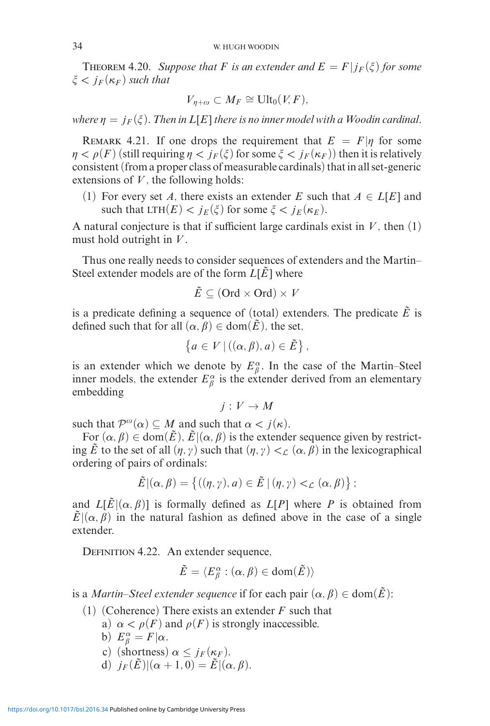**THEOREM 4.20.** Suppose that F is an extender and  $E = F|j_F(\xi)$  for some  $\xi < j_F(\kappa_F)$  *such that* 

$$
V_{\eta+\omega} \subset M_F \cong \text{Ult}_0(V,F),
$$

*where*  $\eta = j_F(\xi)$ . Then in  $L[E]$  there is no inner model with a Woodin cardinal.

REMARK 4.21. If one drops the requirement that  $E = F|\eta$  for some  $\eta < \rho(F)$  (still requiring  $\eta < j_F(\xi)$  for some  $\xi < j_F(\kappa_F)$ ) then it is relatively consistent (from a proper class of measurable cardinals) that in all set-generic extensions of  $V$ , the following holds:

(1) For every set *A*, there exists an extender *E* such that  $A \in L[E]$  and such that  $LTH(E) < j_E(\xi)$  for some  $\xi < j_E(\kappa_E)$ .

A natural conjecture is that if sufficient large cardinals exist in  $V$ , then  $(1)$ must hold outright in *V* .

Thus one really needs to consider sequences of extenders and the Martin– Steel extender models are of the form  $L[\hat{E}]$  where

$$
\tilde{E} \subseteq (\text{Ord} \times \text{Ord}) \times V
$$

is a predicate defining a sequence of (total) extenders. The predicate  $\tilde{E}$  is defined such that for all  $(\alpha, \beta) \in \text{dom}(\tilde{E})$ , the set,

$$
\left\{a \in V \mid ((\alpha, \beta), a) \in \tilde{E}\right\},\
$$

is an extender which we denote by  $E^{\alpha}_{\beta}$ . In the case of the Martin–Steel inner models, the extender  $E^{\alpha}_{\beta}$  is the extender derived from an elementary embedding

$$
j: V \to M
$$

such that  $\mathcal{P}^{\omega}(\alpha) \subseteq M$  and such that  $\alpha < j(\kappa)$ .

For  $(\alpha, \beta) \in \text{dom}(\tilde{E}), \tilde{E} | (\alpha, \beta)$  is the extender sequence given by restricting  $\tilde{E}$  to the set of all  $(\eta, \gamma)$  such that  $(\eta, \gamma) <_{\mathcal{L}} (\alpha, \beta)$  in the lexicographical ordering of pairs of ordinals:

$$
\tilde{E} | (\alpha, \beta) = \{ ((\eta, \gamma), a) \in \tilde{E} | (\eta, \gamma) <_{\mathcal{L}} (\alpha, \beta) \} ;
$$

and  $L[\tilde{E}](\alpha, \beta)$  is formally defined as  $L[P]$  where *P* is obtained from  $\tilde{E} | (\alpha, \beta)$  in the natural fashion as defined above in the case of a single extender.

DEFINITION 4.22. An extender sequence,

$$
\tilde{E}=\langle E^{\alpha}_{\beta}:(\alpha,\beta)\in\text{dom}(\tilde{E})\rangle
$$

is a *Martin–Steel extender sequence* if for each pair  $(\alpha, \beta) \in \text{dom}(\tilde{E})$ :

- (1) (Coherence) There exists an extender *F* such that
	- a)  $\alpha < \rho(F)$  and  $\rho(F)$  is strongly inaccessible.
	- b)  $E^{\alpha}_{\beta} = F | \alpha$ .
	- c) (shortness)  $\alpha \leq j_F(\kappa_F)$ .
	- d)  $j_F(\tilde{E})|(\alpha+1,0)=\tilde{E}|(\alpha,\beta).$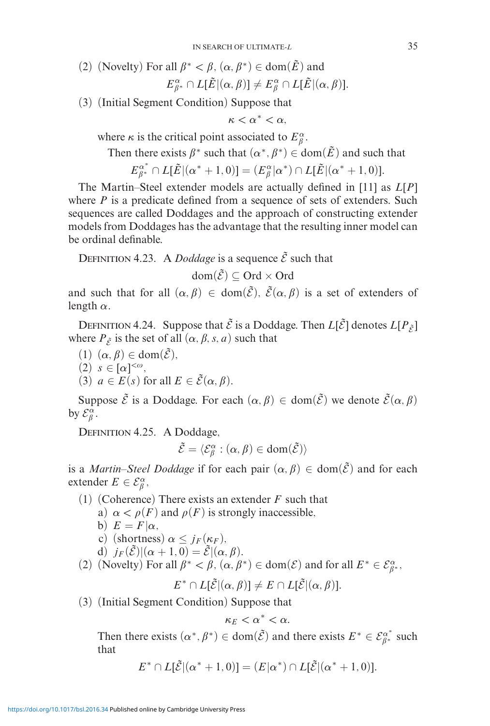- (2) (Novelty) For all  $\beta^* < \beta$ ,  $(\alpha, \beta^*) \in \text{dom}(\tilde{E})$  and  $E^{\alpha}_{\beta^*} \cap L[\tilde{E}|(\alpha, \beta)] \neq E^{\alpha}_{\beta} \cap L[\tilde{E}|(\alpha, \beta)].$
- (3) (Initial Segment Condition) Suppose that

$$
\kappa < \alpha^* < \alpha,
$$

where  $\kappa$  is the critical point associated to  $E^{\alpha}_{\beta}$ .

Then there exists  $\beta^*$  such that  $(\alpha^*, \beta^*) \in \text{dom}(\tilde{E})$  and such that

$$
E_{\beta^*}^{\alpha^*} \cap L[\tilde{E} | (\alpha^* + 1, 0)] = (E_{\beta}^{\alpha} | \alpha^*) \cap L[\tilde{E} | (\alpha^* + 1, 0)].
$$

The Martin–Steel extender models are actually defined in [11] as *L*[*P*] where *P* is a predicate defined from a sequence of sets of extenders. Such sequences are called Doddages and the approach of constructing extender models from Doddages has the advantage that the resulting inner model can be ordinal definable.

DEFINITION 4.23. A *Doddage* is a sequence  $\tilde{\mathcal{E}}$  such that

$$
\text{dom}(\tilde{\mathcal{E}}) \subseteq \text{Ord} \times \text{Ord}
$$

and such that for all  $(\alpha, \beta) \in \text{dom}(\tilde{\mathcal{E}}), \ \tilde{\mathcal{E}}(\alpha, \beta)$  is a set of extenders of length *α*.

DEFINITION 4.24. Suppose that  $\tilde{\mathcal{E}}$  is a Doddage. Then  $L[\tilde{\mathcal{E}}]$  denotes  $L[P_{\tilde{\mathcal{E}}}]$ where  $P_{\tilde{\varepsilon}}$  is the set of all  $(\alpha, \beta, s, a)$  such that

- $(1)$   $(\alpha, \beta) \in \text{dom}(\tilde{\mathcal{E}}),$
- $(2)$   $s \in [\alpha]^{<\omega},$
- (3)  $a \in E(s)$  for all  $E \in \tilde{\mathcal{E}}(\alpha, \beta)$ .

Suppose  $\tilde{\mathcal{E}}$  is a Doddage. For each  $(\alpha, \beta) \in \text{dom}(\tilde{\mathcal{E}})$  we denote  $\tilde{\mathcal{E}}(\alpha, \beta)$ by  $\mathcal{E}_{\beta}^{\alpha}$ .

Definition 4.25. A Doddage,

$$
\tilde{\mathcal{E}} = \langle \mathcal{E}_{\beta}^{\alpha} : (\alpha, \beta) \in \text{dom}(\tilde{\mathcal{E}}) \rangle
$$

is a *Martin–Steel Doddage* if for each pair  $(\alpha, \beta) \in \text{dom}(\tilde{\mathcal{E}})$  and for each extender  $E \in \mathcal{E}_{\beta}^{\alpha}$ ,

- (1) (Coherence) There exists an extender *F* such that
	- a)  $\alpha < \rho(F)$  and  $\rho(F)$  is strongly inaccessible,
	- b)  $E = F | \alpha$ ,
	- c) (shortness)  $\alpha \leq j_F(\kappa_F)$ ,
	- d)  $j_F(\tilde{\mathcal{E}})|(\alpha+1,0)=\tilde{\mathcal{E}}|(\alpha,\beta).$
- (2) (Novelty) For all  $\beta^* < \beta$ ,  $(\alpha, \beta^*) \in \text{dom}(\mathcal{E})$  and for all  $E^* \in \mathcal{E}_{\beta^*}^{\alpha}$ ,

$$
E^* \cap L[\tilde{\mathcal{E}}](\alpha, \beta)] \neq E \cap L[\tilde{\mathcal{E}}](\alpha, \beta)].
$$

(3) (Initial Segment Condition) Suppose that

$$
\kappa_E<\alpha^*<\alpha.
$$

Then there exists  $(\alpha^*, \beta^*) \in \text{dom}(\tilde{\mathcal{E}})$  and there exists  $E^* \in \mathcal{E}_{\beta^*}^{\alpha^*}$  such that

$$
E^* \cap L[\tilde{E} | (\alpha^* + 1, 0)] = (E | \alpha^*) \cap L[\tilde{E} | (\alpha^* + 1, 0)].
$$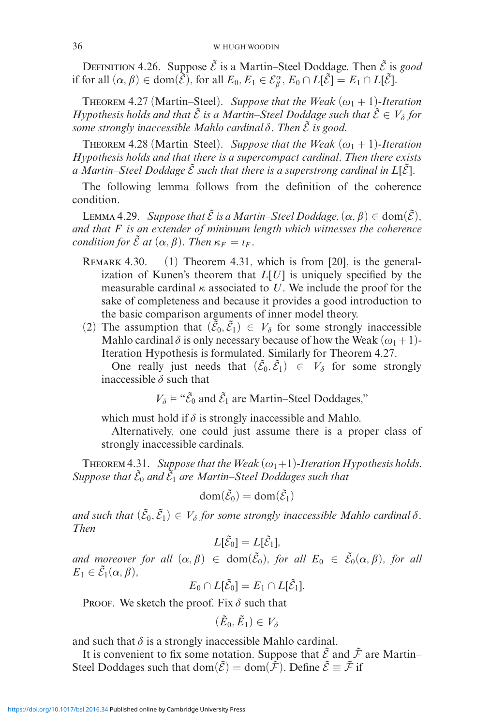DEFINITION 4.26. Suppose  $\tilde{\mathcal{E}}$  is a Martin–Steel Doddage. Then  $\tilde{\mathcal{E}}$  is *good* if for all  $(\alpha, \beta) \in \text{dom}(\tilde{\mathcal{E}})$ , for all  $E_0, E_1 \in \mathcal{E}_{\beta}^{\alpha}$ ,  $E_0 \cap L[\tilde{\mathcal{E}}] = E_1 \cap L[\tilde{\mathcal{E}}]$ .

THEOREM 4.27 (Martin–Steel). *Suppose that the Weak*  $(\omega_1 + 1)$ -Iteration *Hypothesis holds and that*  $\tilde{\mathcal{E}}$  *is a Martin–Steel Doddage such that*  $\tilde{\mathcal{E}} \in V_\delta$  for  $\sum_{n=1}^{\infty}$  *some strongly inaccessible Mahlo cardinal*  $\delta$ . Then  $\tilde{\mathcal{E}}$  *is good.* 

THEOREM 4.28 (Martin–Steel). *Suppose that the Weak*  $(\omega_1 + 1)$ -Iteration *Hypothesis holds and that there is a supercompact cardinal. Then there exists a* Martin–Steel Doddage  $\tilde{\mathcal{E}}$  such that there is a superstrong cardinal in  $L[\tilde{\mathcal{E}}]$ .

The following lemma follows from the definition of the coherence condition.

LEMMA 4.29. *Suppose that*  $\tilde{\mathcal{E}}$  *is a Martin–Steel Doddage*,  $(\alpha, \beta) \in \text{dom}(\tilde{\mathcal{E}})$ , *and that F is an extender of minimum length which witnesses the coherence condition for*  $\tilde{\mathcal{E}}$  *at*  $(\alpha, \beta)$ *. Then*  $\kappa_F = \iota_F$ *.* 

- REMARK 4.30. (1) Theorem 4.31, which is from [20], is the generalization of Kunen's theorem that *L*[*U*] is uniquely specified by the measurable cardinal  $\kappa$  associated to *U*. We include the proof for the sake of completeness and because it provides a good introduction to the basic comparison arguments of inner model theory.
- (2) The assumption that  $(\tilde{\mathcal{E}}_0, \tilde{\mathcal{E}}_1) \in V_\delta$  for some strongly inaccessible Mahlo cardinal  $\delta$  is only necessary because of how the Weak  $(\omega_1 + 1)$ -Iteration Hypothesis is formulated. Similarly for Theorem 4.27.

One really just needs that  $(\tilde{\mathcal{E}}_0, \tilde{\mathcal{E}}_1) \in V_\delta$  for some strongly inaccessible  $\delta$  such that

 $V_{\delta} \models$  " $\tilde{\mathcal{E}}_0$  and  $\tilde{\mathcal{E}}_1$  are Martin–Steel Doddages,"

which must hold if  $\delta$  is strongly inaccessible and Mahlo.

Alternatively, one could just assume there is a proper class of strongly inaccessible cardinals.

THEOREM 4.31. *Suppose that the Weak*  $(\omega_1+1)$ -Iteration Hypothesis holds. Suppose that  $\tilde{\mathcal{E}}_0$  and  $\tilde{\mathcal{E}}_1$  are Martin–Steel Doddages such that

$$
\text{dom}(\tilde{\mathcal{E}}_0) = \text{dom}(\tilde{\mathcal{E}}_1)
$$

and such that  $(\tilde{\mathcal{E}}_0, \tilde{\mathcal{E}}_1) \in V_\delta$  for some strongly inaccessible Mahlo cardinal  $\delta$ . *Then*

$$
L[\tilde{\mathcal{E}}_0] = L[\tilde{\mathcal{E}}_1],
$$

*and moreover for all*  $(\alpha, \beta) \in dom(\tilde{\mathcal{E}}_0)$ , for all  $E_0 \in \tilde{\mathcal{E}}_0(\alpha, \beta)$ , for all  $E_1 \in \tilde{\mathcal{E}}_1(\alpha, \beta),$ 

$$
E_0 \cap L[\tilde{\mathcal{E}}_0] = E_1 \cap L[\tilde{\mathcal{E}}_1].
$$

PROOF. We sketch the proof. Fix  $\delta$  such that

$$
(\tilde{E}_0,\tilde{E}_1)\in V_\delta
$$

and such that  $\delta$  is a strongly inaccessible Mahlo cardinal.

It is convenient to fix some notation. Suppose that  $\tilde{\mathcal{E}}$  and  $\tilde{\mathcal{F}}$  are Martin– Steel Doddages such that dom $(\tilde{\mathcal{E}}) = \text{dom}(\tilde{\mathcal{F}})$ . Define  $\tilde{\mathcal{E}} \equiv \tilde{\mathcal{F}}$  if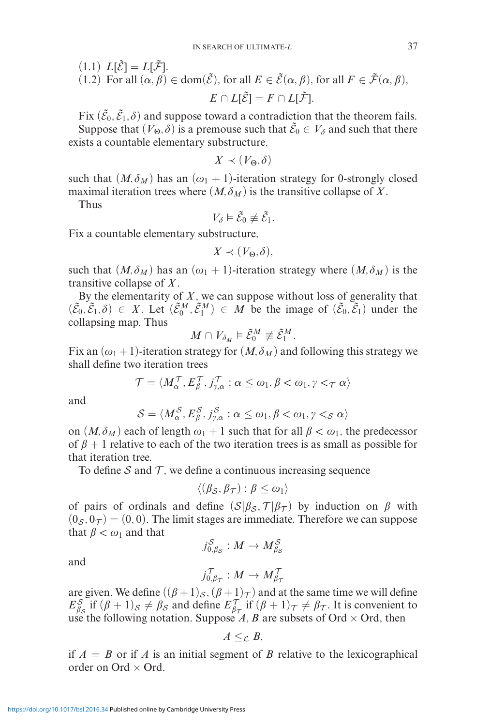(1.1) 
$$
L[\tilde{\mathcal{E}}] = L[\tilde{\mathcal{F}}].
$$
  
(1.2) For all  $(\alpha, \beta) \in \text{dom}(\tilde{\mathcal{E}})$ , for all  $E \in \tilde{\mathcal{E}}(\alpha, \beta)$ , for all  $F \in \tilde{\mathcal{F}}(\alpha, \beta)$ ,  
 $E \cap L[\tilde{\mathcal{E}}] = F \cap L[\tilde{\mathcal{F}}].$ 

Fix  $(\tilde{\mathcal{E}}_0, \tilde{\mathcal{E}}_1, \delta)$  and suppose toward a contradiction that the theorem fails. Suppose that  $(V_{\Theta}, \delta)$  is a premouse such that  $\tilde{\mathcal{E}}_0 \in V_{\delta}$  and such that there exists a countable elementary substructure,

$$
X \prec (V_{\Theta}, \delta)
$$

such that  $(M, \delta_M)$  has an  $(\omega_1 + 1)$ -iteration strategy for 0-strongly closed maximal iteration trees where  $(M, \delta_M)$  is the transitive collapse of X.

Thus

$$
V_{\delta}\vDash\tilde{\mathcal{E}}_0\not\equiv\tilde{\mathcal{E}}_1.
$$

Fix a countable elementary substructure,

$$
X \prec (V_{\Theta}, \delta),
$$

such that  $(M, \delta_M)$  has an  $(\omega_1 + 1)$ -iteration strategy where  $(M, \delta_M)$  is the transitive collapse of *X*.

By the elementarity of *X*, we can suppose without loss of generality that  $(\tilde{\mathcal{E}}_0, \tilde{\mathcal{E}}_1, \delta) \in X$ . Let  $(\tilde{\mathcal{E}}_0^M, \tilde{\mathcal{E}}_1^M) \in M$  be the image of  $(\tilde{\mathcal{E}}_0, \tilde{\mathcal{E}}_1)$  under the collapsing map. Thus

$$
M\cap V_{\delta_M}\vDash \tilde{\mathcal{E}}_0^M\not\equiv \tilde{\mathcal{E}}_1^M.
$$

Fix an  $(\omega_1 + 1)$ -iteration strategy for  $(M, \delta_M)$  and following this strategy we shall define two iteration trees

$$
\mathcal{T} = \langle M_{\alpha}^{\mathcal{T}}, E_{\beta}^{\mathcal{T}}, j_{\gamma,\alpha}^{\mathcal{T}} : \alpha \leq \omega_1, \beta < \omega_1, \gamma <_{\mathcal{T}} \alpha \rangle
$$

and

$$
S = \langle M_{\alpha}^{S}, E_{\beta}^{S}, j_{\gamma,\alpha}^{S} : \alpha \leq \omega_1, \beta < \omega_1, \gamma <_{S} \alpha \rangle
$$

on  $(M, \delta_M)$  each of length  $\omega_1 + 1$  such that for all  $\beta < \omega_1$ , the predecessor of  $\beta + 1$  relative to each of the two iteration trees is as small as possible for that iteration tree.

To define S and  $\mathcal T$ , we define a continuous increasing sequence

$$
\langle (\beta_{\mathcal{S}}, \beta_{\mathcal{T}}) : \beta \leq \omega_1 \rangle
$$

of pairs of ordinals and define  $(S|\beta_{\mathcal{S}}, \mathcal{T}|\beta_{\mathcal{T}})$  by induction on  $\beta$  with  $(0<sub>S</sub>, 0<sub>T</sub>) = (0, 0)$ . The limit stages are immediate. Therefore we can suppose that  $\beta < \omega_1$  and that

$$
j_{0, \beta_{\mathcal{S}}}^{\mathcal{S}}: M \rightarrow M_{\beta_{\mathcal{S}}}^{\mathcal{S}}
$$

and

$$
j_{0,\beta_{\mathcal{T}}}^{\mathcal{T}}:M\to M_{\beta_{\mathcal{T}}}^{\mathcal{T}}
$$

are given. We define  $((\beta + 1)_S, (\beta + 1)_T)$  and at the same time we will define  $E_{\beta_S}^S$  if  $(\beta + 1)_S \neq \beta_S$  and define  $E_{\beta_{\tau}}^T$  if  $(\beta + 1)_{\tau} \neq \beta_{\tau}$ . It is convenient to use the following notation. Suppose *A*, *B* are subsets of Ord  $\times$  Ord, then

$$
A\leq_{\mathcal{L}} B,
$$

if  $A = B$  or if *A* is an initial segment of *B* relative to the lexicographical order on Ord  $\times$  Ord.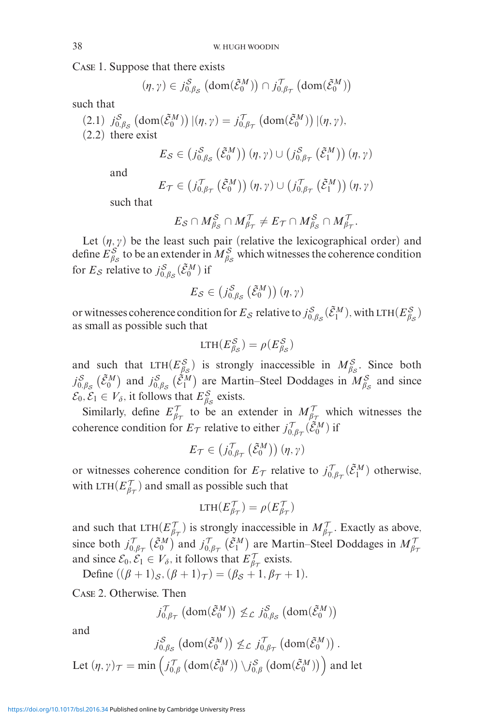Case 1. Suppose that there exists

$$
(\eta, \gamma) \in j_{0,\beta_{\mathcal{S}}}^{\mathcal{S}} \left( \text{dom}(\tilde{\mathcal{E}}_0^M) \right) \cap j_{0,\beta_{\mathcal{T}}}^{\mathcal{T}} \left( \text{dom}(\tilde{\mathcal{E}}_0^M) \right)
$$

such that

 $(2.1)$   $j_{0,\beta_{\mathcal{S}}}^{\mathcal{S}}\left(\text{dom}(\tilde{\mathcal{E}}_{0}^{M})\right)|(\eta,\gamma) = j_{0,\beta_{\mathcal{T}}}^{\mathcal{T}}\left(\text{dom}(\tilde{\mathcal{E}}_{0}^{M})\right)|(\eta,\gamma),$ 

(2.2) there exist

$$
E_{\mathcal{S}} \in (j_{0,\beta_{\mathcal{S}}}^{\mathcal{S}}(\tilde{\mathcal{E}}_{0}^{M})) (\eta, \gamma) \cup (j_{0,\beta_{\mathcal{T}}}^{\mathcal{S}}(\tilde{\mathcal{E}}_{1}^{M})) (\eta, \gamma)
$$

and

$$
E_{\mathcal{T}} \in (j_{0,\beta_{\mathcal{T}}}^{\mathcal{T}}(\tilde{\mathcal{E}}_0^M))(\eta,\gamma) \cup (j_{0,\beta_{\mathcal{T}}}^{\mathcal{T}}(\tilde{\mathcal{E}}_1^M))(\eta,\gamma)
$$

such that

$$
E_{\mathcal{S}} \cap M_{\beta_{\mathcal{S}}}^{\mathcal{S}} \cap M_{\beta_{\mathcal{T}}}^{\mathcal{T}} \neq E_{\mathcal{T}} \cap M_{\beta_{\mathcal{S}}}^{\mathcal{S}} \cap M_{\beta_{\mathcal{T}}}^{\mathcal{T}}.
$$

Let  $(\eta, \gamma)$  be the least such pair (relative the lexicographical order) and define  $E_{\beta s}^S$  to be an extender in  $M_{\beta s}^S$  which witnesses the coherence condition for  $E_S$  relative to  $j_{0,\beta_S}^S(\tilde{\mathcal{E}}_0^M)$  if

$$
E_{\mathcal{S}} \in (j_{0,\beta_{\mathcal{S}}}^{\mathcal{S}}(\tilde{\mathcal{E}}_{0}^{M})) (\eta, \gamma)
$$

or witnesses coherence condition for  $E_S$  relative to  $j_{0,\beta_S}^S(\tilde{\mathcal{E}}_1^M)$ , with LTH $(E_{\beta_S}^S)$ as small as possible such that

$$
LTH(E_{\beta_{\mathcal{S}}}^{\mathcal{S}}) = \rho(E_{\beta_{\mathcal{S}}}^{\mathcal{S}})
$$

and such that  $LTH(E_{\beta s}^S)$  is strongly inaccessible in  $M_{\beta s}^S$ . Since both  $j_{0,\beta_S}^S$  ( $\tilde{\mathcal{E}}_0^M$ ) and  $j_{0,\beta_S}^S$  ( $\tilde{\mathcal{E}}_1^M$ ) are Martin–Steel Doddages in  $M_{\beta_S}^S$  and since  $\mathcal{E}_0, \mathcal{E}_1 \in V_\delta$ , it follows that  $E_{\beta_S}^S$  exists.

Similarly, define  $E_{\beta\tau}^{\mathcal{T}}$  to be an extender in  $M_{\beta\tau}^{\mathcal{T}}$  which witnesses the coherence condition for  $E_{\mathcal{T}}$  relative to either  $j_{0,\beta_{\mathcal{T}}}^{\mathcal{T}}(\tilde{\mathcal{E}}_{0}^{M})$  if

$$
E_{\mathcal{T}} \in (j_{0,\beta_{\mathcal{T}}}^{\mathcal{T}}(\tilde{\mathcal{E}}_0^M))(\eta,\gamma)
$$

or witnesses coherence condition for  $E_{\mathcal{T}}$  relative to  $j_{0,\beta_{\mathcal{T}}}^{\mathcal{T}}(\tilde{\mathcal{E}}_{1}^{M})$  otherwise, with LTH( $E_{\beta\tau}^{\gamma}$ ) and small as possible such that

$$
\text{LTH}(E_{\beta\tau}^{\mathcal{T}}) = \rho(E_{\beta\tau}^{\mathcal{T}})
$$

and such that  $LTH(E_{\mathcal{T}}^{\mathcal{T}})$  is strongly inaccessible in  $M_{\beta_{\mathcal{T}}}^{\mathcal{T}}$ . Exactly as above, since both  $j_{0,\beta_{\mathcal{T}}}^{\mathcal{T}}(\tilde{\mathcal{E}}_0^M)$  and  $j_{0,\beta_{\mathcal{T}}}^{\mathcal{T}}(\tilde{\mathcal{E}}_1^M)$  are Martin–Steel Doddages in  $M_{\beta_{\mathcal{T}}}^{\mathcal{T}}$ and since  $\mathcal{E}_0, \mathcal{E}_1 \in V_\delta$ , it follows that  $E_{\beta\tau}^{\mathcal{T}}$  exists.

 $\text{Define } ((\beta + 1)_{\mathcal{S}}, (\beta + 1)_{\mathcal{T}}) = (\beta_{\mathcal{S}} + 1, \beta_{\mathcal{T}} + 1).$ 

Case 2. Otherwise. Then

$$
j_{0,\beta_{\mathcal{T}}}^{\mathcal{T}}\left(\text{dom}(\tilde{\mathcal{E}}_0^M)\right) \not\leq_{\mathcal{L}} j_{0,\beta_{\mathcal{S}}}^{\mathcal{S}}\left(\text{dom}(\tilde{\mathcal{E}}_0^M)\right)
$$

and

$$
j_{0,\beta_{\mathcal{S}}}^{\mathcal{S}}\left(\text{dom}(\tilde{\mathcal{E}}_{0}^{M})\right) \nleq_{\mathcal{L}} j_{0,\beta_{\mathcal{T}}}^{\mathcal{T}}\left(\text{dom}(\tilde{\mathcal{E}}_{0}^{M})\right).
$$
  
Let  $(\eta, \gamma)_{\mathcal{T}} = \min\left(j_{0,\beta}^{\mathcal{T}}\left(\text{dom}(\tilde{\mathcal{E}}_{0}^{M})\right)\backslash j_{0,\beta}^{\mathcal{S}}\left(\text{dom}(\tilde{\mathcal{E}}_{0}^{M})\right)\right)$  and let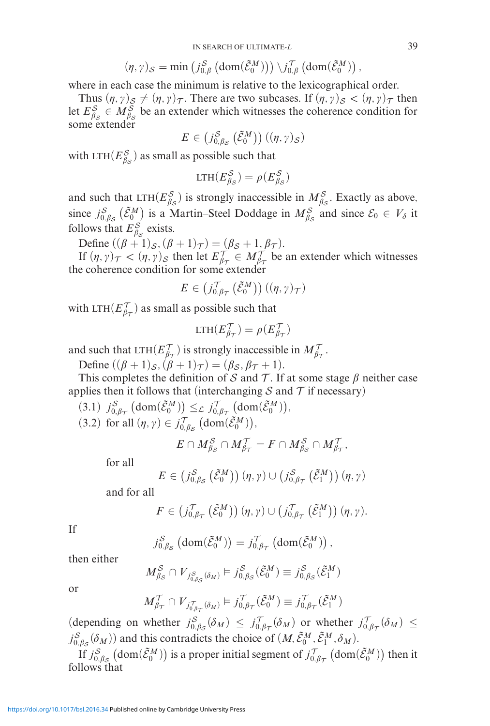$$
(\eta, \gamma)_{\mathcal{S}} = \min\left(j_{0, \beta}^{\mathcal{S}}\left(\text{dom}(\tilde{\mathcal{E}}_0^M)\right)\right) \setminus j_{0, \beta}^{\mathcal{T}}\left(\text{dom}(\tilde{\mathcal{E}}_0^M)\right),
$$

where in each case the minimum is relative to the lexicographical order.

Thus  $(\eta, \gamma)_\mathcal{S} \neq (\eta, \gamma)_\mathcal{T}$ . There are two subcases. If  $(\eta, \gamma)_\mathcal{S} < (\eta, \gamma)_\mathcal{T}$  then let  $E_{\beta_S}^S \in M_{\beta_S}^S$  be an extender which witnesses the coherence condition for ome extender

$$
E \in (j_{0,\beta_{\mathcal{S}}}^{\mathcal{S}}(\tilde{\mathcal{E}}_{0}^{M}))((\eta,\gamma)_{\mathcal{S}})
$$

with LTH( $E_{\beta S}^S$ ) as small as possible such that

$$
\text{LTH}(E_{\beta_{\mathcal{S}}}^{\mathcal{S}}) = \rho(E_{\beta_{\mathcal{S}}}^{\mathcal{S}})
$$

and such that  $LTH(E_{\beta s}^S)$  is strongly inaccessible in  $M_{\beta s}^S$ . Exactly as above, since  $j_{0,\beta_S}^S$  ( $\tilde{\mathcal{E}}_0^M$ ) is a Martin–Steel Doddage in  $M_{\beta_S}^S$  and since  $\mathcal{E}_0 \in V_\delta$  it follows that  $E_{\beta_{\mathcal{S}}}^{\mathcal{S}}$  exists.

Define  $((\beta + 1)s,(\beta + 1)\tau) = (\beta s + 1, \beta \tau).$ 

If  $(\eta, \gamma)_{\tau} < (\eta, \gamma)_{\mathcal{S}}$  then let  $E_{\beta_{\tau}}^{\tau} \in M_{\beta_{\tau}}^{\tau}$  be an extender which witnesses the coherence condition for some extender

$$
E \in (j_{0,\beta\tau}^{\mathcal{T}}(\tilde{\mathcal{E}}_0^M))((\eta,\gamma)_{\mathcal{T}})
$$

with LTH $(E_{\beta\tau}^{\mathcal{T}})$  as small as possible such that

$$
\text{LTH}(E_{\beta\tau}^{\mathcal{T}}) = \rho(E_{\beta\tau}^{\mathcal{T}})
$$

and such that LTH( $E_{\beta\tau}^T$ ) is strongly inaccessible in  $M_{\beta\tau}^T$ .

Define  $((\beta + 1)_{\mathcal{S}}, (\dot{\beta} + 1)_{\mathcal{T}}) = (\beta_{\mathcal{S}}, \beta_{\mathcal{T}} + 1).$ 

This completes the definition of S and T. If at some stage  $\beta$  neither case applies then it follows that (interchanging S and T if necessary)

 $(3.1)$   $j_{0,\beta\tau}^{\mathcal{S}}$   $(\text{dom}(\tilde{\mathcal{E}}_0^M)) \leq_{\mathcal{L}} j_{0,\beta\tau}^{\mathcal{T}}$   $(\text{dom}(\tilde{\mathcal{E}}_0^M)),$ (3.2) for all  $(\eta, \gamma) \in j_{0,\beta_{\mathcal{S}}}^{\mathcal{T}} \left( \text{dom}(\tilde{\mathcal{E}}_0^M) \right),$ 

$$
E\cap M_{\beta_{\mathcal{S}}}^{\mathcal{S}}\cap M_{\beta_{\mathcal{T}}}^{\mathcal{T}}=F\cap M_{\beta_{\mathcal{S}}}^{\mathcal{S}}\cap M_{\beta_{\mathcal{T}}}^{\mathcal{T}},
$$

for all

$$
E \in (j_{0,\beta_{\mathcal{S}}}^{\mathcal{S}}(\tilde{\mathcal{E}}_{0}^{M})) (\eta, \gamma) \cup (j_{0,\beta_{\mathcal{T}}}^{\mathcal{S}}(\tilde{\mathcal{E}}_{1}^{M})) (\eta, \gamma)
$$

and for all

$$
F\in (j_{0,\beta\tau}^{\mathcal{T}}(\tilde{\mathcal{E}}_0^M))(\eta,\gamma)\cup (j_{0,\beta\tau}^{\mathcal{T}}(\tilde{\mathcal{E}}_1^M))(\eta,\gamma).
$$

If

$$
j_{0,\beta_{\mathcal{S}}}^{\mathcal{S}}\left(\text{dom}(\tilde{\mathcal{E}}_{0}^{M})\right)=j_{0,\beta_{\mathcal{T}}}^{\mathcal{T}}\left(\text{dom}(\tilde{\mathcal{E}}_{0}^{M})\right),
$$

then either

$$
M_{\beta_S}^S \cap V_{j_{0,\beta_S}^S(\delta_M)} \models j_{0,\beta_S}^S(\tilde{\mathcal{E}}_0^M) \equiv j_{0,\beta_S}^S(\tilde{\mathcal{E}}_1^M)
$$

or

$$
M_{\beta\tau}^{\mathcal{T}} \cap V_{j_{0,\beta\tau}^{\mathcal{T}}(\delta_M)} \models j_{0,\beta\tau}^{\mathcal{T}}(\tilde{\mathcal{E}}_0^M) \equiv j_{0,\beta\tau}^{\mathcal{T}}(\tilde{\mathcal{E}}_1^M)
$$

 $(\text{depending on whether } j_{0,\beta_{\mathcal{S}}}^{\mathcal{S}}(\delta_M) \leq j_{0,\beta_{\mathcal{T}}}^{\mathcal{T}}(\delta_M) \text{ or whether } j_{0,\beta_{\mathcal{T}}}^{\mathcal{T}}(\delta_M) \leq$  $j_{0,\beta_S}^S(\delta_M)$  and this contradicts the choice of  $(M, \tilde{\mathcal{E}}_0^M, \tilde{\mathcal{E}}_1^M, \delta_M)$ .

If  $j_{0,\beta_{\mathcal{S}_1}}^{\mathcal{S}}$  (dom $(\tilde{\mathcal{E}}_0^M)$ ) is a proper initial segment of  $j_{0,\beta_{\mathcal{T}}}^{\mathcal{T}}$  (dom $(\tilde{\mathcal{E}}_0^M)$ ) then it follows that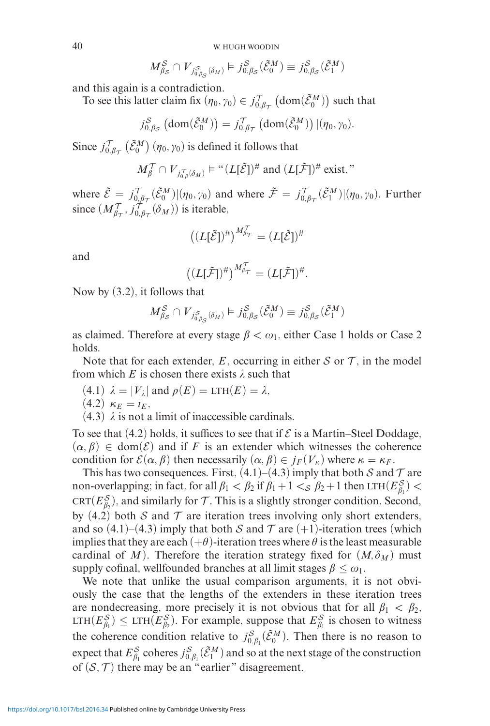40 W. HUGH WOODIN

$$
M_{\beta_{\mathcal{S}}}^{\mathcal{S}} \cap V_{j_{0,\beta_{\mathcal{S}}}^{\mathcal{S}}(\delta_{M})} \models j_{0,\beta_{\mathcal{S}}}^{\mathcal{S}}(\tilde{\mathcal{E}}_{0}^{M}) \equiv j_{0,\beta_{\mathcal{S}}}^{\mathcal{S}}(\tilde{\mathcal{E}}_{1}^{M})
$$

and this again is a contradiction.

To see this latter claim fix  $(\eta_0, \gamma_0) \in j_{0,\beta\tau}^{\mathcal{T}} \left(\text{dom}(\tilde{\mathcal{E}}_0^M)\right)$  such that

$$
j_{0,\beta_{\mathcal{S}}}^{\mathcal{S}}\left(\text{dom}(\tilde{\mathcal{E}}_{0}^{\mathcal{M}})\right)=j_{0,\beta_{\mathcal{T}}}^{\mathcal{T}}\left(\text{dom}(\tilde{\mathcal{E}}_{0}^{\mathcal{M}})\right)|(\eta_{0},\gamma_{0}).
$$

Since  $j_{0,\beta\tau}^{\mathcal{T}}$   $(\tilde{\mathcal{E}}_0^M)$   $(\eta_0, \gamma_0)$  is defined it follows that

$$
M^{\mathcal{T}}_{\beta} \cap V_{j^{\mathcal{T}}_{0,\beta}(\delta_M)} \models ``(L[\tilde{\mathcal{E}}])^{\#} \text{ and } (L[\tilde{\mathcal{F}}])^{\#} \text{ exist,}"
$$

where  $\tilde{\mathcal{E}} = j_{0,\beta\tau}^{\mathcal{T}}(\tilde{\mathcal{E}}_0^M)|(\eta_0, \gamma_0)$  and where  $\tilde{\mathcal{F}} = j_{0,\beta\tau}^{\mathcal{T}}(\tilde{\mathcal{E}}_1^M)|(\eta_0, \gamma_0)$ . Further since  $(M_{\beta\tau}^{\gamma}, j_{0,\beta\tau}^{\gamma}(\delta_M))$  is iterable,

$$
((L[\tilde{\mathcal{E}}])^{\#})^{M_{\beta_{\mathcal{T}}}^{\mathcal{T}}} = (L[\tilde{\mathcal{E}}])^{\#}
$$

and

$$
((L[\tilde{\mathcal{F}}])^{\#})^{M_{\beta_{\mathcal{T}}}^{\mathcal{T}}}=(L[\tilde{\mathcal{F}}])^{\#}.
$$

Now by (3.2), it follows that

$$
M_{\beta_{\mathcal{S}}}^{\mathcal{S}} \cap V_{j_{0,\beta_{\mathcal{S}}}^{\mathcal{S}}(\delta_{M})} \models j_{0,\beta_{\mathcal{S}}}^{\mathcal{S}}(\tilde{\mathcal{E}}_{0}^{M}) \equiv j_{0,\beta_{\mathcal{S}}}^{\mathcal{S}}(\tilde{\mathcal{E}}_{1}^{M})
$$

as claimed. Therefore at every stage  $\beta < \omega_1$ , either Case 1 holds or Case 2 holds.

Note that for each extender,  $E$ , occurring in either  $S$  or  $T$ , in the model from which  $E$  is chosen there exists  $\lambda$  such that

- $(4.1)$   $\lambda = |V_{\lambda}|$  and  $\rho(E) = LTH(E) = \lambda$ ,
- $(4.2)$   $\kappa_E = l_E$ ,
- $(4.3)$   $\lambda$  is not a limit of inaccessible cardinals.

To see that (4.2) holds, it suffices to see that if  $\mathcal E$  is a Martin–Steel Doddage,  $(\alpha, \beta) \in \text{dom}(\mathcal{E})$  and if F is an extender which witnesses the coherence condition for  $\mathcal{E}(\alpha, \beta)$  then necessarily  $(\alpha, \beta) \in j_F(V_\kappa)$  where  $\kappa = \kappa_F$ .

This has two consequences. First,  $(4.1)$ – $(4.3)$  imply that both S and T are non-overlapping; in fact, for all  $\beta_1 < \beta_2$  if  $\beta_1 + 1 <_{\mathcal{S}} \beta_2 + 1$  then  $LTH(E_{\beta_1}^{\mathcal{S}}) <$ CRT( $E_{\beta_2}^S$ ), and similarly for  $\mathcal T$ . This is a slightly stronger condition. Second, by (4.2) both S and T are iteration trees involving only short extenders, and so  $(4.1)$ – $(4.3)$  imply that both S and T are  $(+1)$ -iteration trees (which implies that they are each  $(+\theta)$ -iteration trees where  $\theta$  is the least measurable cardinal of *M*). Therefore the iteration strategy fixed for  $(M, \delta_M)$  must supply cofinal, wellfounded branches at all limit stages  $\beta \leq \omega_1$ .

We note that unlike the usual comparison arguments, it is not obviously the case that the lengths of the extenders in these iteration trees are nondecreasing, more precisely it is not obvious that for all  $\beta_1 < \beta_2$ , LTH $(E_{\beta_1}^S) \leq \text{LTH}(E_{\beta_2}^S)$ . For example, suppose that  $E_{\beta_1}^S$  is chosen to witness the coherence condition relative to  $j_{0,\beta_1}^S(\tilde{\mathcal{E}}_0^M)$ . Then there is no reason to expect that  $E_{\beta_1}^S$  coheres  $j_{0,\beta_1}^S(\tilde{\mathcal{E}}_1^M)$  and so at the next stage of the construction of  $(S, \mathcal{T})$  there may be an "earlier" disagreement.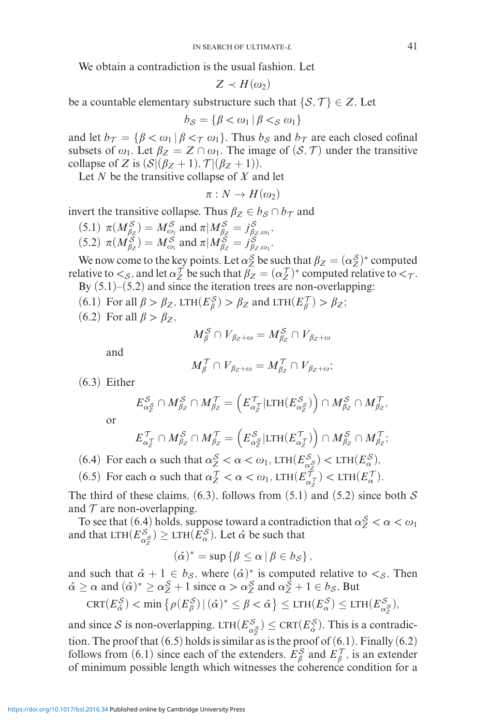We obtain a contradiction is the usual fashion. Let

$$
Z \prec H(\omega_2)
$$

be a countable elementary substructure such that  $\{S, \mathcal{T}\} \in \mathbb{Z}$ . Let

$$
b_{\mathcal{S}} = \{ \beta < \omega_1 \, | \, \beta <_{\mathcal{S}} \omega_1 \}
$$

and let  $b_{\mathcal{T}} = {\beta < \omega_1 | \beta <_{\mathcal{T}} \omega_1}$ . Thus  $b_{\mathcal{S}}$  and  $b_{\mathcal{T}}$  are each closed cofinal subsets of  $\omega_1$ . Let  $\beta_Z = Z \cap \omega_1$ . The image of  $(S, \mathcal{T})$  under the transitive collapse of *Z* is  $(S|(\beta_Z + 1), \mathcal{T}|(\beta_Z + 1))$ .

Let *N* be the transitive collapse of *X* and let

$$
\pi:N\to H(\omega_2)
$$

invert the transitive collapse. Thus  $\beta_Z \in b_S \cap b_{\mathcal{T}}$  and

(5.1) 
$$
\pi(M_{\beta_Z}^S) = M_{\omega_1}^S
$$
 and  $\pi | M_{\beta_Z}^S = j_{\beta_Z, \omega_1}^S$ ,  
(5.2)  $\pi(M_{\beta_Z}^S) = M_{\omega_1}^S$  and  $\pi | M_{\beta_Z}^S = j_{\beta_Z, \omega_1}^S$ .

We now come to the key points. Let  $\alpha_Z^S$  be such that  $\beta_Z = (\alpha_Z^S)^*$  computed relative to  $\lt_S$ , and let  $\alpha_Z^T$  be such that  $\beta_Z = (\alpha_Z^T)^*$  computed relative to  $\lt_T$ . By  $(5.1)$ – $(5.2)$  and since the iteration trees are non-overlapping:

- (6.1) For all  $\beta > \beta_Z$ , LTH $(E^S_\beta) > \beta_Z$  and LTH $(E^T_\beta) > \beta_Z$ ;
- (6.2) For all  $\beta > \beta_Z$ ,

$$
M^{\mathcal{S}}_{\beta} \cap V_{\beta_Z + \omega} = M^{\mathcal{S}}_{\beta_Z} \cap V_{\beta_Z + \omega}
$$

and

$$
M_{\beta}^{\prime} \cap V_{\beta_Z + \omega} = M_{\beta_Z}^{\prime} \cap V_{\beta_Z + \omega};
$$

(6.3) Either

$$
E_{\alpha_{Z}^{S}}^{S} \cap M_{\beta_{Z}}^{S} \cap M_{\beta_{Z}}^{T} = \left( E_{\alpha_{Z}^{T}}^{T} | \text{LTH}(E_{\alpha_{Z}^{S}}^{S}) \right) \cap M_{\beta_{Z}}^{S} \cap M_{\beta_{Z}}^{T},
$$

or

$$
E_{\alpha_{\mathcal{I}}^{\mathcal{T}}}^{\mathcal{T}} \cap M_{\beta_{\mathcal{Z}}}^{\mathcal{S}} \cap M_{\beta_{\mathcal{Z}}}^{\mathcal{T}} = \left( E_{\alpha_{\mathcal{Z}}}^{\mathcal{S}} | \text{LTH}(E_{\alpha_{\mathcal{Z}}}^{\mathcal{T}}) \right) \cap M_{\beta_{\mathcal{Z}}}^{\mathcal{S}} \cap M_{\beta_{\mathcal{Z}}}^{\mathcal{T}};
$$

(6.4) For each  $\alpha$  such that  $\alpha_Z^S < \alpha < \omega_1$ , LTH $(E_{\alpha}^S) <$  LTH $(E_{\alpha}^S)$ ,

(6.5) For each  $\alpha$  such that  $\alpha_Z^{\mathcal{T}} < \alpha < \omega_1$ , LTH $(E_{\alpha_Z}^{\mathcal{T}}) <$  LTH $(E_{\alpha}^{\mathcal{T}})$ .

The third of these claims, (6.3), follows from (5.1) and (5.2) since both  $S$ and  $\tau$  are non-overlapping.

To see that (6.4) holds, suppose toward a contradiction that  $\alpha_Z^S < \alpha < \omega_1$ and that  $\mathrm{LTH}(E_{\alpha_{\mathcal{Z}}}^{\mathcal{S}}) \geq \mathrm{LTH}(E_{\alpha}^{\mathcal{S}})$ . Let  $\hat{\alpha}$  be such that

$$
(\hat{\alpha})^* = \sup \{ \beta \leq \alpha \, | \, \beta \in b_{\mathcal{S}} \},
$$

and such that  $\hat{\alpha} + 1 \in b_{\mathcal{S}}$ , where  $(\hat{\alpha})^*$  is computed relative to  $\lt_{\mathcal{S}}$ . Then  $\hat{\alpha} \ge \alpha$  and  $(\hat{\alpha})^* \ge \alpha_Z^S + 1$  since  $\alpha > \alpha_Z^S$  and  $\alpha_Z^S + 1 \in b_S$ . But

$$
\operatorname{CRT}(E_{\hat{\alpha}}^{\mathcal{S}}) < \min \left\{ \rho(E_{\beta}^{\mathcal{S}}) \, | \, (\hat{\alpha})^* \leq \beta < \hat{\alpha} \right\} \leq \operatorname{LTH}(E_{\alpha}^{\mathcal{S}}) \leq \operatorname{LTH}(E_{\alpha_{\tilde{z}}}^{\mathcal{S}}),
$$

and since S is non-overlapping,  $LTH(E_{\alpha}^S) \leq CRT(E_{\hat{\alpha}}^S)$ . This is a contradiction. The proof that  $(6.5)$  holds is similar as is the proof of  $(6.1)$ . Finally  $(6.2)$ follows from (6.1) since each of the extenders,  $E_{\beta}^{S}$  and  $E_{\beta}^{T}$ , is an extender of minimum possible length which witnesses the coherence condition for a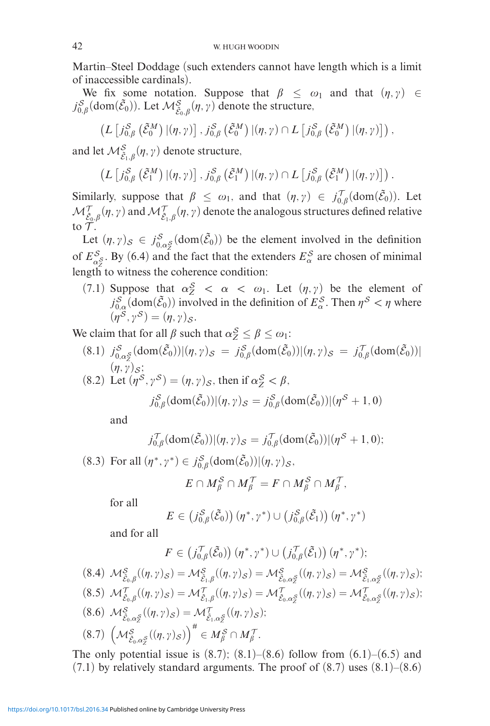Martin–Steel Doddage (such extenders cannot have length which is a limit of inaccessible cardinals).

We fix some notation. Suppose that  $\beta \leq \omega_1$  and that  $(\eta, \gamma) \in$  $j_{0,\beta}^S(\text{dom}(\tilde{\mathcal{E}}_0))$ . Let  $\mathcal{M}^S_{\tilde{\mathcal{E}}_0,\beta}(\eta,\gamma)$  denote the structure,

$$
\left(L\left[j_{0,\beta}^{\mathcal{S}}\left(\tilde{\mathcal{E}}_{0}^{\mathcal{M}}\right)|(\eta,\gamma)\right],j_{0,\beta}^{\mathcal{S}}\left(\tilde{\mathcal{E}}_{0}^{\mathcal{M}}\right)|(\eta,\gamma)\cap L\left[j_{0,\beta}^{\mathcal{S}}\left(\tilde{\mathcal{E}}_{0}^{\mathcal{M}}\right)|(\eta,\gamma)\right]\right),\right.
$$

and let  $\mathcal{M}^S_{\tilde{\mathcal{E}}_1,\beta}(\eta,\gamma)$  denote structure,

$$
\left(L\left[j_{0,\beta}^{\mathcal{S}}\left(\tilde{\mathcal{E}}_{1}^{M}\right)\left|\left(\eta,\gamma\right)\right.\right],j_{0,\beta}^{\mathcal{S}}\left(\tilde{\mathcal{E}}_{1}^{M}\right)\left|\left(\eta,\gamma\right)\cap L\left[j_{0,\beta}^{\mathcal{S}}\left(\tilde{\mathcal{E}}_{1}^{M}\right)\left|\left(\eta,\gamma\right)\right.\right]\right).
$$

Similarly, suppose that  $\beta \leq \omega_1$ , and that  $(\eta, \gamma) \in j_{0,\beta}^{\mathcal{T}}(\text{dom}(\tilde{\mathcal{E}}_0))$ . Let  $\mathcal{M}_{\tilde{\mathcal{E}}_0,\beta}^{\mathcal{T}}(\eta,\gamma)$  and  $\mathcal{M}_{\tilde{\mathcal{E}}_1,\beta}^{\mathcal{T}}(\eta,\gamma)$  denote the analogous structures defined relative to  $\mathcal T$ .

Let  $(\eta, \gamma)_\mathcal{S} \in j_{0,\alpha_\mathcal{S}^S}^{\mathcal{S}}(\text{dom}(\tilde{\mathcal{E}}_0))$  be the element involved in the definition of  $E_{\alpha}^S$ . By (6.4) and the fact that the extenders  $E_{\alpha}^S$  are chosen of minimal length to witness the coherence condition:

(7.1) Suppose that  $\alpha_Z^S < \alpha < \omega_1$ . Let  $(\eta, \gamma)$  be the element of  $j_{0,\alpha}^S$  (dom $(\tilde{\mathcal{E}}_0)$ ) involved in the definition of  $E_\alpha^S$ . Then  $\eta^S < \eta$  where  $(\eta^{\mathcal{S}}, \gamma^{\mathcal{S}})=(\eta, \gamma)_{\mathcal{S}}.$ 

We claim that for all  $\beta$  such that  $\alpha_Z^S \leq \beta \leq \omega_1$ :

- $(8.1)$   $j_{0,\alpha_{\mathcal{Z}}^{S}}^{S}(\text{dom}(\tilde{\mathcal{E}}_{0}))|(\eta,\gamma)_{\mathcal{S}} = j_{0,\beta}^{S}(\text{dom}(\tilde{\mathcal{E}}_{0}))|(\eta,\gamma)_{\mathcal{S}} = j_{0,\beta}^{T}(\text{dom}(\tilde{\mathcal{E}}_{0}))|(\eta,\gamma)_{\mathcal{S}} = j_{0,\beta}^{T}(\text{dom}(\tilde{\mathcal{E}}_{0}))|(\eta,\gamma)_{\mathcal{S}} = j_{0,\beta}^{T}(\text{dom}(\tilde{\mathcal{E}}_{0}))|(\eta,\gamma)_{\mathcal{S}} = j_{0$  $(\eta, \gamma)_{\mathcal{S}}$ ;
- $(8.2)$  Let  $(\eta^S, \gamma^S) = (\eta, \gamma)_S$ , then if  $\alpha_Z^S < \beta$ ,  $j_{0,\beta}^{\mathcal{S}}(\text{dom}(\tilde{\mathcal{E}}_{0}))|(\eta,\gamma)_{\mathcal{S}} = j_{0,\beta}^{\mathcal{S}}(\text{dom}(\tilde{\mathcal{E}}_{0}))|(\eta^{\mathcal{S}}+1,0)$

and

$$
j_{0,\beta}^{\mathcal{T}}(\text{dom}(\tilde{\mathcal{E}}_0)) |(\eta,\gamma)_{\mathcal{S}} = j_{0,\beta}^{\mathcal{T}}(\text{dom}(\tilde{\mathcal{E}}_0)) |(\eta^{\mathcal{S}}+1,0);
$$

(8.3) For all  $(\eta^*, \gamma^*) \in j_{0,\beta}^S(\text{dom}(\tilde{\mathcal{E}}_0)) | (\eta, \gamma)_{\mathcal{S}},$ 

$$
E\cap M_{\beta}^{\mathcal{S}}\cap M_{\beta}^{\mathcal{T}}=F\cap M_{\beta}^{\mathcal{S}}\cap M_{\beta}^{\mathcal{T}},
$$

for all

$$
E \in (j_{0,\beta}^{\mathcal{S}}(\tilde{\mathcal{E}}_{0})) (\eta^*, \gamma^*) \cup (j_{0,\beta}^{\mathcal{S}}(\tilde{\mathcal{E}}_{1})) (\eta^*, \gamma^*)
$$

and for all

$$
F \in (j_{0,\beta}^{\mathcal{T}}(\tilde{\mathcal{E}}_{0})) (\eta^*, \gamma^*) \cup (j_{0,\beta}^{\mathcal{T}}(\tilde{\mathcal{E}}_{1})) (\eta^*, \gamma^*);
$$
  
\n(8.4)  $\mathcal{M}_{\tilde{\mathcal{E}}_{0},\beta}^{S}((\eta,\gamma)_{S}) = \mathcal{M}_{\tilde{\mathcal{E}}_{1},\beta}^{S}((\eta,\gamma)_{S}) = \mathcal{M}_{\tilde{\mathcal{E}}_{0},\alpha_{Z}^{S}}^{S}((\eta,\gamma)_{S}) = \mathcal{M}_{\tilde{\mathcal{E}}_{1},\alpha_{Z}^{S}}^{S}((\eta,\gamma)_{S});$   
\n(8.5)  $\mathcal{M}_{\tilde{\mathcal{E}}_{0},\beta}^{T}((\eta,\gamma)_{S}) = \mathcal{M}_{\tilde{\mathcal{E}}_{1},\beta}^{T}((\eta,\gamma)_{S}) = \mathcal{M}_{\tilde{\mathcal{E}}_{0},\alpha_{Z}^{S}}^{T}((\eta,\gamma)_{S}) = \mathcal{M}_{\tilde{\mathcal{E}}_{0},\alpha_{Z}^{S}}^{T}((\eta,\gamma)_{S});$   
\n(8.6)  $\mathcal{M}_{\tilde{\mathcal{E}}_{0},\alpha_{Z}^{S}}^{S}((\eta,\gamma)_{S}) = \mathcal{M}_{\tilde{\mathcal{E}}_{1},\alpha_{Z}^{S}}^{T}((\eta,\gamma)_{S});$   
\n(8.7)  $(\mathcal{M}_{\tilde{\mathcal{E}}_{0},\alpha_{Z}^{S}}^{S}((\eta,\gamma)_{S}))^{\#} \in M_{\beta}^{S} \cap M_{\beta}^{T}.$ 

The only potential issue is  $(8.7)$ ;  $(8.1)$ – $(8.6)$  follow from  $(6.1)$ – $(6.5)$  and  $(7.1)$  by relatively standard arguments. The proof of  $(8.7)$  uses  $(8.1)$ – $(8.6)$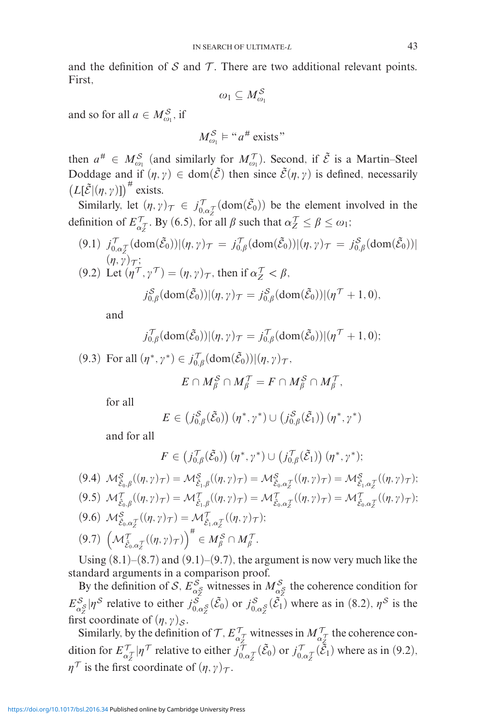and the definition of  $S$  and  $T$ . There are two additional relevant points. First,

$$
\omega_1 \subseteq M_{\omega_1}^{\mathcal{S}}
$$

and so for all  $a \in M_{\omega_1}^S$ , if

$$
M_{\omega_1}^{\mathcal{S}} \vDash ``a^{\#} \text{ exists}"
$$

then  $a^{\#} \in M_{\omega_1}^{\mathcal{S}}$  (and similarly for  $M_{\omega_1}^{\mathcal{T}}$ ). Second, if  $\tilde{\mathcal{E}}$  is a Martin–Steel Doddage and if  $(\eta, \gamma) \in \text{dom}(\tilde{\mathcal{E}})$  then since  $\tilde{\mathcal{E}}(\eta, \gamma)$  is defined, necessarily  $(L[\tilde{\mathcal{E}}](\eta, \gamma)])^{\#}$  exists.

Similarly, let  $(\eta, \gamma)_{\mathcal{T}} \in j_{0,\alpha}^{\mathcal{T}}(\text{dom}(\tilde{\mathcal{E}}_0))$  be the element involved in the definition of  $E_{\alpha Z}^{\mathcal{T}}$ . By (6.5), for all  $\beta$  such that  $\alpha Z^{\mathcal{T}} \leq \beta \leq \omega_1$ ;

 $(9.1)$   $j_{0,\alpha}^{\mathcal{T}}[(\text{dom}(\tilde{\mathcal{E}}_0))|(\eta,\gamma)_{\mathcal{T}}] = j_{0,\beta}^{\mathcal{T}}(\text{dom}(\tilde{\mathcal{E}}_0))|(\eta,\gamma)_{\mathcal{T}}] = j_{0,\beta}^{\mathcal{S}}(\text{dom}(\tilde{\mathcal{E}}_0))|(\eta,\gamma)_{\mathcal{T}}]$  $(\eta, \gamma)_{\mathcal{T}}$ ;  $(9.2)$  Let  $(\eta^{\prime\prime}, \gamma^{\prime\prime}) = (\eta, \gamma)_{\tau}$ , then if  $\alpha_Z^{\prime\prime} < \beta$ ,

$$
j_{0,\beta}^{\mathcal{S}}(\text{dom}(\tilde{\mathcal{E}}_{0}))|(\eta,\gamma)\tau=j_{0,\beta}^{\mathcal{S}}(\text{dom}(\tilde{\mathcal{E}}_{0}))|(\eta^{\mathcal{T}}+1,0),
$$

and

$$
j_{0,\beta}^{\mathcal{T}}(\text{dom}(\tilde{\mathcal{E}}_0)) |(\eta,\gamma)\tau = j_{0,\beta}^{\mathcal{T}}(\text{dom}(\tilde{\mathcal{E}}_0)) |(\eta^{\mathcal{T}}+1,0);
$$

(9.3) For all  $(\eta^*, \gamma^*) \in j_{0,\beta}^{\mathcal{T}}(\text{dom}(\tilde{\mathcal{E}}_0)) | (\eta, \gamma)_{\mathcal{T}},$ 

$$
E \cap M_{\beta}^{\mathcal{S}} \cap M_{\beta}^{\mathcal{T}} = F \cap M_{\beta}^{\mathcal{S}} \cap M_{\beta}^{\mathcal{T}},
$$

for all

$$
E \in (j_{0,\beta}^{\mathcal{S}}(\tilde{\mathcal{E}}_{0})) (\eta^*, \gamma^*) \cup (j_{0,\beta}^{\mathcal{S}}(\tilde{\mathcal{E}}_{1})) (\eta^*, \gamma^*)
$$

and for all

$$
F\in (j_{0,\beta}^{\mathcal{T}}(\tilde{\mathcal{E}}_{0}))\left(\eta^{*},\gamma^{*}\right)\cup (j_{0,\beta}^{\mathcal{T}}(\tilde{\mathcal{E}}_{1}))\left(\eta^{*},\gamma^{*}\right);
$$

(9.4) 
$$
\mathcal{M}^{\mathcal{S}}_{\tilde{\mathcal{E}}_{0},\beta}((\eta,\gamma)_{\mathcal{T}}) = \mathcal{M}^{\mathcal{S}}_{\tilde{\mathcal{E}}_{1},\beta}((\eta,\gamma)_{\mathcal{T}}) = \mathcal{M}^{\mathcal{S}}_{\tilde{\mathcal{E}}_{0},\alpha_{\mathcal{I}}^{\mathcal{T}}}((\eta,\gamma)_{\mathcal{T}}) = \mathcal{M}^{\mathcal{S}}_{\tilde{\mathcal{E}}_{1},\alpha_{\mathcal{I}}^{\mathcal{T}}}((\eta,\gamma)_{\mathcal{T}});
$$
  
\n(9.5)  $\mathcal{M}^{\mathcal{T}}_{\tilde{\mathcal{E}}_{0},\beta}((\eta,\gamma)_{\mathcal{T}}) = \mathcal{M}^{\mathcal{T}}_{\tilde{\mathcal{E}}_{1},\beta}((\eta,\gamma)_{\mathcal{T}}) = \mathcal{M}^{\mathcal{T}}_{\tilde{\mathcal{E}}_{0},\alpha_{\mathcal{I}}^{\mathcal{T}}}((\eta,\gamma)_{\mathcal{T}}) = \mathcal{M}^{\mathcal{T}}_{\tilde{\mathcal{E}}_{0},\alpha_{\mathcal{I}}^{\mathcal{T}}}((\eta,\gamma)_{\mathcal{T}});$   
\n(9.6)  $\mathcal{M}^{\mathcal{S}}_{\tilde{\mathcal{E}}_{0},\alpha_{\mathcal{I}}^{\mathcal{T}}}((\eta,\gamma)_{\mathcal{T}}) = \mathcal{M}^{\mathcal{T}}_{\tilde{\mathcal{E}}_{1},\alpha_{\mathcal{I}}^{\mathcal{T}}}((\eta,\gamma)_{\mathcal{T}});$   
\n(9.7)  $\left(\mathcal{M}^{\mathcal{T}}_{\tilde{\mathcal{E}}_{0},\alpha_{\mathcal{I}}^{\mathcal{T}}}((\eta,\gamma)_{\mathcal{T}})\right)^{\#} \in M^{\mathcal{S}}_{\beta} \cap M^{\mathcal{T}}_{\beta}.$ 

Using  $(8.1)$ – $(8.7)$  and  $(9.1)$ – $(9.7)$ , the argument is now very much like the standard arguments in a comparison proof.

By the definition of S,  $E_{\alpha}^S$  witnesses in  $M_{\alpha}^S$  the coherence condition for  $E_{\alpha_{\mathcal{Z}}^S}^{\mathcal{S}}|\eta^{\mathcal{S}}$  relative to either  $j_{0,\alpha_{\mathcal{Z}}^S}^{\mathcal{S}}(\tilde{\mathcal{E}}_0)$  or  $j_{0,\alpha_{\mathcal{Z}}^S}^{\mathcal{S}}(\tilde{\mathcal{E}}_1)$  where as in (8.2),  $\eta^{\mathcal{S}}$  is the first coordinate of  $(\eta, \gamma)_s$ .

Similarly, by the definition of  $\mathcal{T}$ ,  $E_{\alpha_Z}^{\gamma}$  witnesses in  $M_{\alpha_Z}^{\gamma}$  the coherence condition for  $E^{\mathcal{T}}_{\alpha_{\mathcal{I}}}|\eta^{\mathcal{T}}$  relative to either  $j^{\mathcal{T}}_{0,\alpha_{\mathcal{I}}}(\tilde{\mathcal{E}}_0)$  or  $j^{\mathcal{T}}_{0,\alpha_{\mathcal{I}}}(\tilde{\mathcal{E}}_1)$  where as in (9.2),  $\eta^{\mathcal{T}}$  is the first coordinate of  $(\eta, \gamma)_{\mathcal{T}}$ .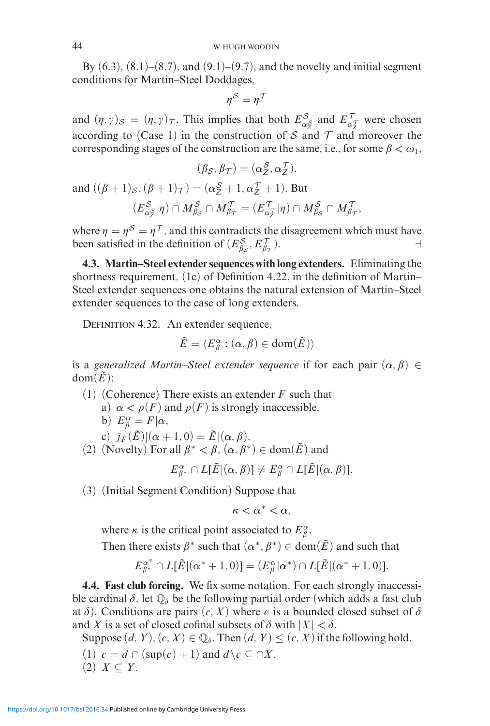By  $(6.3)$ ,  $(8.1)$ – $(8.7)$ , and  $(9.1)$ – $(9.7)$ , and the novelty and initial segment conditions for Martin–Steel Doddages,

$$
\eta^{\mathcal{S}}=\eta^{\mathcal{T}}
$$

and  $(\eta, \gamma)_{\mathcal{S}} = (\eta, \gamma)_{\mathcal{T}}$ . This implies that both  $E^{\mathcal{S}}_{\alpha \xi}$  and  $E'^{\mathcal{T}}_{\alpha \tau}$  were chosen according to (Case 1) in the construction of S and T and moreover the corresponding stages of the construction are the same, i.e., for some  $\beta < \omega_1$ ,

$$
(\beta_{\mathcal{S}}, \beta_{\mathcal{T}}) = (\alpha_{Z}^{\mathcal{S}}, \alpha_{Z}^{\mathcal{T}}).
$$

and  $((\beta + 1)_{\mathcal{S}}, (\beta + 1)_{\mathcal{T}}) = (\alpha_{\mathcal{Z}}^{\mathcal{S}} + 1, \alpha_{\mathcal{Z}}^{\mathcal{T}} + 1)$ . But  $(E_{\alpha_{\mathcal{Z}}}^{\mathcal{S}}|\eta) \cap M_{\beta_{\mathcal{S}}}^{\mathcal{S}} \cap M_{\beta_{\mathcal{T}}}^{'} = (E_{\alpha_{\mathcal{Z}}}^{'}|\eta) \cap M_{\beta_{\mathcal{S}}}^{\mathcal{S}} \cap M_{\beta_{\mathcal{T}}}^{'}$ 

where  $\eta = \eta^S = \eta^T$ , and this contradicts the disagreement which must have been satisfied in the definition of  $(E_{\beta_S}^S, E_{\beta}^T)$  $\frac{\tau}{\beta \tau}$ ).

**4.3. Martin–Steel extender sequences with long extenders.** Eliminating the shortness requirement, (1c) of Definition 4.22, in the definition of Martin– Steel extender sequences one obtains the natural extension of Martin–Steel extender sequences to the case of long extenders.

DEFINITION 4.32. An extender sequence,

$$
\tilde{E}=\langle E^{\alpha}_{\beta}:(\alpha,\beta)\in\text{dom}(\tilde{E})\rangle
$$

is a generalized Martin–Steel extender sequence if for each pair  $(\alpha, \beta) \in$  $dom(E)$ :

- (1) (Coherence) There exists an extender *F* such that
	- a)  $\alpha < \rho(F)$  and  $\rho(F)$  is strongly inaccessible,
	- b)  $E^{\alpha}_{\beta} = F | \alpha$ ,

c)  $j_F(\tilde{E})|(\alpha + 1, 0) = \tilde{E}|(\alpha, \beta).$ 

(2) (Novelty) For all  $\beta^* < \beta$ ,  $(\alpha, \beta^*) \in \text{dom}(\tilde{E})$  and

$$
E_{\beta^*}^{\alpha} \cap L[\tilde{E} | (\alpha, \beta)] \neq E_{\beta}^{\alpha} \cap L[\tilde{E} | (\alpha, \beta)].
$$

(3) (Initial Segment Condition) Suppose that

 $\kappa < \alpha^* < \alpha$ 

where  $\kappa$  is the critical point associated to  $E^{\alpha}_{\beta}$ .

Then there exists  $\beta^*$  such that  $(\alpha^*, \beta^*) \in \text{dom}(\tilde{E})$  and such that

$$
E_{\beta^*}^{\alpha^*} \cap L[\tilde{E} | (\alpha^* + 1, 0)] = (E_{\beta}^{\alpha} | \alpha^*) \cap L[\tilde{E} | (\alpha^* + 1, 0)].
$$

**4.4. Fast club forcing.** We fix some notation. For each strongly inaccessible cardinal  $\delta$ , let  $\mathbb{Q}_{\delta}$  be the following partial order (which adds a fast club at  $\delta$ ). Conditions are pairs  $(c, X)$  where *c* is a bounded closed subset of  $\delta$ and *X* is a set of closed cofinal subsets of  $\delta$  with  $|X| < \delta$ .

Suppose  $(d, Y)$ ,  $(c, X) \in \mathbb{Q}_\delta$ . Then  $(d, Y) \leq (c, X)$  if the following hold.

(1)  $c = d ∩ (sup(c) + 1)$  and  $d \c ∂ ∩ X$ ,  $(2)$  *X*  $\subseteq$  *Y*.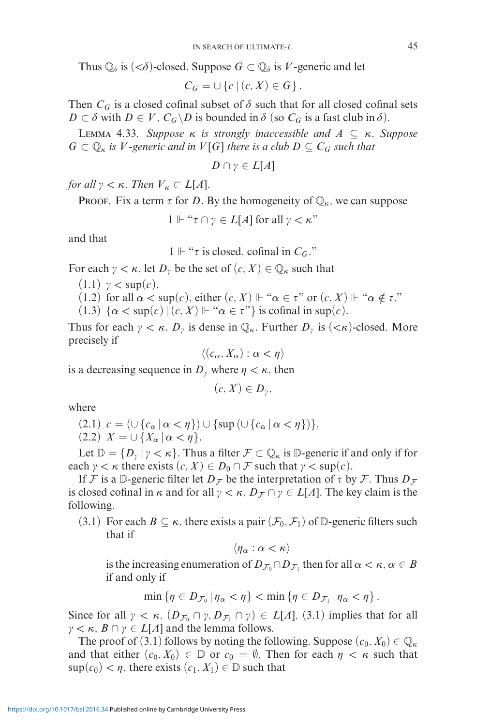Thus  $\mathbb{Q}_{\delta}$  is  $(<\delta$ )-closed. Suppose  $G \subset \mathbb{Q}_{\delta}$  is *V*-generic and let

$$
C_G = \cup \{c \mid (c, X) \in G\}.
$$

Then  $C_G$  is a closed cofinal subset of  $\delta$  such that for all closed cofinal sets *D* ⊂  $\delta$  with *D* ∈ *V*,  $C_G \setminus D$  is bounded in  $\delta$  (so  $C_G$  is a fast club in  $\delta$ ).

Lemma 4.33. *Suppose κ is strongly inaccessible and A* ⊆ *κ. Suppose*  $G \subset \mathbb{Q}_{\kappa}$  *is V -generic and in*  $V[G]$  *there is a club*  $D \subseteq C_G$  *such that* 

$$
D \cap \gamma \in L[A]
$$

*for all*  $\gamma < \kappa$ *. Then*  $V_{\kappa} \subset L[A]$ *.* 

PROOF. Fix a term  $\tau$  for *D*. By the homogeneity of  $\mathbb{Q}_{\kappa}$ , we can suppose

 $1 \Vdash " \tau \cap \gamma \in L[A]$  for all  $\gamma < \kappa"$ 

and that

$$
1 \Vdash
$$
 " $\tau$  is closed, cofinal in  $C_G$ ."

For each  $\gamma < \kappa$ , let  $D_{\gamma}$  be the set of  $(c, X) \in \mathbb{Q}_{\kappa}$  such that

- $(1.1)$   $\gamma < \sup(c)$ ,
- (1.2) for all  $\alpha$  < sup(*c*), either  $(c, X) \Vdash " \alpha \in \tau"$  or  $(c, X) \Vdash " \alpha \notin \tau"$ ,
- (1.3)  $\{\alpha < \sup(c) | (c, X) \Vdash \alpha \in \tau$ "} is cofinal in sup(*c*).

Thus for each  $\gamma < \kappa$ ,  $D_{\gamma}$  is dense in  $\mathbb{Q}_{\kappa}$ . Further  $D_{\gamma}$  is  $(<\kappa$ )-closed. More precisely if

$$
\langle (c_{\alpha}, X_{\alpha}) : \alpha < \eta \rangle
$$

is a decreasing sequence in  $D_\nu$  where  $\eta < \kappa$ , then

$$
(c, X) \in D_{\gamma},
$$

where

$$
(2.1) \ c = (\cup \{c_{\alpha} \mid \alpha < \eta\}) \cup \{\sup \left(\cup \{c_{\alpha} \mid \alpha < \eta\}\right)\},
$$

 $(2.2)$   $X = \cup \{X_{\alpha} \mid \alpha < \eta\}.$ 

Let  $\mathbb{D} = \{D_\nu \mid \gamma < \kappa\}$ . Thus a filter  $\mathcal{F} \subset \mathbb{Q}_\kappa$  is  $\mathbb{D}$ -generic if and only if for each  $\gamma < \kappa$  there exists  $(c, X) \in D_0 \cap \mathcal{F}$  such that  $\gamma < \sup(c)$ .

If F is a D-generic filter let  $D_F$  be the interpretation of  $\tau$  by F. Thus  $D_F$ is closed cofinal in  $\kappa$  and for all  $\gamma < \kappa$ ,  $D_{\mathcal{F}} \cap \gamma \in L[A]$ . The key claim is the following.

(3.1) For each  $B \subseteq \kappa$ , there exists a pair  $(\mathcal{F}_0, \mathcal{F}_1)$  of D-generic filters such that if

 $\langle \eta_\alpha : \alpha < \kappa \rangle$ 

is the increasing enumeration of  $D_{\mathcal{F}_0} \cap D_{\mathcal{F}_1}$  then for all  $\alpha < \kappa, \alpha \in B$ if and only if

$$
\min \left\{ \eta \in D_{\mathcal{F}_0} \, | \, \eta_\alpha < \eta \right\} < \min \left\{ \eta \in D_{\mathcal{F}_1} \, | \, \eta_\alpha < \eta \right\}.
$$

Since for all  $\gamma < \kappa$ ,  $(D_{\mathcal{F}_0} \cap \gamma, D_{\mathcal{F}_1} \cap \gamma) \in L[A]$ , (3.1) implies that for all  $\gamma < \kappa$ ,  $B \cap \gamma \in L[A]$  and the lemma follows.

The proof of (3.1) follows by noting the following. Suppose  $(c_0, X_0) \in \mathbb{Q}_\kappa$ and that either  $(c_0, X_0) \in \mathbb{D}$  or  $c_0 = \emptyset$ . Then for each  $\eta < \kappa$  such that  $\sup(c_0) < \eta$ , there exists  $(c_1, X_1) \in \mathbb{D}$  such that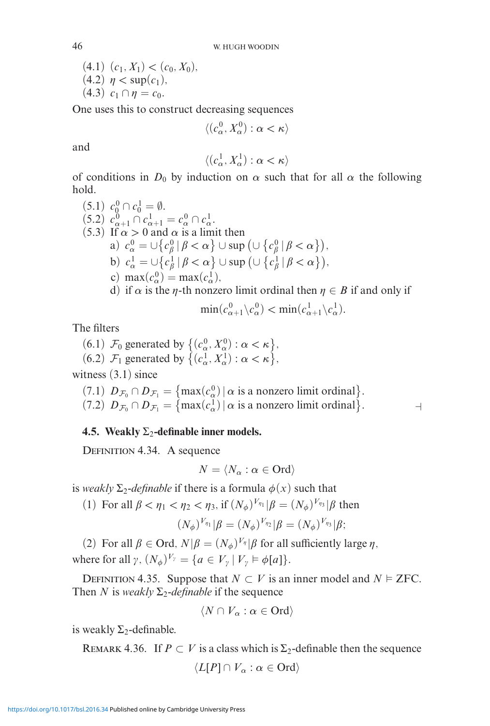$(4.1)$   $(c_1, X_1) < (c_0, X_0)$ ,  $(4.2)$   $\eta$  < sup( $c_1$ ),  $(4.3)$   $c_1 \cap \eta = c_0$ .

One uses this to construct decreasing sequences

$$
\langle (c^0_\alpha, X^0_\alpha) : \alpha < \kappa \rangle
$$

and

$$
\langle (c^1_\alpha, X^1_\alpha): \alpha<\kappa\rangle
$$

of conditions in  $D_0$  by induction on  $\alpha$  such that for all  $\alpha$  the following hold.  $(5.1)$   $0$ 

(5.1) 
$$
c_0^0 \cap c_0^1 = \emptyset
$$
.  
\n(5.2)  $c_{\alpha+1}^0 \cap c_{\alpha+1}^1 = c_{\alpha}^0 \cap c_{\alpha}^1$ .  
\n(5.3) If  $\alpha > 0$  and  $\alpha$  is a limit then  
\na)  $c_{\alpha}^0 = \bigcup \{c_{\beta}^0 | \beta < \alpha\} \cup \sup \big(\bigcup \{c_{\beta}^0 | \beta < \alpha\}\big)$ ,  
\nb)  $c_{\alpha}^1 = \bigcup \{c_{\beta}^1 | \beta < \alpha\} \cup \sup \big(\bigcup \{c_{\beta}^1 | \beta < \alpha\}\big)$ ,  
\nc)  $\max(c_{\alpha}^0) = \max(c_{\alpha}^1)$ ,  
\nd) if  $\alpha$  is the  $\eta$ -th nonzero limit ordinal then  $\eta \in B$  if and only if  
\n $\min(c_{\alpha+1}^0 \setminus c_{\alpha}^0) < \min(c_{\alpha+1}^1 \setminus c_{\alpha}^1)$ .

The filters

(6.1) 
$$
\mathcal{F}_0
$$
 generated by  $\{(c_\alpha^0, X_\alpha^0) : \alpha < \kappa\}$ ,  
(6.2)  $\mathcal{F}_1$  generated by  $\{(c_\alpha^1, X_\alpha^1) : \alpha < \kappa\}$ ,

witness  $(3.1)$  since

(7.1)  $D_{\mathcal{F}_0} \cap D_{\mathcal{F}_1} = \{ \max(c_\alpha^0) \mid \alpha \text{ is a nonzero limit ordinal} \}.$ (7.2)  $D_{\mathcal{F}_0} \cap D_{\mathcal{F}_1} = \{ \max(c_\alpha^1) \mid \alpha \text{ is a nonzero limit ordinal} \}$ .

## **4.5. Weakly**  $\Sigma_2$ **-definable inner models.**

DEFINITION 4.34. A sequence

$$
N = \langle N_{\alpha} : \alpha \in \text{Ord} \rangle
$$

is *weakly*  $\Sigma_2$ -definable if there is a formula  $\phi(x)$  such that

(1) For all  $\beta < \eta_1 < \eta_2 < \eta_3$ , if  $(N_{\phi})^{V_{\eta_1}}|\beta = (N_{\phi})^{V_{\eta_3}}|\beta$  then

$$
(N_{\phi})^{V_{\eta_1}}|\beta=(N_{\phi})^{V_{\eta_2}}|\beta=(N_{\phi})^{V_{\eta_3}}|\beta;
$$

(2) For all  $\beta \in \text{Ord}, N | \beta = (N_{\phi})^{V_{\eta}} | \beta$  for all sufficiently large  $\eta$ , where for all  $\gamma$ ,  $(N_{\phi})^{V_{\gamma}} = \{a \in V_{\gamma} \mid V_{\gamma} \models \phi[a]\}.$ 

DEFINITION 4.35. Suppose that  $N \subset V$  is an inner model and  $N \models$  ZFC. Then *N* is *weakly*  $\Sigma_2$ -definable if the sequence

$$
\langle N \cap V_{\alpha} : \alpha \in \text{Ord} \rangle
$$

is weakly  $\Sigma_2$ -definable.

REMARK 4.36. If  $P \subset V$  is a class which is  $\Sigma_2$ -definable then the sequence

$$
\langle L[P] \cap V_{\alpha} : \alpha \in \text{Ord} \rangle
$$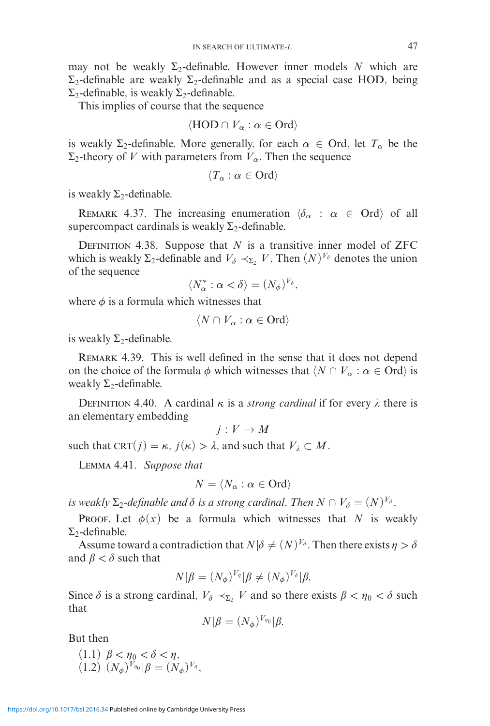may not be weakly  $\Sigma_2$ -definable. However inner models N which are  $\Sigma$ <sub>2</sub>-definable are weakly  $\Sigma$ <sub>2</sub>-definable and as a special case HOD, being  $\Sigma$ <sub>2</sub>-definable, is weakly  $\Sigma$ <sub>2</sub>-definable.

This implies of course that the sequence

$$
\langle \text{HOD} \cap V_{\alpha} : \alpha \in \text{Ord} \rangle
$$

is weakly  $\Sigma_2$ -definable. More generally, for each  $\alpha \in \text{Ord}$ , let  $T_\alpha$  be the  $\Sigma_2$ -theory of *V* with parameters from  $V_\alpha$ . Then the sequence

$$
\langle T_\alpha:\alpha\in\mathsf{Ord}\rangle
$$

is weakly  $\Sigma_2$ -definable.

REMARK 4.37. The increasing enumeration  $\langle \delta_{\alpha} : \alpha \in \text{Ord} \rangle$  of all supercompact cardinals is weakly  $\Sigma_2$ -definable.

DEFINITION 4.38. Suppose that  $N$  is a transitive inner model of ZFC which is weakly  $\Sigma_2$ -definable and  $V_\delta \prec_{\Sigma_2} V$ . Then  $(N)^{V_\delta}$  denotes the union of the sequence

$$
\langle N_{\alpha}^* : \alpha < \delta \rangle = (N_{\phi})^{V_{\delta}},
$$

where  $\phi$  is a formula which witnesses that

$$
\langle N \cap V_{\alpha} : \alpha \in \text{Ord} \rangle
$$

is weakly  $\Sigma_2$ -definable.

Remark 4.39. This is well defined in the sense that it does not depend on the choice of the formula  $\phi$  which witnesses that  $\langle N \cap V_{\alpha} : \alpha \in \text{Ord} \rangle$  is weakly  $\Sigma_2$ -definable.

DEFINITION 4.40. A cardinal  $\kappa$  is a *strong cardinal* if for every  $\lambda$  there is an elementary embedding

 $j: V \to M$ 

such that CRT( $j$ ) =  $\kappa$ ,  $j(\kappa) > \lambda$ , and such that  $V_{\lambda} \subset M$ .

Lemma 4.41. *Suppose that*

$$
N=\langle N_\alpha:\alpha\in\mathop{{\rm Ord}}\nolimits\rangle
$$

*is weakly*  $\Sigma_2$ -*definable and*  $\delta$  *is a strong cardinal. Then*  $N \cap V_{\delta} = (N)^{V_{\delta}}$ .

**PROOF.** Let  $\phi(x)$  be a formula which witnesses that *N* is weakly  $\Sigma$ <sub>2</sub>-definable.

Assume toward a contradiction that  $N|\delta \neq (N)^{V_{\delta}}$ . Then there exists  $\eta > \delta$ and  $\beta < \delta$  such that

$$
N|\beta = (N_{\phi})^{V_{\eta}}|\beta \neq (N_{\phi})^{V_{\delta}}|\beta.
$$

Since  $\delta$  is a strong cardinal,  $V_{\delta} \prec_{\Sigma_2} V$  and so there exists  $\beta < \eta_0 < \delta$  such that

$$
N|\beta = (N_{\phi})^{V_{\eta_0}}|\beta.
$$

But then

 $(1.1)$   $\beta < \eta_0 < \delta < \eta$ ,  $(1.2)$   $(N_{\phi})^{V_{\eta_0}}|\beta = (N_{\phi})^{V_{\eta}}$ ,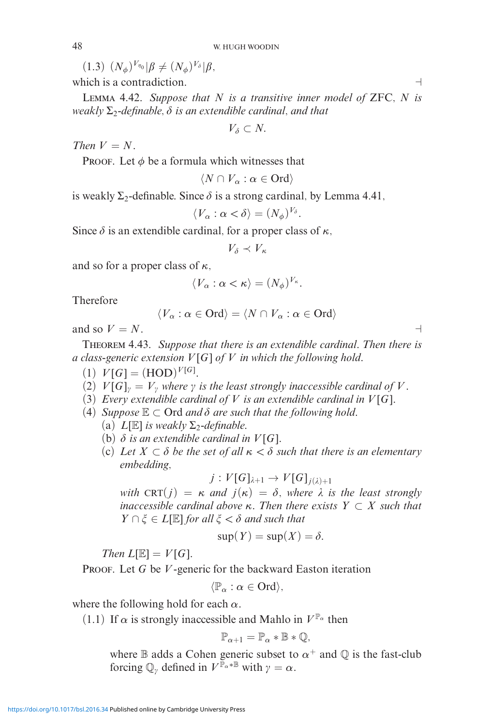$(1.3)$   $(N_{\phi})^{V_{\eta_0}}|\beta \neq (N_{\phi})^{V_{\delta}}|\beta,$ 

which is a contradiction.

Lemma 4.42. *Suppose that N is a transitive inner model of* ZFC*, N is weakly* Σ2*-definable, - is an extendible cardinal, and that*

 $V_{\delta} \subset N$ .

*Then*  $V = N$ *.* 

PROOF. Let  $\phi$  be a formula which witnesses that

$$
\langle N \cap V_{\alpha} : \alpha \in \text{Ord} \rangle
$$

is weakly  $\Sigma_2$ -definable. Since  $\delta$  is a strong cardinal, by Lemma 4.41,

$$
\langle V_{\alpha} : \alpha < \delta \rangle = (N_{\phi})^{V_{\delta}}.
$$

Since  $\delta$  is an extendible cardinal, for a proper class of  $\kappa$ ,

$$
V_\delta\prec V_\kappa
$$

and so for a proper class of *κ*,

$$
\langle V_{\alpha} : \alpha < \kappa \rangle = (N_{\phi})^{V_{\kappa}}.
$$

Therefore

$$
\langle V_{\alpha} : \alpha \in \text{Ord} \rangle = \langle N \cap V_{\alpha} : \alpha \in \text{Ord} \rangle
$$

and so  $V = N$ .

Theorem 4.43. *Suppose that there is an extendible cardinal. Then there is a class-generic extension V* [*G*] *of V in which the following hold.*

- (1)  $V[G] = (HOD)^{V[G]}$ .
- (2)  $V[G]_y = V_y$  where  $\gamma$  is the least strongly inaccessible cardinal of V.
- (3) *Every extendible cardinal of*  $V$  *is an extendible cardinal in*  $V[G]$ *.*
- (4) *Suppose*  $\mathbb{E} \subset \text{Ord}$  *and*  $\delta$  *are such that the following hold.* 
	- (a)  $L[\mathbb{E}]$  *is weakly*  $\Sigma$ <sub>2</sub>-definable.
	- (b)  $\delta$  *is an extendible cardinal in*  $V[G]$ *.*
	- (c) Let  $X \subset \delta$  be the set of all  $\kappa < \delta$  such that there is an elementary *embedding,*

$$
j: V[G]_{\lambda+1} \to V[G]_{j(\lambda)+1}
$$

*with*  $CRT(j) = \kappa$  *and*  $j(\kappa) = \delta$ , *where*  $\lambda$  *is the least strongly inaccessible cardinal above κ. Then there exists Y* ⊂ *X such that*  $Y \cap \xi \in L[\mathbb{E}]$  *for all*  $\xi < \delta$  *and such that* 

$$
\sup(Y) = \sup(X) = \delta.
$$

*Then*  $L[\mathbb{E}] = V[G]$ *.* 

PROOF. Let *G* be *V*-generic for the backward Easton iteration

 $\langle \mathbb{P}_{\alpha} : \alpha \in \text{Ord} \rangle,$ 

where the following hold for each *α*.

(1.1) If  $\alpha$  is strongly inaccessible and Mahlo in  $V^{\mathbb{P}_{\alpha}}$  then

$$
\mathbb{P}_{\alpha+1}=\mathbb{P}_{\alpha}*\mathbb{B}*\mathbb{Q},
$$

where  $\mathbb B$  adds a Cohen generic subset to  $\alpha^+$  and  $\mathbb O$  is the fast-club forcing  $\mathbb{Q}_{\gamma}$  defined in  $V^{\mathbb{P}_{\alpha} * \mathbb{B}}$  with  $\gamma = \alpha$ .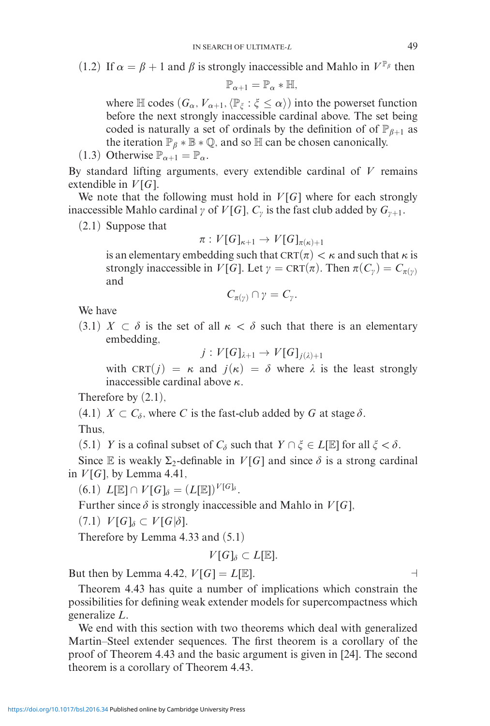(1.2) If  $\alpha = \beta + 1$  and  $\beta$  is strongly inaccessible and Mahlo in  $V^{\mathbb{P}_{\beta}}$  then

$$
\mathbb{P}_{\alpha+1}=\mathbb{P}_{\alpha}*\mathbb{H},
$$

where  $\mathbb H$  codes  $(G_\alpha, V_{\alpha+1}, \langle \mathbb{P}_\xi : \xi \le \alpha \rangle)$  into the powerset function before the next strongly inaccessible cardinal above. The set being coded is naturally a set of ordinals by the definition of of  $\mathbb{P}_{\beta+1}$  as the iteration  $\mathbb{P}_{\beta} * \mathbb{B} * \mathbb{Q}$ , and so  $\mathbb{H}$  can be chosen canonically.

(1.3) Otherwise  $\mathbb{P}_{\alpha+1} = \mathbb{P}_{\alpha}$ .

By standard lifting arguments, every extendible cardinal of *V* remains extendible in  $V[G]$ .

We note that the following must hold in  $V[G]$  where for each strongly inaccessible Mahlo cardinal  $\gamma$  of  $V[G]$ ,  $C_{\gamma}$  is the fast club added by  $G_{\gamma+1}$ .

(2.1) Suppose that

$$
\pi:V[G]_{\kappa+1}\to V[G]_{\pi(\kappa)+1}
$$

is an elementary embedding such that  $\text{CRT}(\pi) < \kappa$  and such that  $\kappa$  is strongly inaccessible in  $V[G]$ . Let  $\gamma = \text{CRT}(\pi)$ . Then  $\pi(C_{\gamma}) = C_{\pi(\gamma)}$ and

$$
C_{\pi(\gamma)} \cap \gamma = C_{\gamma}.
$$

We have

 $(3.1)$  *X*  $\subset \delta$  is the set of all  $\kappa < \delta$  such that there is an elementary embedding,

 $j: V[G]_{\lambda+1} \rightarrow V[G]_{i(\lambda)+1}$ 

with  $CRT(j) = \kappa$  and  $j(\kappa) = \delta$  where  $\lambda$  is the least strongly inaccessible cardinal above *κ*.

Therefore by  $(2.1)$ ,

 $(4.1)$  *X*  $\subset$  *C*<sub> $\delta$ </sub>, where *C* is the fast-club added by *G* at stage  $\delta$ .

Thus,

 $(5.1)$  *Y* is a cofinal subset of *C*<sup> $\delta$ </sup> such that  $Y \cap \xi \in L[\mathbb{E}]$  for all  $\xi < \delta$ .

Since  $\mathbb E$  is weakly  $\Sigma_2$ -definable in  $V[G]$  and since  $\delta$  is a strong cardinal in  $V[G]$ , by Lemma 4.41,

 $(L[\mathbb{E}]) L[\mathbb{E}] \cap V[G]_{\delta} = (L[\mathbb{E}])^{V[G]_{\delta}}.$ 

Further since  $\delta$  is strongly inaccessible and Mahlo in  $V[G]$ ,

 $(V[G]_\delta \subset V[G]\delta].$ 

Therefore by Lemma 4.33 and (5.1)

$$
V[G]_{\delta}\subset L[\mathbb{E}].
$$

But then by Lemma 4.42,  $V[G] = L[\mathbb{E}]$ .

Theorem 4.43 has quite a number of implications which constrain the possibilities for defining weak extender models for supercompactness which generalize *L*.

We end with this section with two theorems which deal with generalized Martin–Steel extender sequences. The first theorem is a corollary of the proof of Theorem 4.43 and the basic argument is given in [24]. The second theorem is a corollary of Theorem 4.43.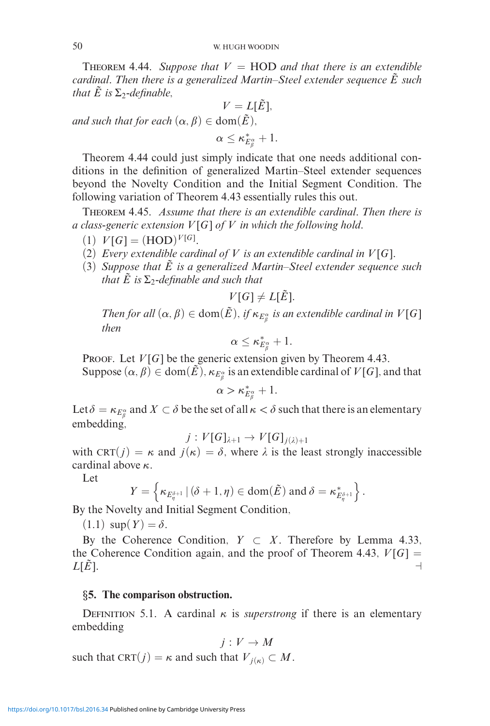**THEOREM 4.44.** *Suppose that*  $V = HOD$  *and that there is an extendible cardinal. Then there is a generalized Martin–Steel extender sequence E*˜ *such that*  $\tilde{E}$  *is*  $\Sigma$ <sub>2</sub>-definable,

$$
V = L[\tilde{E}],
$$
  
and such that for each  $(\alpha, \beta) \in \text{dom}(\tilde{E}),$ 

 $\alpha \leq \kappa_{E_{\beta}^{\alpha}}^{*}+1.$ 

Theorem 4.44 could just simply indicate that one needs additional conditions in the definition of generalized Martin–Steel extender sequences beyond the Novelty Condition and the Initial Segment Condition. The following variation of Theorem 4.43 essentially rules this out.

Theorem 4.45. *Assume that there is an extendible cardinal. Then there is a class-generic extension V* [*G*] *of V in which the following hold.*

- (1)  $V[G] = (HOD)^{V[G]}$ .
- (2) *Every extendible cardinal of*  $V$  *is an extendible cardinal in*  $V[G]$ *.*
- (3) *Suppose that*  $\tilde{E}$  *is a generalized Martin–Steel extender sequence such that*  $\tilde{E}$  *is*  $\Sigma_2$ -definable and such that

 $V[G] \neq L[\tilde{E}]$ .

*Then for all*  $(\alpha, \beta) \in \text{dom}(\tilde{E})$ *, if*  $\kappa_{E^{\alpha}_{\beta}}$  *is an extendible cardinal in*  $V[G]$ *then*

$$
\alpha\leq\kappa_{E_{\beta}^{\alpha}}^{*}+1.
$$

PROOF. Let  $V[G]$  be the generic extension given by Theorem 4.43.

Suppose  $(\alpha, \beta) \in \text{dom}(\tilde{E})$ ,  $\kappa_{E_{\beta}^{\alpha}}$  is an extendible cardinal of  $V[G]$ , and that

$$
\alpha > \kappa_{E_{\beta}^{\alpha}}^*+1.
$$

Let  $\delta = \kappa_{E_\beta^\alpha}$  and  $X \subset \delta$  be the set of all  $\kappa < \delta$  such that there is an elementary embedding,

$$
j: V[G]_{\lambda+1} \to V[G]_{j(\lambda)+1}
$$

with CRT( $j$ ) =  $\kappa$  and  $j(\kappa) = \delta$ , where  $\lambda$  is the least strongly inaccessible cardinal above *κ*.

Let

$$
Y = \left\{ \kappa_{E_{\eta}^{\delta+1}} \, | \, (\delta+1,\eta) \in \text{dom}(\tilde{E}) \text{ and } \delta = \kappa_{E_{\eta}^{\delta+1}}^* \right\}.
$$

By the Novelty and Initial Segment Condition,

 $(1.1) \sup(Y) = \delta.$ 

By the Coherence Condition,  $Y \subset X$ . Therefore by Lemma 4.33, the Coherence Condition again, and the proof of Theorem 4.43,  $V[G] =$  $L[\tilde{E}]$ .

## *§***5. The comparison obstruction.**

DEFINITION 5.1. A cardinal  $\kappa$  is *superstrong* if there is an elementary embedding

$$
j: V \to M
$$

such that  $CRT(j) = \kappa$  and such that  $V_{j(\kappa)} \subset M$ .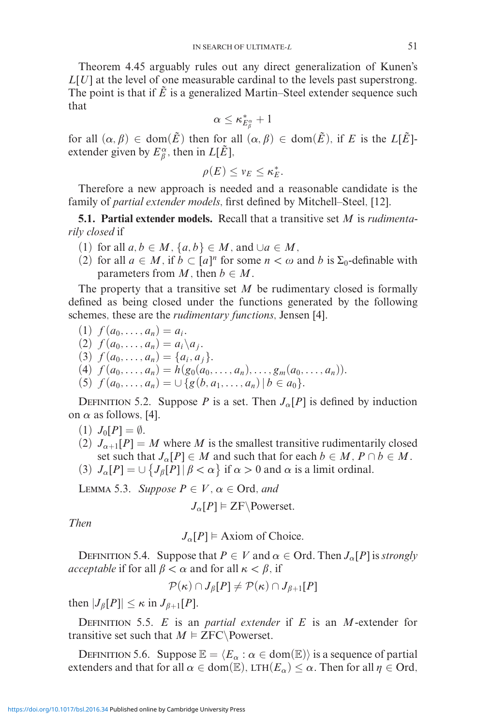Theorem 4.45 arguably rules out any direct generalization of Kunen's *L*[*U*] at the level of one measurable cardinal to the levels past superstrong. The point is that if  $\tilde{E}$  is a generalized Martin–Steel extender sequence such that

$$
\alpha\leq\kappa_{E_{\beta}^{\alpha}}^{*}+1
$$

for all  $(\alpha, \beta) \in \text{dom}(\tilde{E})$  then for all  $(\alpha, \beta) \in \text{dom}(\tilde{E})$ , if *E* is the *L*[ $\tilde{E}$ ]extender given by  $E^{\alpha}_{\beta}$ , then in  $L[\tilde{E}]$ ,

$$
\rho(E) \leq v_E \leq \kappa_E^*.
$$

Therefore a new approach is needed and a reasonable candidate is the family of *partial extender models*, first defined by Mitchell–Steel, [12].

**5.1. Partial extender models.** Recall that a transitive set *M* is *rudimentarily closed* if

- (1) for all  $a, b \in M$ ,  $\{a, b\} \in M$ , and  $\cup a \in M$ ,
- (2) for all  $a \in M$ , if  $b \subset [a]^n$  for some  $n < \omega$  and  $b$  is  $\Sigma_0$ -definable with parameters from  $M$ , then  $b \in M$ .

The property that a transitive set  $M$  be rudimentary closed is formally defined as being closed under the functions generated by the following schemes, these are the *rudimentary functions*, Jensen [4].

$$
(1) f(a_0,\ldots,a_n)=a_i.
$$

- $(2)$   $f(a_0, ..., a_n) = a_i \setminus a_j$ .
- (3)  $f(a_0, \ldots, a_n) = \{a_i, a_j\}.$
- (4)  $f(a_0, \ldots, a_n) = h(g_0(a_0, \ldots, a_n), \ldots, g_m(a_0, \ldots, a_n)).$
- (5)  $f(a_0, \ldots, a_n) = \cup \{g(b, a_1, \ldots, a_n) | b \in a_0\}.$

DEFINITION 5.2. Suppose *P* is a set. Then  $J_{\alpha}[P]$  is defined by induction on  $\alpha$  as follows, [4].

- $(1)$   $J_0[P] = \emptyset$ .
- (2)  $J_{\alpha+1}[P] = M$  where M is the smallest transitive rudimentarily closed set such that  $J_{\alpha}[P] \in M$  and such that for each  $b \in M$ ,  $P \cap b \in M$ .
- (3)  $J_{\alpha}[P] = \cup \{ J_{\beta}[P] | \beta < \alpha \}$  if  $\alpha > 0$  and  $\alpha$  is a limit ordinal.

**LEMMA 5.3.** *Suppose*  $P \in V$ ,  $\alpha \in \text{Ord}$ *, and* 

$$
J_{\alpha}[P] \vDash \text{ZF} \setminus \text{Powerset}.
$$

*Then*

 $J_{\alpha}[P] \models$  Axiom of Choice.

DEFINITION 5.4. Suppose that  $P \in V$  and  $\alpha \in \text{Ord}$ . Then  $J_{\alpha}[P]$  is *strongly acceptable* if for all  $\beta < \alpha$  and for all  $\kappa < \beta$ , if

$$
\mathcal{P}(\kappa)\cap J_\beta[P]\neq \mathcal{P}(\kappa)\cap J_{\beta+1}[P]
$$

then  $|J_\beta[P]| \leq \kappa$  in  $J_{\beta+1}[P]$ .

Definition 5.5. *E* is an *partial extender* if *E* is an *M*-extender for transitive set such that  $M \models \text{ZFC}\backslash \text{Powerset.}$ 

DEFINITION 5.6. Suppose  $\mathbb{E} = \langle E_\alpha : \alpha \in \text{dom}(\mathbb{E}) \rangle$  is a sequence of partial extenders and that for all  $\alpha \in \text{dom}(\mathbb{E})$ , LTH $(E_{\alpha}) \leq \alpha$ . Then for all  $\eta \in \text{Ord}$ ,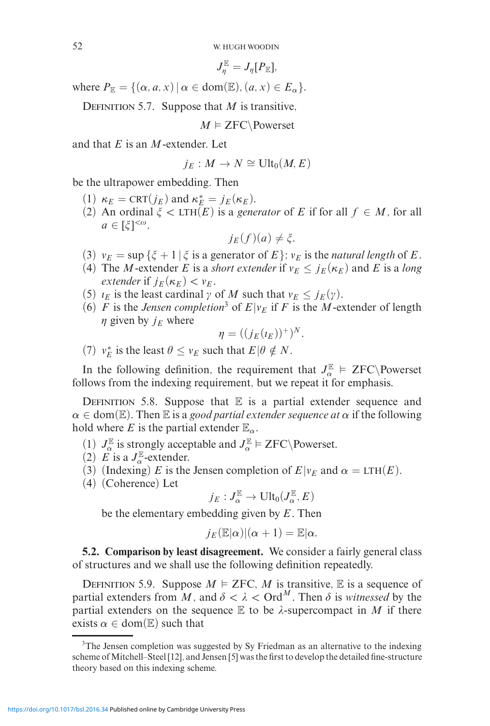$$
J_\eta^{\mathbb{E}}=J_\eta[P_{\mathbb{E}}],
$$

where  $P_{\mathbb{E}} = \{(\alpha, a, x) | \alpha \in \text{dom}(\mathbb{E}), (a, x) \in E_{\alpha}\}.$ 

DEFINITION 5.7. Suppose that  $M$  is transitive,

 $M \models \text{ZFC}\backslash \text{Powerset}$ 

and that *E* is an *M*-extender. Let

$$
j_E: M \to N \cong \text{Ult}_0(M,E)
$$

be the ultrapower embedding. Then

- (1)  $\kappa_E = \text{CRT}(j_E)$  and  $\kappa_E^* = j_E(\kappa_E)$ .
- (2) An ordinal  $\xi$  < LTH( $E$ ) is a *generator* of *E* if for all  $f \in M$ , for all  $a \in [\xi]^{<\omega},$

$$
j_E(f)(a) \neq \xi.
$$

- (3)  $v_E = \sup \{\xi + 1 | \xi \text{ is a generator of } E\}$ ;  $v_E$  is the *natural length* of *E*.
- (4) The *M*-extender *E* is a *short extender* if  $v_E \le j_E(\kappa_E)$  and *E* is a *long extender* if  $j_E(\kappa_E) < \nu_E$ .
- (5)  $i_E$  is the least cardinal  $\gamma$  of M such that  $v_E \leq j_E(\gamma)$ .
- (6) *F* is the *Jensen completion*<sup>3</sup> of  $E|v_E$  if *F* is the *M*-extender of length  $\eta$  given by  $j_E$  where

$$
\eta=((j_E(\iota_E))^+)^N.
$$

(7)  $v_E^*$  is the least  $\theta \le v_E$  such that  $E | \theta \notin N$ .

In the following definition, the requirement that  $J_{\alpha}^{\mathbb{E}}$  = ZFC\Powerset follows from the indexing requirement, but we repeat it for emphasis.

DEFINITION 5.8. Suppose that  $E$  is a partial extender sequence and  $\alpha \in \text{dom}(\mathbb{E})$ . Then  $\mathbb E$  is a *good partial extender sequence at*  $\alpha$  if the following hold where *E* is the partial extender  $\mathbb{E}_{\alpha}$ .

- (1)  $J_{\alpha}^{\mathbb{E}}$  is strongly acceptable and  $J_{\alpha}^{\mathbb{E}} \models \text{ZFC}\backslash \text{Powerset.}$
- (2)  $\overrightarrow{E}$  is a  $J_{\alpha}^{\mathbb{E}}$ -extender.
- (3) (Indexing) *E* is the Jensen completion of  $E|v_E$  and  $\alpha = LTH(E)$ .
- (4) (Coherence) Let

$$
j_E:J_\alpha^\mathbb{E}\to\text{Ult}_0(J_\alpha^\mathbb{E},E)
$$

be the elementary embedding given by *E*. Then

$$
j_E(\mathbb{E}|\alpha)|(\alpha+1) = \mathbb{E}|\alpha.
$$

**5.2. Comparison by least disagreement.** We consider a fairly general class of structures and we shall use the following definition repeatedly.

DEFINITION 5.9. Suppose  $M \models ZFC$ , M is transitive, E is a sequence of partial extenders from M, and  $\delta < \lambda <$  Ord<sup>M</sup>. Then  $\delta$  is *witnessed* by the partial extenders on the sequence  $E$  to be  $\lambda$ -supercompact in *M* if there exists  $\alpha \in \text{dom}(\mathbb{E})$  such that

<sup>&</sup>lt;sup>3</sup>The Jensen completion was suggested by Sy Friedman as an alternative to the indexing scheme of Mitchell–Steel [12], and Jensen [5] was the first to develop the detailed fine-structure theory based on this indexing scheme.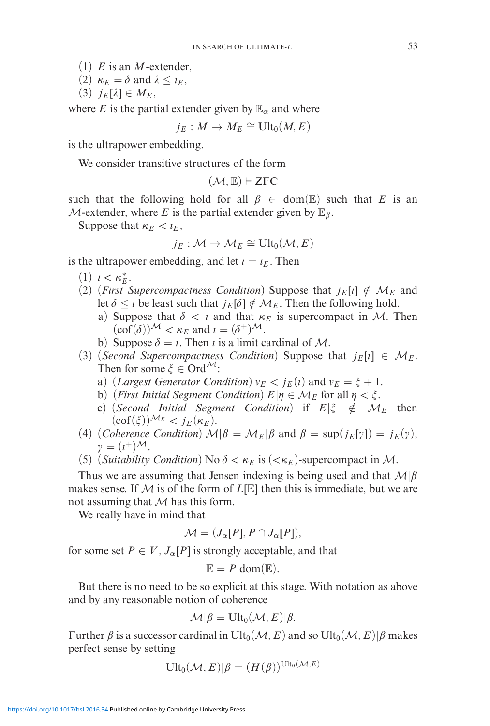(1) *E* is an *M*-extender,

- (2)  $κ<sub>E</sub> = δ$  and  $λ ≤ ι<sub>E</sub>$ ,
- $(3)$   $j_E[\lambda] \in M_E$ ,

where *E* is the partial extender given by  $\mathbb{E}_{\alpha}$  and where

 $j_E: M \to M_E \cong \text{Ult}_0(M,E)$ 

is the ultrapower embedding.

We consider transitive structures of the form

 $(\mathcal{M}, \mathbb{E}) \models \text{ZFC}$ 

such that the following hold for all  $\beta \in \text{dom}(\mathbb{E})$  such that *E* is an  $M$ -extender, where E is the partial extender given by  $\mathbb{E}_{\beta}$ .

Suppose that  $\kappa_E < \iota_E$ ,

$$
j_E: \mathcal{M} \to \mathcal{M}_E \cong \text{Ult}_0(\mathcal{M}, E)
$$

is the ultrapower embedding, and let  $i = i_E$ . Then

- $(1)$   $l < \kappa_E^*$ .
- (2) (*First Supercompactness Condition*) Suppose that  $j_E[i] \notin \mathcal{M}_E$  and let  $\delta \leq \iota$  be least such that  $j_E[\delta] \notin \mathcal{M}_E$ . Then the following hold.
	- a) Suppose that  $\delta < i$  and that  $\kappa_E$  is supercompact in M. Then  $(\text{cof}(\delta))^{\mathcal{M}} < \kappa_E$  and  $\iota = (\delta^+)^{\mathcal{M}}$ .
	- b) Suppose  $\delta = \iota$ . Then  $\iota$  is a limit cardinal of M.
- (3) (*Second Supercompactness Condition*) Suppose that  $j_E[i] \in M_E$ . Then for some  $\xi \in \text{Ord}^{\mathcal{M}}$ :
	- a) (*Largest Generator Condition*)  $v_E < j_E(i)$  and  $v_E = \xi + 1$ .
	- b) (*First Initial Segment Condition*)  $E|\eta \in M_E$  for all  $\eta < \xi$ .
	- c) (*Second Initial Segment Condition*) if  $E|\xi \notin M_E$  then  $(\text{cof}(\xi))^{\mathcal{M}_E} < j_E(\kappa_E)$ .
- (4) (*Coherence Condition*)  $\mathcal{M}|\beta = \mathcal{M}_E|\beta$  and  $\beta = \sup(j_E[\gamma]) = j_E(\gamma)$ ,  $\gamma = (\iota^+)^{\mathcal{M}}$ .
- (5) (*Suitability Condition*) No  $\delta < \kappa_E$  is  $( $\kappa_E$ )-supercompact in M.$

Thus we are assuming that Jensen indexing is being used and that  $M|\beta|$ makes sense. If  $M$  is of the form of  $L[\mathbb{E}]$  then this is immediate, but we are not assuming that  $M$  has this form.

We really have in mind that

$$
\mathcal{M} = (J_{\alpha}[P], P \cap J_{\alpha}[P]),
$$

for some set  $P \in V$ ,  $J_{\alpha}[P]$  is strongly acceptable, and that

$$
\mathbb{E}=P|\text{dom}(\mathbb{E}).
$$

But there is no need to be so explicit at this stage. With notation as above and by any reasonable notion of coherence

$$
\mathcal{M}|\beta = \mathrm{Ult}_0(\mathcal{M},E)|\beta.
$$

Further  $\beta$  is a successor cardinal in Ult<sub>0</sub>( $\mathcal{M}, E$ ) and so Ult<sub>0</sub>( $\mathcal{M}, E$ )| $\beta$  makes perfect sense by setting

$$
\mathrm{Ult}_0(\mathcal{M},E)|\beta=(H(\beta))^{\mathrm{Ult}_0(\mathcal{M},E)}
$$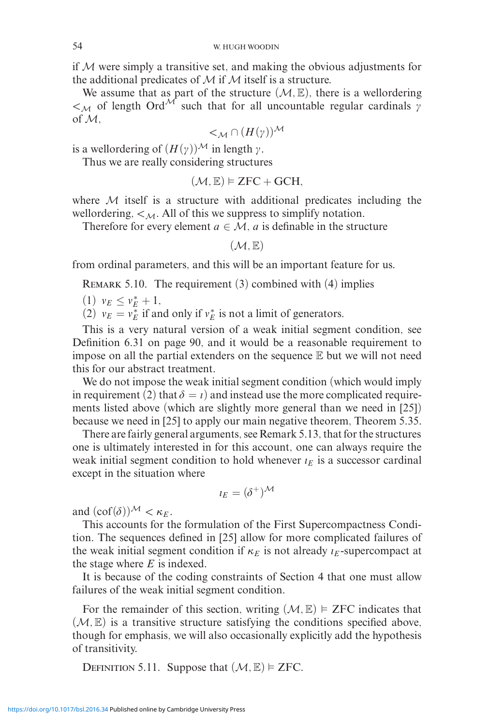if  $M$  were simply a transitive set, and making the obvious adjustments for the additional predicates of  $M$  if  $M$  itself is a structure.

We assume that as part of the structure  $(M, \mathbb{E})$ , there is a wellordering  $\lt M$  of length Ord<sup>M</sup> such that for all uncountable regular cardinals  $\gamma$ of M,

 $\lt_M \cap (H(\gamma))^{\mathcal{M}}$ 

is a wellordering of  $(H(\gamma))^{\mathcal{M}}$  in length  $\gamma$ .

Thus we are really considering structures

 $(\mathcal{M}, \mathbb{E}) \models \text{ZFC} + \text{GCH},$ 

where  $M$  itself is a structure with additional predicates including the wellordering,  $\lt M$ . All of this we suppress to simplify notation.

Therefore for every element  $a \in \mathcal{M}$ , *a* is definable in the structure

 $(M, \mathbb{E})$ 

from ordinal parameters, and this will be an important feature for us.

REMARK 5.10. The requirement  $(3)$  combined with  $(4)$  implies

 $(1)$   $v_E \leq v_E^* + 1$ ,

(2)  $v_E = v_E^*$  if and only if  $v_E^*$  is not a limit of generators.

This is a very natural version of a weak initial segment condition, see Definition 6.31 on page 90, and it would be a reasonable requirement to impose on all the partial extenders on the sequence  $E$  but we will not need this for our abstract treatment.

We do not impose the weak initial segment condition (which would imply in requirement (2) that  $\delta = \iota$ ) and instead use the more complicated requirements listed above (which are slightly more general than we need in [25]) because we need in [25] to apply our main negative theorem, Theorem 5.35.

There are fairly general arguments, see Remark 5.13, that for the structures one is ultimately interested in for this account, one can always require the weak initial segment condition to hold whenever  $i_E$  is a successor cardinal except in the situation where

$$
\iota_E = (\delta^+)^{\mathcal{M}}
$$

and  $(\text{cof}(\delta))^{\mathcal{M}} < \kappa_E$ .

This accounts for the formulation of the First Supercompactness Condition. The sequences defined in [25] allow for more complicated failures of the weak initial segment condition if  $\kappa_E$  is not already  $\iota_E$ -supercompact at the stage where *E* is indexed.

It is because of the coding constraints of Section 4 that one must allow failures of the weak initial segment condition.

For the remainder of this section, writing  $(M, \mathbb{E}) \models ZFC$  indicates that  $(M, \mathbb{E})$  is a transitive structure satisfying the conditions specified above, though for emphasis, we will also occasionally explicitly add the hypothesis of transitivity.

DEFINITION 5.11. Suppose that  $(M, \mathbb{E}) \models ZFC$ .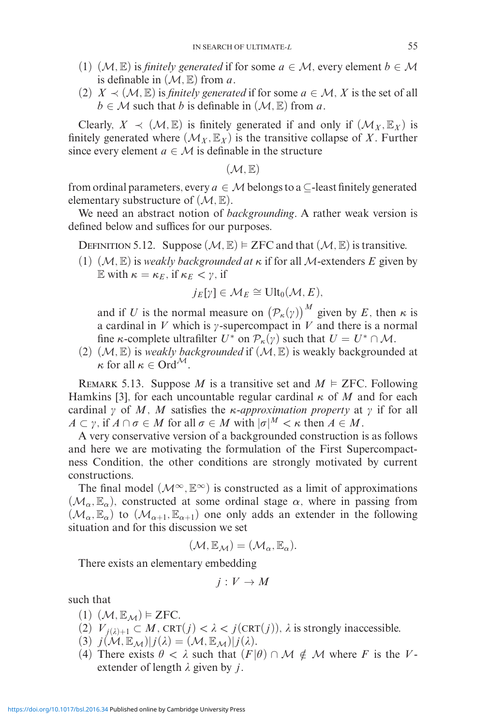- (1)  $(M, \mathbb{E})$  is *finitely generated* if for some  $a \in M$ , every element  $b \in M$ is definable in  $(M, \mathbb{E})$  from *a*.
- (2)  $X \prec (M, \mathbb{E})$  is *finitely generated* if for some  $a \in M$ , X is the set of all  $b \in \mathcal{M}$  such that *b* is definable in  $(\mathcal{M}, \mathbb{E})$  from *a*.

Clearly,  $X \prec (\mathcal{M}, \mathbb{E})$  is finitely generated if and only if  $(\mathcal{M}_X, \mathbb{E}_X)$  is finitely generated where  $(M_X, \mathbb{E}_X)$  is the transitive collapse of X. Further since every element  $a \in \mathcal{M}$  is definable in the structure

 $(\mathcal{M}, \mathbb{E})$ 

from ordinal parameters, every  $a \in M$  belongs to a  $\subseteq$ -least finitely generated elementary substructure of  $(\mathcal{M}, \mathbb{E})$ .

We need an abstract notion of *backgrounding*. A rather weak version is defined below and suffices for our purposes.

DEFINITION 5.12. Suppose  $(M, \mathbb{E}) \models \text{ZFC}$  and that  $(M, \mathbb{E})$  is transitive.

(1)  $(\mathcal{M}, \mathbb{E})$  is *weakly backgrounded at*  $\kappa$  if for all  $\mathcal{M}$ -extenders  $E$  given by E with  $\kappa = \kappa_E$ , if  $\kappa_E < \gamma$ , if

$$
j_E[\gamma] \in \mathcal{M}_E \cong \text{Ult}_0(\mathcal{M}, E),
$$

and if *U* is the normal measure on  $(\mathcal{P}_k(\gamma))^M$  given by *E*, then *κ* is a cardinal in *V* which is  $\gamma$ -supercompact in *V* and there is a normal fine *κ*-complete ultrafilter  $U^*$  on  $\mathcal{P}_{\kappa}(\gamma)$  such that  $U = U^* \cap \mathcal{M}$ .

(2)  $(\mathcal{M}, \mathbb{E})$  is *weakly backgrounded* if  $(\mathcal{M}, \mathbb{E})$  is weakly backgrounded at  $\kappa$  for all  $\kappa \in \text{Ord}^{\mathcal{M}}$ .

REMARK 5.13. Suppose *M* is a transitive set and  $M \models$  ZFC. Following Hamkins [3], for each uncountable regular cardinal *κ* of *M* and for each cardinal  $\gamma$  of M, M satisfies the *κ*-*approximation property* at  $\gamma$  if for all  $A \subset \gamma$ , if  $A \cap \sigma \in M$  for all  $\sigma \in M$  with  $|\sigma|^M < \kappa$  then  $A \in M$ .

A very conservative version of a backgrounded construction is as follows and here we are motivating the formulation of the First Supercompactness Condition, the other conditions are strongly motivated by current constructions.

The final model  $(M^{\infty}, \mathbb{E}^{\infty})$  is constructed as a limit of approximations  $(\mathcal{M}_{\alpha}, \mathbb{E}_{\alpha})$ , constructed at some ordinal stage  $\alpha$ , where in passing from  $(\mathcal{M}_{\alpha}, \mathbb{E}_{\alpha})$  to  $(\mathcal{M}_{\alpha+1}, \mathbb{E}_{\alpha+1})$  one only adds an extender in the following situation and for this discussion we set

$$
(\mathcal{M}, \mathbb{E}_{\mathcal{M}}) = (\mathcal{M}_{\alpha}, \mathbb{E}_{\alpha}).
$$

There exists an elementary embedding

$$
j: V \to M
$$

such that

- $(1)$   $(\mathcal{M}, \mathbb{E}_{\mathcal{M}}) \models$  **ZFC.**
- (2)  $V_{i(\lambda)+1} \subset M$ , CRT $(j) < \lambda < j(\text{CRT}(j))$ ,  $\lambda$  is strongly inaccessible.
- $(3)$   $j(\mathcal{M}, \mathbb{E}_{\mathcal{M}})|j(\lambda)=(\mathcal{M}, \mathbb{E}_{\mathcal{M}})|j(\lambda).$
- (4) There exists  $\theta < \lambda$  such that  $(F|\theta) \cap M \notin M$  where *F* is the *V*extender of length  $\lambda$  given by *j*.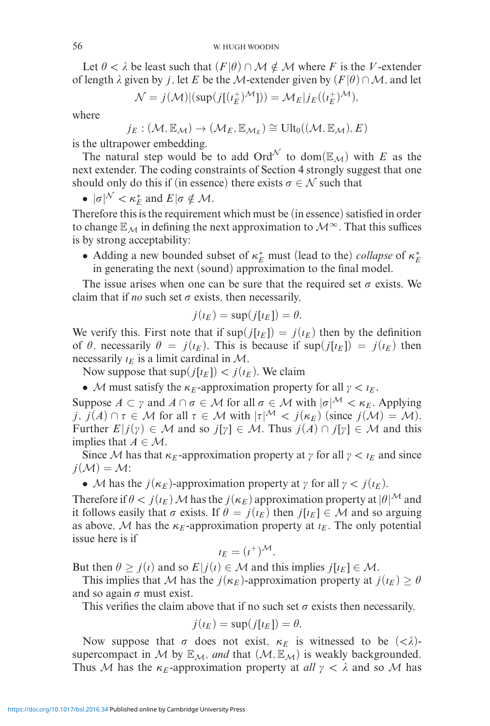Let  $\theta < \lambda$  be least such that  $(F|\theta) \cap \mathcal{M} \notin \mathcal{M}$  where *F* is the *V*-extender of length  $\lambda$  given by *j*, let *E* be the M-extender given by  $(F | \theta) \cap M$ , and let

$$
\mathcal{N} = j(\mathcal{M}) |(\sup(j[(\iota_E^+)^{\mathcal{M}}])) = \mathcal{M}_E|j_E((\iota_E^+)^{\mathcal{M}}),
$$

where

$$
j_E: (\mathcal{M}, \mathbb{E}_{\mathcal{M}}) \to (\mathcal{M}_E, \mathbb{E}_{\mathcal{M}_E}) \cong \text{Ult}_0((\mathcal{M}, \mathbb{E}_{\mathcal{M}}), E)
$$

is the ultrapower embedding.

The natural step would be to add  $\text{Ord}^{\mathcal{N}}$  to dom( $\mathbb{E}_{\mathcal{M}}$ ) with *E* as the next extender. The coding constraints of Section 4 strongly suggest that one should only do this if (in essence) there exists  $\sigma \in \mathcal{N}$  such that

•  $|\sigma|^{\mathcal{N}} < \kappa_E^*$  and  $E|\sigma \notin \mathcal{M}$ .

Therefore this is the requirement which must be (in essence) satisfied in order to change  $\mathbb{E}_{\mathcal{M}}$  in defining the next approximation to  $\mathcal{M}^{\infty}$ . That this suffices is by strong acceptability:

• Adding a new bounded subset of  $κ_E^*$  must (lead to the) *collapse* of  $κ_E^*$ in generating the next (sound) approximation to the final model.

The issue arises when one can be sure that the required set  $\sigma$  exists. We claim that if *no* such set  $\sigma$  exists, then necessarily,

$$
j(\iota_E) = \sup(j[\iota_E]) = \theta.
$$

We verify this. First note that if  $\sup(j[t_E]) = j(t_E)$  then by the definition of  $\theta$ , necessarily  $\theta = j(t_E)$ . This is because if sup(*j*[*i<sub>E</sub>*]) = *j*(*i<sub>E</sub>*) then necessarily  $i_F$  is a limit cardinal in M.

Now suppose that  $\sup(j[t_E]) < j(t_E)$ . We claim

• M must satisfy the  $\kappa_E$ -approximation property for all  $\gamma < \iota_E$ .

Suppose  $A \subset \gamma$  and  $A \cap \sigma \in \mathcal{M}$  for all  $\sigma \in \mathcal{M}$  with  $|\sigma|^{\mathcal{M}} < \kappa_E$ . Applying *j*,  $j(A) \cap \tau \in \mathcal{M}$  for all  $\tau \in \mathcal{M}$  with  $|\tau|^{\mathcal{M}} < j(\kappa_E)$  (since  $j(\mathcal{M}) = \mathcal{M}$ ). Further  $E|j(y) \in M$  and so  $j[y] \in M$ . Thus  $j(A) \cap j[y] \in M$  and this implies that  $A \in \mathcal{M}$ .

Since M has that  $\kappa_E$ -approximation property at  $\gamma$  for all  $\gamma < \iota_E$  and since  $j(\mathcal{M}) = \mathcal{M}$ :

• M has the  $j(\kappa_E)$ -approximation property at  $\gamma$  for all  $\gamma < j(\iota_E)$ .

Therefore if  $\theta < j(\iota_E)$  M has the  $j(\kappa_E)$  approximation property at  $|\theta|^M$  and it follows easily that  $\sigma$  exists. If  $\theta = j(\iota_E)$  then  $j[\iota_E] \in \mathcal{M}$  and so arguing as above, M has the  $\kappa_E$ -approximation property at  $\iota_E$ . The only potential issue here is if

$$
i_E = (i^+)^{\mathcal{M}}.
$$

But then  $\theta \geq j(i)$  and so  $E|j(i) \in \mathcal{M}$  and this implies  $j[i_E] \in \mathcal{M}$ .

This implies that M has the  $j(\kappa_E)$ -approximation property at  $j(\iota_E) \geq \theta$ and so again  $\sigma$  must exist.

This verifies the claim above that if no such set  $\sigma$  exists then necessarily,

$$
j(\iota_E) = \sup(j[\iota_E]) = \theta.
$$

Now suppose that  $\sigma$  does not exist,  $\kappa_E$  is witnessed to be  $( $\lambda$ )$ supercompact in M by  $\mathbb{E}_M$ , *and* that  $(M, \mathbb{E}_M)$  is weakly backgrounded. Thus M has the  $\kappa_E$ -approximation property at *all*  $\gamma < \lambda$  and so M has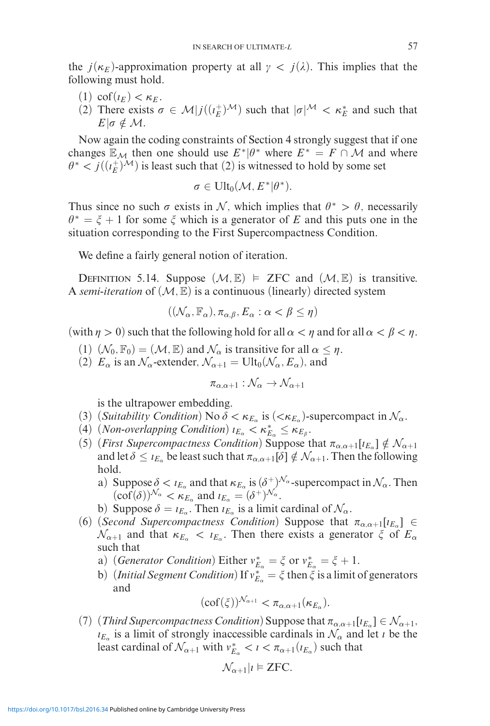the  $j(\kappa_E)$ -approximation property at all  $\gamma < j(\lambda)$ . This implies that the following must hold.

- (1) cof( $\iota_E$ ) <  $\kappa_E$ .
- (2) There exists  $\sigma \in M | j((i_E^+)^M)$  such that  $|\sigma|^M < \kappa_E^*$  and such that  $E| \sigma \notin \mathcal{M}$ .

Now again the coding constraints of Section 4 strongly suggest that if one changes  $\mathbb{E}_{\mathcal{M}}$  then one should use  $E^*|\theta^*$  where  $E^* = F \cap \mathcal{M}$  and where  $\theta^* < j((\iota_E^+)^{\mathcal{M}})$  is least such that (2) is witnessed to hold by some set

$$
\sigma\in Ult_0(\mathcal{M}, E^*|\theta^*).
$$

Thus since no such  $\sigma$  exists in N, which implies that  $\theta^* > \theta$ , necessarily  $\theta^* = \xi + 1$  for some  $\xi$  which is a generator of E and this puts one in the situation corresponding to the First Supercompactness Condition.

We define a fairly general notion of iteration.

DEFINITION 5.14. Suppose  $(M, \mathbb{E}) \models$  ZFC and  $(M, \mathbb{E})$  is transitive. A *semi-iteration* of  $(M, \mathbb{E})$  is a continuous (linearly) directed system

$$
((\mathcal{N}_{\alpha}, \mathbb{F}_{\alpha}), \pi_{\alpha, \beta}, E_{\alpha} : \alpha < \beta \le \eta)
$$

(with  $\eta > 0$ ) such that the following hold for all  $\alpha < \eta$  and for all  $\alpha < \beta < \eta$ .

- (1)  $(\mathcal{N}_0, \mathbb{F}_0) = (\mathcal{M}, \mathbb{E})$  and  $\mathcal{N}_\alpha$  is transitive for all  $\alpha \leq \eta$ .
- (2)  $E_{\alpha}$  is an  $\mathcal{N}_{\alpha}$ -extender,  $\mathcal{N}_{\alpha+1} = \text{Ult}_0(\mathcal{N}_{\alpha}, E_{\alpha})$ , and

$$
\pi_{\alpha,\alpha+1} : \mathcal{N}_\alpha \to \mathcal{N}_{\alpha+1}
$$

is the ultrapower embedding.

- (3) (*Suitability Condition*) No  $\delta < \kappa_{E_\alpha}$  is ( $<\kappa_{E_\alpha}$ )-supercompact in  $\mathcal{N}_\alpha$ .
- (4) (*Non-overlapping Condition*)  $\iota_{E_\alpha} < \kappa_{E_\alpha}^* \leq \kappa_{E_\beta}$ .
- (5) (*First Supercompactness Condition*) Suppose that  $\pi_{\alpha,\alpha+1}[i_{E_\alpha}] \notin \mathcal{N}_{\alpha+1}$ and let  $\delta \leq \iota_{E_\alpha}$  be least such that  $\pi_{\alpha,\alpha+1}[\delta] \notin \mathcal{N}_{\alpha+1}.$  Then the following hold.
	- a) Suppose  $\delta < i_{E_\alpha}$  and that  $\kappa_{E_\alpha}$  is  $(\delta^+)^{\mathcal{N}_\alpha}$ -supercompact in  $\mathcal{N}_\alpha$ . Then  $(\text{cof}(\delta))^{\mathcal{N}_{\alpha}} < \kappa_{E_{\alpha}}$  and  $\iota_{E_{\alpha}} = (\delta^+)^{\mathcal{N}_{\alpha}}$ .
	- b) Suppose  $\delta = \iota_{E_\alpha}$ . Then  $\iota_{E_\alpha}$  is a limit cardinal of  $\mathcal{N}_\alpha$ .
- (6) (*Second Supercompactness Condition*) Suppose that  $\pi_{\alpha,\alpha+1}[i_{E_\alpha}] \in$  $\mathcal{N}_{\alpha+1}$  and that  $\kappa_{E_\alpha} < \iota_{E_\alpha}$ . Then there exists a generator  $\zeta$  of  $E_\alpha$ such that
	- a) (*Generator Condition*) Either  $v_{E_\alpha}^* = \xi$  or  $v_{E_\alpha}^* = \xi + 1$ .
	- b) (*Initial Segment Condition*) If  $v_{E_\alpha}^* = \xi$  then  $\xi$  is a limit of generators and

$$
(\mathrm{cof}(\xi))^{\mathcal{N}_{\alpha+1}} < \pi_{\alpha,\alpha+1}(\kappa_{E_\alpha}).
$$

(7) (*Third Supercompactness Condition*) Suppose that  $\pi_{\alpha,\alpha+1}[i_{E_\alpha}] \in \mathcal{N}_{\alpha+1}$ ,  $E_{\alpha}$  is a limit of strongly inaccessible cardinals in  $\mathcal{N}_{\alpha}$  and let *t* be the least cardinal of  $\mathcal{N}_{\alpha+1}$  with  $v_{E_\alpha}^* < i < \pi_{\alpha+1}(i_{E_\alpha})$  such that

$$
\mathcal{N}_{\alpha+1}|i \models \text{ZFC}.
$$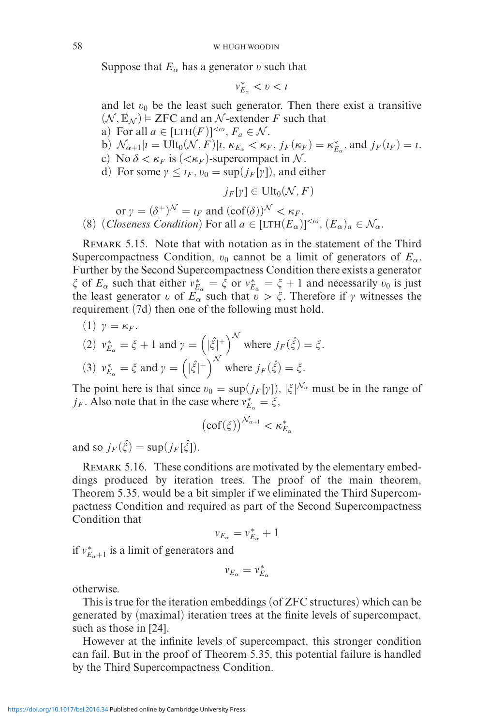Suppose that  $E_\alpha$  has a generator v such that

$$
v_{E_{\alpha}}^* < v < t
$$

and let  $v_0$  be the least such generator. Then there exist a transitive  $(\mathcal{N}, \mathbb{E}_{\mathcal{N}})$  = ZFC and an  $\mathcal{N}$ -extender *F* such that a) For all  $a \in [LTH(F)]^{<\omega}$ ,  $F_a \in \mathcal{N}$ . b)  $\mathcal{N}_{\alpha+1}|i = \text{Ult}_0(\mathcal{N}, F)|i, \kappa_{E_\alpha} < \kappa_F, j_F(\kappa_F) = \kappa_{E_\alpha}^*$ , and  $j_F(i_F) = i$ . c) No  $\delta < \kappa_F$  is  $( $\kappa_F$ )-supercompact in  $\mathcal{N}$ .$ d) For some  $\gamma \leq t_F$ ,  $v_0 = \sup(j_F[\gamma])$ , and either  $j_F[\gamma] \in \text{Ult}_0(\mathcal{N}, F)$ 

or  $\gamma = (\delta^+)^{\mathcal{N}} = i_F$  and  $(\text{cof}(\delta))^{\mathcal{N}} < \kappa_F$ . (8) (*Closeness Condition*) For all  $a \in [LTH(E_{\alpha})]^{<\omega}$ ,  $(E_{\alpha})_a \in \mathcal{N}_{\alpha}$ .

REMARK 5.15. Note that with notation as in the statement of the Third Supercompactness Condition,  $v_0$  cannot be a limit of generators of  $E_\alpha$ . Further by the Second Supercompactness Condition there exists a generator *ξ* of  $E_\alpha$  such that either  $v_{E_\alpha}^* = \xi$  or  $v_{E_\alpha}^* = \xi + 1$  and necessarily  $v_0$  is just the least generator v of  $E_{\alpha}$  such that  $\bar{v} > \xi$ . Therefore if  $\gamma$  witnesses the requirement (7d) then one of the following must hold.

\n- (1) 
$$
\gamma = \kappa_F
$$
.
\n- (2)  $v_{E_{\alpha}}^* = \xi + 1$  and  $\gamma = \left( |\xi|^+ \right)^{\mathcal{N}}$  where  $j_F(\hat{\xi}) = \xi$ .
\n- (3)  $v_{E_{\alpha}}^* = \xi$  and  $\gamma = \left( |\hat{\xi}|^+ \right)^{\mathcal{N}}$  where  $j_F(\hat{\xi}) = \xi$ .
\n

The point here is that since  $v_0 = \sup(j_F[\gamma])$ ,  $|\xi|^{N_\alpha}$  must be in the range of *j<sub>F</sub>*. Also note that in the case where  $v_{E_\alpha}^* = \xi$ ,

$$
\left(\mathrm{cof}(\xi)\right)^{\mathcal{N}_{\alpha+1}} < \kappa_{E_\alpha}^*
$$

and so  $j_F(\hat{\xi}) = \sup(j_F[\hat{\xi}]).$ 

Remark 5.16. These conditions are motivated by the elementary embeddings produced by iteration trees. The proof of the main theorem, Theorem 5.35, would be a bit simpler if we eliminated the Third Supercompactness Condition and required as part of the Second Supercompactness Condition that

$$
v_{E_\alpha} = v_{E_\alpha}^* + 1
$$

if  $v_{E_\alpha+1}^*$  is a limit of generators and

$$
v_{E_\alpha} = v_{E_\alpha}^*
$$

otherwise.

This is true for the iteration embeddings (of ZFC structures) which can be generated by (maximal) iteration trees at the finite levels of supercompact, such as those in [24].

However at the infinite levels of supercompact, this stronger condition can fail. But in the proof of Theorem 5.35, this potential failure is handled by the Third Supercompactness Condition.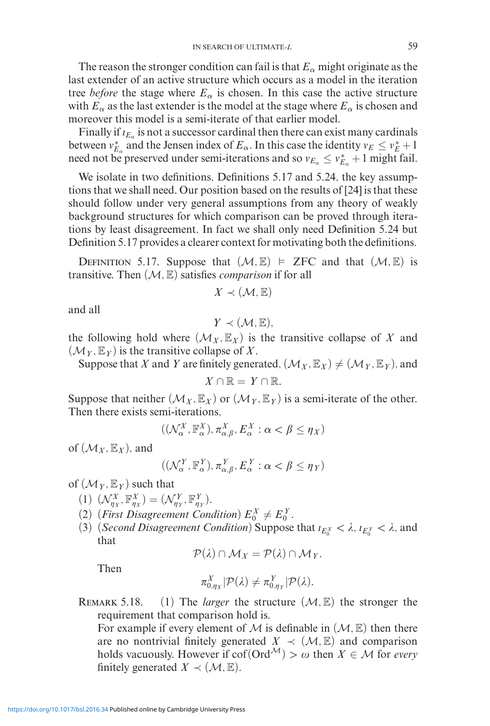The reason the stronger condition can fail is that  $E_\alpha$  might originate as the last extender of an active structure which occurs as a model in the iteration tree *before* the stage where  $E_\alpha$  is chosen. In this case the active structure with  $E_\alpha$  as the last extender is the model at the stage where  $E_\alpha$  is chosen and moreover this model is a semi-iterate of that earlier model.

Finally if  $i_{E_0}$  is not a successor cardinal then there can exist many cardinals between  $v_{E_\alpha}^*$  and the Jensen index of  $E_\alpha$ . In this case the identity  $v_E \le v_E^* + 1$ need not be preserved under semi-iterations and so  $v_{E_\alpha} \le v_{E_\alpha}^* + 1$  might fail.

We isolate in two definitions, Definitions 5.17 and 5.24, the key assumptions that we shall need. Our position based on the results of [24] is that these should follow under very general assumptions from any theory of weakly background structures for which comparison can be proved through iterations by least disagreement. In fact we shall only need Definition 5.24 but Definition 5.17 provides a clearer context for motivating both the definitions.

DEFINITION 5.17. Suppose that  $(M, \mathbb{E}) \models$  ZFC and that  $(M, \mathbb{E})$  is transitive. Then (M*,* E) satisfies *comparison* if for all

$$
X\prec(\mathcal{M},\mathbb{E})
$$

and all

$$
Y \prec (\mathcal{M}, \mathbb{E}),
$$

the following hold where  $(\mathcal{M}_X, \mathbb{E}_X)$  is the transitive collapse of X and  $(\mathcal{M}_Y, \mathbb{E}_Y)$  is the transitive collapse of X.

Suppose that *X* and *Y* are finitely generated,  $(\mathcal{M}_X, \mathbb{E}_X) \neq (\mathcal{M}_Y, \mathbb{E}_Y)$ , and

$$
X\cap\mathbb{R}=Y\cap\mathbb{R}.
$$

Suppose that neither  $(M_X, \mathbb{E}_X)$  or  $(M_Y, \mathbb{E}_Y)$  is a semi-iterate of the other. Then there exists semi-iterations,

$$
((\mathcal{N}_{\alpha}^X,\mathbb{F}_{\alpha}^X),\pi_{\alpha,\beta}^X,E_{\alpha}^X:\alpha<\beta\leq\eta_X)
$$

of  $(\mathcal{M}_X, \mathbb{E}_X)$ , and

$$
((\mathcal{N}_{\alpha}^{Y}, \mathbb{F}_{\alpha}^{Y}), \pi_{\alpha,\beta}^{Y}, E_{\alpha}^{Y} : \alpha < \beta \leq \eta_{Y})
$$

of  $(\mathcal{M}_Y, \mathbb{E}_Y)$  such that

- $(\Lambda)^X_{\eta_X}, \mathbb{F}^X_{\eta_X} = (\mathcal{N}^Y_{\eta_Y}, \mathbb{F}^Y_{\eta_Y}).$
- (2) (*First Disagreement Condition*)  $E_0^X \neq E_0^Y$ .
- (3) (*Second Disagreement Condition*) Suppose that  $i_{E_0^X} < \lambda$ ,  $i_{E_0^Y} < \lambda$ , and that

$$
\mathcal{P}(\lambda) \cap \mathcal{M}_X = \mathcal{P}(\lambda) \cap \mathcal{M}_Y.
$$

Then

$$
\pi_{0,\eta_X}^X|\mathcal{P}(\lambda)\neq \pi_{0,\eta_Y}^Y|\mathcal{P}(\lambda).
$$

REMARK 5.18. (1) The *larger* the structure  $(M, \mathbb{E})$  the stronger the requirement that comparison hold is.

For example if every element of  $M$  is definable in  $(M, \mathbb{E})$  then there are no nontrivial finitely generated  $X \prec (\mathcal{M}, \mathbb{E})$  and comparison holds vacuously. However if  $cof(Ord^{\mathcal{M}}) > \omega$  then  $X \in \mathcal{M}$  for *every* finitely generated  $X \prec (\mathcal{M}, \mathbb{E})$ .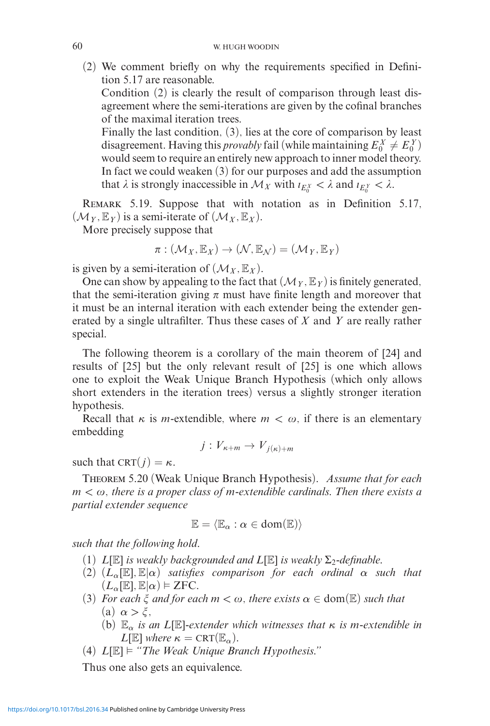(2) We comment briefly on why the requirements specified in Definition 5.17 are reasonable.

Condition (2) is clearly the result of comparison through least disagreement where the semi-iterations are given by the cofinal branches of the maximal iteration trees.

Finally the last condition, (3), lies at the core of comparison by least disagreement. Having this *provably* fail (while maintaining  $E_0^X \neq E_0^Y$ ) would seem to require an entirely new approach to inner model theory. In fact we could weaken (3) for our purposes and add the assumption that  $\lambda$  is strongly inaccessible in  $\mathcal{M}_X$  with  $\iota_{E_0^X} < \lambda$  and  $\iota_{E_0^Y} < \lambda$ .

REMARK 5.19. Suppose that with notation as in Definition 5.17,  $(\mathcal{M}_Y, \mathbb{E}_Y)$  is a semi-iterate of  $(\mathcal{M}_X, \mathbb{E}_Y)$ .

More precisely suppose that

$$
\pi: (\mathcal{M}_X, \mathbb{E}_X) \to (\mathcal{N}, \mathbb{E}_\mathcal{N}) = (\mathcal{M}_Y, \mathbb{E}_Y)
$$

is given by a semi-iteration of  $(\mathcal{M}_X, \mathbb{E}_X)$ .

One can show by appealing to the fact that  $(\mathcal{M}_Y, \mathbb{E}_Y)$  is finitely generated, that the semi-iteration giving  $\pi$  must have finite length and moreover that it must be an internal iteration with each extender being the extender generated by a single ultrafilter. Thus these cases of *X* and *Y* are really rather special.

The following theorem is a corollary of the main theorem of [24] and results of [25] but the only relevant result of [25] is one which allows one to exploit the Weak Unique Branch Hypothesis (which only allows short extenders in the iteration trees) versus a slightly stronger iteration hypothesis.

Recall that  $\kappa$  is *m*-extendible, where  $m < \omega$ , if there is an elementary embedding

$$
j: V_{\kappa+m} \to V_{j(\kappa)+m}
$$

such that  $CRT(j) = \kappa$ .

Theorem 5.20 (Weak Unique Branch Hypothesis). *Assume that for each*  $m < \omega$ , there is a proper class of m-extendible cardinals. Then there exists a *partial extender sequence*

$$
\mathbb{E} = \langle \mathbb{E}_\alpha : \alpha \in \text{dom}(\mathbb{E}) \rangle
$$

*such that the following hold.*

- (1)  $L[\mathbb{E}]$  *is weakly backgrounded and*  $L[\mathbb{E}]$  *is weakly*  $\Sigma_2$ -*definable.*
- (2)  $(L_{\alpha}[\mathbb{E}], \mathbb{E}|\alpha)$  *satisfies comparison for each ordinal*  $\alpha$  *such that*  $(L_{\alpha}[\mathbb{E}], \mathbb{E}|\alpha) \models \text{ZFC}.$
- (3) *For each*  $\xi$  *and for each*  $m < \omega$ , *there exists*  $\alpha \in \text{dom}(\mathbb{E})$  *such that* (a)  $\alpha > \xi$ .
	- (b)  $\mathbb{E}_{\alpha}$  *is an L*[E]-extender which witnesses that  $\kappa$  *is m*-extendible *in L*[E] *where*  $\kappa = \text{CRT}(\mathbb{E}_{\alpha})$ *.*
- $(4)$   $L[\mathbb{E}] \models$  "*The Weak Unique Branch Hypothesis."*

Thus one also gets an equivalence.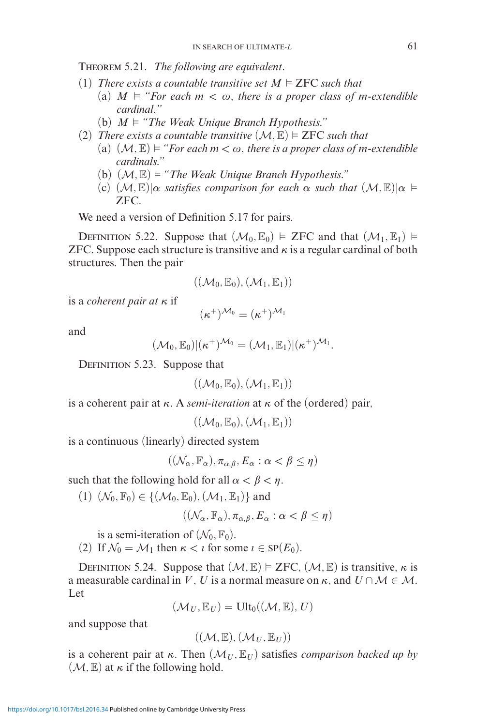Theorem 5.21. *The following are equivalent.*

- (1) *There exists a countable transitive set*  $M \models \text{ZFC}$  *such that* 
	- (a)  $M \models$  "For each  $m < \omega$ , there is a proper class of m-extendible *cardinal."*
	- (b)  $M \models$  "The Weak Unique Branch Hypothesis."
- (2) *There exists a countable transitive*  $(M, \mathbb{E}) \models \text{ZFC}$  *such that* 
	- (a)  $(\mathcal{M}, \mathbb{E}) \models$  "*For each*  $m < \omega$ , there is a proper class of m-extendible *cardinals."*
	- (b)  $(\mathcal{M}, \mathbb{E}) \models$  "The Weak Unique Branch Hypothesis."
	- $(\mathcal{C})$   $(\mathcal{M}, \mathbb{E})|\alpha$  *satisfies comparison for each*  $\alpha$  *such that*  $(\mathcal{M}, \mathbb{E})|\alpha \models$ ZFC*.*

We need a version of Definition 5.17 for pairs.

DEFINITION 5.22. Suppose that  $(\mathcal{M}_0, \mathbb{E}_0) \models$  ZFC and that  $(\mathcal{M}_1, \mathbb{E}_1) \models$ ZFC. Suppose each structure is transitive and  $\kappa$  is a regular cardinal of both structures. Then the pair

$$
((\mathcal{M}_0,\mathbb{E}_0),(\mathcal{M}_1,\mathbb{E}_1))
$$

is a *coherent pair at κ* if

$$
(\kappa^+)^{\mathcal{M}_0} = (\kappa^+)^{\mathcal{M}_1}
$$

and

$$
(\mathcal{M}_0,\mathbb{E}_0)|(\kappa^+)^{\mathcal{M}_0}=(\mathcal{M}_1,\mathbb{E}_1)|(\kappa^+)^{\mathcal{M}_1}.
$$

DEFINITION 5.23. Suppose that

 $((\mathcal{M}_0, \mathbb{E}_0), (\mathcal{M}_1, \mathbb{E}_1))$ 

is a coherent pair at *κ*. A *semi-iteration* at *κ* of the (ordered) pair,

 $((\mathcal{M}_0, \mathbb{E}_0), (\mathcal{M}_1, \mathbb{E}_1))$ 

is a continuous (linearly) directed system

$$
((\mathcal{N}_{\alpha}, \mathbb{F}_{\alpha}), \pi_{\alpha, \beta}, E_{\alpha} : \alpha < \beta \le \eta)
$$

such that the following hold for all  $\alpha < \beta < \eta$ .

(1)  $(\mathcal{N}_0, \mathbb{F}_0) \in \{(\mathcal{M}_0, \mathbb{E}_0), (\mathcal{M}_1, \mathbb{E}_1)\}\$ and

 $((\mathcal{N}_{\alpha}, \mathbb{F}_{\alpha}), \pi_{\alpha, \beta}, E_{\alpha} : \alpha < \beta \leq \eta)$ 

is a semi-iteration of  $(\mathcal{N}_0, \mathbb{F}_0)$ .

(2) If  $\mathcal{N}_0 = \mathcal{M}_1$  then  $\kappa < i$  for some  $i \in \text{SP}(E_0)$ .

DEFINITION 5.24. Suppose that  $(M, \mathbb{E}) \models \text{ZFC}, (\mathcal{M}, \mathbb{E})$  is transitive,  $\kappa$  is a measurable cardinal in *V*, *U* is a normal measure on  $\kappa$ , and  $U \cap M \in M$ . Let

$$
(\mathcal{M}_U, \mathbb{E}_U) = \text{Ult}_0((\mathcal{M}, \mathbb{E}), U)
$$

and suppose that

$$
((\mathcal{M},\mathbb{E}),(\mathcal{M}_U,\mathbb{E}_U))
$$

is a coherent pair at  $\kappa$ . Then  $(\mathcal{M}_U, \mathbb{E}_U)$  satisfies *comparison backed up by*  $(\mathcal{M}, \mathbb{E})$  at  $\kappa$  if the following hold.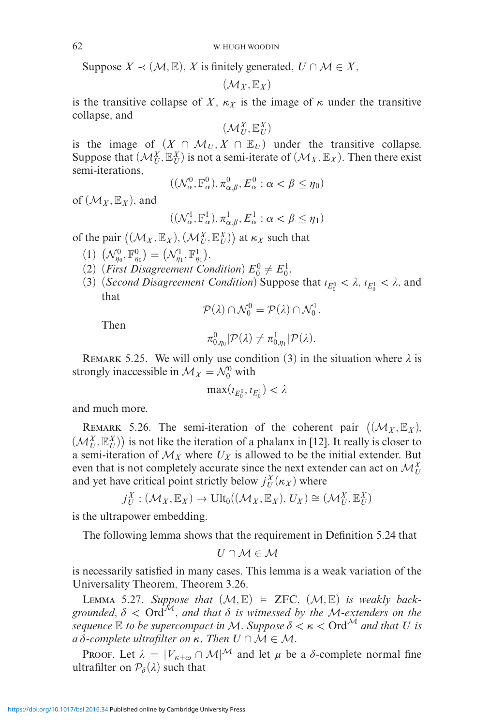Suppose  $X \prec (\mathcal{M}, \mathbb{E}), X$  is finitely generated,  $U \cap \mathcal{M} \in X$ ,

$$
(\mathcal{M}_X,\mathbb{E}_X)
$$

is the transitive collapse of *X*,  $\kappa_X$  is the image of  $\kappa$  under the transitive collapse, and

 $(\mathcal{M}_U^X, \mathbb{E}_U^X)$ 

is the image of  $(X \cap \mathcal{M}_U, X \cap \mathbb{E}_U)$  under the transitive collapse. Suppose that  $(\mathcal{M}_{U}^{X}, \mathbb{E}_{U}^{X})$  is not a semi-iterate of  $(\mathcal{M}_{X}, \mathbb{E}_{X})$ . Then there exist semi-iterations,

$$
((\mathcal{N}_{\alpha}^0,\mathbb{F}_{\alpha}^0),\pi_{\alpha,\beta}^0,E_{\alpha}^0:\alpha<\beta\leq\eta_0)
$$

of  $(\mathcal{M}_X, \mathbb{E}_X)$ , and

$$
((\mathcal{N}_{\alpha}^1,\mathbb{F}_{\alpha}^1),\pi_{\alpha,\beta}^1,E_{\alpha}^1:\alpha<\beta\leq\eta_1)
$$

of the pair  $((\mathcal{M}_X, \mathbb{E}_X), (\mathcal{M}_U^X, \mathbb{E}_U^X))$  at  $\kappa_X$  such that

- (1)  $(\mathcal{N}_{\eta_0}^0, \mathbb{F}_{\eta_0}^0) = (\mathcal{N}_{\eta_1}^1, \mathbb{F}_{\eta_1}^1).$
- (2) (*First Disagreement Condition*)  $E_0^0 \neq E_0^1$ .
- (3) (*Second Disagreement Condition*) Suppose that  $i_{E_0^0} < \lambda$ ,  $i_{E_0^1} < \lambda$ , and that

$$
\mathcal{P}(\lambda) \cap \mathcal{N}_0^0 = \mathcal{P}(\lambda) \cap \mathcal{N}_0^1.
$$

Then

$$
\pi_{0,\eta_0}^0|\mathcal{P}(\lambda)\neq \pi_{0,\eta_1}^1|\mathcal{P}(\lambda).
$$

REMARK 5.25. We will only use condition (3) in the situation where  $\lambda$  is strongly inaccessible in  $\mathcal{M}_X = \mathcal{N}_0^0$  with

$$
\max(\iota_{E_0^0}, \iota_{E_0^1}) < \lambda
$$

and much more.

REMARK 5.26. The semi-iteration of the coherent pair  $((\mathcal{M}_X, \mathbb{E}_X),$  $(\mathcal{M}_U^X, \mathbb{E}_U^X)$  is not like the iteration of a phalanx in [12]. It really is closer to a semi-iteration of  $\mathcal{M}_X$  where  $U_X$  is allowed to be the initial extender. But even that is not completely accurate since the next extender can act on  $\mathcal{M}_{U}^{X}$ and yet have critical point strictly below  $j_U^X(\kappa_X)$  where

$$
j_U^X: (\mathcal{M}_X, \mathbb{E}_X) \to \text{Ult}_0((\mathcal{M}_X, \mathbb{E}_X), U_X) \cong (\mathcal{M}_U^X, \mathbb{E}_U^X)
$$

is the ultrapower embedding.

The following lemma shows that the requirement in Definition 5.24 that

$$
U\cap\mathcal{M}\in\mathcal{M}
$$

is necessarily satisfied in many cases. This lemma is a weak variation of the Universality Theorem, Theorem 3.26.

LEMMA 5.27. Suppose that  $(M, \mathbb{E}) \models \text{ZFC}$ ,  $(M, \mathbb{E})$  is weakly backgrounded,  $\delta <$  Ord<sup>M</sup>, and that  $\delta$  is witnessed by the M-extenders on the *sequence*  $\mathbb E$  *to be supercompact in M. Suppose*  $\delta < \kappa <$  Ord<sup>M</sup> and that U is  $a\delta$ -complete ultrafilter on  $\kappa$ . Then  $U \cap \mathcal{M} \in \mathcal{M}$ .

Proof. Let  $\lambda = |V_{\kappa+\omega} \cap M|^{\mathcal{M}}$  and let  $\mu$  be a  $\delta$ -complete normal fine ultrafilter on  $P_{\delta}(\lambda)$  such that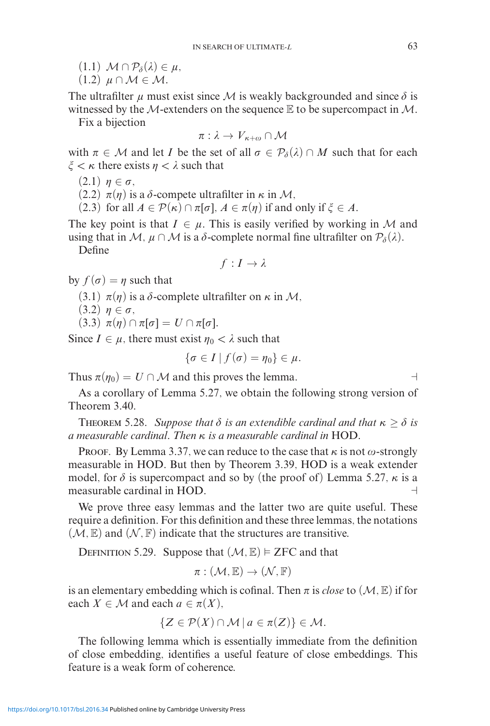- $(1.1)$   $\mathcal{M} \cap \mathcal{P}_{\delta}(\lambda) \in \mu$ ,
- $(1.2)$   $\mu \cap \mathcal{M} \in \mathcal{M}$ .

The ultrafilter  $\mu$  must exist since M is weakly backgrounded and since  $\delta$  is witnessed by the M-extenders on the sequence  $E$  to be supercompact in M.

Fix a bijection

$$
\pi: \lambda \to V_{\kappa+\omega} \cap \mathcal{M}
$$

with  $\pi \in \mathcal{M}$  and let *I* be the set of all  $\sigma \in \mathcal{P}_{\delta}(\lambda) \cap M$  such that for each  $\xi < \kappa$  there exists  $n < \lambda$  such that

 $(2.1)$   $\eta \in \sigma$ ,

(2.2)  $\pi(\eta)$  is a *δ*-compete ultrafilter in *κ* in *M*,

(2.3) for all  $A \in \mathcal{P}(\kappa) \cap \pi[\sigma]$ ,  $A \in \pi(\eta)$  if and only if  $\xi \in A$ .

The key point is that  $I \in \mu$ . This is easily verified by working in M and using that in M,  $\mu \cap M$  is a  $\delta$ -complete normal fine ultrafilter on  $\mathcal{P}_{\delta}(\lambda)$ .

Define

$$
f: I \to \lambda
$$

by  $f(\sigma) = n$  such that

(3.1)  $\pi(\eta)$  is a *δ*-complete ultrafilter on *κ* in *M*,

 $(3.2)$   $\eta \in \sigma$ ,

 $(3.3)$   $\pi(\eta) \cap \pi[\sigma] = U \cap \pi[\sigma].$ 

Since  $I \in \mu$ , there must exist  $\eta_0 < \lambda$  such that

 $\{\sigma \in I \mid f(\sigma) = \eta_0\} \in \mu$ .

Thus  $\pi(\eta_0) = U \cap \mathcal{M}$  and this proves the lemma.

As a corollary of Lemma 5.27, we obtain the following strong version of Theorem 3.40.

**THEOREM 5.28.** *Suppose that*  $\delta$  *is an extendible cardinal and that*  $\kappa \geq \delta$  *is a measurable cardinal. Then κ is a measurable cardinal in* HOD*.*

Proof. By Lemma 3.37, we can reduce to the case that  $\kappa$  is not  $\omega$ -strongly measurable in HOD. But then by Theorem 3.39, HOD is a weak extender model, for  $\delta$  is supercompact and so by (the proof of) Lemma 5.27,  $\kappa$  is a measurable cardinal in HOD.

We prove three easy lemmas and the latter two are quite useful. These require a definition. For this definition and these three lemmas, the notations  $(\mathcal{M}, \mathbb{E})$  and  $(\mathcal{N}, \mathbb{F})$  indicate that the structures are transitive.

DEFINITION 5.29. Suppose that  $(M, \mathbb{E}) \models$  ZFC and that

$$
\pi: (\mathcal{M}, \mathbb{E}) \to (\mathcal{N}, \mathbb{F})
$$

is an elementary embedding which is cofinal. Then  $\pi$  is *close* to  $(\mathcal{M}, \mathbb{E})$  if for each  $X \in \mathcal{M}$  and each  $a \in \pi(X)$ ,

$$
\{Z \in \mathcal{P}(X) \cap \mathcal{M} \mid a \in \pi(Z)\} \in \mathcal{M}.
$$

The following lemma which is essentially immediate from the definition of close embedding, identifies a useful feature of close embeddings. This feature is a weak form of coherence.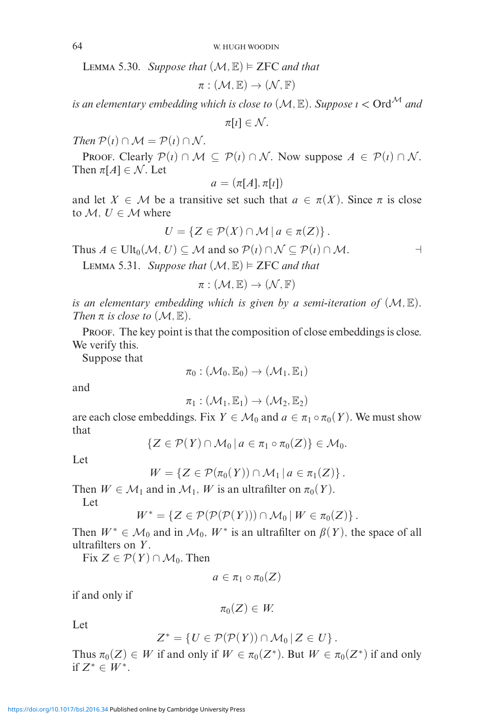LEMMA 5.30. Suppose that  $(\mathcal{M}, \mathbb{E}) \models \text{ZFC}$  and that

$$
\pi: (\mathcal{M}, \mathbb{E}) \to (\mathcal{N}, \mathbb{F})
$$

*is an elementary embedding which is close to*  $(\mathcal{M}, \mathbb{E})$ *. Suppose*  $\iota <$  Ord<sup> $\mathcal{M}$ </sup> and

 $\pi[\iota]\in\mathcal{N}.$ 

*Then*  $P(i) \cap M = P(i) \cap N$ .

PROOF. Clearly  $\mathcal{P}(i) \cap \mathcal{M} \subseteq \mathcal{P}(i) \cap \mathcal{N}$ . Now suppose  $A \in \mathcal{P}(i) \cap \mathcal{N}$ . Then  $\pi[A] \in \mathcal{N}$ . Let

$$
a = (\pi[A], \pi[i])
$$

and let  $X \in \mathcal{M}$  be a transitive set such that  $a \in \pi(X)$ . Since  $\pi$  is close to  $M, U \in \mathcal{M}$  where

$$
U = \{ Z \in \mathcal{P}(X) \cap \mathcal{M} \mid a \in \pi(Z) \}.
$$

Thus  $A \in \text{Ult}_0(\mathcal{M}, U) \subseteq \mathcal{M}$  and so  $\mathcal{P}(i) \cap \mathcal{N} \subseteq \mathcal{P}(i) \cap \mathcal{M}$ .

LEMMA 5.31. *Suppose that*  $(\mathcal{M}, \mathbb{E}) \models \text{ZFC}$  *and that* 

 $\pi: (\mathcal{M}, \mathbb{E}) \to (\mathcal{N}, \mathbb{F})$ 

*is an elementary embedding which is given by a semi-iteration of* (M*,* E)*. Then*  $\pi$  *is close to*  $(\mathcal{M}, \mathbb{E})$ *.* 

PROOF. The key point is that the composition of close embeddings is close. We verify this.

Suppose that

$$
\pi_0: (\mathcal{M}_0, \mathbb{E}_0) \to (\mathcal{M}_1, \mathbb{E}_1)
$$

and

 $\pi_1 : (\mathcal{M}_1, \mathbb{E}_1) \rightarrow (\mathcal{M}_2, \mathbb{E}_2)$ 

are each close embeddings. Fix  $Y \in \mathcal{M}_0$  and  $a \in \pi_1 \circ \pi_0(Y)$ . We must show that

$$
\{Z\in\mathcal{P}(Y)\cap\mathcal{M}_0\,|\,a\in\pi_1\circ\pi_0(Z)\}\in\mathcal{M}_0.
$$

Let

$$
W = \{ Z \in \mathcal{P}(\pi_0(Y)) \cap \mathcal{M}_1 \, | \, a \in \pi_1(Z) \}.
$$

Then  $W \in \mathcal{M}_1$  and in  $\mathcal{M}_1$ , *W* is an ultrafilter on  $\pi_0(Y)$ .

Let

$$
W^* = \{ Z \in \mathcal{P}(\mathcal{P}(\mathcal{P}(Y))) \cap \mathcal{M}_0 \, | \, W \in \pi_0(Z) \}.
$$

Then  $W^* \in \mathcal{M}_0$  and in  $\mathcal{M}_0$ ,  $W^*$  is an ultrafilter on  $\beta(Y)$ , the space of all ultrafilters on *Y* .

Fix  $Z \in \mathcal{P}(Y) \cap \mathcal{M}_0$ . Then

$$
a\in \pi_1\circ\pi_0(Z)
$$

if and only if

$$
\pi_0(Z)\in W
$$

Let

$$
Z^* = \{ U \in \mathcal{P}(\mathcal{P}(Y)) \cap \mathcal{M}_0 \, | \, Z \in U \} \, .
$$

Thus  $\pi_0(Z) \in W$  if and only if  $W \in \pi_0(Z^*)$ . But  $W \in \pi_0(Z^*)$  if and only if  $Z^*$  ∈  $W^*$ .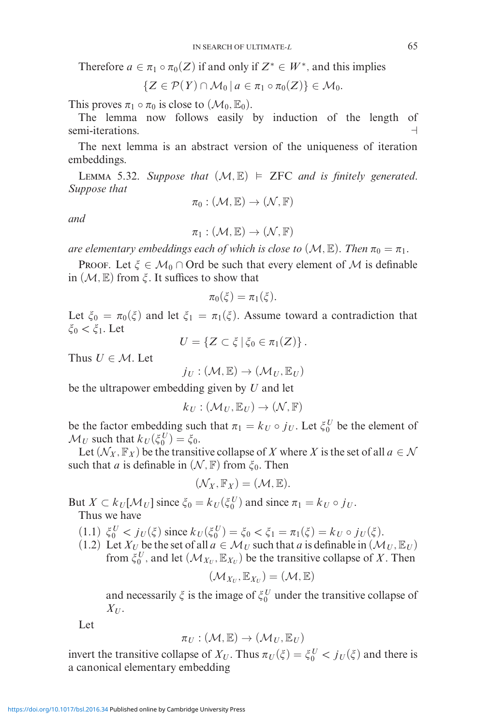Therefore  $a \in \pi_1 \circ \pi_0(Z)$  if and only if  $Z^* \in W^*$ , and this implies

$$
\{Z\in\mathcal{P}(Y)\cap\mathcal{M}_0\,|\,a\in\pi_1\circ\pi_0(Z)\}\in\mathcal{M}_0.
$$

This proves  $\pi_1 \circ \pi_0$  is close to  $(\mathcal{M}_0, \mathbb{E}_0)$ .

The lemma now follows easily by induction of the length of semi-iterations.

The next lemma is an abstract version of the uniqueness of iteration embeddings.

LEMMA 5.32. Suppose that  $(M, \mathbb{E}) \models$  ZFC and is finitely generated. *Suppose that*

$$
\pi_0: (\mathcal{M}, \mathbb{E}) \to (\mathcal{N}, \mathbb{F})
$$

*and*

$$
\pi_1: (\mathcal{M}, \mathbb{E}) \to (\mathcal{N}, \mathbb{F})
$$

*are elementary embeddings each of which is close to*  $(\mathcal{M}, \mathbb{E})$ *. Then*  $\pi_0 = \pi_1.$ 

**PROOF.** Let  $\xi \in \mathcal{M}_0 \cap \text{Ord}$  be such that every element of M is definable in  $(M, \mathbb{E})$  from  $\xi$ . It suffices to show that

$$
\pi_0(\xi)=\pi_1(\xi).
$$

Let  $\xi_0 = \pi_0(\xi)$  and let  $\xi_1 = \pi_1(\xi)$ . Assume toward a contradiction that  $\xi_0 < \xi_1$ . Let

 $U = \{ Z \subset \xi \, | \, \xi_0 \in \pi_1(Z) \}$ .

Thus  $U \in \mathcal{M}$ . Let

 $j_U : (\mathcal{M}, \mathbb{E}) \to (\mathcal{M}_U, \mathbb{E}_U)$ 

be the ultrapower embedding given by *U* and let

$$
k_U: (\mathcal{M}_U, \mathbb{E}_U) \to (\mathcal{N}, \mathbb{F})
$$

be the factor embedding such that  $\pi_1 = k_U \circ j_U$ . Let  $\xi_0^U$  be the element of  $\mathcal{M}_U$  such that  $k_U(\xi_0^U) = \xi_0$ .

Let  $(\mathcal{N}_X, \mathbb{F}_X)$  be the transitive collapse of X where X is the set of all  $a \in \mathcal{N}$ such that *a* is definable in  $(N, \mathbb{F})$  from  $\xi_0$ . Then

$$
(\mathcal{N}_X,\mathbb{F}_X)=(\mathcal{M},\mathbb{E}).
$$

But  $X \subset k_U[\mathcal{M}_U]$  since  $\xi_0 = k_U(\xi_0^U)$  and since  $\pi_1 = k_U \circ j_U$ . Thus we have

- $(1.1) \xi_0^U < j_U(\xi)$  since  $k_U(\xi_0^U) = \xi_0 < \xi_1 = \pi_1(\xi) = k_U \circ j_U(\xi)$ .
- (1.2) Let  $X_U$  be the set of all  $a \in M_U$  such that  $a$  is definable in  $(M_U, \mathbb{E}_U)$ from  $\xi_0^U$ , and let  $(\mathcal{M}_{X_U}, \mathbb{E}_{X_U})$  be the transitive collapse of X. Then

$$
(\mathcal{M}_{X_U}, \mathbb{E}_{X_U}) = (\mathcal{M}, \mathbb{E})
$$

and necessarily  $\zeta$  is the image of  $\zeta_0^U$  under the transitive collapse of  $X_U$ .

Let

$$
\pi_U: (\mathcal{M}, \mathbb{E}) \to (\mathcal{M}_U, \mathbb{E}_U)
$$

invert the transitive collapse of  $X_U$ . Thus  $\pi_U(\xi) = \xi_0^U < j_U(\xi)$  and there is a canonical elementary embedding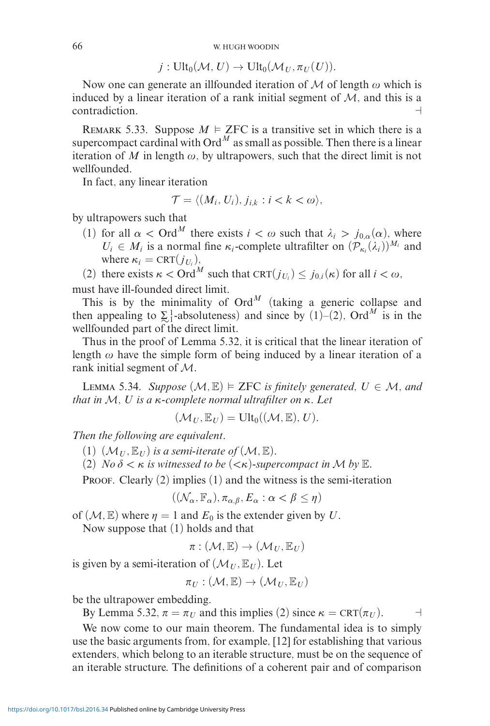$j: \text{Ult}_0(\mathcal{M}, U) \to \text{Ult}_0(\mathcal{M}_U, \pi_U(U)).$ 

Now one can generate an illfounded iteration of  $M$  of length  $\omega$  which is induced by a linear iteration of a rank initial segment of  $M$ , and this is a contradiction.

REMARK 5.33. Suppose  $M \models \text{ZFC}$  is a transitive set in which there is a supercompact cardinal with  $Ord^M$  as small as possible. Then there is a linear iteration of *M* in length  $\omega$ , by ultrapowers, such that the direct limit is not wellfounded.

In fact, any linear iteration

$$
\mathcal{T} = \langle (M_i, U_i), j_{i,k} : i < k < \omega \rangle,
$$

by ultrapowers such that

(1) for all  $\alpha <$  Ord<sup>M</sup> there exists  $i < \omega$  such that  $\lambda_i > j_{0,\alpha}(\alpha)$ , where  $U_i \in M_i$  is a normal fine  $\kappa_i$ -complete ultrafilter on  $(\mathcal{P}_{\kappa_i}(\lambda_i))^{M_i}$  and where  $\kappa_i = \text{CRT}(j_{U_i}),$ 

(2) there exists  $\kappa <$  Ord<sup>M</sup> such that CRT( $j_{U_i}$ )  $\leq j_{0,i}(\kappa)$  for all  $i < \omega$ , must have ill-founded direct limit.

This is by the minimality of  $Ord^M$  (taking a generic collapse and then appealing to  $\Sigma_1^1$ -absoluteness) and since by (1)–(2), Ord<sup>M</sup> is in the wellfounded part of the direct limit.

Thus in the proof of Lemma 5.32, it is critical that the linear iteration of length  $\omega$  have the simple form of being induced by a linear iteration of a rank initial segment of M.

LEMMA 5.34. *Suppose*  $(M, E) \models \text{ZFC}$  *is finitely generated,*  $U \in \mathcal{M}$ *, and that in* M*, U is a κ-complete normal ultrafilter on κ. Let*

$$
(\mathcal{M}_U, \mathbb{E}_U) = \mathrm{Ult}_0((\mathcal{M}, \mathbb{E}), U).
$$

*Then the following are equivalent.*

(1)  $(\mathcal{M}_U, \mathbb{E}_U)$  *is a semi-iterate of*  $(\mathcal{M}, \mathbb{E})$ *.* 

(2) *No*  $\delta < \kappa$  *is witnessed to be*  $( $\kappa$ )-supercompact in *M* by **E**.$ 

PROOF. Clearly  $(2)$  implies  $(1)$  and the witness is the semi-iteration

$$
((\mathcal{N}_{\alpha}, \mathbb{F}_{\alpha}), \pi_{\alpha, \beta}, E_{\alpha} : \alpha < \beta \leq \eta)
$$

of  $(M, \mathbb{E})$  where  $\eta = 1$  and  $E_0$  is the extender given by *U*.

Now suppose that (1) holds and that

$$
\pi: (\mathcal{M}, \mathbb{E}) \to (\mathcal{M}_U, \mathbb{E}_U)
$$

is given by a semi-iteration of  $(\mathcal{M}_U, \mathbb{E}_U)$ . Let

$$
\pi_U : (\mathcal{M}, \mathbb{E}) \to (\mathcal{M}_U, \mathbb{E}_U)
$$

be the ultrapower embedding.

By Lemma 5.32,  $\pi = \pi_U$  and this implies (2) since  $\kappa = \text{CRT}(\pi_U)$ .

We now come to our main theorem. The fundamental idea is to simply use the basic arguments from, for example, [12] for establishing that various extenders, which belong to an iterable structure, must be on the sequence of an iterable structure. The definitions of a coherent pair and of comparison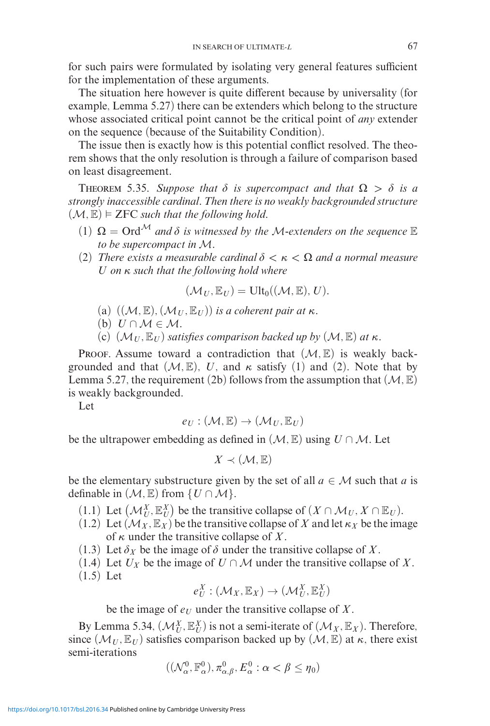for such pairs were formulated by isolating very general features sufficient for the implementation of these arguments.

The situation here however is quite different because by universality (for example, Lemma 5.27) there can be extenders which belong to the structure whose associated critical point cannot be the critical point of *any* extender on the sequence (because of the Suitability Condition).

The issue then is exactly how is this potential conflict resolved. The theorem shows that the only resolution is through a failure of comparison based on least disagreement.

THEOREM 5.35. Suppose that  $\delta$  is supercompact and that  $\Omega > \delta$  is a *strongly inaccessible cardinal. Then there is no weakly backgrounded structure*  $(\mathcal{M}, \mathbb{E}) \models$  **ZFC** such that the following hold.

- $(1)$   $\Omega = \text{Ord}^{\mathcal{M}}$  *and*  $\delta$  *is witnessed by the M-extenders on the sequence*  $\mathbb E$ *to be supercompact in* M*.*
- (2) *There exists a measurable cardinal*  $\delta < \kappa < \Omega$  *and a normal measure U on κ such that the following hold where*

$$
(\mathcal{M}_U, \mathbb{E}_U) = \text{Ult}_0((\mathcal{M}, \mathbb{E}), U).
$$

(a)  $((\mathcal{M}, \mathbb{E}), (\mathcal{M}_{U}, \mathbb{E}_{U}))$  *is a coherent pair at*  $\kappa$ *.* 

(b) 
$$
U \cap M \in M
$$
.

(c)  $(\mathcal{M}_U, \mathbb{E}_U)$  *satisfies comparison backed up by*  $(\mathcal{M}, \mathbb{E})$  *at*  $\kappa$ *.* 

PROOF. Assume toward a contradiction that  $(M, \mathbb{E})$  is weakly backgrounded and that  $(M, \mathbb{E})$ , *U*, and  $\kappa$  satisfy (1) and (2). Note that by Lemma 5.27, the requirement (2b) follows from the assumption that  $(M, \mathbb{E})$ is weakly backgrounded.

Let

$$
e_U : (\mathcal{M}, \mathbb{E}) \to (\mathcal{M}_U, \mathbb{E}_U)
$$

be the ultrapower embedding as defined in  $(\mathcal{M}, \mathbb{E})$  using  $U \cap \mathcal{M}$ . Let

 $X \prec (\mathcal{M}, \mathbb{E})$ 

be the elementary substructure given by the set of all  $a \in \mathcal{M}$  such that *a* is definable in  $(\mathcal{M}, \mathbb{E})$  from  $\{U \cap \mathcal{M}\}.$ 

- (1.1) Let  $(\mathcal{M}_U^X, \mathbb{E}_U^X)$  be the transitive collapse of  $(X \cap \mathcal{M}_U, X \cap \mathbb{E}_U)$ .
- (1.2) Let  $(\mathcal{M}_X, \mathbb{E}_X)$  be the transitive collapse of X and let  $\kappa_X$  be the image of *κ* under the transitive collapse of *X*.
- $(1.3)$  Let  $\delta_X$  be the image of  $\delta$  under the transitive collapse of X.
- (1.4) Let  $U_X$  be the image of  $U \cap M$  under the transitive collapse of  $X$ .
- (1.5) Let

$$
e^X_U : (\mathcal{M}_X, \mathbb{E}_X) \to (\mathcal{M}_U^X, \mathbb{E}_U^X)
$$

be the image of  $e_U$  under the transitive collapse of X.

By Lemma 5.34,  $(\mathcal{M}_U^X, \mathbb{E}_U^X)$  is not a semi-iterate of  $(\mathcal{M}_X, \mathbb{E}_X)$ . Therefore, since  $(\mathcal{M}_U, \mathbb{E}_U)$  satisfies comparison backed up by  $(\mathcal{M}, \mathbb{E})$  at  $\kappa$ , there exist semi-iterations

$$
((\mathcal{N}^0_{\alpha},\mathbb{F}^0_{\alpha}),\pi^0_{\alpha,\beta},E^0_{\alpha}: \alpha < \beta \leq \eta_0)
$$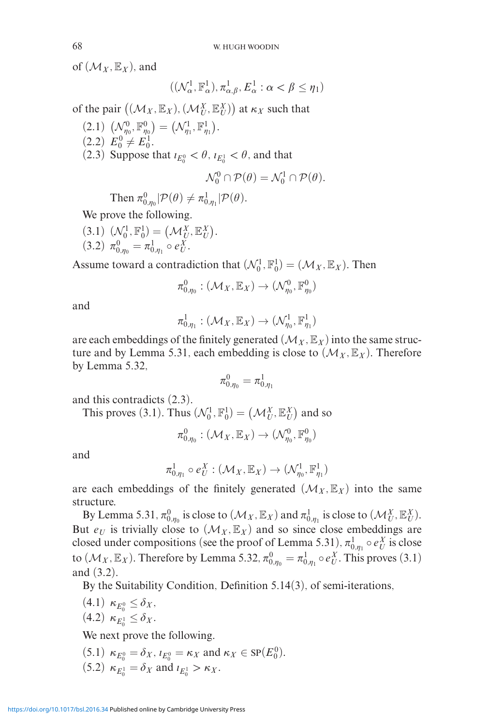of  $(\mathcal{M}_X, \mathbb{E}_X)$ , and

$$
((\mathcal{N}_{\alpha}^1,\mathbb{F}_{\alpha}^1),\pi_{\alpha,\beta}^1,E_{\alpha}^1:\alpha<\beta\leq\eta_1)
$$

of the pair  $((\mathcal{M}_X, \mathbb{E}_X), (\mathcal{M}_U^X, \mathbb{E}_U^X))$  at  $\kappa_X$  such that

 $(2.1) \left(N_{\eta_0}^0, \mathbb{F}_{\eta_0}^0\right) = \left(N_{\eta_1}^1, \mathbb{F}_{\eta_1}^1\right).$  $(2.2)$   $E_0^0 \neq E_0^1$ . (2.3) Suppose that  $\iota_{E_0^0} < \theta$ ,  $\iota_{E_0^1} < \theta$ , and that

$$
\mathcal{N}_0^0 \cap \mathcal{P}(\theta) = \mathcal{N}_0^1 \cap \mathcal{P}(\theta).
$$

Then  $\pi_{0,\eta_0}^0$  | $\mathcal{P}(\theta) \neq \pi_{0,\eta_1}^1$  | $\mathcal{P}(\theta)$ .

We prove the following.

 $(\mathfrak{I}.1) \; (\mathcal{N}_0^1, \mathbb{F}_0^1) = (\mathcal{M}_U^X, \mathbb{E}_U^X).$  $(3.2)$   $\pi_{0,\eta_0}^0 = \pi_{0,\eta_1}^1 \circ e_U^X$ .

Assume toward a contradiction that  $(\mathcal{N}_0^1, \mathbb{F}_0^1) = (\mathcal{M}_X, \mathbb{E}_X)$ . Then

$$
\pi^0_{0,\eta_0}: (\mathcal{M}_X, \mathbb{E}_X) \to (\mathcal{N}^0_{\eta_0}, \mathbb{F}^0_{\eta_0})
$$

and

$$
\pi^1_{0,\eta_1}: (\mathcal{M}_X, \mathbb{E}_X) \to (\mathcal{N}_{\eta_0}^1, \mathbb{F}_{\eta_1}^1)
$$

are each embeddings of the finitely generated  $(\mathcal{M}_X, \mathbb{E}_X)$  into the same structure and by Lemma 5.31, each embedding is close to  $(\mathcal{M}_X, \mathbb{E}_X)$ . Therefore by Lemma 5.32,

$$
\pi^0_{0,\eta_0}=\pi^1_{0,\eta_1}
$$

and this contradicts (2.3).

This proves (3.1). Thus  $(\mathcal{N}_0^1, \mathbb{F}_0^1) = (\mathcal{M}_U^X, \mathbb{E}_U^X)$  and so

$$
\pi^0_{0,\eta_0}: (\mathcal{M}_X, \mathbb{E}_X) \to (\mathcal{N}^0_{\eta_0}, \mathbb{F}^0_{\eta_0})
$$

and

$$
\pi^1_{0,\eta_1}\circ e^X_U: (\mathcal{M}_X, \mathbb{E}_X)\to (\mathcal{N}^1_{\eta_0}, \mathbb{F}^1_{\eta_1})
$$

are each embeddings of the finitely generated  $(\mathcal{M}_X, \mathbb{E}_X)$  into the same structure.

By Lemma 5.31,  $\pi_{0,\eta_0}^0$  is close to  $(\mathcal{M}_X, \mathbb{E}_X)$  and  $\pi_{0,\eta_1}^1$  is close to  $(\mathcal{M}_U^X, \mathbb{E}_U^X)$ . But  $e_U$  is trivially close to  $(\mathcal{M}_X, \mathbb{E}_X)$  and so since close embeddings are closed under compositions (see the proof of Lemma 5.31),  $\pi^1_{0,\eta_1} \circ e^X_U$  is close to  $(\mathcal{M}_X, \mathbb{E}_X)$ . Therefore by Lemma 5.32,  $\pi_{0,\eta_0}^0 = \pi_{0,\eta_1}^1 \circ e_U^X$ . This proves (3.1) and (3.2).

By the Suitability Condition, Definition 5.14(3), of semi-iterations,

 $(4.1)$   $\kappa_{E_0^0} \leq \delta_X$ ,

$$
(4.2) \ \kappa_{E_0^1} \leq \delta_X.
$$

We next prove the following.

 $(5.1)$   $\kappa_{E_0^0} = \delta_X$ ,  $\iota_{E_0^0} = \kappa_X$  and  $\kappa_X \in \text{SP}(E_0^0)$ .  $(5.2)$   $\kappa_{E_0^1} = \delta_X$  and  $\iota_{E_0^1} > \kappa_X$ .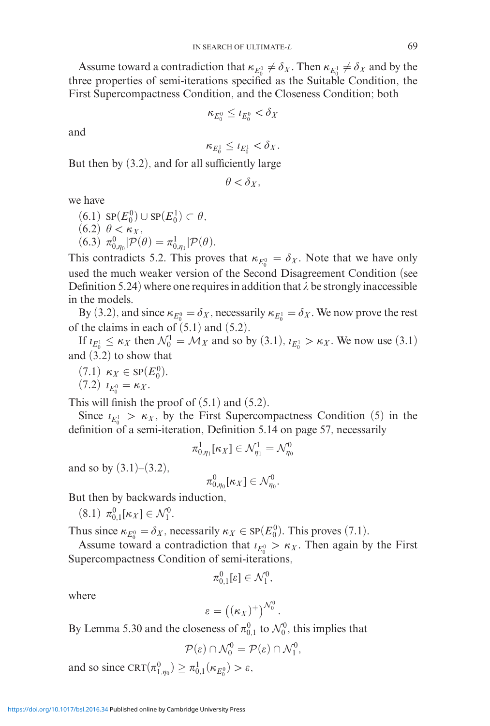Assume toward a contradiction that  $\kappa_{E_0^0} \neq \delta_X$ . Then  $\kappa_{E_0^1} \neq \delta_X$  and by the three properties of semi-iterations specified as the Suitable Condition, the First Supercompactness Condition, and the Closeness Condition; both

$$
\kappa_{E_0^0} \leq \iota_{E_0^0} < \delta_X
$$

and

$$
\kappa_{E_0^1} \leq \iota_{E_0^1} < \delta_X.
$$

But then by (3.2), and for all sufficiently large

$$
\theta < \delta_X,
$$

we have

- $(6.1)$  SP $(E_0^0) \cup$ SP $(E_0^1) \subset \theta$ ,  $(6.2)$   $\theta < \kappa_X$ ,
- (6.3)  $\pi_{0,\eta_0}^0$  |  $\mathcal{P}(\theta) = \pi_{0,\eta_1}^1$  |  $\mathcal{P}(\theta)$ .

This contradicts 5.2. This proves that  $\kappa_{E_0^0} = \delta_X$ . Note that we have only used the much weaker version of the Second Disagreement Condition (see Definition 5.24) where one requires in addition that  $\lambda$  be strongly inaccessible in the models.

By (3.2), and since  $\kappa_{E_0^0} = \delta_X$ , necessarily  $\kappa_{E_0^1} = \delta_X$ . We now prove the rest of the claims in each of  $(5.1)$  and  $(5.2)$ .

If  $\iota_{E_0^1} \leq \kappa_X$  then  $\mathcal{N}_0^1 = \mathcal{M}_X$  and so by (3.1),  $\iota_{E_0^1} > \kappa_X$ . We now use (3.1) and (3.2) to show that

 $(7.1)$  *κ*<sub>*X*</sub> ∈ SP(*E*<sup>0</sup><sub>0</sub>).

$$
(7.2) \t l_{E_0^0} = \kappa_X.
$$

This will finish the proof of  $(5.1)$  and  $(5.2)$ .

Since  $t_{E_0} > \kappa_X$ , by the First Supercompactness Condition (5) in the definition of a semi-iteration, Definition 5.14 on page 57, necessarily

$$
\pi^1_{0,\eta_1}[\kappa_X] \in \mathcal{N}^1_{\eta_1} = \mathcal{N}^0_{\eta_0}
$$

and so by  $(3.1)$ – $(3.2)$ ,

$$
\pi_{0,\eta_0}^0[\kappa_X]\in \mathcal{N}_{\eta_0}^0.
$$

But then by backwards induction,

 $(8.1)$   $\pi_{0,1}^{0}[\kappa_{X}] \in \mathcal{N}_{1}^{0}$ .

Thus since  $\kappa_{E_0^0} = \delta_X$ , necessarily  $\kappa_X \in \text{SP}(E_0^0)$ . This proves (7.1).

Assume toward a contradiction that  $i_{E_0^0} > \kappa_X$ . Then again by the First Supercompactness Condition of semi-iterations,

$$
\pi^0_{0,1}[\varepsilon]\in\mathcal{N}^0_1,
$$

where

$$
\varepsilon = \big((\kappa_X)^+\big)^{{\mathcal N}_0^0}\,.
$$

By Lemma 5.30 and the closeness of  $\pi_{0,1}^0$  to  $\mathcal{N}_0^0$ , this implies that

$$
\mathcal{P}(\varepsilon) \cap \mathcal{N}_0^0 = \mathcal{P}(\varepsilon) \cap \mathcal{N}_1^0,
$$

and so since  $CRT(\pi_{1,\eta_0}^0) \ge \pi_{0,1}^1(\kappa_{E_0^0}) > \varepsilon$ ,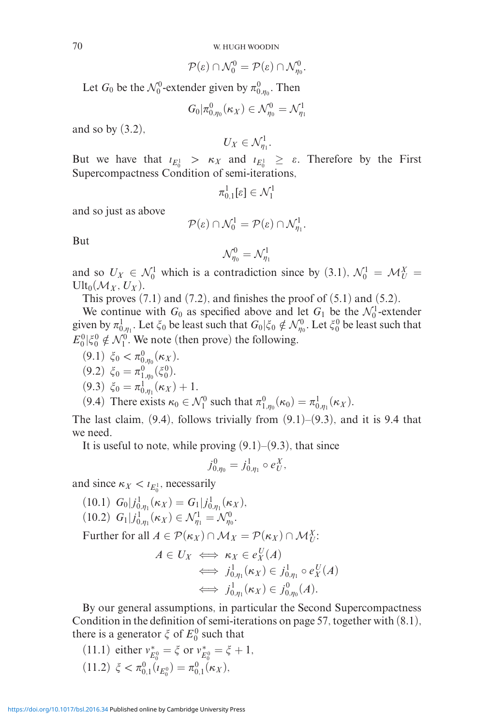70 W. HUGH WOODIN

$$
\mathcal{P}(\varepsilon) \cap \mathcal{N}_0^0 = \mathcal{P}(\varepsilon) \cap \mathcal{N}_{\eta_0}^0.
$$

Let *G*<sup>0</sup> be the  $\mathcal{N}_0^0$ -extender given by  $\pi_{0,\eta_0}^0$ . Then

$$
G_0|\pi^0_{0,\eta_0}(\kappa_X)\in\mathcal{N}_{\eta_0}^0=\mathcal{N}_{\eta_1}^1
$$

and so by  $(3.2)$ ,

$$
U_X\in \mathcal{N}_{\eta_1}^1.
$$

But we have that  $i_{E_0^1} > \kappa_X$  and  $i_{E_0^1} \ge \varepsilon$ . Therefore by the First Supercompactness Condition of semi-iterations,

$$
\pi^1_{0,1}[\varepsilon]\in \mathcal{N}^1_1
$$

and so just as above

$$
\mathcal{P}(\varepsilon) \cap \mathcal{N}_0^1 = \mathcal{P}(\varepsilon) \cap \mathcal{N}_{\eta_1}^1.
$$

But

$$
\mathcal{N}_{\eta_0}^0=\mathcal{N}_{\eta_1}^1
$$

and so  $U_X \in \mathcal{N}_0^1$  which is a contradiction since by (3.1),  $\mathcal{N}_0^1 = \mathcal{M}_U^X =$  $Ult_0(\mathcal{M}_X, U_X).$ 

This proves  $(7.1)$  and  $(7.2)$ , and finishes the proof of  $(5.1)$  and  $(5.2)$ .

We continue with  $G_0$  as specified above and let  $G_1$  be the  $\mathcal{N}_0^1$ -extender given by  $\pi^1_{0,\eta_1}$ . Let  $\xi_0$  be least such that  $G_0|\xi_0\notin\mathcal{N}_{\eta_0}^0$ . Let  $\xi_0^0$  be least such that  $E_0^0 | \xi_0^0 \notin \mathcal{N}_1^0$ . We note (then prove) the following.

(9.1)  $\xi_0 < \pi_{0,\eta_0}^0(\kappa_X)$ .

$$
(9.2) \xi_0 = \pi^0_{1,\eta_0}(\xi_0^0).
$$

$$
(9.3) \xi_0 = \pi^1_{0,\eta_1}(\kappa_X) + 1.
$$

(9.4) There exists  $\kappa_0 \in \mathcal{N}_1^0$  such that  $\pi_{1,\eta_0}^0(\kappa_0) = \pi_{0,\eta_1}^1(\kappa_X)$ .

The last claim,  $(9.4)$ , follows trivially from  $(9.1)$ – $(9.3)$ , and it is 9.4 that we need.

It is useful to note, while proving  $(9.1)$ – $(9.3)$ , that since

$$
j_{0,\eta_0}^0 = j_{0,\eta_1}^1 \circ e_U^X,
$$

and since  $\kappa_X < \iota_{E_0^1}$ , necessarily

(10.1)  $G_0|j^1_{0,\eta_1}(\kappa_X) = G_1|j^1_{0,\eta_1}(\kappa_X)$ , (10.2)  $G_1|j^1_{0,\eta_1}(\kappa_X) \in \mathcal{N}_{\eta_1}^1 = \mathcal{N}_{\eta_0}^0$ . Further for all  $A \in \mathcal{P}(\kappa_X) \cap \mathcal{M}_X = \mathcal{P}(\kappa_X) \cap \mathcal{M}_U^X$ :

$$
A \in U_X \iff \kappa_X \in e_X^U(A)
$$
  
\n
$$
\iff j_{0,\eta_1}^1(\kappa_X) \in j_{0,\eta_1}^1 \circ e_X^U(A)
$$
  
\n
$$
\iff j_{0,\eta_1}^1(\kappa_X) \in j_{0,\eta_0}^0(A).
$$

By our general assumptions, in particular the Second Supercompactness Condition in the definition of semi-iterations on page 57, together with (8.1), there is a generator  $\xi$  of  $E_0^0$  such that

(11.1) either 
$$
v_{E_0^0}^* = \xi
$$
 or  $v_{E_0^0}^* = \xi + 1$ ,  
(11.2)  $\xi < \pi_{0,1}^0(\iota_{E_0^0}) = \pi_{0,1}^0(\kappa_X)$ ,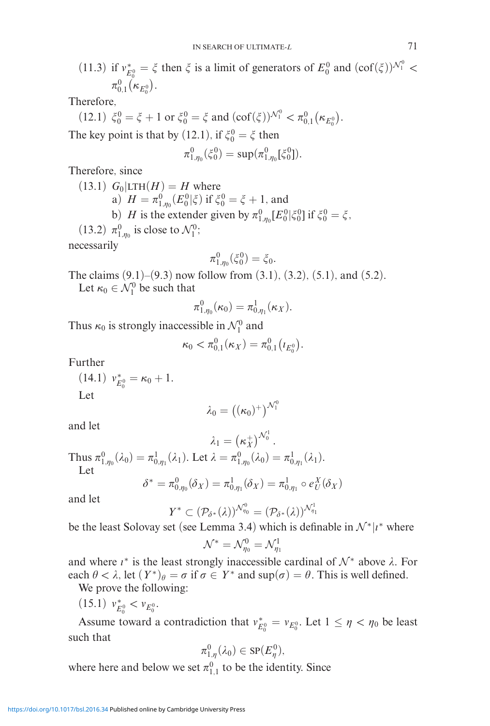(11.3) if  $v_{E_0^0}^* = \xi$  then  $\xi$  is a limit of generators of  $E_0^0$  and  $(\text{cof}(\xi))^{N_1^0} <$  $\pi_{0,1}^0\big(\kappa_{E_0^0}\big).$ 

Therefore,

(12.1) 
$$
\xi_0^0 = \xi + 1
$$
 or  $\xi_0^0 = \xi$  and  $(\text{cof}(\xi))^{N_1^0} < \pi_{0,1}^0(\kappa_{E_0^0})$ . The key point is that by (12.1), if  $\xi_0^0 = \xi$  then

$$
\pi_{1,\eta_0}^0(\xi_0^0) = \sup(\pi_{1,\eta_0}^0[\xi_0^0]).
$$

Therefore, since

 $(13.1)$   $G_0$   $LTH(H) = H$  where a)  $H = \pi_{1,\eta_0}^0(E_0^0 | \xi)$  if  $\xi_0^0 = \xi + 1$ , and b) *H* is the extender given by  $\pi_{1,\eta_0}^0[E_0^0|\xi_0^0]$  if  $\xi_0^0 = \xi$ , (13.2)  $\pi^0_{1,\eta_0}$  is close to  $\mathcal{N}_1^0$ ; necessarily

$$
\pi_{1,\eta_0}^0(\xi_0^0)=\xi_0.
$$

The claims  $(9.1)$ – $(9.3)$  now follow from  $(3.1)$ ,  $(3.2)$ ,  $(5.1)$ , and  $(5.2)$ . Let  $\kappa_0 \in \mathcal{N}_1^0$  be such that

$$
\pi_{1,\eta_0}^0(\kappa_0)=\pi_{0,\eta_1}^1(\kappa_X).
$$

Thus  $\kappa_0$  is strongly inaccessible in  $\mathcal{N}_1^0$  and

$$
\kappa_0 < \pi_{0,1}^0(\kappa_X) = \pi_{0,1}^0\big(\iota_{E_0^0}\big).
$$

Further

 $(14.1)$   $v_{E_0^0}^* = \kappa_0 + 1.$ Let

$$
\lambda_0=\big((\kappa_0)^+\big)^{{\mathcal N}_1^0}
$$

and let

$$
\lambda_1 = \left(\kappa_X^+\right)^{\mathcal{N}_0^1}.
$$

Thus  $\pi_{1,\eta_0}^0(\lambda_0) = \pi_{0,\eta_1}^1(\lambda_1)$ . Let  $\lambda = \pi_{1,\eta_0}^0(\lambda_0) = \pi_{0,\eta_1}^1(\lambda_1)$ . Let

$$
\delta^* = \pi^0_{0,\eta_0}(\delta_X) = \pi^1_{0,\eta_1}(\delta_X) = \pi^1_{0,\eta_1} \circ e^X_U(\delta_X)
$$

and let

$$
Y^* \subset (\mathcal{P}_{\delta^*}(\lambda))^{\mathcal{N}_{\eta_0}^0} = (\mathcal{P}_{\delta^*}(\lambda))^{\mathcal{N}_{\eta_1}^1}
$$

be the least Solovay set (see Lemma 3.4) which is definable in  $\mathcal{N}^*|i^*$  where

$$
\mathcal{N}^* = \mathcal{N}_{\eta_0}^0 = \mathcal{N}_{\eta_1}^1
$$

and where  $\iota^*$  is the least strongly inaccessible cardinal of  $\mathcal{N}^*$  above  $\lambda$ . For each  $\theta < \lambda$ , let  $(Y^*)_{\theta} = \sigma$  if  $\sigma \in Y^*$  and  $\sup(\sigma) = \theta$ . This is well defined.

We prove the following:

 $(15.1)$   $v_{E_0^0}^* < v_{E_0^0}$ .

Assume toward a contradiction that  $v_{E_0^0}^* = v_{E_0^0}$ . Let  $1 \le \eta < \eta_0$  be least such that

$$
\pi^0_{1,\eta}(\lambda_0)\in\mathrm{SP}(E^0_\eta),
$$

where here and below we set  $\pi_{1,1}^0$  to be the identity. Since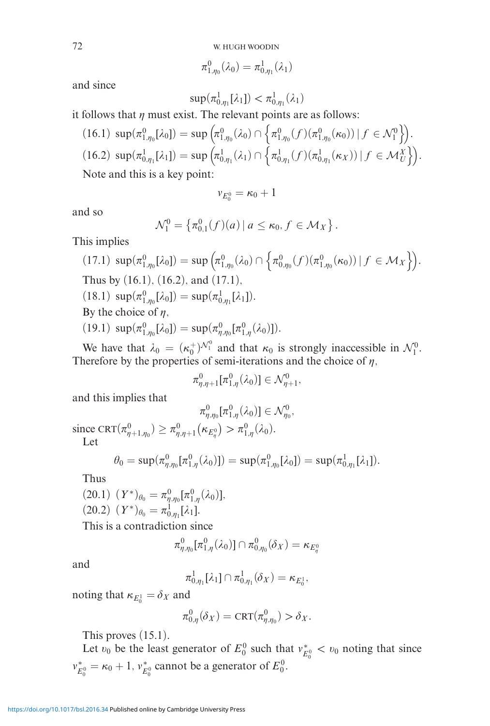$$
\pi^0_{1,\eta_0}(\lambda_0)=\pi^1_{0,\eta_1}(\lambda_1)
$$

and since

$$
\sup(\pi_{0,\eta_1}^1[\lambda_1]) < \pi_{0,\eta_1}^1(\lambda_1)
$$

it follows that  $\eta$  must exist. The relevant points are as follows:

$$
(16.1) \sup(\pi_{1,\eta_0}^0[\lambda_0]) = \sup \left(\pi_{1,\eta_0}^0(\lambda_0) \cap \left\{\pi_{1,\eta_0}^0(f)(\pi_{1,\eta_0}^0(\kappa_0)) \mid f \in \mathcal{N}_1^0\right\}\right).
$$
  
(16.2)  $\sup(\pi_{0,\eta_1}^1[\lambda_1]) = \sup \left(\pi_{0,\eta_1}^1(\lambda_1) \cap \left\{\pi_{0,\eta_1}^1(f)(\pi_{0,\eta_1}^1(\kappa_X)) \mid f \in \mathcal{M}_U^X\right\}\right).$   
Note and this is a key point:

d this is a key point:

$$
v_{E_0^0} = \kappa_0 + 1
$$

and so

$$
\mathcal{N}_1^0 = \left\{ \pi_{0,1}^0(f)(a) \, | \, a \leq \kappa_0, f \in \mathcal{M}_X \right\}.
$$

This implies

(17.1) 
$$
\sup(\pi_{1,\eta_0}^0[\lambda_0]) = \sup \left( \pi_{1,\eta_0}^0(\lambda_0) \cap \left\{ \pi_{0,\eta_0}^0(f)(\pi_{1,\eta_0}^0(\kappa_0)) \mid f \in \mathcal{M}_X \right\} \right)
$$
.  
\nThus by (16.1), (16.2), and (17.1),  
\n(18.1)  $\sup(\pi_{1,\eta_0}^0[\lambda_0]) = \sup(\pi_{0,\eta_1}^1[\lambda_1])$ .  
\nBy the choice of  $\eta$ ,  
\n(19.1)  $\sup(\pi_{1,\eta_0}^0[\lambda_0]) = \sup(\pi_{\eta,\eta_0}^0[\pi_{1,\eta}^0(\lambda_0)]$ .

We have that  $\lambda_0 = (\kappa_0^+)^{\mathcal{N}_1^0}$  and that  $\kappa_0$  is strongly inaccessible in  $\mathcal{N}_1^0$ . Therefore by the properties of semi-iterations and the choice of  $\eta$ ,

$$
\pi^0_{\eta,\eta+1}[\pi^0_{1,\eta}(\lambda_0)] \in \mathcal{N}^0_{\eta+1},
$$

and this implies that

$$
\pi_{\eta,\eta_0}^0[\pi_{1,\eta}^0(\lambda_0)] \in \mathcal{N}_{\eta_0}^0,
$$
  
since  $\text{CRT}(\pi_{\eta+1,\eta_0}^0) \ge \pi_{\eta,\eta+1}^0(\kappa_{E_\eta^0}) > \pi_{1,\eta}^0(\lambda_0).$   
Let

$$
\theta_0 = \sup(\pi^0_{\eta,\eta_0}[\pi^0_{1,\eta}(\lambda_0)]) = \sup(\pi^0_{1,\eta_0}[\lambda_0]) = \sup(\pi^1_{0,\eta_1}[\lambda_1]).
$$

Thus

$$
(20.1) (Y^*)_{\theta_0} = \pi_{\eta,\eta_0}^0[\pi_{1,\eta}^0(\lambda_0)],
$$
  

$$
(20.2) (Y^*)_{\theta_0} = \pi_{0,\eta_1}^1[\lambda_1].
$$

This is a contradiction since

$$
\pi^0_{\eta,\eta_0}[\pi^0_{1,\eta}(\lambda_0)] \cap \pi^0_{0,\eta_0}(\delta_X) = \kappa_{E^0_{\eta}}
$$

and

$$
\pi^1_{0,\eta_1}[\lambda_1] \cap \pi^1_{0,\eta_1}(\delta_X) = \kappa_{E_0^1},
$$

noting that  $\kappa_{E_0^1} = \delta_X$  and

$$
\pi_{0,\eta}^0(\delta_X) = \text{CRT}(\pi_{\eta,\eta_0}^0) > \delta_X.
$$

This proves (15.1).

Let  $v_0$  be the least generator of  $E_0^0$  such that  $v_{E_0^0}^* < v_0$  noting that since  $v_{E_0^0}^* = \kappa_0 + 1$ ,  $v_{E_0^0}^*$  cannot be a generator of  $E_0^0$ .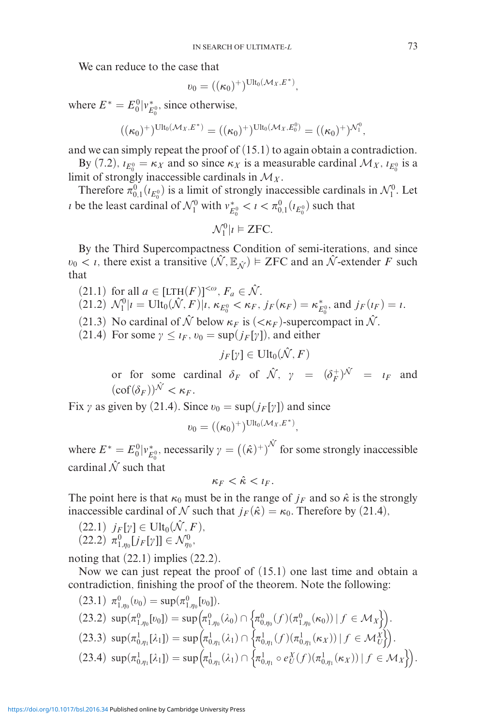We can reduce to the case that

$$
v_0 = ((\kappa_0)^+)^{\mathrm{Ult}_0(\mathcal{M}_X,E^*)},
$$

where  $E^* = E_0^0 | v_{E_0^0}^*$ , since otherwise,

$$
((\kappa_0)^+)^\mathrm{Ult_0(\mathcal{M}_X,E^*)}=((\kappa_0)^+)^\mathrm{Ult_0(\mathcal{M}_X,E^0_0)}=((\kappa_0)^+)^\mathcal{N}^0_1,
$$

and we can simply repeat the proof of (15.1) to again obtain a contradiction.

By (7.2),  $i_{E_0^0} = \kappa_X$  and so since  $\kappa_X$  is a measurable cardinal  $\mathcal{M}_X$ ,  $i_{E_0^0}$  is a limit of strongly inaccessible cardinals in  $\mathcal{M}_X$ .

Therefore  $\pi_{0,1}^0(\iota_{E_0^0})$  is a limit of strongly inaccessible cardinals in  $\mathcal{N}_1^0$ . Let *i* be the least cardinal of  $\mathcal{N}_1^0$  with  $v_{E_0}^* < i < \pi_{0,1}^0(i_{E_0^0})$  such that

$$
\mathcal{N}_1^0 | i \models \text{ZFC}.
$$

By the Third Supercompactness Condition of semi-iterations, and since  $v_0 < i$ , there exist a transitive  $(\hat{\mathcal{N}}, \mathbb{E}_{\hat{\mathcal{N}}}) \models \text{ZFC}$  and an  $\hat{\mathcal{N}}$ -extender *F* such that

- $(21.1)$  for all  $a \in [LTH(F)]^{<\omega}$ ,  $F_a \in \mathcal{N}$ .  $(21.2) \mathcal{N}_1^0 | i = \text{Ult}_0(\hat{\mathcal{N}}, F)|i, \kappa_{E_0^0} < \kappa_F, j_F(\kappa_F) = \kappa_{E_0^0}^*$ , and  $j_F(i_F) = i$ .
- 
- (21.3) No cardinal of  $\hat{\mathcal{N}}$  below  $\kappa_F$  is  $( $\kappa_F$ )-supercompact in  $\hat{\mathcal{N}}$ .$
- (21.4) For some  $\gamma \leq t_F$ ,  $v_0 = \sup(j_F[\gamma])$ , and either

$$
j_F[\gamma] \in \text{Ult}_0(\hat{\mathcal{N}},F)
$$

or for some cardinal  $\delta_F$  of  $\hat{\mathcal{N}}$ ,  $\gamma = (\delta_F^+)^{\hat{\mathcal{N}}} = i_F$  and  $(\mathrm{cof}(\delta_F))^{\hat{\mathcal{N}}} < \kappa_F.$ 

Fix  $\gamma$  as given by (21.4). Since  $v_0 = \sup(j_F[\gamma])$  and since

$$
v_0 = ((\kappa_0)^+)^{\mathrm{Ult}_0(\mathcal{M}_X,E^*)},
$$

where  $E^* = E_0^0 |v_{E_0}^*$ , necessarily  $\gamma = ((\hat{\kappa})^+)^{\hat{\mathcal{N}}}$  for some strongly inaccessible cardinal  $\hat{N}$  such that

$$
\kappa_F < \hat{\kappa} < t_F.
$$

The point here is that  $\kappa_0$  must be in the range of  $j_F$  and so  $\hat{\kappa}$  is the strongly inaccessible cardinal of N such that  $j_F(\hat{\kappa}) = \kappa_0$ . Therefore by (21.4),

$$
(22.1) \quad j_F[\gamma] \in \text{Ult}_0(\hat{\mathcal{N}}, F),
$$
  

$$
(22.2) \quad \pi^0 \quad \text{Li-full} \subset \Lambda'^0
$$

 $(22.2)$   $\pi^{0}_{1,\eta_0}[j_F[\gamma]] \in \mathcal{N}_{\eta_0}^0$ ,

noting that  $(22.1)$  implies  $(22.2)$ .

Now we can just repeat the proof of (15.1) one last time and obtain a contradiction, finishing the proof of the theorem. Note the following:

(23.1) 
$$
\pi_{1,\eta_0}^0(\nu_0) = \sup(\pi_{1,\eta_0}^0[\nu_0]).
$$
  
\n(23.2)  $\sup(\pi_{1,\eta_0}^0[\nu_0]) = \sup(\pi_{1,\eta_0}^0(\lambda_0) \cap \{\pi_{0,\eta_0}^0(f)(\pi_{1,\eta_0}^0(\kappa_0)) \mid f \in \mathcal{M}_X\}).$   
\n(23.3)  $\sup(\pi_{0,\eta_1}^1[\lambda_1]) = \sup(\pi_{0,\eta_1}^1(\lambda_1) \cap \{\pi_{0,\eta_1}^1(f)(\pi_{0,\eta_1}^1(\kappa_X)) \mid f \in \mathcal{M}_U^X\}).$   
\n(23.4)  $\sup(\pi_{0,\eta_1}^1[\lambda_1]) = \sup(\pi_{0,\eta_1}^1(\lambda_1) \cap \{\pi_{0,\eta_1}^1 \circ e_U^X(f)(\pi_{0,\eta_1}^1(\kappa_X)) \mid f \in \mathcal{M}_X\} ).$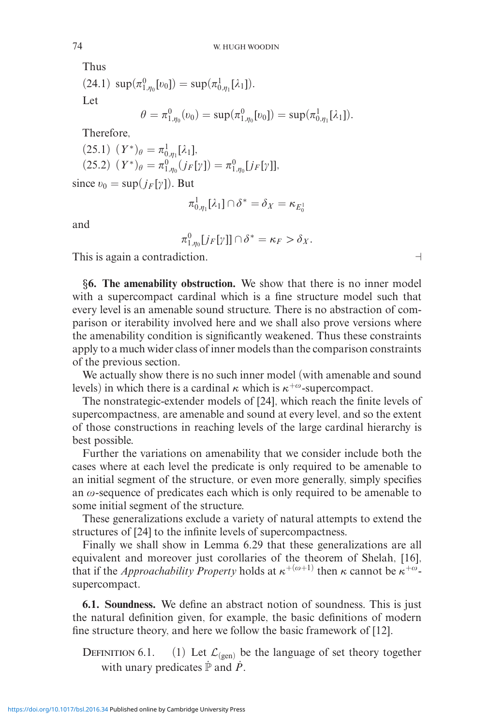Thus

(24.1) 
$$
\sup(\pi_{1,\eta_0}^0[v_0]) = \sup(\pi_{0,\eta_1}^1[\lambda_1]).
$$
  
Let  

$$
\theta = \pi_{1,\eta_0}^0(v_0) = \sup(\pi_{1,\eta_0}^0[v_0]) = \sup(\pi_{0,\eta_1}^1[\lambda_1]).
$$

Therefore,

$$
(25.1) (Y^*)_{\theta} = \pi_{0,\eta_1}^1[\lambda_1],
$$
  

$$
(25.2) (Y^*)_{\theta} = \pi_{1,\eta_0}^0(j_F[\gamma]) = \pi_{1,\eta_0}^0[j_F[\gamma]],
$$

since  $v_0 = \sup(j_F[y])$ . But

$$
\pi^1_{0,\eta_1}[\lambda_1] \cap \delta^* = \delta_X = \kappa_{E_0^1}
$$

and

$$
\pi_{1,\eta_0}^0[j_F[\gamma]] \cap \delta^* = \kappa_F > \delta_X.
$$

This is again a contradiction.

*§***6. The amenability obstruction.** We show that there is no inner model with a supercompact cardinal which is a fine structure model such that every level is an amenable sound structure. There is no abstraction of comparison or iterability involved here and we shall also prove versions where the amenability condition is significantly weakened. Thus these constraints apply to a much wider class of inner models than the comparison constraints of the previous section.

We actually show there is no such inner model (with amenable and sound levels) in which there is a cardinal  $\kappa$  which is  $\kappa^{+\omega}$ -supercompact.

The nonstrategic-extender models of [24], which reach the finite levels of supercompactness, are amenable and sound at every level, and so the extent of those constructions in reaching levels of the large cardinal hierarchy is best possible.

Further the variations on amenability that we consider include both the cases where at each level the predicate is only required to be amenable to an initial segment of the structure, or even more generally, simply specifies an  $\omega$ -sequence of predicates each which is only required to be amenable to some initial segment of the structure.

These generalizations exclude a variety of natural attempts to extend the structures of [24] to the infinite levels of supercompactness.

Finally we shall show in Lemma 6.29 that these generalizations are all equivalent and moreover just corollaries of the theorem of Shelah, [16], that if the *Approachability Property* holds at  $\kappa^{+(\omega+1)}$  then  $\kappa$  cannot be  $\kappa^{+\omega}$ supercompact.

**6.1. Soundness.** We define an abstract notion of soundness. This is just the natural definition given, for example, the basic definitions of modern fine structure theory, and here we follow the basic framework of [12].

DEFINITION 6.1. (1) Let  $\mathcal{L}_{(gen)}$  be the language of set theory together with unary predicates  $\mathbb P$  and  $\mathbb P$ .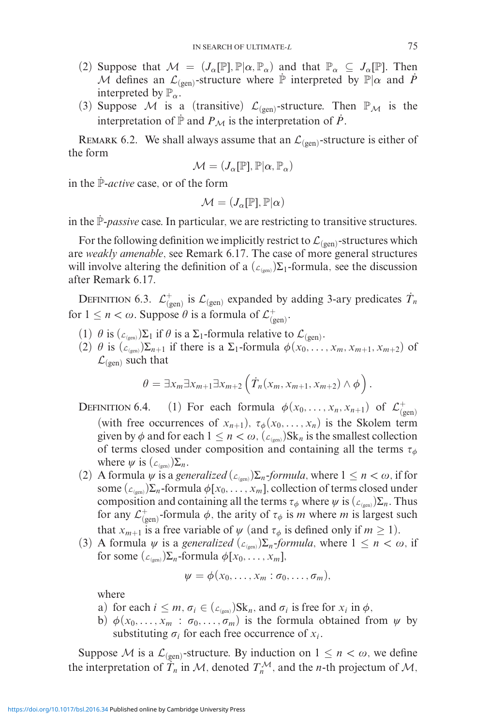- (2) Suppose that  $M = (J_{\alpha}[\mathbb{P}], \mathbb{P}|\alpha, \mathbb{P}_{\alpha})$  and that  $\mathbb{P}_{\alpha} \subseteq J_{\alpha}[\mathbb{P}]$ . Then M defines an  $\mathcal{L}_{(gen)}$ -structure where  $\dot{P}$  interpreted by  $\mathbb{P}|\alpha$  and  $\dot{P}$ interpreted by  $\mathbb{P}_{\alpha}$ .
- (3) Suppose M is a (transitive)  $\mathcal{L}_{(gen)}$ -structure. Then  $\mathbb{P}_M$  is the interpretation of  $\mathbb P$  and  $P_M$  is the interpretation of  $P$ .

REMARK 6.2. We shall always assume that an  $\mathcal{L}_{(gen)}$ -structure is either of the form

$$
\mathcal{M} = (J_{\alpha}[\mathbb{P}], \mathbb{P}|\alpha, \mathbb{P}_{\alpha})
$$

in the P-*active* case, or of the form

$$
\mathcal{M} = (J_\alpha[\mathbb{P}], \mathbb{P}|\alpha)
$$

in the P-*passive* case. In particular, we are restricting to transitive structures.

For the following definition we implicitly restrict to  $\mathcal{L}_{(gen)}$ -structures which are *weakly amenable*, see Remark 6.17. The case of more general structures will involve altering the definition of a  $(\mathcal{L}_{(gen)})\Sigma_1$ -formula, see the discussion after Remark 6.17.

DEFINITION 6.3.  $\mathcal{L}_{(gen)}^+$  is  $\mathcal{L}_{(gen)}$  expanded by adding 3-ary predicates  $\dot{T}_n$ for  $1 \le n < \omega$ . Suppose  $\theta$  is a formula of  $\mathcal{L}_{(gen)}^+$ .

- (1)  $\theta$  is  $(\mathcal{L}_{(gen)})\Sigma_1$  if  $\theta$  is a  $\Sigma_1$ -formula relative to  $\mathcal{L}_{(gen)}$ .
- (2)  $\theta$  is  $(\mathcal{L}_{(gen)})\Sigma_{n+1}$  if there is a  $\Sigma_1$ -formula  $\phi(x_0,\ldots,x_m,x_{m+1},x_{m+2})$  of  $\mathcal{L}_{(gen)}$  such that

$$
\theta = \exists x_m \exists x_{m+1} \exists x_{m+2} \left( \dot{T}_n(x_m, x_{m+1}, x_{m+2}) \wedge \phi \right).
$$

DEFINITION 6.4. (1) For each formula  $\phi(x_0, \ldots, x_n, x_{n+1})$  of  $\mathcal{L}_{(\text{gen})}^+$ (with free occurrences of  $x_{n+1}$ ),  $\tau_{\phi}(x_0, \ldots, x_n)$  is the Skolem term given by  $\phi$  and for each  $1 \leq n < \omega$ ,  $(\mathcal{L}_{(gen)})$ Sk<sub>n</sub> is the smallest collection of terms closed under composition and containing all the terms  $\tau_{\phi}$ where  $\psi$  is  $(\mathcal{L}_{(gen)})\Sigma_n$ .

- (2) A formula  $\psi$  is a *generalized* ( $\mathcal{L}_{\text{(een)}}\Sigma_n$ -*formula*, where  $1 \leq n < \omega$ , if for some  $(\mathcal{L}_{(\text{gen})})\Sigma_n$ -formula  $\phi[x_0,\ldots,x_m]$ , collection of terms closed under composition and containing all the terms  $\tau_{\phi}$  where  $\psi$  is ( $\mathcal{L}_{(gen)}\Sigma_n$ . Thus for any  $\mathcal{L}_{(gen)}^+$ -formula  $\phi$ , the arity of  $\tau_{\phi}$  is *m* where *m* is largest such that  $x_{m+1}$  is a free variable of  $\psi$  (and  $\tau_{\phi}$  is defined only if  $m \ge 1$ ).
- (3) A formula  $\psi$  is a *generalized* ( $\mathcal{L}_{(gen)}\Sigma_n$ -*formula*, where  $1 \leq n < \omega$ , if for some  $(\mathcal{L}_{(gen)})\Sigma_n$ -formula  $\phi[x_0,\ldots,x_m],$

$$
\psi = \phi(x_0, \ldots, x_m : \sigma_0, \ldots, \sigma_m),
$$

where

- a) for each  $i \leq m$ ,  $\sigma_i \in (L_{\text{gen}})$ Sk<sub>n</sub>, and  $\sigma_i$  is free for  $x_i$  in  $\phi$ ,
- b)  $\phi(x_0, \ldots, x_m : \sigma_0, \ldots, \sigma_m)$  is the formula obtained from  $\psi$  by substituting  $\sigma_i$  for each free occurrence of  $x_i$ .

Suppose M is a  $\mathcal{L}_{(gen)}$ -structure. By induction on  $1 \leq n < \omega$ , we define the interpretation of  $\hat{T}_n$  in M, denoted  $T_n^{\mathcal{M}}$ , and the *n*-th projectum of M,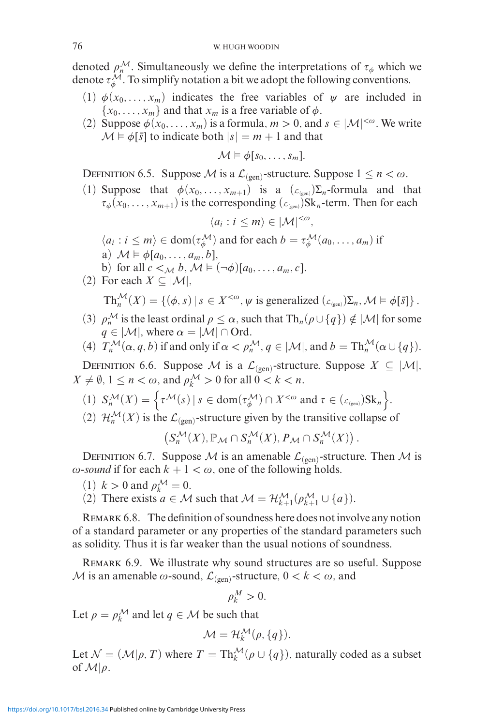denoted  $\rho_n^{\mathcal{M}}$ . Simultaneously we define the interpretations of  $\tau_{\phi}$  which we denote  $\tau^{\mathcal{M}}_{\phi}$ . To simplify notation a bit we adopt the following conventions.

- (1)  $\phi(x_0, \ldots, x_m)$  indicates the free variables of  $\psi$  are included in  ${x_0, \ldots, x_m}$  and that  $x_m$  is a free variable of  $\phi$ .
- (2) Suppose  $\phi(x_0, \ldots, x_m)$  is a formula,  $m > 0$ , and  $s \in |\mathcal{M}|^{< \omega}$ . We write  $\mathcal{M} \models \phi[\bar{s}]$  to indicate both  $|s| = m + 1$  and that

$$
\mathcal{M} \models \phi[s_0, \ldots, s_m].
$$

DEFINITION 6.5. Suppose M is a  $\mathcal{L}_{(gen)}$ -structure. Suppose  $1 \le n < \omega$ .

(1) Suppose that  $\phi(x_0, \ldots, x_{m+1})$  is a  $(\mathcal{L}_{(gen)})\Sigma_n$ -formula and that  $\tau_{\phi}(x_0,\ldots,x_{m+1})$  is the corresponding ( $\mathcal{L}_{(gen)}$ )Sk<sub>n</sub>-term. Then for each

$$
\langle a_i : i \leq m \rangle \in |\mathcal{M}|^{<\omega},
$$

- $\langle a_i : i \leq m \rangle \in \text{dom}(\tau^{\mathcal{M}}_{\phi})$  and for each  $b = \tau^{\mathcal{M}}_{\phi}(a_0, \ldots, a_m)$  if
- a)  $\mathcal{M} \models \phi[a_0, \ldots, a_m, b],$
- b) for all  $c <_{\mathcal{M}} b$ ,  $\mathcal{M} \models (\neg \phi)[a_0, \dots, a_m, c]$ .
- (2) For each  $X \subseteq |\mathcal{M}|$ ,  $\text{Th}_{n}^{\mathcal{M}}(X) = \{(\phi, s) | s \in X^{<\omega}, \psi \text{ is generalized } (\mathcal{L}_{(\text{gen})})\Sigma_{n}, \mathcal{M} \models \phi[\bar{s}]\}.$
- (3)  $\rho_n^{\mathcal{M}}$  is the least ordinal  $\rho \leq \alpha$ , such that  $\text{Th}_n(\rho \cup \{q\}) \notin |\mathcal{M}|$  for some  $q \in |\mathcal{M}|$ , where  $\alpha = |\mathcal{M}| \cap \text{Ord}.$
- (4)  $T_n^{\mathcal{M}}(\alpha, q, b)$  if and only if  $\alpha < \rho_n^{\mathcal{M}}, q \in |\mathcal{M}|$ , and  $b = \text{Th}_n^{\mathcal{M}}(\alpha \cup \{q\})$ .

DEFINITION 6.6. Suppose *M* is a  $\mathcal{L}_{(gen)}$ -structure. Suppose  $X \subseteq |\mathcal{M}|$ ,  $X \neq \emptyset$ ,  $1 \leq n < \omega$ , and  $\rho_k^{\mathcal{M}} > 0$  for all  $0 < k < n$ .

- (1)  $S_n^{\mathcal{M}}(X) = \left\{ \tau^{\mathcal{M}}(s) \mid s \in \text{dom}(\tau_{\phi}^{\mathcal{M}}) \cap X^{<\omega} \text{ and } \tau \in (L_{\text{gen}}) \text{Sk}_n \right\}.$
- (2)  $\mathcal{H}_n^{\mathcal{M}}(X)$  is the  $\mathcal{L}_{(\text{gen})}$ -structure given by the transitive collapse of

$$
\left(S_n^{\mathcal{M}}(X), \mathbb{P}_{\mathcal{M}}\cap S_n^{\mathcal{M}}(X), P_{\mathcal{M}}\cap S_n^{\mathcal{M}}(X)\right).
$$

DEFINITION 6.7. Suppose M is an amenable  $\mathcal{L}_{(gen)}$ -structure. Then M is  $\omega$ -sound if for each  $k + 1 < \omega$ , one of the following holds.

- $(1)$   $k > 0$  and  $\rho_k^{\mathcal{M}} = 0$ .
- (2) There exists  $a \in \mathcal{M}$  such that  $\mathcal{M} = \mathcal{H}_{k+1}^{\mathcal{M}}(\rho_{k+1}^{\mathcal{M}} \cup \{a\})$ .

REMARK 6.8. The definition of soundness here does not involve any notion of a standard parameter or any properties of the standard parameters such as solidity. Thus it is far weaker than the usual notions of soundness.

Remark 6.9. We illustrate why sound structures are so useful. Suppose M is an amenable  $\omega$ -sound,  $\mathcal{L}_{(gen)}$ -structure,  $0 < k < \omega$ , and

$$
\rho_k^M>0.
$$

Let  $\rho = \rho_k^{\mathcal{M}}$  and let  $q \in \mathcal{M}$  be such that

$$
\mathcal{M}=\mathcal{H}_k^{\mathcal{M}}(\rho,\{q\}).
$$

Let  $\mathcal{N} = (\mathcal{M}|\rho, T)$  where  $T = \text{Th}_{k}^{\mathcal{M}}(\rho \cup \{q\})$ , naturally coded as a subset of  $\mathcal{M}|\rho$ .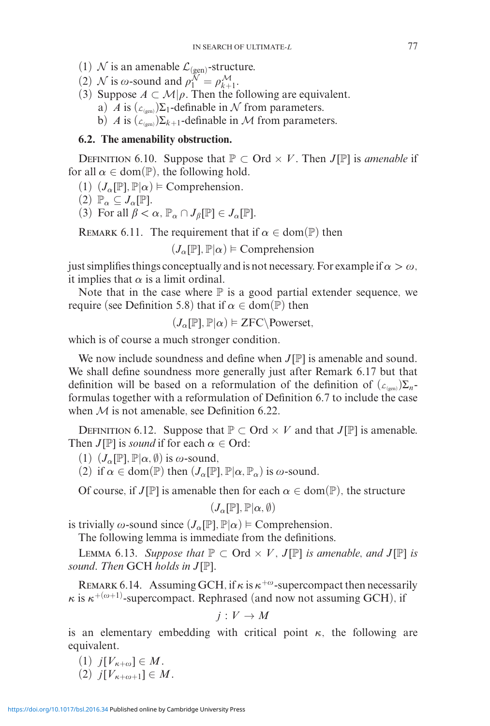- (1)  $\mathcal N$  is an amenable  $\mathcal L_{(\text{gen})}$ -structure.
- (2) *N* is  $\omega$ -sound and  $\rho_1^{\mathcal{N}} = \rho_{k+1}^{\mathcal{M}}$ .
- (3) Suppose  $A \subset \mathcal{M}|\rho$ . Then the following are equivalent.
	- a) *A* is  $(\mathcal{L}_{(gen)})\Sigma_1$ -definable in N from parameters.
	- b) *A* is  $(\mathcal{L}_{(gen)})\Sigma_{k+1}$ -definable in *M* from parameters.

# **6.2. The amenability obstruction.**

DEFINITION 6.10. Suppose that  $\mathbb{P} \subset \text{Ord} \times V$ . Then *J*[P] is *amenable* if for all  $\alpha \in \text{dom}(\mathbb{P})$ , the following hold.

- $(1)$   $(J_\alpha[\mathbb{P}], \mathbb{P}|\alpha) \models$  Comprehension.
- $(2)$   $\mathbb{P}_{\alpha} \subseteq J_{\alpha}[\mathbb{P}].$
- (3) For all  $\beta < \alpha$ ,  $\mathbb{P}_{\alpha} \cap J_{\beta}[\mathbb{P}] \in J_{\alpha}[\mathbb{P}].$

REMARK 6.11. The requirement that if  $\alpha \in \text{dom}(\mathbb{P})$  then

 $(J_\alpha[\mathbb{P}], \mathbb{P}|\alpha) \models$  Comprehension

just simplifies things conceptually and is not necessary. For example if  $\alpha > \omega$ , it implies that  $\alpha$  is a limit ordinal.

Note that in the case where  $\mathbb P$  is a good partial extender sequence, we require (see Definition 5.8) that if  $\alpha \in \text{dom}(\mathbb{P})$  then

$$
(J_{\alpha}[\mathbb{P}], \mathbb{P}|\alpha) \vDash \text{ZFC} \setminus \text{Powerset},
$$

which is of course a much stronger condition.

We now include soundness and define when  $J[\mathbb{P}]$  is amenable and sound. We shall define soundness more generally just after Remark 6.17 but that definition will be based on a reformulation of the definition of  $(L_{(gen)})\sum_{n}$ formulas together with a reformulation of Definition 6.7 to include the case when  $M$  is not amenable, see Definition 6.22.

DEFINITION 6.12. Suppose that  $P \subset \text{Ord} \times V$  and that  $J[P]$  is amenable. Then *J*[P] is *sound* if for each  $\alpha \in \text{Ord}$ :

(1)  $(J_{\alpha}[\mathbb{P}], \mathbb{P}|\alpha, \emptyset)$  is  $\omega$ -sound,

(2) if  $\alpha \in \text{dom}(\mathbb{P})$  then  $(J_{\alpha}[\mathbb{P}], \mathbb{P}|\alpha, \mathbb{P}_{\alpha})$  is  $\omega$ -sound.

Of course, if *J*[P] is amenable then for each  $\alpha \in \text{dom}(\mathbb{P})$ , the structure

 $(J_{\alpha}[\mathbb{P}], \mathbb{P}|\alpha, \emptyset)$ 

is trivially  $\omega$ -sound since  $(J_\alpha[\mathbb{P}], \mathbb{P}|\alpha) \models$  Comprehension.

The following lemma is immediate from the definitions.

LEMMA 6.13. *Suppose that*  $\mathbb{P} \subset \text{Ord} \times V$ , *J*[ $\mathbb{P}$ ] *is amenable, and J*[ $\mathbb{P}$ ] *is sound. Then* GCH *holds in J*[P]*.*

REMARK 6.14. Assuming GCH, if  $\kappa$  is  $\kappa^{+\omega}$ -supercompact then necessarily  $\kappa$  is  $\kappa^{+(\omega+1)}$ -supercompact. Rephrased (and now not assuming GCH), if

$$
j: V \to M
$$

is an elementary embedding with critical point  $\kappa$ , the following are equivalent.

 $(1)$  *j*[*V<sub>K+ω</sub>*]  $\in M$ .  $(2)$  *j*[*V<sub>K+ω+1</sub>]*  $\in M$ *.*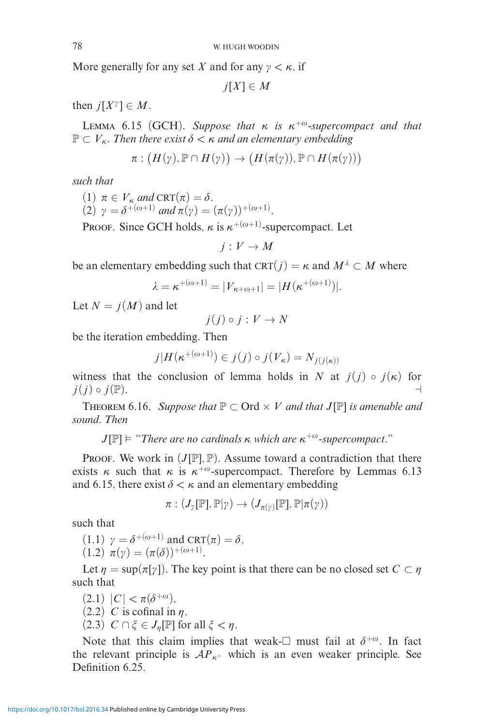More generally for any set *X* and for any  $\gamma < \kappa$ , if

 $j[X] \in M$ 

then  $j[X^{\gamma}] \in M$ .

LEMMA 6.15 (GCH). Suppose that  $\kappa$  is  $\kappa^{+\omega}$ -supercompact and that  $\mathbb{P} \subset V_{\kappa}$ . Then there exist  $\delta < \kappa$  and an elementary embedding

$$
\pi: (H(\gamma), \mathbb{P} \cap H(\gamma)) \to (H(\pi(\gamma)), \mathbb{P} \cap H(\pi(\gamma)))
$$

*such that*

- $(1)$   $\pi \in V_{\kappa}$  and  $CRT(\pi) = \delta$ .
- (2)  $\gamma = \delta^{+(\omega+1)}$  and  $\pi(\gamma) = (\pi(\gamma))^{+(\omega+1)}$ .

PROOF. Since GCH holds,  $\kappa$  is  $\kappa^{+(\omega+1)}$ -supercompact. Let

 $j: V \to M$ 

be an elementary embedding such that CRT( $j$ ) =  $\kappa$  and  $M^{\lambda} \subset M$  where

$$
\lambda = \kappa^{+(\omega+1)} = |V_{\kappa+\omega+1}| = |H(\kappa^{+(\omega+1)})|.
$$

Let  $N = j(M)$  and let

$$
j(j) \circ j : V \to N
$$

be the iteration embedding. Then

$$
j|H(\kappa^{+(\omega+1)}) \in j(j) \circ j(V_{\kappa}) = N_{j(j(\kappa))}
$$

witness that the conclusion of lemma holds in *N* at  $j(j) \circ j(\kappa)$  for  $j(j) \circ j(\mathbb{P}).$ 

**THEOREM** 6.16. *Suppose that*  $\mathbb{P} \subset \text{Ord} \times V$  *and that*  $J[\mathbb{P}]$  *is amenable and sound. Then*

*J*[ $\mathbb{P}$ ]  $\models$  "There are no cardinals κ which are  $\kappa^{+\omega}$ -supercompact."

**PROOF.** We work in  $(J[\mathbb{P}], \mathbb{P})$ . Assume toward a contradiction that there exists  $\kappa$  such that  $\kappa$  is  $\kappa^{+\omega}$ -supercompact. Therefore by Lemmas 6.13 and 6.15, there exist  $\delta < \kappa$  and an elementary embedding

 $\pi: (J_\gamma[\mathbb{P}], \mathbb{P}|\gamma) \to (J_{\pi(\gamma)}[\mathbb{P}], \mathbb{P}|\pi(\gamma))$ 

such that

 $(1.1)$   $\gamma = \delta^{+(\omega+1)}$  and CRT $(\pi) = \delta$ ,  $(1.2) \ \pi(\gamma) = (\pi(\delta))^{+(\omega+1)}.$ 

Let  $\eta = \sup(\pi[\gamma])$ . The key point is that there can be no closed set  $C \subset \eta$ such that

 $(2.1) |C| < \pi(\delta^{+\omega}),$ 

- $(2.2)$  *C* is cofinal in  $\eta$ ,
- $(2.3)$   $C \cap \xi \in J_n[\mathbb{P}]$  for all  $\xi < \eta$ .

Note that this claim implies that weak- $\Box$  must fail at  $\delta^{+\omega}$ . In fact the relevant principle is  $AP_{\kappa^+}$  which is an even weaker principle. See Definition 6.25.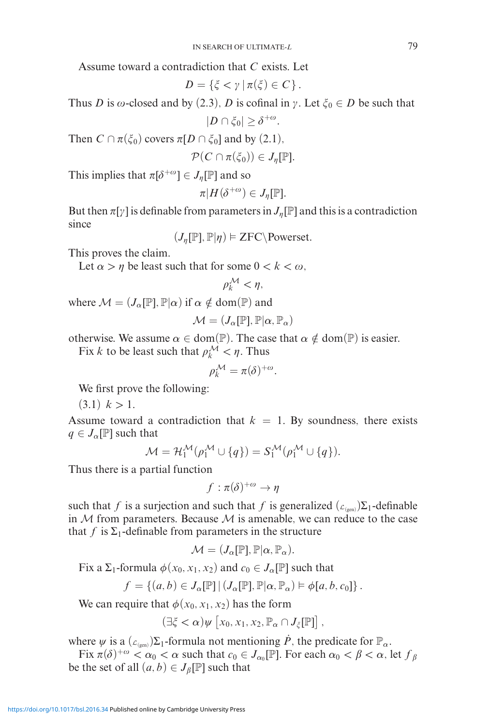Assume toward a contradiction that *C* exists. Let

$$
D=\{\xi<\gamma\,|\,\pi(\xi)\in C\}\,.
$$

Thus *D* is  $\omega$ -closed and by (2.3), *D* is cofinal in  $\gamma$ . Let  $\xi_0 \in D$  be such that

$$
|D \cap \xi_0| \geq \delta^{+\omega}.
$$

Then  $C \cap \pi(\xi_0)$  covers  $\pi[D \cap \xi_0]$  and by  $(2.1)$ ,

$$
\mathcal{P}(C \cap \pi(\xi_0)) \in J_{\eta}[\mathbb{P}].
$$

This implies that  $\pi[\delta^{+\omega}] \in J_{\eta}[\mathbb{P}]$  and so

$$
\pi|H(\delta^{+\omega})\in J_{\eta}[\mathbb{P}].
$$

But then  $\pi[\gamma]$  is definable from parameters in  $J_{\eta}[\mathbb{P}]$  and this is a contradiction since

 $(J_{\eta}[\mathbb{P}], \mathbb{P}|\eta) \models \text{ZFC}\backslash \text{Powerset}.$ 

This proves the claim.

Let  $\alpha > \eta$  be least such that for some  $0 < k < \omega$ ,

$$
\rho_k^{\mathcal{M}} < \eta,
$$

where  $\mathcal{M} = (J_{\alpha}[\mathbb{P}], \mathbb{P}|\alpha)$  if  $\alpha \notin \text{dom}(\mathbb{P})$  and

$$
\mathcal{M} = (J_{\alpha}[\mathbb{P}], \mathbb{P}|\alpha, \mathbb{P}_{\alpha})
$$

otherwise. We assume  $\alpha \in \text{dom}(\mathbb{P})$ . The case that  $\alpha \notin \text{dom}(\mathbb{P})$  is easier.

Fix *k* to be least such that  $\rho_k^{\mathcal{M}} < \eta$ . Thus

$$
\rho_k^{\mathcal{M}} = \pi(\delta)^{+\omega}.
$$

We first prove the following:

 $(3.1)$   $k > 1$ .

Assume toward a contradiction that  $k = 1$ . By soundness, there exists  $q \in J_{\alpha}[\mathbb{P}]$  such that

$$
\mathcal{M} = \mathcal{H}_1^{\mathcal{M}}(\rho_1^{\mathcal{M}} \cup \{q\}) = S_1^{\mathcal{M}}(\rho_1^{\mathcal{M}} \cup \{q\}).
$$

Thus there is a partial function

$$
f:\pi(\delta)^{+\omega}\to\eta
$$

such that *f* is a surjection and such that *f* is generalized  $(\mathcal{L}_{(gen)})\Sigma_1$ -definable in M from parameters. Because M is amenable, we can reduce to the case that  $f$  is  $\Sigma_1$ -definable from parameters in the structure

$$
\mathcal{M} = (J_{\alpha}[\mathbb{P}], \mathbb{P}|\alpha, \mathbb{P}_{\alpha}).
$$

Fix a  $\Sigma_1$ -formula  $\phi(x_0, x_1, x_2)$  and  $c_0 \in J_\alpha[\mathbb{P}]$  such that

$$
f = \{(a, b) \in J_{\alpha}[\mathbb{P}] \, | \, (J_{\alpha}[\mathbb{P}], \mathbb{P}|\alpha, \mathbb{P}_{\alpha}) \models \phi[a, b, c_0] \}.
$$

We can require that  $\phi(x_0, x_1, x_2)$  has the form

$$
(\exists \xi < \alpha) \psi \left[ x_0, x_1, x_2, \mathbb{P}_\alpha \cap J_\xi[\mathbb{P}] \right],
$$

where  $\psi$  is a ( $\mathcal{L}_{(gen)}\Sigma_1$ -formula not mentioning  $\dot{P}$ , the predicate for  $\mathbb{P}_{\alpha}$ .

Fix  $\pi(\delta)^{+\omega} < \alpha_0 < \alpha$  such that  $c_0 \in J_{\alpha_0}[\mathbb{P}]$ . For each  $\alpha_0 < \beta < \alpha$ , let  $f_\beta$ be the set of all  $(a, b) \in J_{\beta}[\mathbb{P}]$  such that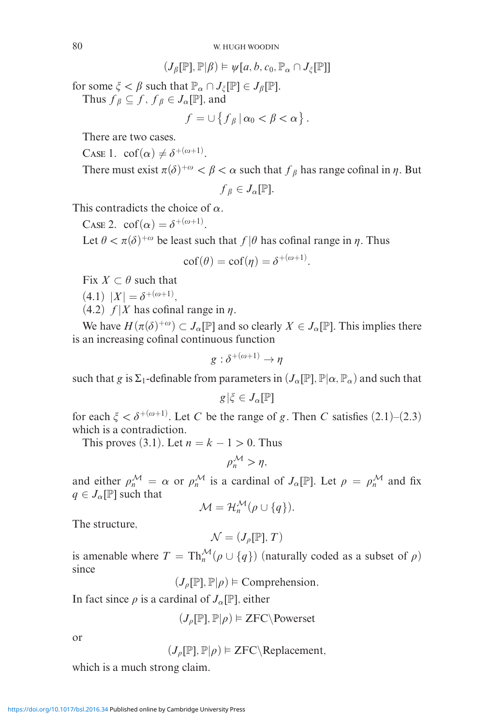$$
(J_{\beta}[\mathbb{P}], \mathbb{P}|\beta) \models \psi[a, b, c_0, \mathbb{P}_{\alpha} \cap J_{\xi}[\mathbb{P}]]
$$

for some  $\xi < \beta$  such that  $\mathbb{P}_{\alpha} \cap J_{\xi}[\mathbb{P}] \in J_{\beta}[\mathbb{P}].$ Thus  $f_\beta \subseteq f$ ,  $f_\beta \in J_\alpha[\mathbb{P}]$ , and

$$
f=\cup\left\{f_{\beta}\,|\,\alpha_0<\beta<\alpha\right\}.
$$

There are two cases.

CASE 1.  $\operatorname{cof}(\alpha) \neq \delta^{+(\omega+1)}$ .

There must exist  $\pi(\delta)^{+\omega} < \beta < \alpha$  such that  $f_\beta$  has range cofinal in  $\eta$ . But

$$
f_{\beta}\in J_{\alpha}[\mathbb{P}].
$$

This contradicts the choice of *α*.

Case 2.  $\operatorname{cof}(\alpha) = \delta^{+(\omega+1)}$ .

Let  $\theta < \pi(\delta)^{+\omega}$  be least such that  $f|\theta$  has cofinal range in  $\eta$ . Thus

$$
\mathrm{cof}(\theta) = \mathrm{cof}(\eta) = \delta^{+(\omega+1)}.
$$

Fix  $X \subset \theta$  such that

 $(4.1)$   $|X| = \delta^{+(\omega+1)},$ 

 $(4.2)$  *f* |*X* has cofinal range in  $\eta$ .

We have  $H(\pi(\delta)^{+\omega}) \subset J_\alpha[\mathbb{P}]$  and so clearly  $X \in J_\alpha[\mathbb{P}]$ . This implies there is an increasing cofinal continuous function

$$
g:\delta^{+ (\omega+1)} \to \eta
$$

such that *g* is  $\Sigma_1$ -definable from parameters in  $(J_\alpha[\mathbb{P}], \mathbb{P}|\alpha, \mathbb{P}_\alpha)$  and such that

$$
g|\xi\in J_\alpha[\mathbb{P}]
$$

for each  $\xi < \delta^{+(\omega+1)}$ . Let *C* be the range of *g*. Then *C* satisfies (2.1)–(2.3) which is a contradiction.

This proves (3.1). Let  $n = k - 1 > 0$ . Thus

$$
\rho_n^{\mathcal{M}} > \eta,
$$

and either  $\rho_n^{\mathcal{M}} = \alpha$  or  $\rho_n^{\mathcal{M}}$  is a cardinal of  $J_\alpha[\mathbb{P}]$ . Let  $\rho = \rho_n^{\mathcal{M}}$  and fix  $q \in J_\alpha[\mathbb{P}]$  such that

$$
\mathcal{M}=\mathcal{H}_n^{\mathcal{M}}(\rho\cup\{q\}).
$$

The structure,

$$
\mathcal{N}=(J_{\rho}[\mathbb{P}],T)
$$

is amenable where  $T = \text{Th}_{n}^{\mathcal{M}}(\rho \cup \{q\})$  (naturally coded as a subset of  $\rho$ ) since

 $(J_{\rho}[\mathbb{P}], \mathbb{P} | \rho) \models \text{Comprehension.}$ 

In fact since  $\rho$  is a cardinal of  $J_\alpha[\mathbb{P}]$ , either

$$
(J_{\rho}[\mathbb{P}], \mathbb{P}|\rho) \vDash \text{ZFC} \backslash \text{Powerset}
$$

or

$$
(J_{\rho}[\mathbb{P}], \mathbb{P}|\rho) \models \text{ZFC} \setminus \text{Replacement},
$$

which is a much strong claim.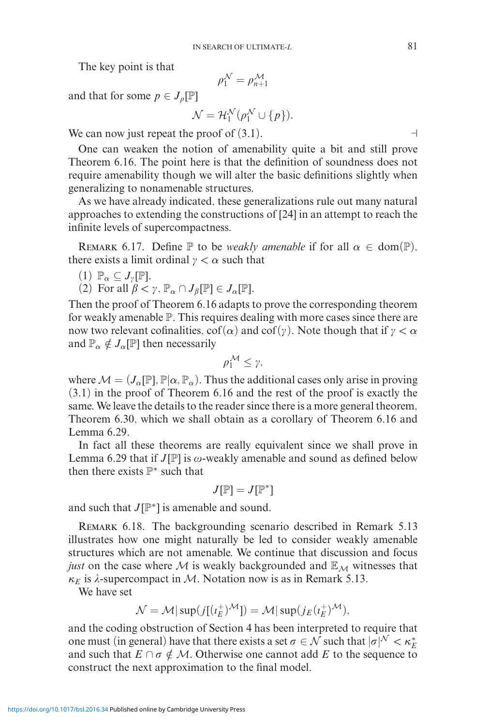The key point is that

$$
\rho_1^{\mathcal{N}}=\rho_{n+1}^{\mathcal{M}}
$$

and that for some  $p \in J_{\rho}[\mathbb{P}]$ 

$$
\mathcal{N} = \mathcal{H}_1^{\mathcal{N}}(\rho_1^{\mathcal{N}} \cup \{p\}).
$$

We can now just repeat the proof of  $(3.1)$ .

One can weaken the notion of amenability quite a bit and still prove Theorem 6.16. The point here is that the definition of soundness does not require amenability though we will alter the basic definitions slightly when generalizing to nonamenable structures.

As we have already indicated, these generalizations rule out many natural approaches to extending the constructions of [24] in an attempt to reach the infinite levels of supercompactness.

REMARK 6.17. Define  $\mathbb P$  to be *weakly amenable* if for all  $\alpha \in \text{dom}(\mathbb P)$ , there exists a limit ordinal  $\gamma < \alpha$  such that

(1) 
$$
\mathbb{P}_{\alpha} \subseteq J_{\gamma}[\mathbb{P}].
$$

(2) For all  $\beta < \gamma$ ,  $\mathbb{P}_{\alpha} \cap J_{\beta}[\mathbb{P}] \in J_{\alpha}[\mathbb{P}].$ 

Then the proof of Theorem 6.16 adapts to prove the corresponding theorem for weakly amenable P. This requires dealing with more cases since there are now two relevant cofinalities,  $\text{cof}(\alpha)$  and  $\text{cof}(\gamma)$ . Note though that if  $\gamma < \alpha$ and  $\mathbb{P}_{\alpha} \notin J_{\alpha}[\mathbb{P}]$  then necessarily

$$
\rho_1^{\mathcal{M}} \leq \gamma,
$$

where  $\mathcal{M} = (J_{\alpha}[\mathbb{P}], \mathbb{P}|\alpha, \mathbb{P}_{\alpha})$ . Thus the additional cases only arise in proving (3.1) in the proof of Theorem 6.16 and the rest of the proof is exactly the same. We leave the details to the reader since there is a more general theorem, Theorem 6.30, which we shall obtain as a corollary of Theorem 6.16 and Lemma 6.29.

In fact all these theorems are really equivalent since we shall prove in Lemma 6.29 that if  $J[\mathbb{P}]$  is  $\omega$ -weakly amenable and sound as defined below then there exists  $\mathbb{P}^*$  such that

$$
J[\mathbb{P}]=J[\mathbb{P}^*]
$$

and such that *J*[P∗] is amenable and sound.

Remark 6.18. The backgrounding scenario described in Remark 5.13 illustrates how one might naturally be led to consider weakly amenable structures which are not amenable. We continue that discussion and focus *just* on the case where M is weakly backgrounded and  $\mathbb{E}_M$  witnesses that  $\kappa_E$  is  $\lambda$ -supercompact in M. Notation now is as in Remark 5.13.

We have set

$$
\mathcal{N} = \mathcal{M}|\sup(j[(\iota_E^+)^{\mathcal{M}}]) = \mathcal{M}|\sup(j_E(\iota_E^+)^{\mathcal{M}}),
$$

and the coding obstruction of Section 4 has been interpreted to require that one must (in general) have that there exists a set  $\sigma \in \mathcal{N}$  such that  $|\sigma|^N < \kappa_E^*$ and such that  $E \cap \sigma \notin \mathcal{M}$ . Otherwise one cannot add *E* to the sequence to construct the next approximation to the final model.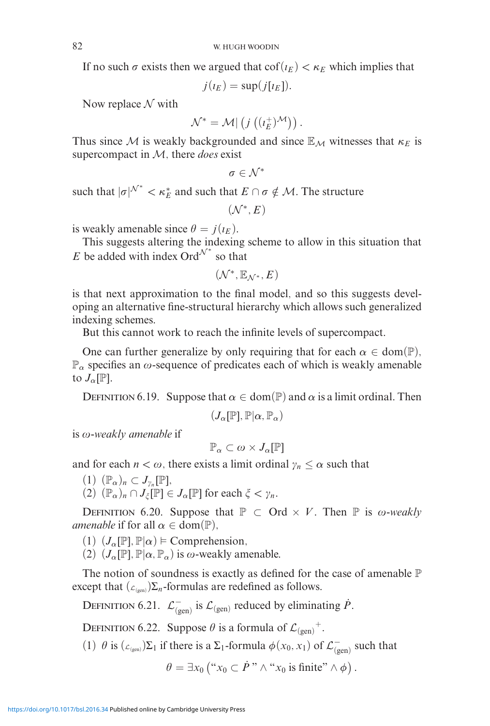If no such  $\sigma$  exists then we argued that  $\text{cof}(i_E) < \kappa_E$  which implies that

 $j(i_E) = \sup(j[i_E]).$ 

Now replace  $\mathcal N$  with

$$
\mathcal{N}^* = \mathcal{M} | \left( j \left( (i_E^+)^{\mathcal{M}} \right) \right).
$$

Thus since M is weakly backgrounded and since  $\mathbb{E}_M$  witnesses that  $\kappa_E$  is supercompact in M, there *does* exist

$$
\sigma\in\mathcal{N}^*
$$

such that  $|\sigma|^{N^*} < \kappa_E^*$  and such that  $E \cap \sigma \notin \mathcal{M}$ . The structure

 $(\mathcal{N}^*, E)$ 

is weakly amenable since  $\theta = j(\iota_E)$ .

This suggests altering the indexing scheme to allow in this situation that *E* be added with index Ord<sup> $\mathcal{N}^*$  so that</sup>

$$
(\mathcal{N}^*, \mathbb{E}_{\mathcal{N}^*}, E)
$$

is that next approximation to the final model, and so this suggests developing an alternative fine-structural hierarchy which allows such generalized indexing schemes.

But this cannot work to reach the infinite levels of supercompact.

One can further generalize by only requiring that for each  $\alpha \in \text{dom}(\mathbb{P})$ ,  $\mathbb{P}_{\alpha}$  specifies an  $\omega$ -sequence of predicates each of which is weakly amenable to  $J_{\alpha}[\mathbb{P}].$ 

DEFINITION 6.19. Suppose that  $\alpha \in \text{dom}(\mathbb{P})$  and  $\alpha$  is a limit ordinal. Then

$$
(J_\alpha[\mathbb{P}],\mathbb{P}|\alpha,\mathbb{P}_\alpha)
$$

is ω-weakly amenable if

$$
\mathbb{P}_\alpha\subset\omega\times J_\alpha[\mathbb{P}]
$$

and for each  $n < \omega$ , there exists a limit ordinal  $\gamma_n \leq \alpha$  such that

 $(1)$   $(\mathbb{P}_{\alpha})_n \subset J_{\gamma_n}[\mathbb{P}],$ 

 $(2)$   $(\mathbb{P}_{\alpha})_n \cap J_{\xi}[\mathbb{P}] \in J_{\alpha}[\mathbb{P}]$  for each  $\xi < \gamma_n$ .

DEFINITION 6.20. Suppose that  $\mathbb{P} \subset \text{Ord} \times V$ . Then  $\mathbb{P}$  is  $\omega$ -weakly *amenable* if for all  $\alpha \in \text{dom}(\mathbb{P})$ ,

- $(1)$   $(J_\alpha[\mathbb{P}], \mathbb{P}|\alpha) \models$  Comprehension,
- (2)  $(J_\alpha[\mathbb{P}], \mathbb{P}|\alpha, \mathbb{P}_\alpha)$  is  $\omega$ -weakly amenable.

The notion of soundness is exactly as defined for the case of amenable  $\mathbb P$ except that  $(\mathcal{L}_{(gen)})\Sigma_n$ -formulas are redefined as follows.

DEFINITION 6.21.  $\mathcal{L}^{-}_{(gen)}$  is  $\mathcal{L}_{(gen)}$  reduced by eliminating  $\dot{P}$ .

DEFINITION 6.22. Suppose  $\theta$  is a formula of  $\mathcal{L}_{(gen)}^+$ .

(1)  $\theta$  is ( $\mathcal{L}_{(gen)}$ ) $\Sigma_1$  if there is a  $\Sigma_1$ -formula  $\phi(x_0, x_1)$  of  $\mathcal{L}_{(gen)}^-$  such that

 $\theta = \exists x_0 \left( \begin{array}{c} x_0 \subset \dot{P} \end{array} \right) \wedge \begin{array}{c} x_0 \text{ is finite} \end{array} \wedge \phi \right).$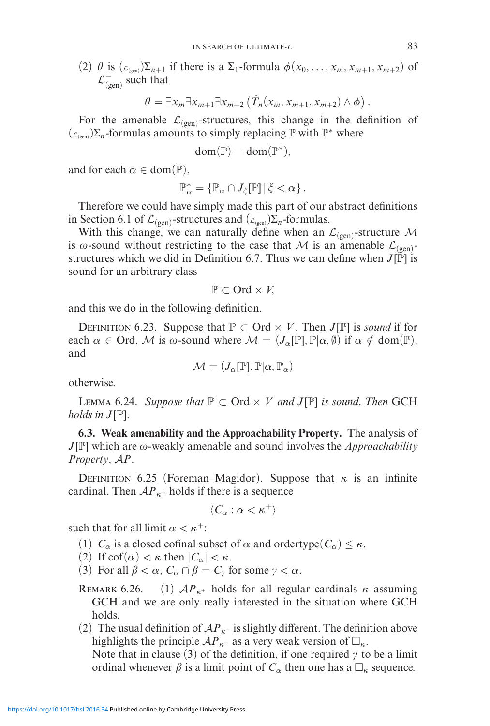(2)  $\theta$  is  $(\mathcal{L}_{(gen)})\sum_{n+1}$  if there is a  $\Sigma_1$ -formula  $\phi(x_0,\ldots,x_m,x_{m+1},x_{m+2})$  of  $\mathcal{L}^-_{\text{(gen)}}$  such that

$$
\theta = \exists x_m \exists x_{m+1} \exists x_{m+2} \left( \dot{T}_n(x_m, x_{m+1}, x_{m+2}) \wedge \phi \right).
$$

For the amenable  $\mathcal{L}_{(gen)}$ -structures, this change in the definition of  $(\mathcal{L}_{(gen)})\Sigma_n$ -formulas amounts to simply replacing P with P<sup>\*</sup> where

$$
dom(\mathbb{P}) = dom(\mathbb{P}^*),
$$

and for each  $\alpha \in \text{dom}(\mathbb{P}),$ 

$$
\mathbb{P}^*_{\alpha} = \{ \mathbb{P}_{\alpha} \cap J_{\xi}[\mathbb{P}] \, | \, \xi < \alpha \} \, .
$$

Therefore we could have simply made this part of our abstract definitions in Section 6.1 of  $\mathcal{L}_{(gen)}$ -structures and  $(\mathcal{L}_{(gen)})\Sigma_n$ -formulas.

With this change, we can naturally define when an  $\mathcal{L}_{(gen)}$ -structure M is  $\omega$ -sound without restricting to the case that M is an amenable  $\mathcal{L}_{(gen)}$ structures which we did in Definition 6.7. Thus we can define when *J*[P] is sound for an arbitrary class

$$
\mathbb{P} \subset \text{Ord} \times V,
$$

and this we do in the following definition.

DEFINITION 6.23. Suppose that  $\mathbb{P} \subset \text{Ord} \times V$ . Then  $J[\mathbb{P}]$  is *sound* if for each  $\alpha \in \text{Ord}$ , M is  $\omega$ -sound where  $\mathcal{M} = (J_{\alpha}[\mathbb{P}], \mathbb{P}|\alpha, \emptyset)$  if  $\alpha \notin \text{dom}(\mathbb{P})$ , and

$$
\mathcal{M} = (J_{\alpha}[\mathbb{P}], \mathbb{P}|\alpha, \mathbb{P}_{\alpha})
$$

otherwise.

LEMMA 6.24. *Suppose that*  $\mathbb{P} \subset \text{Ord} \times V$  *and J*[ $\mathbb{P}$ ] *is sound. Then* GCH *holds in*  $J[\mathbb{P}].$ 

**6.3. Weak amenability and the Approachability Property.** The analysis of  $J[\mathbb{P}]$  which are  $\omega$ -weakly amenable and sound involves the *Approachability Property*, A*P*.

DEFINITION 6.25 (Foreman–Magidor). Suppose that  $\kappa$  is an infinite cardinal. Then  $AP_{\kappa^+}$  holds if there is a sequence

$$
\langle\,C_\alpha:\alpha<\kappa^+\rangle
$$

such that for all limit  $\alpha < \kappa^+$ :

- (1)  $C_{\alpha}$  is a closed cofinal subset of  $\alpha$  and ordertype( $C_{\alpha}$ )  $\leq \kappa$ .
- (2) If  $\cot(\alpha) < \kappa$  then  $|C_{\alpha}| < \kappa$ .
- (3) For all  $\beta < \alpha$ ,  $C_{\alpha} \cap \beta = C_{\gamma}$  for some  $\gamma < \alpha$ .
- REMARK 6.26. (1)  $AP_{\kappa^+}$  holds for all regular cardinals  $\kappa$  assuming GCH and we are only really interested in the situation where GCH holds.
- (2) The usual definition of  $AP_{\kappa^+}$  is slightly different. The definition above highlights the principle  $AP_{\kappa^+}$  as a very weak version of  $\Box_{\kappa}$ .

Note that in clause (3) of the definition, if one required  $\gamma$  to be a limit ordinal whenever  $\beta$  is a limit point of  $C_{\alpha}$  then one has a  $\Box_{\kappa}$  sequence.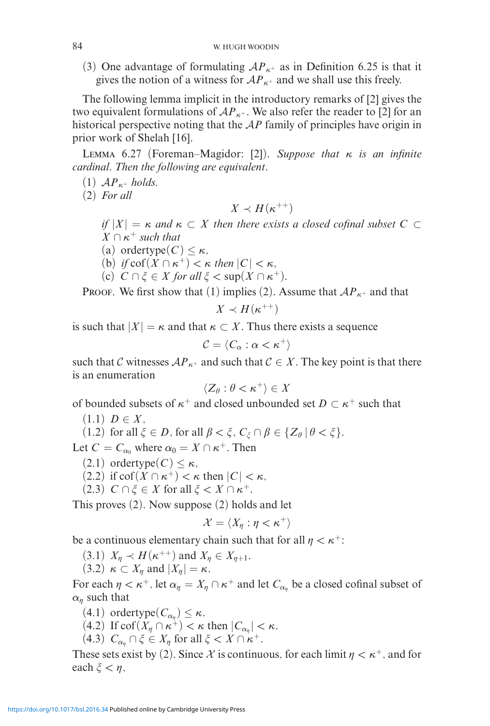(3) One advantage of formulating  $AP_{\kappa^+}$  as in Definition 6.25 is that it gives the notion of a witness for  $AP_{\kappa^+}$  and we shall use this freely.

The following lemma implicit in the introductory remarks of [2] gives the two equivalent formulations of  $AP_{\kappa^+}$ . We also refer the reader to [2] for an historical perspective noting that the A*P* family of principles have origin in prior work of Shelah [16].

Lemma 6.27 (Foreman–Magidor: [2]). *Suppose that κ is an infinite cardinal. Then the following are equivalent.*

(1)  $AP_{\kappa^+}$  *holds.* 

(2) *For all*

$$
X\prec H(\kappa^{++})
$$

 $if |X| = \kappa$  *and*  $\kappa \subset X$  *then there exists a closed cofinal subset*  $C \subset$  $X \cap \kappa^+$  *such that* 

- (a) ordertype $(C) \leq \kappa$ ,
- (b) *if*  $\text{cof}(X \cap \kappa^+) < \kappa$  *then*  $|C| < \kappa$ *,*
- (c)  $C \cap \xi \in X$  for all  $\xi < \sup(X \cap \kappa^+)$ .

**PROOF.** We first show that (1) implies (2). Assume that  $AP_{\kappa^+}$  and that

$$
X\prec H(\kappa^{++})
$$

is such that  $|X| = \kappa$  and that  $\kappa \subset X$ . Thus there exists a sequence

$$
\mathcal{C}=\langle C_\alpha:\alpha<\kappa^+\rangle
$$

such that C witnesses  $AP_{\kappa^+}$  and such that  $C \in X$ . The key point is that there is an enumeration

$$
\langle Z_{\theta} : \theta < \kappa^+ \rangle \in X
$$

of bounded subsets of  $\kappa^+$  and closed unbounded set  $D \subset \kappa^+$  such that

- $(1.1)$  *D*  $\in$  *X*,
- $(1.2)$  for all  $\xi \in D$ , for all  $\beta < \xi$ ,  $C_{\xi} \cap \beta \in \{Z_{\theta} | \theta < \xi\}.$

Let  $C = C_{\alpha_0}$  where  $\alpha_0 = X \cap \kappa^+$ . Then

- $(2.1)$  ordertype $(C) \leq \kappa$ ,
- (2.2) if  $\text{cof}(X \cap \kappa^+) < \kappa$  then  $|C| < \kappa$ ,
- $(2.3)$   $C \cap \xi \in X$  for all  $\xi < X \cap \kappa^+$ .

This proves (2). Now suppose (2) holds and let

$$
\mathcal{X}=\langle X_\eta:\eta<\kappa^+\rangle
$$

be a continuous elementary chain such that for all  $\eta < \kappa^+$ :

- $(3.1)$   $X_{\eta} \prec H(\kappa^{++})$  and  $X_{\eta} \in X_{\eta+1}$ .
- $(3.2) \kappa \subset X_n$  and  $|X_n| = \kappa$ .

For each  $\eta < \kappa^+$ , let  $\alpha_{\eta} = X_{\eta} \cap \kappa^+$  and let  $C_{\alpha_{\eta}}$  be a closed cofinal subset of  $\alpha$ <sub>n</sub> such that

- $(4.1)$  ordertype $(C_{\alpha_n}) \leq \kappa$ .
- $(4.2)$  If cof $(X_n \cap \kappa^+) < \kappa$  then  $|C_{\alpha_n}| < \kappa$ .
- $(4.3)$   $C_{\alpha_n} \cap \xi \in X_n$  for all  $\xi < X \cap \kappa^+$ .

These sets exist by (2). Since X is continuous, for each limit  $\eta < \kappa^+$ , and for each  $\xi < \eta$ ,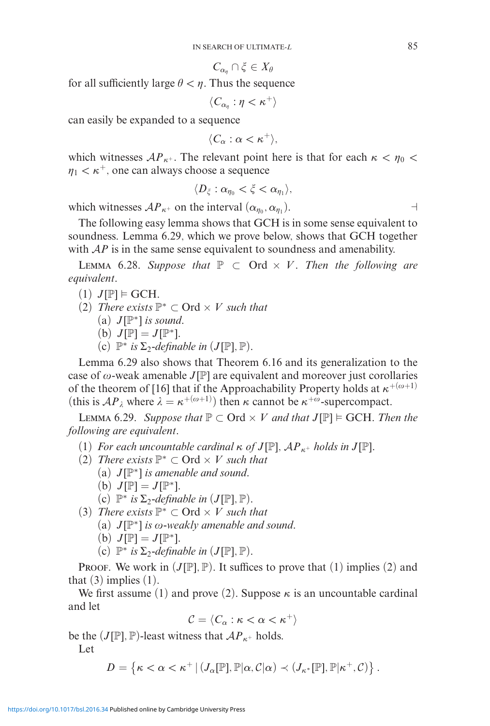$$
C_{\alpha_{\eta}} \cap \xi \in X_{\theta}
$$

for all sufficiently large  $\theta < \eta$ . Thus the sequence

$$
\langle\,C_{\alpha_\eta}:\eta<\kappa^+\rangle
$$

can easily be expanded to a sequence

 $\langle C_\alpha : \alpha < \kappa^+ \rangle,$ 

which witnesses  $AP_{\kappa^+}$ . The relevant point here is that for each  $\kappa < \eta_0 <$  $\eta_1 < \kappa^+$ , one can always choose a sequence

 $\langle D_{\xi} : \alpha_{\eta_0} < \xi < \alpha_{\eta_1} \rangle$ 

which witnesses  $AP_{\kappa^+}$  on the interval  $(\alpha_{\eta_0}, \alpha_{\eta_1})$ .

The following easy lemma shows that GCH is in some sense equivalent to soundness. Lemma 6.29, which we prove below, shows that GCH together with  $AP$  is in the same sense equivalent to soundness and amenability.

LEMMA 6.28. Suppose that  $\mathbb{P}$  ⊂ Ord  $\times$  *V*. Then the following are *equivalent.*

- $(1)$   $J[\mathbb{P}] \models GCH.$
- (2) *There exists*  $\mathbb{P}^*$  ⊂ Ord  $\times$  *V such that* 
	- (a) *J*[P∗] *is sound.*
	- (b)  $J[\mathbb{P}] = J[\mathbb{P}^*].$
	- (c)  $\mathbb{P}^*$  *is*  $\Sigma_2$ -definable in  $(J[\mathbb{P}], \mathbb{P})$ .

Lemma 6.29 also shows that Theorem 6.16 and its generalization to the case of  $\omega$ -weak amenable *J*[P] are equivalent and moreover just corollaries of the theorem of [16] that if the Approachability Property holds at  $\kappa^{+(\omega+1)}$ (this is  $AP_{\lambda}$  where  $\lambda = \kappa^{+(\omega+1)}$ ) then  $\kappa$  cannot be  $\kappa^{+\omega}$ -supercompact.

LEMMA 6.29. *Suppose that*  $\mathbb{P} \subset \text{Ord} \times V$  *and that*  $J[\mathbb{P}] \models GCH$ *. Then the following are equivalent.*

- (1) *For each uncountable cardinal*  $\kappa$  *of*  $J[\mathbb{P}]$ *,*  $AP_{\kappa^+}$  *holds in*  $J[\mathbb{P}]$ *.*
- (2) *There exists*  $\mathbb{P}^*$  ⊂ Ord  $\times$  *V such that* 
	- (a) *J*[P∗] *is amenable and sound.*
	- (b)  $J[\mathbb{P}] = J[\mathbb{P}^*].$

(c)  $\mathbb{P}^*$  *is*  $\Sigma_2$ -definable in  $(J[\mathbb{P}], \mathbb{P})$ .

(3) *There exists*  $\mathbb{P}^*$  ⊂ Ord  $\times$  *V such that* 

(a)  $J[\mathbb{P}^*]$  *is*  $\omega$ *-weakly amenable and sound.* 

- (b)  $J[\mathbb{P}] = J[\mathbb{P}^*].$
- (c)  $\mathbb{P}^*$  *is*  $\Sigma_2$ -definable in  $(J[\mathbb{P}], \mathbb{P})$ .

**PROOF.** We work in  $(J[\mathbb{P}], \mathbb{P})$ . It suffices to prove that (1) implies (2) and that  $(3)$  implies  $(1)$ .

We first assume (1) and prove (2). Suppose  $\kappa$  is an uncountable cardinal and let

$$
\mathcal{C} = \langle C_\alpha : \kappa < \alpha < \kappa^+ \rangle
$$

be the  $(J[\mathbb{P}], \mathbb{P})$ -least witness that  $AP_{\kappa^+}$  holds. Let

$$
D = \left\{ \kappa < \alpha < \kappa^+ \, \big| \, (J_\alpha[\mathbb{P}], \mathbb{P}|\alpha, C|\alpha) \prec (J_{\kappa^*}[\mathbb{P}], \mathbb{P}|\kappa^+, C) \right\}.
$$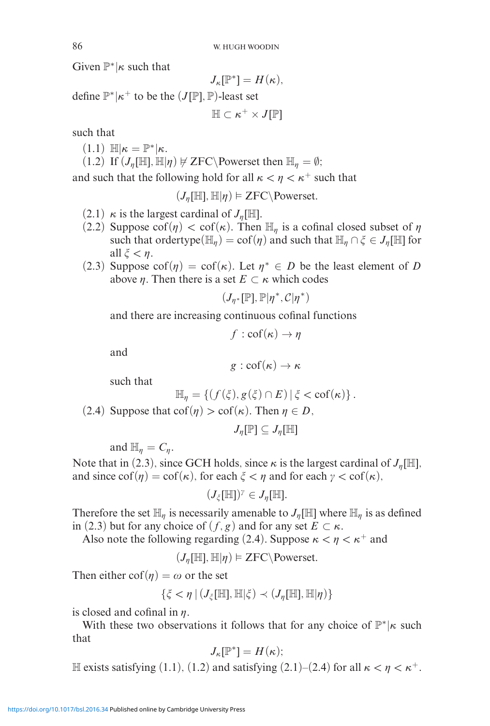Given P∗|*κ* such that

$$
J_{\kappa}[\mathbb{P}^*] = H(\kappa),
$$

define  $\mathbb{P}^*$  | $\kappa^+$  to be the  $(J[\mathbb{P}], \mathbb{P})$ -least set

$$
\mathbb{H}\subset \kappa^+\times J[\mathbb{P}]
$$

such that

 $(1.1)$   $\mathbb{H}|\kappa = \mathbb{P}^*|\kappa$ .

 $(1.2)$  If  $(J_{\eta}[\mathbb{H}], \mathbb{H}|\eta) \not\in \text{ZFC}\backslash \text{Powerset then } \mathbb{H}_{\eta} = \emptyset;$ 

and such that the following hold for all  $\kappa < \eta < \kappa^+$  such that

 $(J_{\eta}[\mathbb{H}], \mathbb{H} | \eta) \models \text{ZFC} \backslash \text{Powerset}.$ 

- $(2.1)$  *κ* is the largest cardinal of  $J_n[\mathbb{H}].$
- (2.2) Suppose  $\text{cof}(\eta) < \text{cof}(\kappa)$ . Then  $\mathbb{H}_n$  is a cofinal closed subset of  $\eta$ such that ordertype( $\mathbb{H}_n$ ) = cof( $\eta$ ) and such that  $\mathbb{H}_n \cap \xi \in J_n[\mathbb{H}]$  for all  $\xi < n$ .
- (2.3) Suppose  $\text{cof}(\eta) = \text{cof}(\kappa)$ . Let  $\eta^* \in D$  be the least element of *D* above  $\eta$ . Then there is a set  $E \subset \kappa$  which codes

$$
(J_{\eta^*}[\mathbb{P}], \mathbb{P}|\eta^*, C|\eta^*)
$$

and there are increasing continuous cofinal functions

$$
f : \operatorname{cof}(\kappa) \to \eta
$$

and

$$
g: \mathrm{cof}(\kappa) \to \kappa
$$

such that

$$
\mathbb{H}_{\eta} = \left\{ (f(\xi), g(\xi) \cap E) \, | \, \xi < \text{cof}(\kappa) \right\}.
$$

(2.4) Suppose that  $\text{cof}(\eta) > \text{cof}(\kappa)$ . Then  $\eta \in D$ ,

$$
J_\eta[\mathbb{P}] \subseteq J_\eta[\mathbb{H}]
$$

and  $\mathbb{H}_n = C_n$ .

Note that in (2.3), since GCH holds, since  $\kappa$  is the largest cardinal of  $J_n[\mathbb{H}]$ , and since  $\text{cof}(\eta) = \text{cof}(\kappa)$ , for each  $\xi < \eta$  and for each  $\gamma < \text{cof}(\kappa)$ ,

 $(J_{\zeta}[\mathbb{H}])^{\gamma} \in J_{\eta}[\mathbb{H}].$ 

Therefore the set  $\mathbb{H}_n$  is necessarily amenable to  $J_n[\mathbb{H}]$  where  $\mathbb{H}_n$  is as defined in (2.3) but for any choice of  $(f, g)$  and for any set  $E \subset \kappa$ .

Also note the following regarding (2.4). Suppose  $\kappa < \eta < \kappa^+$  and

 $(J_{\eta}[\mathbb{H}], \mathbb{H} | \eta) \models \text{ZFC} \backslash \text{Powerset}.$ 

Then either  $\text{cof}(\eta) = \omega$  or the set

$$
\{\xi < \eta \mid (J_{\xi}[\mathbb{H}], \mathbb{H} | \xi) \prec (J_{\eta}[\mathbb{H}], \mathbb{H} | \eta)\}
$$

is closed and cofinal in  $\eta$ .

With these two observations it follows that for any choice of  $\mathbb{P}^*$ |*κ* such that

$$
J_{\kappa}[\mathbb{P}^*] = H(\kappa);
$$

H exists satisfying (1.1), (1.2) and satisfying (2.1)–(2.4) for all  $\kappa < \eta < \kappa^+$ .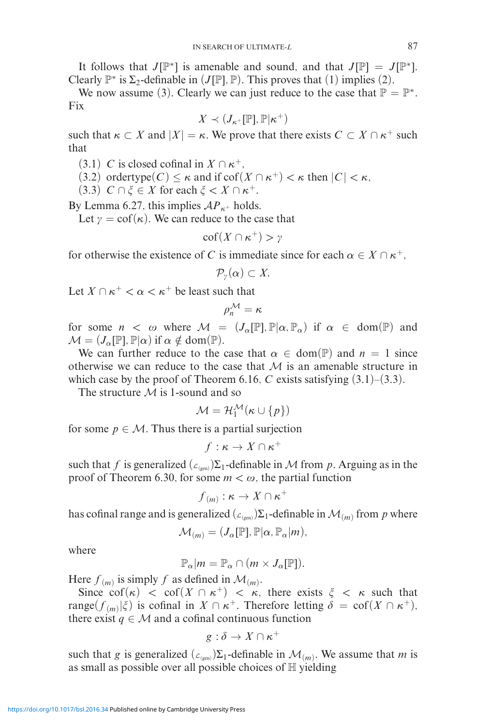It follows that *J*[ $\mathbb{P}^*$ ] is amenable and sound, and that *J*[ $\mathbb{P}$ ] = *J*[ $\mathbb{P}^*$ ]. Clearly  $\mathbb{P}^*$  is  $\Sigma_2$ -definable in (*J*[P]*,* P). This proves that (1) implies (2).

We now assume (3). Clearly we can just reduce to the case that  $\mathbb{P} = \mathbb{P}^*$ . Fix

$$
X\prec (J_{\kappa^{+}}[\mathbb{P}],\mathbb{P}|\kappa^{+})
$$

such that  $\kappa \subset X$  and  $|X| = \kappa$ . We prove that there exists  $C \subset X \cap \kappa^+$  such that

(3.1) *C* is closed cofinal in  $X \cap \kappa^+$ .

(3.2) ordertype $(C) < \kappa$  and if  $\text{cof}(X \cap \kappa^+) < \kappa$  then  $|C| < \kappa$ ,

 $(3.3)$   $C \cap \xi \in X$  for each  $\xi \leq X \cap \kappa^+$ .

By Lemma 6.27, this implies  $AP_{\kappa^+}$  holds.

Let  $\gamma = \text{cof}(\kappa)$ . We can reduce to the case that

$$
\mathrm{cof}(X \cap \kappa^+) > \gamma
$$

for otherwise the existence of *C* is immediate since for each  $\alpha \in X \cap \kappa^+$ ,

$$
\mathcal{P}_{\gamma}(\alpha)\subset X.
$$

Let  $X \cap \kappa^+ < \alpha < \kappa^+$  be least such that

$$
\rho_n^{\mathcal{M}} = \kappa
$$

for some  $n < \omega$  where  $\mathcal{M} = (J_{\alpha}[\mathbb{P}], \mathbb{P}|\alpha, \mathbb{P}_{\alpha})$  if  $\alpha \in \text{dom}(\mathbb{P})$  and  $\mathcal{M} = (J_{\alpha}[\mathbb{P}], \mathbb{P}|\alpha)$  if  $\alpha \notin \text{dom}(\mathbb{P}).$ 

We can further reduce to the case that  $\alpha \in \text{dom}(\mathbb{P})$  and  $n = 1$  since otherwise we can reduce to the case that  $M$  is an amenable structure in which case by the proof of Theorem 6.16,  $C$  exists satisfying  $(3.1)$ – $(3.3)$ .

The structure  $M$  is 1-sound and so

$$
\mathcal{M} = \mathcal{H}_1^{\mathcal{M}}(\kappa \cup \{p\})
$$

for some  $p \in M$ . Thus there is a partial surjection

$$
f:\kappa\to X\cap\kappa^+
$$

such that *f* is generalized  $(L_{(gen)})\Sigma_1$ -definable in *M* from *p*. Arguing as in the proof of Theorem 6.30, for some  $m < \omega$ , the partial function

$$
f_{(m)}:\kappa\to X\cap\kappa^+
$$

has cofinal range and is generalized  $(\mathcal{L}_{(gen)})\Sigma_1$ -definable in  $\mathcal{M}_{(m)}$  from p where

$$
\mathcal{M}_{(m)} = (J_{\alpha}[\mathbb{P}], \mathbb{P}|\alpha, \mathbb{P}_{\alpha}|m),
$$

where

$$
\mathbb{P}_{\alpha}|m=\mathbb{P}_{\alpha}\cap(m\times J_{\alpha}[\mathbb{P}]).
$$

Here  $f(m)$  is simply f as defined in  $\mathcal{M}(m)$ .

Since  $\operatorname{cof}(\kappa) < \operatorname{cof}(X \cap \kappa^+) < \kappa$ , there exists  $\xi < \kappa$  such that  $\text{range}(f_{(m)}|\xi)$  is cofinal in  $X \cap \kappa^+$ . Therefore letting  $\delta = \text{cof}(X \cap \kappa^+),$ there exist  $q \in M$  and a cofinal continuous function

$$
g:\delta\to X\cap\kappa^+
$$

such that *g* is generalized  $(L_{(gen)})\Sigma_1$ -definable in  $\mathcal{M}_{(m)}$ . We assume that *m* is as small as possible over all possible choices of  $H$  yielding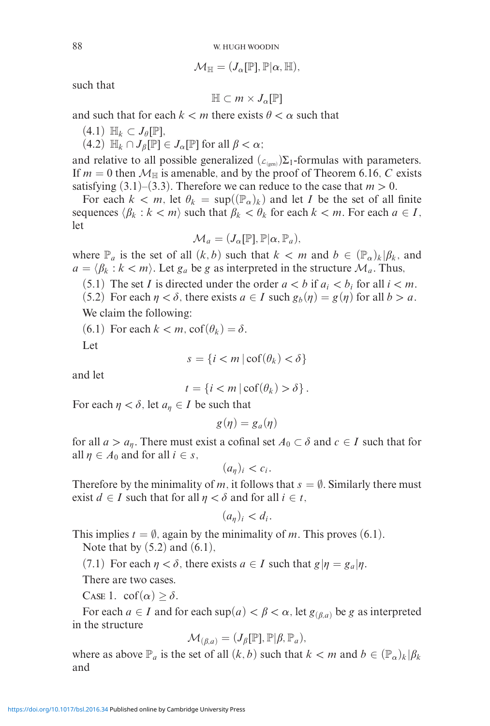$$
\mathcal{M}_{\mathbb{H}}=(J_{\alpha}[\mathbb{P}],\mathbb{P}|\alpha,\mathbb{H}),
$$

such that

$$
\mathbb{H} \subset m \times J_{\alpha}[\mathbb{P}]
$$

and such that for each  $k < m$  there exists  $\theta < \alpha$  such that

 $(4.1) \mathbb{H}_k \subset J_\theta[\mathbb{P}],$ 

 $(4.2)$   $\mathbb{H}_k \cap J_\beta[\mathbb{P}] \in J_\alpha[\mathbb{P}]$  for all  $\beta < \alpha$ ;

and relative to all possible generalized  $(\mathcal{L}_{(gen)})\Sigma_1$ -formulas with parameters. If  $m = 0$  then  $M_{\text{H}}$  is amenable, and by the proof of Theorem 6.16, *C* exists satisfying  $(3.1)$ – $(3.3)$ . Therefore we can reduce to the case that  $m > 0$ .

For each  $k < m$ , let  $\theta_k = \sup((\mathbb{P}_\alpha)_k)$  and let *I* be the set of all finite sequences  $\langle \beta_k : k < m \rangle$  such that  $\beta_k < \theta_k$  for each  $k < m$ . For each  $a \in I$ , let

$$
\mathcal{M}_a = (J_\alpha[\mathbb{P}], \mathbb{P}|\alpha, \mathbb{P}_a),
$$

where  $\mathbb{P}_a$  is the set of all  $(k, b)$  such that  $k < m$  and  $b \in (\mathbb{P}_a)_k | \beta_k$ , and  $a = \langle \beta_k : k < m \rangle$ . Let  $g_a$  be  $g$  as interpreted in the structure  $\mathcal{M}_a$ . Thus,

(5.1) The set *I* is directed under the order  $a < b$  if  $a_i < b_i$  for all  $i < m$ .

 $(5.2)$  For each  $\eta < \delta$ , there exists  $a \in I$  such  $g_b(\eta) = g(\eta)$  for all  $b > a$ .

We claim the following:

 $(6.1)$  For each  $k < m$ ,  $\text{cof}(\theta_k) = \delta$ .

Let

$$
s = \{ i < m \, | \, \text{cof}(\theta_k) < \delta \}
$$

and let

$$
t = \{i < m \mid \operatorname{cof}(\theta_k) > \delta\}.
$$

For each  $\eta < \delta$ , let  $a_{\eta} \in I$  be such that

$$
g(\eta)=g_a(\eta)
$$

for all  $a > a_n$ . There must exist a cofinal set  $A_0 \subset \delta$  and  $c \in I$  such that for all  $\eta \in A_0$  and for all  $i \in s$ ,

$$
(a_{\eta})_i < c_i.
$$

Therefore by the minimality of *m*, it follows that  $s = \emptyset$ . Similarly there must exist *d*  $\in$  *I* such that for all  $\eta < \delta$  and for all  $i \in t$ ,

$$
(a_{\eta})_i < d_i.
$$

This implies  $t = \emptyset$ , again by the minimality of *m*. This proves (6.1). Note that by  $(5.2)$  and  $(6.1)$ ,

 $(7.1)$  For each  $\eta < \delta$ , there exists  $a \in I$  such that  $g|\eta = g_a|\eta$ .

There are two cases.

CASE 1.  $\operatorname{cof}(\alpha) \ge \delta$ .

For each  $a \in I$  and for each  $\sup(a) < \beta < \alpha$ , let  $g_{(\beta,a)}$  be g as interpreted in the structure

$$
\mathcal{M}_{(\beta,a)} = (J_{\beta}[\mathbb{P}], \mathbb{P}|\beta, \mathbb{P}_a),
$$

where as above  $\mathbb{P}_a$  is the set of all  $(k, b)$  such that  $k < m$  and  $b \in (\mathbb{P}_a)_k | \beta_k$ and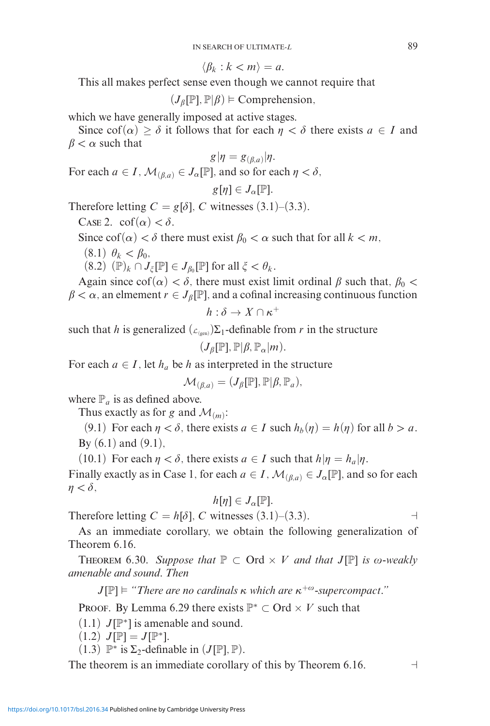$\langle \beta_k : k < m \rangle = a.$ 

This all makes perfect sense even though we cannot require that

 $(J_{\beta}[\mathbb{P}], \mathbb{P} | \beta) \models \text{Comprehension},$ 

which we have generally imposed at active stages.

Since  $\text{cof}(\alpha) \geq \delta$  it follows that for each  $\eta < \delta$  there exists  $a \in I$  and  $\beta < \alpha$  such that

$$
g|\eta = g_{(\beta,a)}|\eta.
$$

For each  $a \in I$ ,  $\mathcal{M}_{(\beta,a)} \in J_\alpha[\mathbb{P}]$ , and so for each  $\eta < \delta$ ,

$$
g[\eta]\in J_{\alpha}[\mathbb{P}].
$$

Therefore letting  $C = g[\delta]$ , *C* witnesses (3.1)–(3.3).

CASE 2.  $\text{cof}(\alpha) < \delta$ .

Since  $\cot(\alpha) < \delta$  there must exist  $\beta_0 < \alpha$  such that for all  $k < m$ ,

 $(8.1)$   $\theta_k < \beta_0$ ,

$$
(8.2) \, (\mathbb{P})_k \cap J_{\xi}[\mathbb{P}] \in J_{\beta_0}[\mathbb{P}] \text{ for all } \xi < \theta_k.
$$

Again since  $\cot(\alpha) < \delta$ , there must exist limit ordinal  $\beta$  such that,  $\beta_0 < \delta$  $\beta < \alpha$ , an elmement  $r \in J_{\beta}[\mathbb{P}]$ , and a cofinal increasing continuous function

$$
h:\delta\to X\cap\kappa^+
$$

such that *h* is generalized  $(L_{\text{gen}}) \Sigma_1$ -definable from *r* in the structure

$$
(J_{\beta}[\mathbb{P}], \mathbb{P} | \beta, \mathbb{P}_{\alpha} | m).
$$

For each  $a \in I$ , let  $h_a$  be h as interpreted in the structure

$$
\mathcal{M}_{(\beta,a)} = (J_{\beta}[\mathbb{P}], \mathbb{P} | \beta, \mathbb{P}_a),
$$

where  $\mathbb{P}_a$  is as defined above.

Thus exactly as for *g* and  $\mathcal{M}_{(m)}$ :

 $(9.1)$  For each  $\eta < \delta$ , there exists  $a \in I$  such  $h_b(\eta) = h(\eta)$  for all  $b > a$ . By  $(6.1)$  and  $(9.1)$ ,

 $(10.1)$  For each  $\eta < \delta$ , there exists  $a \in I$  such that  $h|\eta = h_a|\eta$ .

Finally exactly as in Case 1, for each  $a \in I$ ,  $\mathcal{M}_{(\beta,a)} \in J_{\alpha}[\mathbb{P}]$ , and so for each  $\eta < \delta$ ,

$$
h[\eta] \in J_{\alpha}[\mathbb{P}].
$$

Therefore letting  $C = h[\delta]$ , *C* witnesses (3.1)–(3.3).

As an immediate corollary, we obtain the following generalization of Theorem 6.16.

**THEOREM** 6.30. *Suppose that*  $\mathbb{P} \subset \text{Ord} \times V$  *and that*  $J[\mathbb{P}]$  *is*  $\omega$ *-weakly amenable and sound. Then*

*J*[ $\mathbb{P}$ ]  $\models$  "There are no cardinals κ which are  $\kappa^{+\omega}$ -supercompact."

PROOF. By Lemma 6.29 there exists  $\mathbb{P}^* \subset \text{Ord} \times V$  such that

 $(1.1)$  *J*[ $\mathbb{P}^*$ ] is amenable and sound.

- $(1.2)$  *J*[ $\mathbb{P}$ ] = *J*[ $\mathbb{P}^*$ ].
- (1.3)  $\mathbb{P}^*$  is  $\Sigma_2$ -definable in  $(J[\mathbb{P}], \mathbb{P})$ .

The theorem is an immediate corollary of this by Theorem 6.16.  $\Box$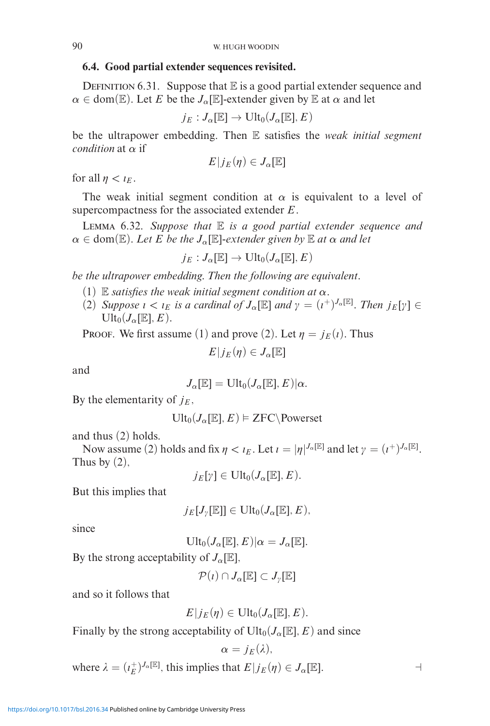## **6.4. Good partial extender sequences revisited.**

DEFINITION 6.31. Suppose that  $E$  is a good partial extender sequence and  $\alpha \in \text{dom}(\mathbb{E})$ . Let *E* be the *J<sub>α</sub>*[E]-extender given by E at  $\alpha$  and let

$$
j_E: J_\alpha[\mathbb{E}] \to \text{Ult}_0(J_\alpha[\mathbb{E}], E)
$$

be the ultrapower embedding. Then E satisfies the *weak initial segment condition* at *α* if

$$
E|j_E(\eta) \in J_\alpha[\mathbb{E}]
$$

for all  $\eta < \iota_E$ .

The weak initial segment condition at  $\alpha$  is equivalent to a level of supercompactness for the associated extender *E*.

Lemma 6.32. *Suppose that* E *is a good partial extender sequence and*  $\alpha \in \text{dom}(\mathbb{E})$ *. Let E be the*  $J_{\alpha}[\mathbb{E}]$ *-extender given by*  $\mathbb{E}$  *at*  $\alpha$  *and let* 

$$
j_E:J_{\alpha}[\mathbb{E}]\rightarrow \mathrm{Ult}_0(J_{\alpha}[\mathbb{E}],E)
$$

*be the ultrapower embedding. Then the following are equivalent.*

- (1) E *satisfies the weak initial segment condition at*  $\alpha$ .
- (2) *Suppose*  $\iota < \iota_E$  *is a cardinal of*  $J_\alpha[\mathbb{E}]$  *and*  $\gamma = (\iota^+)^{J_\alpha[\mathbb{E}]}$ *. Then*  $j_E[\gamma] \in$  $Ult_0(J_\alpha[\mathbb{E}],E).$

**PROOF.** We first assume (1) and prove (2). Let  $\eta = j_E(i)$ . Thus

$$
E|j_E(\eta) \in J_\alpha[\mathbb{E}]
$$

and

$$
J_{\alpha}[\mathbb{E}]=\mathrm{Ult}_0(J_{\alpha}[\mathbb{E}],E)|\alpha.
$$

By the elementarity of  $j_F$ ,

$$
\text{Ult}_0(J_\alpha[\mathbb{E}],E) \vDash \text{ZFC}\backslash \text{Powerset}
$$

and thus (2) holds.

Now assume (2) holds and fix  $\eta < \iota_E$ . Let  $\iota = |\eta|^{J_\alpha[\mathbb{E}]}$  and let  $\gamma = (\iota^+)^{J_\alpha[\mathbb{E}]}$ . Thus by  $(2)$ ,

 $j_E[\gamma] \in \text{Ult}_0(J_\alpha[\mathbb{E}],E).$ 

But this implies that

$$
j_E[J_\gamma[\mathbb{E}]] \in \text{Ult}_0(J_\alpha[\mathbb{E}],E),
$$

since

$$
\mathrm{Ult}_0(J_\alpha[\mathbb{E}],E)|\alpha=J_\alpha[\mathbb{E}].
$$

By the strong acceptability of  $J_{\alpha}[\mathbb{E}],$ 

 $\mathcal{P}(t) \cap J_{\alpha}[\mathbb{E}] \subset J_{\nu}[\mathbb{E}]$ 

and so it follows that

$$
E|_{JE}(\eta) \in \mathrm{Ult}_0(J_\alpha[\mathbb{E}],E).
$$

Finally by the strong acceptability of  $Ult_0(J_\alpha[{\mathbb{E}}],E)$  and since

$$
\alpha=j_E(\lambda),
$$

where  $\lambda = (i_E^+)^{J_\alpha[\mathbb{E}]}$ , this implies that  $E|j_E(\eta) \in J_\alpha[\mathbb{E}]$ .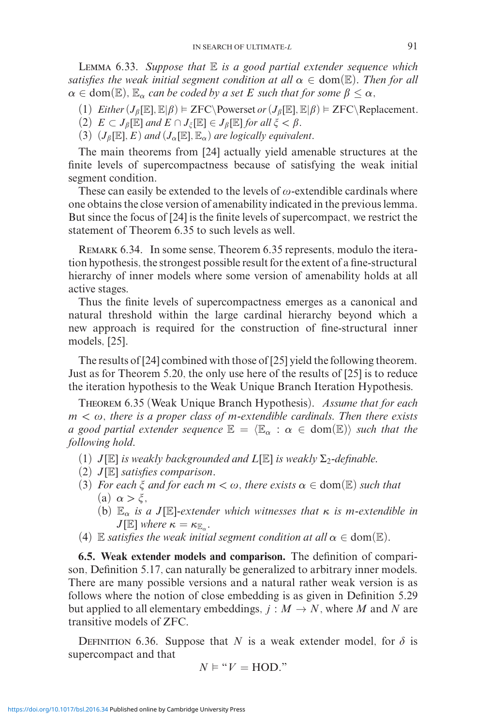Lemma 6.33. *Suppose that* E *is a good partial extender sequence which satisfies the weak initial segment condition at all*  $\alpha \in \text{dom}(\mathbb{E})$ *. Then for all*  $\alpha \in \text{dom}(\mathbb{E})$ ,  $\mathbb{E}_{\alpha}$  *can be coded by a set E such that for some*  $\beta \leq \alpha$ ,

- (1)  $Either(J_{\beta}[\mathbb{E}], \mathbb{E}|\beta) \models ZFC\backslash\text{Powerset or}(J_{\beta}[\mathbb{E}], \mathbb{E}|\beta) \models ZFC\backslash\text{Replacement.}$
- $(2)$   $E \subset J_{\beta}[\mathbb{E}]$  and  $E \cap J_{\xi}[\mathbb{E}] \in J_{\beta}[\mathbb{E}]$  for all  $\xi < \beta$ .
- (3)  $(J_\beta[\mathbb{E}], E)$  *and*  $(J_\alpha[\mathbb{E}], \mathbb{E}_\alpha)$  *are logically equivalent.*

The main theorems from [24] actually yield amenable structures at the finite levels of supercompactness because of satisfying the weak initial segment condition.

These can easily be extended to the levels of  $\omega$ -extendible cardinals where one obtains the close version of amenability indicated in the previous lemma. But since the focus of [24] is the finite levels of supercompact, we restrict the statement of Theorem 6.35 to such levels as well.

Remark 6.34. In some sense, Theorem 6.35 represents, modulo the iteration hypothesis, the strongest possible result for the extent of a fine-structural hierarchy of inner models where some version of amenability holds at all active stages.

Thus the finite levels of supercompactness emerges as a canonical and natural threshold within the large cardinal hierarchy beyond which a new approach is required for the construction of fine-structural inner models, [25].

The results of [24] combined with those of [25] yield the following theorem. Just as for Theorem 5.20, the only use here of the results of [25] is to reduce the iteration hypothesis to the Weak Unique Branch Iteration Hypothesis.

Theorem 6.35 (Weak Unique Branch Hypothesis). *Assume that for each*  $m < \omega$ , there is a proper class of m-extendible cardinals. Then there exists *a good partial extender sequence*  $\mathbb{E}$  =  $\langle \mathbb{E}_\alpha : \alpha \in \text{dom}(\mathbb{E}) \rangle$  *such that the following hold.*

- (1)  $J[\mathbb{E}]$  *is weakly backgrounded and*  $L[\mathbb{E}]$  *is weakly*  $\Sigma$ <sub>2</sub>-definable.
- (2) *J*[E] *satisfies comparison.*
- (3) *For each*  $\xi$  *and for each*  $m < \omega$ , *there exists*  $\alpha \in \text{dom}(\mathbb{E})$  *such that* (a)  $\alpha > \xi$ .
	- (b) E*<sup>α</sup> is a J*[E]*-extender which witnesses that κ is m-extendible in*  $J[\mathbb{E}]$  *where*  $\kappa = \kappa_{\mathbb{E}_\alpha}$ *.*
- (4) E *satisfies the weak initial segment condition at all*  $\alpha \in \text{dom}(\mathbb{E})$ .

**6.5. Weak extender models and comparison.** The definition of comparison, Definition 5.17, can naturally be generalized to arbitrary inner models. There are many possible versions and a natural rather weak version is as follows where the notion of close embedding is as given in Definition 5.29 but applied to all elementary embeddings,  $j : M \to N$ , where M and N are transitive models of ZFC.

DEFINITION 6.36. Suppose that *N* is a weak extender model, for  $\delta$  is supercompact and that

$$
N \vDash ``V = \text{HOD."}
$$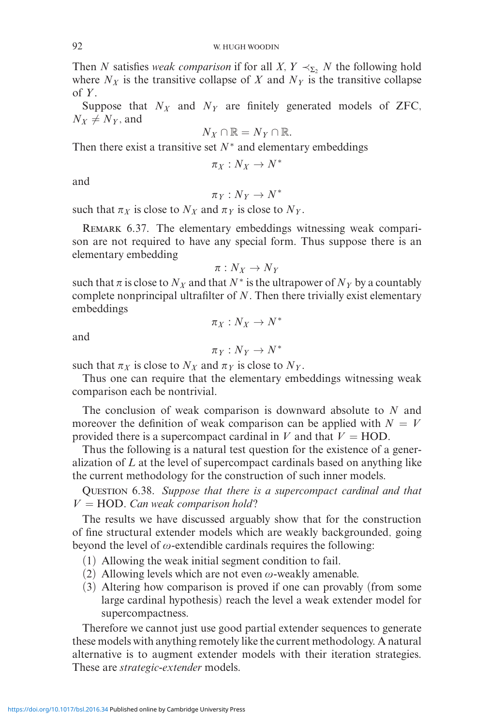Then *N* satisfies *weak comparison* if for all *X*,  $Y \prec_{\Sigma} N$  the following hold where  $N_X$  is the transitive collapse of  $X$  and  $N_Y$  is the transitive collapse of  $Y$ .

Suppose that  $N_X$  and  $N_Y$  are finitely generated models of ZFC,  $N_X \neq N_Y$ , and

$$
N_X \cap \mathbb{R} = N_Y \cap \mathbb{R}.
$$

Then there exist a transitive set  $N^*$  and elementary embeddings

$$
\pi_X: N_X \to N^*
$$

and

$$
\pi_Y: N_Y \to N^*
$$

such that  $\pi_X$  is close to  $N_X$  and  $\pi_Y$  is close to  $N_Y$ .

REMARK 6.37. The elementary embeddings witnessing weak comparison are not required to have any special form. Thus suppose there is an elementary embedding

$$
\pi:N_X\to N_Y
$$

such that  $\pi$  is close to  $N_X$  and that  $N^*$  is the ultrapower of  $N_Y$  by a countably complete nonprincipal ultrafilter of *N*. Then there trivially exist elementary embeddings

and

$$
\pi_Y: N_Y \to N^*
$$

 $\pi_X : N_X \to N^*$ 

such that  $\pi_X$  is close to  $N_X$  and  $\pi_Y$  is close to  $N_Y$ .

Thus one can require that the elementary embeddings witnessing weak comparison each be nontrivial.

The conclusion of weak comparison is downward absolute to *N* and moreover the definition of weak comparison can be applied with  $N = V$ provided there is a supercompact cardinal in *V* and that  $V = HOD$ .

Thus the following is a natural test question for the existence of a generalization of *L* at the level of supercompact cardinals based on anything like the current methodology for the construction of such inner models.

Question 6.38. *Suppose that there is a supercompact cardinal and that*  $V = HOD$ . *Can weak comparison hold*?

The results we have discussed arguably show that for the construction of fine structural extender models which are weakly backgrounded, going beyond the level of  $\omega$ -extendible cardinals requires the following:

- (1) Allowing the weak initial segment condition to fail.
- (2) Allowing levels which are not even  $\omega$ -weakly amenable.
- (3) Altering how comparison is proved if one can provably (from some large cardinal hypothesis) reach the level a weak extender model for supercompactness.

Therefore we cannot just use good partial extender sequences to generate these models with anything remotely like the current methodology. A natural alternative is to augment extender models with their iteration strategies. These are *strategic-extender* models.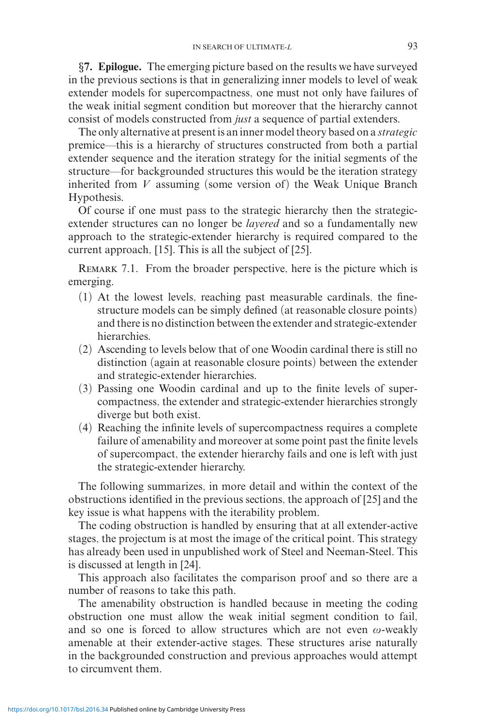*§***7. Epilogue.** The emerging picture based on the results we have surveyed in the previous sections is that in generalizing inner models to level of weak extender models for supercompactness, one must not only have failures of the weak initial segment condition but moreover that the hierarchy cannot consist of models constructed from *just* a sequence of partial extenders.

The only alternative at present is an inner model theory based on a *strategic* premice—this is a hierarchy of structures constructed from both a partial extender sequence and the iteration strategy for the initial segments of the structure—for backgrounded structures this would be the iteration strategy inherited from *V* assuming (some version of) the Weak Unique Branch Hypothesis.

Of course if one must pass to the strategic hierarchy then the strategicextender structures can no longer be *layered* and so a fundamentally new approach to the strategic-extender hierarchy is required compared to the current approach, [15]. This is all the subject of [25].

REMARK 7.1. From the broader perspective, here is the picture which is emerging.

- (1) At the lowest levels, reaching past measurable cardinals, the finestructure models can be simply defined (at reasonable closure points) and there is no distinction between the extender and strategic-extender hierarchies.
- (2) Ascending to levels below that of one Woodin cardinal there is still no distinction (again at reasonable closure points) between the extender and strategic-extender hierarchies.
- (3) Passing one Woodin cardinal and up to the finite levels of supercompactness, the extender and strategic-extender hierarchies strongly diverge but both exist.
- (4) Reaching the infinite levels of supercompactness requires a complete failure of amenability and moreover at some point past the finite levels of supercompact, the extender hierarchy fails and one is left with just the strategic-extender hierarchy.

The following summarizes, in more detail and within the context of the obstructions identified in the previous sections, the approach of [25] and the key issue is what happens with the iterability problem.

The coding obstruction is handled by ensuring that at all extender-active stages, the projectum is at most the image of the critical point. This strategy has already been used in unpublished work of Steel and Neeman-Steel. This is discussed at length in [24].

This approach also facilitates the comparison proof and so there are a number of reasons to take this path.

The amenability obstruction is handled because in meeting the coding obstruction one must allow the weak initial segment condition to fail, and so one is forced to allow structures which are not even  $\omega$ -weakly amenable at their extender-active stages. These structures arise naturally in the backgrounded construction and previous approaches would attempt to circumvent them.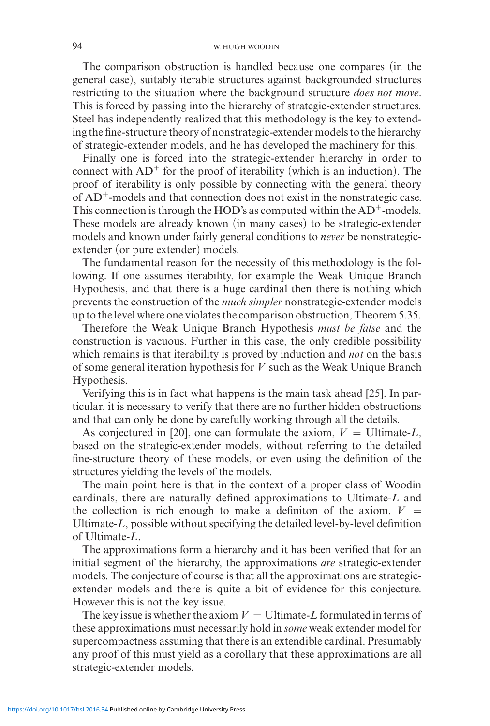## 94 W. HUGH WOODIN

The comparison obstruction is handled because one compares (in the general case), suitably iterable structures against backgrounded structures restricting to the situation where the background structure *does not move*. This is forced by passing into the hierarchy of strategic-extender structures. Steel has independently realized that this methodology is the key to extending the fine-structure theory of nonstrategic-extender models to the hierarchy of strategic-extender models, and he has developed the machinery for this.

Finally one is forced into the strategic-extender hierarchy in order to connect with  $AD^+$  for the proof of iterability (which is an induction). The proof of iterability is only possible by connecting with the general theory of AD+-models and that connection does not exist in the nonstrategic case. This connection is through the HOD's as computed within the  $AD^+$ -models. These models are already known (in many cases) to be strategic-extender models and known under fairly general conditions to *never* be nonstrategicextender (or pure extender) models.

The fundamental reason for the necessity of this methodology is the following. If one assumes iterability, for example the Weak Unique Branch Hypothesis, and that there is a huge cardinal then there is nothing which prevents the construction of the *much simpler* nonstrategic-extender models up to the level where one violates the comparison obstruction, Theorem 5.35.

Therefore the Weak Unique Branch Hypothesis *must be false* and the construction is vacuous. Further in this case, the only credible possibility which remains is that iterability is proved by induction and *not* on the basis of some general iteration hypothesis for *V* such as the Weak Unique Branch Hypothesis.

Verifying this is in fact what happens is the main task ahead [25]. In particular, it is necessary to verify that there are no further hidden obstructions and that can only be done by carefully working through all the details.

As conjectured in [20], one can formulate the axiom,  $V =$  Ultimate-*L*, based on the strategic-extender models, without referring to the detailed fine-structure theory of these models, or even using the definition of the structures yielding the levels of the models.

The main point here is that in the context of a proper class of Woodin cardinals, there are naturally defined approximations to Ultimate-*L* and the collection is rich enough to make a definiton of the axiom,  $V =$ Ultimate-*L*, possible without specifying the detailed level-by-level definition of Ultimate-*L*.

The approximations form a hierarchy and it has been verified that for an initial segment of the hierarchy, the approximations *are* strategic-extender models. The conjecture of course is that all the approximations are strategicextender models and there is quite a bit of evidence for this conjecture. However this is not the key issue.

The key issue is whether the axiom  $V =$  Ultimate-L formulated in terms of these approximations must necessarily hold in *some* weak extender model for supercompactness assuming that there is an extendible cardinal. Presumably any proof of this must yield as a corollary that these approximations are all strategic-extender models.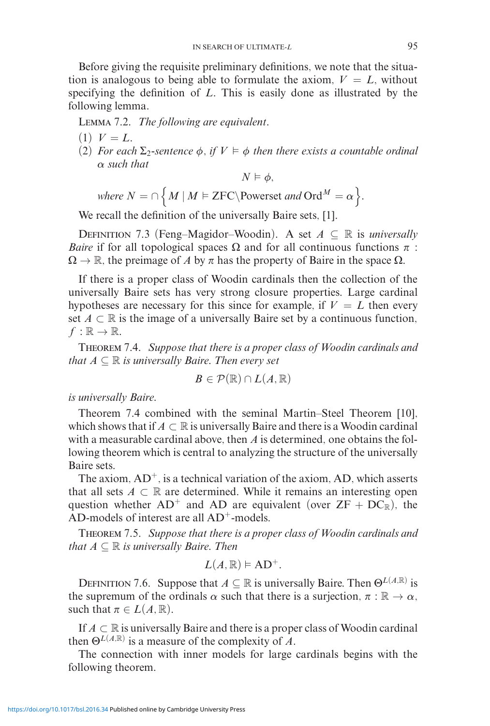Before giving the requisite preliminary definitions, we note that the situation is analogous to being able to formulate the axiom,  $V = L$ , without specifying the definition of *L*. This is easily done as illustrated by the following lemma.

Lemma 7.2. *The following are equivalent.*

- $(1)$   $V = L$ .
- $(2)$  *For each*  $\Sigma_2$ -sentence  $\phi$ , if  $V \models \phi$  then there exists a countable ordinal *α such that*

$$
N \vDash \phi,
$$

*where*  $N = \cap \{ M \mid M \vDash \text{ZFC} \}$  *Powerset and*  $\text{Ord}^M = \alpha \}.$ 

We recall the definition of the universally Baire sets, [1].

DEFINITION 7.3 (Feng–Magidor–Woodin). A set  $A \subseteq \mathbb{R}$  is *universally Baire* if for all topological spaces  $\Omega$  and for all continuous functions  $\pi$ :  $\Omega \to \mathbb{R}$ , the preimage of *A* by  $\pi$  has the property of Baire in the space  $\Omega$ .

If there is a proper class of Woodin cardinals then the collection of the universally Baire sets has very strong closure properties. Large cardinal hypotheses are necessary for this since for example, if  $V = L$  then every set  $A \subset \mathbb{R}$  is the image of a universally Baire set by a continuous function,  $f : \mathbb{R} \to \mathbb{R}$ .

Theorem 7.4. *Suppose that there is a proper class of Woodin cardinals and that*  $A \subseteq \mathbb{R}$  *is universally Baire. Then every set* 

$$
B\in \mathcal{P}(\mathbb{R})\cap L(A,\mathbb{R})
$$

*is universally Baire.*

Theorem 7.4 combined with the seminal Martin–Steel Theorem [10], which shows that if  $A \subset \mathbb{R}$  is universally Baire and there is a Woodin cardinal with a measurable cardinal above, then *A* is determined, one obtains the following theorem which is central to analyzing the structure of the universally Baire sets.

The axiom,  $AD^+$ , is a technical variation of the axiom,  $AD$ , which asserts that all sets  $A \subset \mathbb{R}$  are determined. While it remains an interesting open question whether  $AD^+$  and  $AD$  are equivalent (over  $ZF + DC_{\mathbb{R}}$ ), the AD-models of interest are all  $AD^+$ -models.

Theorem 7.5. *Suppose that there is a proper class of Woodin cardinals and that*  $A \subseteq \mathbb{R}$  *is universally Baire. Then* 

$$
L(A,\mathbb{R})\vDash AD^{+}.
$$

DEFINITION 7.6. Suppose that  $A \subseteq \mathbb{R}$  is universally Baire. Then  $\Theta^{L(A,\mathbb{R})}$  is the supremum of the ordinals  $\alpha$  such that there is a surjection,  $\pi : \mathbb{R} \to \alpha$ , such that  $\pi \in L(A, \mathbb{R})$ .

If  $A \subset \mathbb{R}$  is universally Baire and there is a proper class of Woodin cardinal then  $\Theta^{L(A,\mathbb{R})}$  is a measure of the complexity of *A*.

The connection with inner models for large cardinals begins with the following theorem.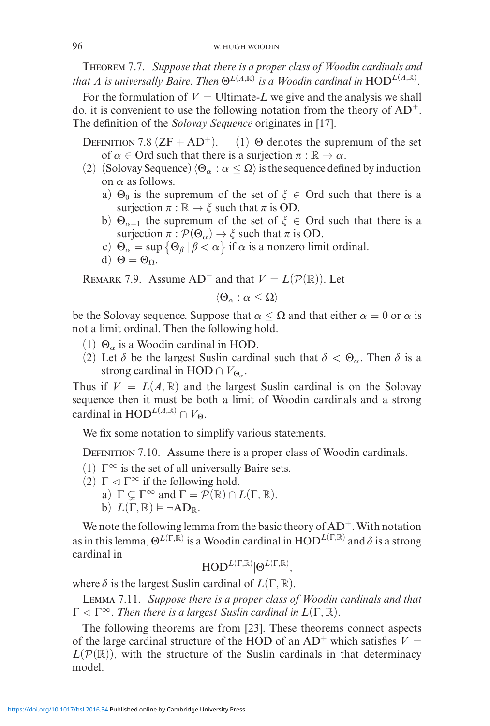Theorem 7.7. *Suppose that there is a proper class of Woodin cardinals and that A is universally Baire. Then*  $\Theta^{L(A,\mathbb{R})}$  *is a Woodin cardinal in*  $\text{HOD}^{L(A,\mathbb{R})}$ *.* 

For the formulation of  $V =$  Ultimate-*L* we give and the analysis we shall do, it is convenient to use the following notation from the theory of  $AD^+$ . The definition of the *Solovay Sequence* originates in [17].

DEFINITION 7.8  $(ZF + AD^+)$ . (1) Θ denotes the supremum of the set of  $\alpha \in \text{Ord}$  such that there is a surjection  $\pi : \mathbb{R} \to \alpha$ .

- (2) (Solovay Sequence)  $\langle \Theta_{\alpha} : \alpha \leq \Omega \rangle$  is the sequence defined by induction on *α* as follows.
	- a)  $\Theta_0$  is the supremum of the set of  $\xi \in$  Ord such that there is a surjection  $\pi : \mathbb{R} \to \xi$  such that  $\pi$  is OD.
	- b)  $\Theta_{\alpha+1}$  the supremum of the set of  $\xi \in$  Ord such that there is a surjection  $\pi$  :  $\mathcal{P}(\Theta_{\alpha}) \rightarrow \xi$  such that  $\pi$  is OD.
	- c)  $\Theta_{\alpha} = \sup \{ \Theta_{\beta} \mid \beta < \alpha \}$  if  $\alpha$  is a nonzero limit ordinal.
	- d)  $\Theta = \Theta_0$ .

REMARK 7.9. Assume  $AD^+$  and that  $V = L(\mathcal{P}(\mathbb{R}))$ . Let

$$
\langle \Theta_\alpha : \alpha \leq \Omega \rangle
$$

be the Solovay sequence. Suppose that  $\alpha < \Omega$  and that either  $\alpha = 0$  or  $\alpha$  is not a limit ordinal. Then the following hold.

- (1)  $\Theta_{\alpha}$  is a Woodin cardinal in HOD.
- (2) Let  $\delta$  be the largest Suslin cardinal such that  $\delta < \Theta_{\alpha}$ . Then  $\delta$  is a strong cardinal in HOD  $\cap V_{\Theta_{\alpha}}$ .

Thus if  $V = L(A, \mathbb{R})$  and the largest Suslin cardinal is on the Solovay sequence then it must be both a limit of Woodin cardinals and a strong cardinal in HOD<sup>*L*(*A,R*)</sup>  $\cap$   $V_{\Omega}$ .

We fix some notation to simplify various statements.

DEFINITION 7.10. Assume there is a proper class of Woodin cardinals.

- (1)  $\Gamma^{\infty}$  is the set of all universally Baire sets.
- (2)  $\Gamma \lhd \Gamma^{\infty}$  if the following hold.
	- a)  $\Gamma \subsetneq \Gamma^{\infty}$  and  $\Gamma = \mathcal{P}(\mathbb{R}) \cap L(\Gamma, \mathbb{R}),$

b) 
$$
L(\Gamma, \mathbb{R}) \models \neg AD_{\mathbb{R}}
$$
.

We note the following lemma from the basic theory of  $AD^+$ . With notation as in this lemma,  $\Theta^{L(\Gamma,\overline{\mathbb{R}})}$  is a Woodin cardinal in  $\mathrm{HOD}^{L(\Gamma,\mathbb{R})}$  and  $\delta$  is a strong cardinal in

$$
\mathrm{HOD}^{L(\Gamma,\mathbb{R})}|\Theta^{L(\Gamma,\mathbb{R})},
$$

where  $\delta$  is the largest Suslin cardinal of  $L(\Gamma, \mathbb{R})$ .

Lemma 7.11. *Suppose there is a proper class of Woodin cardinals and that*  $\Gamma \lhd \Gamma^{\infty}$ *. Then there is a largest Suslin cardinal in*  $L(\Gamma, \mathbb{R})$ *.* 

The following theorems are from [23]. These theorems connect aspects of the large cardinal structure of the HOD of an  $AD^+$  which satisfies  $V =$  $L(P(\mathbb{R}))$ , with the structure of the Suslin cardinals in that determinacy model.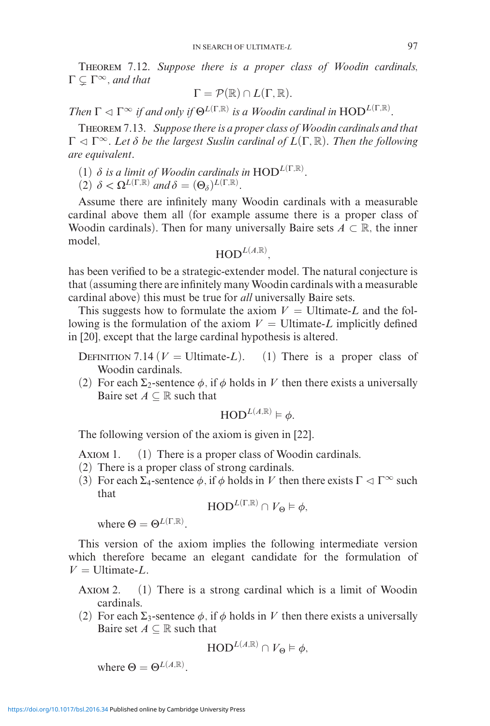Theorem 7.12. *Suppose there is a proper class of Woodin cardinals,*  $\Gamma \subsetneq \Gamma^{\infty}$ , and that

$$
\Gamma = \mathcal{P}(\mathbb{R}) \cap L(\Gamma, \mathbb{R}).
$$

*Then*  $\Gamma \lhd \Gamma^{\infty}$  *if and only if*  $\Theta^{L(\Gamma,\mathbb{R})}$  *is a Woodin cardinal in*  $\text{HOD}^{L(\Gamma,\mathbb{R})}$ *.* 

Theorem 7.13. *Suppose there is a proper class of Woodin cardinals and that*  $Γ ⊲ Γ<sup>∞</sup>$ *. Let*  $δ$  *be the largest Suslin cardinal of L*(Γ, ℝ)*. Then the following are equivalent.*

- (1)  $\delta$  *is a limit of Woodin cardinals in*  $HOD^{L(\Gamma,\mathbb{R})}$ .
- $(2)$   $\delta < \Omega^{L(\Gamma,\mathbb{R})}$  *and*  $\delta = (\Theta_{\delta})^{L(\Gamma,\mathbb{R})}$ .

Assume there are infinitely many Woodin cardinals with a measurable cardinal above them all (for example assume there is a proper class of Woodin cardinals). Then for many universally Baire sets  $A \subset \mathbb{R}$ , the inner model,

 $\mathbf{HOD}^{L(A,\mathbb{R})},$ 

has been verified to be a strategic-extender model. The natural conjecture is that (assuming there are infinitely many Woodin cardinals with a measurable cardinal above) this must be true for *all* universally Baire sets.

This suggests how to formulate the axiom  $V =$  Ultimate-*L* and the following is the formulation of the axiom  $V =$  Ultimate-*L* implicitly defined in [20], except that the large cardinal hypothesis is altered.

DEFINITION 7.14 ( $V =$  Ultimate-*L*). (1) There is a proper class of Woodin cardinals.

(2) For each  $\Sigma_2$ -sentence  $\phi$ , if  $\phi$  holds in V then there exists a universally Baire set  $A \subseteq \mathbb{R}$  such that

$$
\mathrm{HOD}^{L(A,\mathbb{R})} \models \phi.
$$

The following version of the axiom is given in [22].

Axiom 1. (1) There is a proper class of Woodin cardinals.

- (2) There is a proper class of strong cardinals.
- (3) For each  $\Sigma_4$ -sentence  $\phi$ , if  $\phi$  holds in V then there exists  $\Gamma \lhd \Gamma^{\infty}$  such that

 $\text{HOD}^{L(\Gamma,\mathbb{R})} \cap V_{\Theta} \models \phi,$ 

where  $\Theta = \Theta^{L(\Gamma,\mathbb{R})}$ .

This version of the axiom implies the following intermediate version which therefore became an elegant candidate for the formulation of  $V =$  Ultimate-*L*.

Axiom 2. (1) There is a strong cardinal which is a limit of Woodin cardinals.

(2) For each  $\Sigma_3$ -sentence  $\phi$ , if  $\phi$  holds in V then there exists a universally Baire set  $A \subseteq \mathbb{R}$  such that

$$
\textnormal{HOD}^{L(A,\mathbb{R})} \cap V_\Theta \vDash \phi,
$$

where  $\Theta = \Theta^{L(A,\mathbb{R})}$ .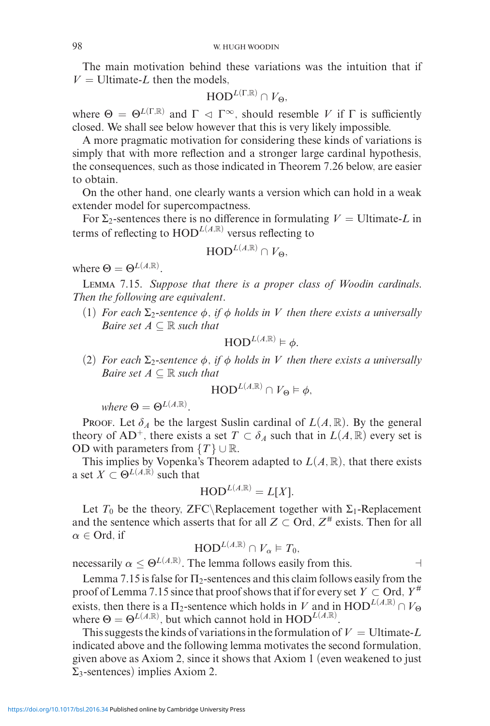The main motivation behind these variations was the intuition that if  $V =$  Ultimate-*L* then the models.

$$
\textnormal{HOD}^{L(\Gamma,\mathbb{R})}\cap V_{\Theta},
$$

where  $\Theta = \Theta^{L(\Gamma,\mathbb{R})}$  and  $\Gamma \vartriangleleft \Gamma^{\infty}$ , should resemble *V* if  $\Gamma$  is sufficiently closed. We shall see below however that this is very likely impossible.

A more pragmatic motivation for considering these kinds of variations is simply that with more reflection and a stronger large cardinal hypothesis, the consequences, such as those indicated in Theorem 7.26 below, are easier to obtain.

On the other hand, one clearly wants a version which can hold in a weak extender model for supercompactness.

For  $\Sigma_2$ -sentences there is no difference in formulating  $V =$  Ultimate-*L* in terms of reflecting to  $HOD^{L(A,R)}$  versus reflecting to

$$
\text{HOD}^{L(A,\mathbb{R})}\cap V_{\Theta},
$$

where  $\Theta = \Theta^{L(A,\mathbb{R})}$ .

Lemma 7.15. *Suppose that there is a proper class of Woodin cardinals. Then the following are equivalent.*

(1) *For each*  $\Sigma_2$ -sentence  $\phi$ , if  $\phi$  *holds in V* then there exists a universally *Baire set*  $A \subseteq \mathbb{R}$  *such that* 

$$
\mathrm{HOD}^{L(A,\mathbb{R})}\vDash\phi.
$$

(2) *For each*  $\Sigma_2$ -sentence  $\phi$ , if  $\phi$  holds in V then there exists a universally *Baire set*  $A \subseteq \mathbb{R}$  *such that* 

$$
\text{HOD}^{L(A,\mathbb{R})} \cap V_{\Theta} \models \phi,
$$

 $where \Theta = \Theta^{L(A,\mathbb{R})}.$ 

Proof. Let  $\delta_A$  be the largest Suslin cardinal of  $L(A, \mathbb{R})$ . By the general theory of AD<sup>+</sup>, there exists a set  $T \subset \delta_A$  such that in  $L(A, \mathbb{R})$  every set is OD with parameters from  $\{T\} \cup \mathbb{R}$ .

This implies by Vopenka's Theorem adapted to  $L(A, \mathbb{R})$ , that there exists a set  $X \subset \Theta^{L(A,\mathbb{R})}$  such that

$$
\text{HOD}^{L(A,\mathbb{R})} = L[X].
$$

Let  $T_0$  be the theory, ZFC\Replacement together with  $\Sigma_1$ -Replacement and the sentence which asserts that for all  $Z \subset \text{Ord}$ ,  $Z^{\#}$  exists. Then for all  $\alpha \in \text{Ord}$ , if

$$
\text{HOD}^{L(A,\mathbb{R})} \cap V_{\alpha} \vDash T_0,
$$

necessarily  $\alpha \leq \Theta^{L(A,\mathbb{R})}$ . The lemma follows easily from this.

Lemma 7.15 is false for  $\Pi_2$ -sentences and this claim follows easily from the proof of Lemma 7.15 since that proof shows that if for every set  $Y \subset \text{Ord}$ ,  $Y^{\#}$ exists, then there is a  $\Pi_2$ -sentence which holds in *V* and in  $HOD^{L(A,\mathbb{R})} \cap V_{\Theta}$ where  $\Theta = \Theta^{L(A,\mathbb{R})}$ , but which cannot hold in  $HOD^{L(A,\mathbb{R})}$ .

This suggests the kinds of variations in the formulation of  $V =$  Ultimate-L indicated above and the following lemma motivates the second formulation, given above as Axiom 2, since it shows that Axiom 1 (even weakened to just  $\Sigma_3$ -sentences) implies Axiom 2.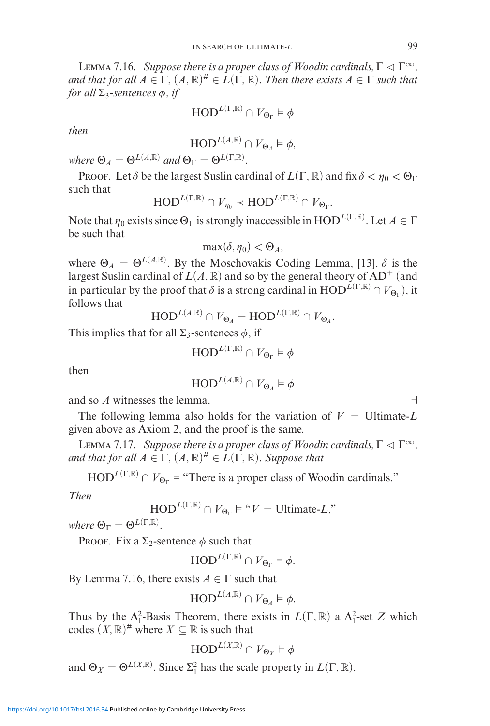**LEMMA 7.16.** *Suppose there is a proper class of Woodin cardinals*,  $\Gamma \lhd \Gamma^{\infty}$ , *and that for all*  $A \in \Gamma$ ,  $(A, \mathbb{R})^{\#} \in L(\Gamma, \mathbb{R})$ *. Then there exists*  $A \in \Gamma$  *such that for all*  $\Sigma$ <sup>3</sup>-sentences  $\phi$ *, if* 

$$
\textnormal{HOD}^{L(\Gamma,\mathbb{R})}\cap V_{\Theta_\Gamma} \vDash \phi
$$

*then*

$$
\textnormal{HOD}^{L(A,\mathbb{R})}\cap V_{\Theta_A}\vDash \phi,
$$

 $where \ \Theta_A = \Theta^{L(A,\mathbb{R})}$  *and*  $\Theta_{\Gamma} = \Theta^{L(\Gamma,\mathbb{R})}$ *.* 

**Proof.** Let  $\delta$  be the largest Suslin cardinal of  $L(\Gamma, \mathbb{R})$  and fix  $\delta < \eta_0 < \Theta_\Gamma$ such that

$$
\text{HOD}^{L(\Gamma,\mathbb{R})}\cap V_{\eta_0}\prec \text{HOD}^{L(\Gamma,\mathbb{R})}\cap V_{\Theta_{\Gamma}}.
$$

Note that  $\eta_0$  exists since  $\Theta_{\Gamma}$  is strongly inaccessible in  $\mathrm{HOD}^{L(\Gamma,\mathbb{R})}$ . Let  $A \in \Gamma$ be such that

$$
\max(\delta, \eta_0) < \Theta_A,
$$

where  $\Theta_A = \Theta^{L(A,\mathbb{R})}$ . By the Moschovakis Coding Lemma, [13],  $\delta$  is the largest Suslin cardinal of  $L(A, \mathbb{R})$  and so by the general theory of AD<sup>+</sup> (and in particular by the proof that  $\delta$  is a strong cardinal in  $HOD^{L(\Gamma,\mathbb{R})} \cap V_{\Theta_{\Gamma}}$ ), it follows that

$$
\mathrm{HOD}^{L(A,\mathbb{R})}\cap V_{\Theta_A}=\mathrm{HOD}^{L(\Gamma,\mathbb{R})}\cap V_{\Theta_A}.
$$

This implies that for all  $\Sigma_3$ -sentences  $\phi$ , if

$$
\textnormal{HOD}^{L(\Gamma,\mathbb{R})}\cap V_{\Theta_{\Gamma}}\vDash\phi
$$

then

$$
\textnormal{HOD}^{L(A,\mathbb{R})}\cap V_{\Theta_A}\vDash\phi
$$

and so *A* witnesses the lemma.

The following lemma also holds for the variation of  $V =$  Ultimate-L given above as Axiom 2, and the proof is the same.

**LEMMA 7.17.** *Suppose there is a proper class of Woodin cardinals*,  $\Gamma \vartriangleleft \Gamma^{\infty}$ *, and that for all*  $A \in \Gamma$ ,  $(A, \mathbb{R})^{\#} \in L(\Gamma, \mathbb{R})$ *. Suppose that* 

 $HOD^{L(\Gamma,\mathbb{R})} \cap V_{\Theta_{\Gamma}} \models$  "There is a proper class of Woodin cardinals."

*Then*

$$
\text{HOD}^{L(\Gamma,\mathbb{R})} \cap V_{\Theta_{\Gamma}} \models ``V = \text{Ultimate-}L"
$$

 $where \Theta_{\Gamma} = \Theta^{L(\Gamma,\mathbb{R})}.$ 

PROOF. Fix a  $\Sigma_2$ -sentence  $\phi$  such that

$$
\text{HOD}^{L(\Gamma,\mathbb{R})}\cap V_{\Theta_{\Gamma}}\vDash\phi.
$$

By Lemma 7.16, there exists  $A \in \Gamma$  such that

$$
\text{HOD}^{L(A,\mathbb{R})} \cap V_{\Theta_A} \vDash \phi.
$$

Thus by the  $\Delta_1^2$ -Basis Theorem, there exists in  $L(\Gamma, \mathbb{R})$  a  $\Delta_1^2$ -set *Z* which codes  $(X, \mathbb{R})^{\#}$  where  $X \subseteq \mathbb{R}$  is such that

$$
\mathrm{HOD}^{L(X,\mathbb{R})}\cap\mathit{V}_{\Theta_X}\vDash\phi
$$

and  $\Theta_X = \Theta^{L(X,\mathbb{R})}$ . Since  $\Sigma_1^2$  has the scale property in  $L(\Gamma, \mathbb{R})$ ,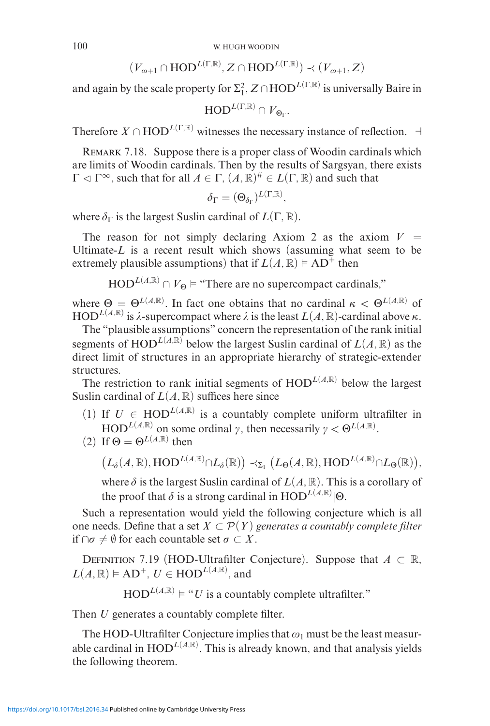$$
(V_{\omega+1}\cap \text{HOD}^{L(\Gamma,\mathbb{R})}, Z\cap \text{HOD}^{L(\Gamma,\mathbb{R})}) \prec (V_{\omega+1}, Z)
$$

and again by the scale property for  $\Sigma_1^2$ ,  $Z \cap \mathrm{HOD}^{L(\Gamma,\mathbb{R})}$  is universally Baire in

$$
\mathrm{HOD}^{L(\Gamma,\mathbb{R})}\cap\mathit{V}_{\Theta_{\Gamma}}.
$$

Therefore  $X \cap \text{HOD}^{L(\Gamma,\mathbb{R})}$  witnesses the necessary instance of reflection.  $\vdash$ 

REMARK 7.18. Suppose there is a proper class of Woodin cardinals which are limits of Woodin cardinals. Then by the results of Sargsyan, there exists  $\Gamma \lhd \Gamma^{\infty}$ , such that for all  $A \in \Gamma$ ,  $(A, \mathbb{R})^{\#} \in L(\Gamma, \mathbb{R})$  and such that

$$
\delta_\Gamma = (\Theta_{\delta_\Gamma})^{L(\Gamma,\mathbb{R})},
$$

where  $\delta_{\Gamma}$  is the largest Suslin cardinal of  $L(\Gamma, \mathbb{R})$ .

The reason for not simply declaring Axiom 2 as the axiom  $V =$ Ultimate-*L* is a recent result which shows (assuming what seem to be extremely plausible assumptions) that if  $L(A, \mathbb{R}) \models AD^{\perp}$  then

 $HOD^{L(A,\mathbb{R})} \cap V_{\Theta} \models$  "There are no supercompact cardinals,"

where  $\Theta = \Theta^{L(A,R)}$ . In fact one obtains that no cardinal  $\kappa < \Theta^{L(A,R)}$  of HOD<sup>*L*(*A*,R)</sup> is λ-supercompact where  $\lambda$  is the least  $L(A, R)$ -cardinal above κ.

The "plausible assumptions" concern the representation of the rank initial segments of HOD<sup>L(*A*,R)</sup> below the largest Suslin cardinal of  $L(A, \mathbb{R})$  as the direct limit of structures in an appropriate hierarchy of strategic-extender structures.

The restriction to rank initial segments of  $HOD^{L(A,R)}$  below the largest Suslin cardinal of  $L(A, \mathbb{R})$  suffices here since

- (1) If  $U \in \text{HOD}^{L(A,\mathbb{R})}$  is a countably complete uniform ultrafilter in HOD<sup>*L*(*A*,R)</sup> on some ordinal  $\gamma$ , then necessarily  $\gamma < \Theta$ <sup>*L*(*A*,R)</sup>.
- (2) If  $\Theta = \Theta^{L(A,\mathbb{R})}$  then

$$
\big(L_{\delta}(A,\mathbb{R}),\text{HOD}^{L(A,\mathbb{R})}\cap L_{\delta}(\mathbb{R})\big)\prec_{\Sigma_{1}}\big(L_{\Theta}(A,\mathbb{R}),\text{HOD}^{L(A,\mathbb{R})}\cap L_{\Theta}(\mathbb{R})\big),
$$

where  $\delta$  is the largest Suslin cardinal of  $L(A, \mathbb{R})$ . This is a corollary of the proof that  $\delta$  is a strong cardinal in  $HOD^{L(A,\mathbb{R})}$   $|\Theta$ .

Such a representation would yield the following conjecture which is all one needs. Define that a set  $X \subset \mathcal{P}(Y)$  *generates a countably complete filter* if  $\cap \sigma \neq \emptyset$  for each countable set  $\sigma \subset X$ .

DEFINITION 7.19 (HOD-Ultrafilter Conjecture). Suppose that  $A \subset \mathbb{R}$ ,  $L(A, \mathbb{R}) \models \text{AD}^+, U \in \text{HOD}^{L(A, \mathbb{R})}$ , and

 $HOD^{L(A,\mathbb{R})} \models "U$  is a countably complete ultrafilter."

Then *U* generates a countably complete filter.

The HOD-Ultrafilter Conjecture implies that  $\omega_1$  must be the least measurable cardinal in  $\text{HOD}^{L(A,\mathbb{R})}$ . This is already known, and that analysis yields the following theorem.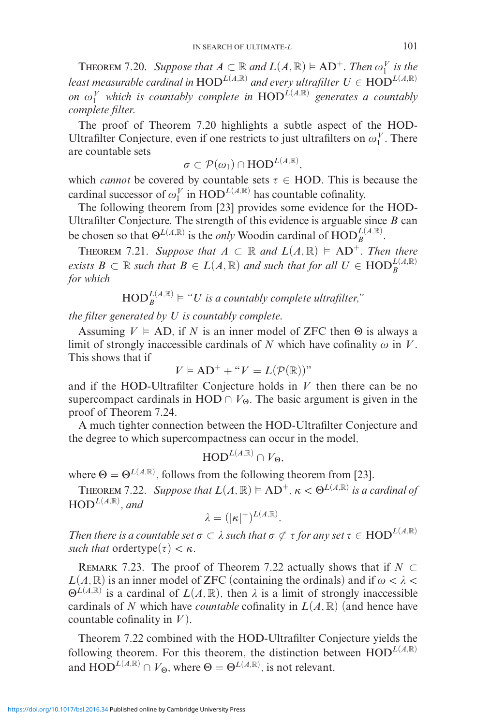**THEOREM** 7.20. *Suppose that*  $A \subset \mathbb{R}$  *and*  $L(A, \mathbb{R}) \models AD^+$ *. Then*  $\omega_1^V$  *is the least measurable cardinal in*  $\text{HOD}^{L(A,\mathbb{R})}$  *and every ultrafilter*  $U \in \text{HOD}^{L(A,\mathbb{R})}$ *on*  $\omega_1^V$  which is countably complete in  $\text{HOD}^{\hat{L}(A,\mathbb{R})}$  generates a countably *complete filter.*

The proof of Theorem 7.20 highlights a subtle aspect of the HOD-Ultrafilter Conjecture, even if one restricts to just ultrafilters on  $\omega_1^V$ . There are countable sets

$$
\sigma \subset \mathcal{P}(\omega_1) \cap \mathrm{HOD}^{L(A,\mathbb{R})},
$$

which *cannot* be covered by countable sets  $\tau \in \text{HOD}$ . This is because the cardinal successor of  $\omega_1^V$  in  $\text{HOD}^{L(A,\mathbb{R})}$  has countable cofinality.

The following theorem from [23] provides some evidence for the HOD-Ultrafilter Conjecture. The strength of this evidence is arguable since *B* can be chosen so that  $\Theta^{L(A,\mathbb{R})}$  is the *only* Woodin cardinal of  $\text{HOD}_{B}^{L(A,\mathbb{R})}$ .

**THEOREM** 7.21. Suppose that  $A \subset \mathbb{R}$  and  $L(A, \mathbb{R}) \models AD^+$ . Then there *exists*  $B \subset \mathbb{R}$  *such that*  $B \in L(A, \mathbb{R})$  *and such that for all*  $U \in \text{HOD}_{B}^{L(A, \mathbb{R})}$ *for which*

$$
\mathrm{HOD}^{L(A,\mathbb{R})}_{B} \models "U \text{ is a countably complete ultrafilter,"}
$$

*the filter generated by U is countably complete.*

Assuming  $V \models AD$ , if *N* is an inner model of ZFC then  $\Theta$  is always a limit of strongly inaccessible cardinals of  $N$  which have cofinality  $\omega$  in  $V$ . This shows that if

$$
V \vDash \mathrm{AD}^+ + ``V = L(\mathcal{P}(\mathbb{R}))"
$$

and if the HOD-Ultrafilter Conjecture holds in *V* then there can be no supercompact cardinals in HOD  $\cap$   $V_{\Theta}$ . The basic argument is given in the proof of Theorem 7.24.

A much tighter connection between the HOD-Ultrafilter Conjecture and the degree to which supercompactness can occur in the model,

$$
\text{HOD}^{L(A,\mathbb{R})}\cap V_{\Theta},
$$

where  $\Theta = \Theta^{L(A,\mathbb{R})}$ , follows from the following theorem from [23].

**THEOREM** 7.22. *Suppose that*  $L(A, \mathbb{R}) \models AD^+, \kappa < \Theta^{L(A, \mathbb{R})}$  *is a cardinal of*  $HOD^{L(A,\mathbb{R})}$ *, and* 

$$
\lambda = (|\kappa|^+)^{L(A,\mathbb{R})}.
$$

*Then there is a countable set*  $\sigma \subset \lambda$  *such that*  $\sigma \not\subset \tau$  *for any set*  $\tau \in {\rm HOD}^{L(A,\mathbb{R})}$ *such that* ordertype $(\tau) < \kappa$ *.* 

REMARK 7.23. The proof of Theorem 7.22 actually shows that if  $N \subset$  $L(A, \mathbb{R})$  is an inner model of ZFC (containing the ordinals) and if  $\omega < \lambda <$  $\Theta$ <sup>*L*(*A,*R)</sub> is a cardinal of *L*(*A,* R), then  $\lambda$  is a limit of strongly inaccessible</sup> cardinals of N which have *countable* cofinality in  $L(A, \mathbb{R})$  (and hence have countable cofinality in *V* ).

Theorem 7.22 combined with the HOD-Ultrafilter Conjecture yields the following theorem. For this theorem, the distinction between  $HOD^{L(A,R)}$ and  $\text{HOD}^{L(A,\mathbb{R})} \cap V_{\Theta}$ , where  $\Theta = \Theta^{L(A,\mathbb{R})}$ , is not relevant.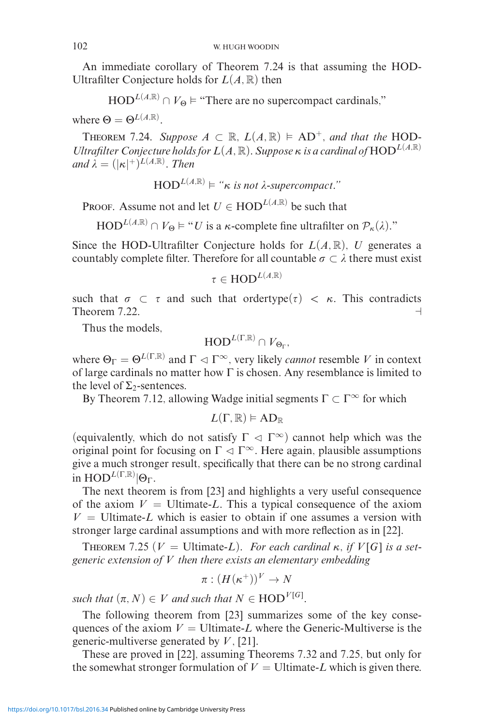An immediate corollary of Theorem 7.24 is that assuming the HOD-Ultrafilter Conjecture holds for  $L(A, \mathbb{R})$  then

 $HOD^{L(A,\mathbb{R})} \cap V_{\Theta} \models$  "There are no supercompact cardinals,"

where  $\Theta = \Theta^{L(A,\mathbb{R})}$ .

THEOREM 7.24. Suppose  $A \subset \mathbb{R}$ ,  $L(A, \mathbb{R}) \models AD^+$ , and that the HOD-*Ultrafilter Conjecture holds for L*(*A,* R)*. Suppose κ is a cardinal of* HOD*<sup>L</sup>*(*A,*R) *and*  $\lambda = (|\kappa|^{+})^{L(A,\mathbb{R})}$ . *Then* 

 $HOD^{L(A,\mathbb{R})} \models ``\kappa$ is not \lambda-supercompact."$ 

PROOF. Assume not and let  $U \in \text{HOD}^{L(A,\mathbb{R})}$  be such that

 $HOD^{L(A,\mathbb{R})} \cap V_{\Theta} \models "U$  is a *κ*-complete fine ultrafilter on  $\mathcal{P}_{\kappa}(\lambda)$ ."

Since the HOD-Ultrafilter Conjecture holds for  $L(A, \mathbb{R})$ , *U* generates a countably complete filter. Therefore for all countable  $\sigma \subset \lambda$  there must exist

 $\tau \in \text{HOD}^{L(A,\mathbb{R})}$ 

such that  $\sigma \subset \tau$  and such that ordertype( $\tau$ ) <  $\kappa$ . This contradicts Theorem 7.22.  $\Box$ 

Thus the models,

$$
\textnormal{HOD}^{L(\Gamma,\mathbb{R})}\cap V_{\Theta_{\Gamma}},
$$

where  $\Theta_{\Gamma} = \Theta^{L(\Gamma,\mathbb{R})}$  and  $\Gamma \triangleleft \Gamma^{\infty}$ , very likely *cannot* resemble *V* in context of large cardinals no matter how  $\Gamma$  is chosen. Any resemblance is limited to the level of  $\Sigma_2$ -sentences.

By Theorem 7.12, allowing Wadge initial segments  $\Gamma \subset \Gamma^\infty$  for which

$$
L(\Gamma,\mathbb{R})\vDash AD_{\mathbb{R}}
$$

(equivalently, which do not satisfy  $\Gamma \vartriangleleft \Gamma^{\infty}$ ) cannot help which was the original point for focusing on  $\Gamma \vartriangleleft \Gamma^\infty$ . Here again, plausible assumptions give a much stronger result, specifically that there can be no strong cardinal  $\overline{\text{in } \text{HOD}^{L(\Gamma,\mathbb{R})}|\Theta_{\Gamma}}$ .

The next theorem is from [23] and highlights a very useful consequence of the axiom  $V =$  Ultimate-*L*. This a typical consequence of the axiom  $V =$  Ultimate-*L* which is easier to obtain if one assumes a version with stronger large cardinal assumptions and with more reflection as in [22].

**THEOREM** 7.25 ( $V =$  Ultimate-*L*). *For each cardinal*  $\kappa$ *, if*  $V[G]$  *is a setgeneric extension of V then there exists an elementary embedding*

$$
\pi : (H(\kappa^+))^V \to N
$$

*such that*  $(\pi, N) \in V$  *and such that*  $N \in \text{HOD}^{V[G]}$ .

The following theorem from [23] summarizes some of the key consequences of the axiom  $V =$  Ultimate-*L* where the Generic-Multiverse is the generic-multiverse generated by *V* , [21].

These are proved in [22], assuming Theorems 7.32 and 7.25, but only for the somewhat stronger formulation of  $V =$  Ultimate-*L* which is given there.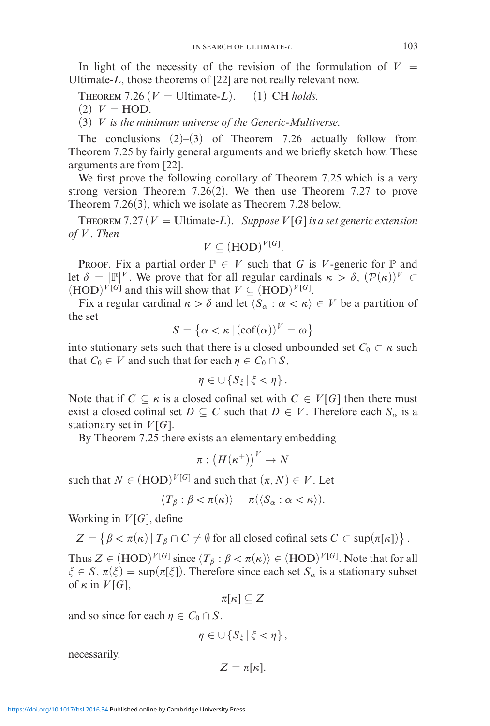In light of the necessity of the revision of the formulation of  $V =$ Ultimate-*L*, those theorems of [22] are not really relevant now.

THEOREM 7.26 ( $V =$  Ultimate-*L*). (1) CH *holds.* 

 $(2)$   $V = \text{HOD}.$ 

(3) *V is the minimum universe of the Generic-Multiverse.*

The conclusions  $(2)$ – $(3)$  of Theorem 7.26 actually follow from Theorem 7.25 by fairly general arguments and we briefly sketch how. These arguments are from [22].

We first prove the following corollary of Theorem 7.25 which is a very strong version Theorem 7.26(2). We then use Theorem 7.27 to prove Theorem 7.26(3), which we isolate as Theorem 7.28 below.

THEOREM 7.27 ( $V =$  Ultimate-*L*). *Suppose*  $V[G]$  *is a set generic extension of V . Then*

$$
V \subseteq (HOD)^{V[G]}.
$$

PROOF. Fix a partial order  $\mathbb{P} \in V$  such that *G* is *V*-generic for  $\mathbb{P}$  and let  $\delta = [\mathbb{P}]^V$ . We prove that for all regular cardinals  $\kappa > \delta$ ,  $(\mathcal{P}(\kappa))^V \subset$  $(HOD)^{V[G]}$  and this will show that  $V \subseteq (HOD)^{V[G]}$ .

Fix a regular cardinal  $\kappa > \delta$  and let  $\langle S_\alpha : \alpha < \kappa \rangle \in V$  be a partition of the set

$$
S = \left\{ \alpha < \kappa \, | \, (\text{cof}(\alpha))^V = \omega \right\}
$$

into stationary sets such that there is a closed unbounded set  $C_0 \subset \kappa$  such that  $C_0 \in V$  and such that for each  $\eta \in C_0 \cap S$ ,

$$
\eta\in\cup\left\{S_{\xi}\,\middle|\,\xi<\eta\right\}.
$$

Note that if  $C \subseteq \kappa$  is a closed cofinal set with  $C \in V[G]$  then there must exist a closed cofinal set  $D \subseteq C$  such that  $D \in V$ . Therefore each  $S_{\alpha}$  is a stationary set in  $V[G]$ .

By Theorem 7.25 there exists an elementary embedding

$$
\pi:\left(H(\kappa^{+})\right)^{V}\rightarrow N
$$

such that  $N \in (HOD)^{V[G]}$  and such that  $(\pi, N) \in V$ . Let

$$
\langle T_{\beta} : \beta < \pi(\kappa) \rangle = \pi(\langle S_{\alpha} : \alpha < \kappa \rangle).
$$

Working in  $V[G]$ , define

$$
Z = \{ \beta < \pi(\kappa) \mid T_{\beta} \cap C \neq \emptyset \text{ for all closed cofinal sets } C \subset \text{sup}(\pi[\kappa]) \}.
$$

Thus  $Z \in (HOD)^{V[G]}$  since  $\langle T_\beta : \beta < \pi(\kappa) \rangle \in (HOD)^{V[G]}$ . Note that for all  $\xi \in S$ ,  $\pi(\xi) = \sup(\pi[\xi])$ . Therefore since each set  $S_\alpha$  is a stationary subset of  $\kappa$  in  $V[G]$ ,

 $\pi[\kappa] \subseteq Z$ 

and so since for each  $\eta \in C_0 \cap S$ ,

$$
\eta\in\cup\left\{S_{\xi}\,\middle|\,\xi<\eta\right\},\
$$

necessarily,

$$
Z=\pi[\kappa].
$$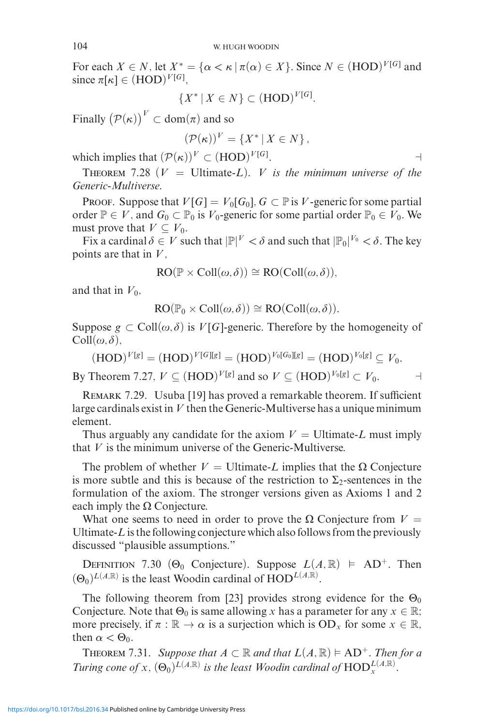For each  $X \in N$ , let  $X^* = {\alpha < \kappa | \pi(\alpha) \in X}$ . Since  $N \in (HOD)^{V[G]}$  and since  $\pi[\kappa] \in (HOD)^{V[G]},$ 

$$
\{X^* \mid X \in N\} \subset (\text{HOD})^{V[G]}.
$$

Finally  $(\mathcal{P}(\kappa))^V \subset \text{dom}(\pi)$  and so

$$
(\mathcal{P}(\kappa))^V = \{X^* \mid X \in N\},\
$$

which implies that  $(\mathcal{P}(\kappa))^V \subset (\text{HOD})^{V[G]}$ . . Народни производство на селото на селото на селото на селото на селото на селото на селото на селото на сел<br>Селото на селото на селото на селото на селото на селото на селото на селото на селото на селото на селото на

THEOREM 7.28 ( $V =$  Ultimate-*L*). *V is the minimum universe of the Generic-Multiverse.*

PROOF. Suppose that  $V[G] = V_0[G_0]$ ,  $G \subset \mathbb{P}$  is *V*-generic for some partial order  $\mathbb{P} \in V$ , and  $G_0 \subset \mathbb{P}_0$  is  $V_0$ -generic for some partial order  $\mathbb{P}_0 \in V_0$ . We must prove that  $V \subseteq V_0$ .

Fix a cardinal  $\delta \in V$  such that  $|\mathbb{P}|^V < \delta$  and such that  $|\mathbb{P}_0|^{V_0} < \delta$ . The key points are that in *V* ,

$$
RO(\mathbb{P} \times Coll(\omega, \delta)) \cong RO(Coll(\omega, \delta)),
$$

and that in  $V_0$ ,

$$
RO(\mathbb{P}_0 \times Coll(\omega, \delta)) \cong RO(Coll(\omega, \delta)).
$$

Suppose  $g \text{ }\subset \text{Coll}(\omega,\delta)$  is  $V[G]$ -generic. Therefore by the homogeneity of  $\text{Coll}(\omega,\delta),$ 

 $(V(\text{HOD})^{V[g]} = (HOD)^{V[G][g]} = (HOD)^{V_0[G_0][g]} = (HOD)^{V_0[g]} \subseteq V_0.$ 

By Theorem 7.27,  $V \subset (\text{HOD})^{V[g]}$  and so  $V \subset (\text{HOD})^{V_0[g]} \subset V_0$ .

REMARK 7.29. Usuba [19] has proved a remarkable theorem. If sufficient large cardinals exist in *V* then the Generic-Multiverse has a unique minimum element.

Thus arguably any candidate for the axiom  $V =$  Ultimate-*L* must imply that *V* is the minimum universe of the Generic-Multiverse.

The problem of whether  $V =$  Ultimate-*L* implies that the  $\Omega$  Conjecture is more subtle and this is because of the restriction to  $\Sigma_2$ -sentences in the formulation of the axiom. The stronger versions given as Axioms 1 and 2 each imply the  $\Omega$  Conjecture.

What one seems to need in order to prove the  $\Omega$  Conjecture from  $V =$ Ultimate-*L* is the following conjecture which also follows from the previously discussed "plausible assumptions."

DEFINITION 7.30 ( $\Theta_0$  Conjecture). Suppose  $L(A, \mathbb{R}) \models AD^+$ . Then  $(\Theta_0)^{L(A,\mathbb{R})}$  is the least Woodin cardinal of  $HOD^{L(A,\mathbb{R})}$ .

The following theorem from [23] provides strong evidence for the  $\Theta_0$ Conjecture. Note that  $\Theta_0$  is same allowing *x* has a parameter for any  $x \in \mathbb{R}$ ; more precisely, if  $\pi : \mathbb{R} \to \alpha$  is a surjection which is  $OD_x$  for some  $x \in \mathbb{R}$ , then  $\alpha < \Theta_0$ .

**THEOREM** 7.31. *Suppose that*  $A \subset \mathbb{R}$  *and that*  $L(A, \mathbb{R}) \models AD^+$ *. Then for a Turing cone of*  $x$ *,*  $(\Theta_0)^{L(A,\mathbb{R})}$  *is the least Woodin cardinal of*  $\text{HOD}_x^{L(A,\mathbb{R})}$ *.*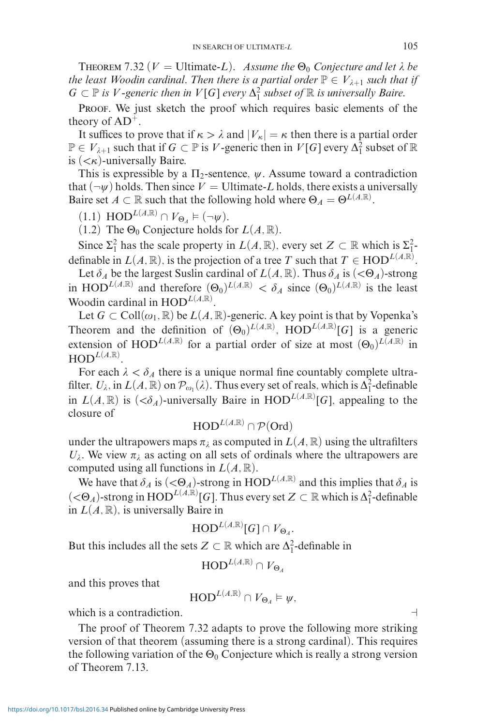THEOREM 7.32 ( $V =$  Ultimate-*L*). *Assume the*  $\Theta_0$  *Conjecture and let*  $\lambda$  *be the least Woodin cardinal. Then there is a partial order*  $\mathbb{P} \in V_{\lambda+1}$  *such that if*  $G \subset \mathbb{P}$  *is V*-generic then in  $V[G]$  every  $\Delta_1^2$  subset of  $\mathbb{R}$  *is universally Baire.* 

PROOF. We just sketch the proof which requires basic elements of the theory of  $AD^+$ .

It suffices to prove that if  $\kappa > \lambda$  and  $|V_{\kappa}| = \kappa$  then there is a partial order  $\mathbb{P} \in V_{\lambda+1}$  such that if  $G \subset \mathbb{P}$  is *V*-generic then in  $V[G]$  every  $\Delta_1^2$  subset of  $\mathbb{R}$ is (*<κ*)-universally Baire.

This is expressible by a  $\Pi_2$ -sentence,  $\psi$ . Assume toward a contradiction that  $(\neg \psi)$  holds. Then since  $V =$  Ultimate-*L* holds, there exists a universally Baire set  $A \subset \mathbb{R}$  such that the following hold where  $\Theta_A = \Theta^{L(A,\mathbb{R})}$ .

 $(1.1) HOD^{L(A,\mathbb{R})} \cap V_{\Theta_A} \models (\neg \psi).$ 

(1.2) The  $\Theta_0$  Conjecture holds for  $L(A, \mathbb{R})$ .

Since  $\Sigma_1^2$  has the scale property in  $L(A, \mathbb{R})$ , every set  $Z \subset \mathbb{R}$  which is  $\Sigma_1^2$ definable in  $L(A, \mathbb{R})$ , is the projection of a tree *T* such that  $T \in \text{HOD}^{L(A, \mathbb{R})}$ .

Let  $\delta_A$  be the largest Suslin cardinal of  $L(A, \mathbb{R})$ . Thus  $\delta_A$  is  $(<\Theta_A)$ -strong in HOD<sup>L(*A*,R)</sup> and therefore  $(\Theta_0)^{L(A,R)} < \delta_A$  since  $(\Theta_0)^{L(A,R)}$  is the least Woodin cardinal in  $HOD^{L(A,\mathbb{R})}$ .

Let  $G \subset Coll(\omega_1, \mathbb{R})$  be  $L(A, \mathbb{R})$ -generic. A key point is that by Vopenka's Theorem and the definition of  $(\Theta_0)^{L(A,\mathbb{R})}$ ,  $HOD^{L(A,\mathbb{R})}[G]$  is a generic extension of HOD<sup>L(*A,R*)</sup> for a partial order of size at most  $(\Theta_0)^{L(A,R)}$  in  $\mathrm{HOD}^{L(A,\mathbb{R})}.$ 

For each  $\lambda < \delta_A$  there is a unique normal fine countably complete ultrafilter,  $U_\lambda$ , in  $L(A, \mathbb{R})$  on  $\mathcal{P}_{\omega_1}(\lambda)$ . Thus every set of reals, which is  $\Delta_1^2$ -definable in  $L(A, \mathbb{R})$  is  $( $\delta_A$ )$ -universally Baire in HOD<sup>L(*A*,R)</sup>[*G*], appealing to the closure of

$$
\textnormal{HOD}^{L(A,\mathbb{R})} \cap \mathcal{P}(\textnormal{Ord})
$$

under the ultrapowers maps  $\pi_\lambda$  as computed in  $L(A,\mathbb{R})$  using the ultrafilters  $U_{\lambda}$ . We view  $\pi_{\lambda}$  as acting on all sets of ordinals where the ultrapowers are computed using all functions in  $L(A, \mathbb{R})$ .

We have that  $\delta_A$  is  $( $\Theta_A$ )-strong in HOD<sup>L(A,R)</sup> and this implies that  $\delta_A$  is$  $(<\Theta_A$ )-strong in  $\text{HOD}^{L(A,\mathbb{R})}[G]$ . Thus every set  $Z \subset \mathbb{R}$  which is  $\Delta_1^2$ -definable in  $L(A, \mathbb{R})$ , is universally Baire in

$$
\mathrm{HOD}^{L(A,\mathbb{R})}[G]\cap V_{\Theta_A}.
$$

But this includes all the sets  $Z \subset \mathbb{R}$  which are  $\Delta_1^2$ -definable in

$$
\textnormal{HOD}^{L(A,\mathbb{R})}\cap V_{\Theta_A}
$$

and this proves that

$$
\text{HOD}^{L(A,\mathbb{R})} \cap V_{\Theta_A} \models \psi,
$$

which is a contradiction.

The proof of Theorem 7.32 adapts to prove the following more striking version of that theorem (assuming there is a strong cardinal). This requires the following variation of the  $\Theta_0$  Conjecture which is really a strong version of Theorem 7.13.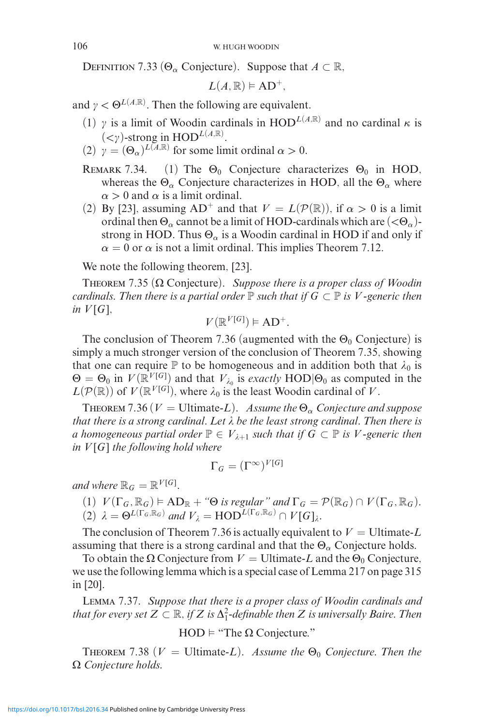DEFINITION 7.33 ( $\Theta_{\alpha}$  Conjecture). Suppose that  $A \subset \mathbb{R}$ ,

$$
L(A,\mathbb{R})\vDash AD^{+},
$$

and  $\gamma < \Theta^{L(A,\mathbb{R})}$ . Then the following are equivalent.

- (1)  $\gamma$  is a limit of Woodin cardinals in HOD<sup>L(*A*,R)</sup> and no cardinal  $\kappa$  is  $(<\gamma$ )-strong in HOD<sup>L(A,R)</sup>.
- (2)  $\gamma = (\Theta_{\alpha})^{L(\overline{A},\mathbb{R})}$  for some limit ordinal  $\alpha > 0$ .
- REMARK 7.34. (1) The  $\Theta_0$  Conjecture characterizes  $\Theta_0$  in HOD, whereas the  $\Theta_{\alpha}$  Conjecture characterizes in HOD, all the  $\Theta_{\alpha}$  where  $\alpha > 0$  and  $\alpha$  is a limit ordinal.
- (2) By [23], assuming  $AD^+$  and that  $V = L(\mathcal{P}(\mathbb{R}))$ , if  $\alpha > 0$  is a limit ordinal then Θ*<sup>α</sup>* cannot be a limit of HOD-cardinals which are (*<*Θ*α*) strong in HOD. Thus  $\Theta_{\alpha}$  is a Woodin cardinal in HOD if and only if  $\alpha = 0$  or  $\alpha$  is not a limit ordinal. This implies Theorem 7.12.

We note the following theorem, [23].

Theorem 7.35 (Ω Conjecture). *Suppose there is a proper class of Woodin cardinals. Then there is a partial order*  $\mathbb P$  *such that if*  $G \subset \mathbb P$  *is V*-generic then *in*  $V[G]$ *,* 

$$
V(\mathbb{R}^{V[G]}) \models \mathrm{AD}^+.
$$

The conclusion of Theorem 7.36 (augmented with the  $\Theta_0$  Conjecture) is simply a much stronger version of the conclusion of Theorem 7.35, showing that one can require  $\mathbb P$  to be homogeneous and in addition both that  $\lambda_0$  is  $\Theta = \Theta_0$  in  $V(\mathbb{R}^{V[G]})$  and that  $V_{\lambda_0}$  is *exactly* HOD| $\Theta_0$  as computed in the  $L(\mathcal{P}(\mathbb{R}))$  of  $V(\mathbb{R}^{V[G]})$ , where  $\lambda_0$  is the least Woodin cardinal of *V*.

THEOREM 7.36 ( $V =$  Ultimate-*L*). *Assume the*  $\Theta_{\alpha}$  *Conjecture and suppose that there is a strong cardinal. Let be the least strong cardinal. Then there is a* homogeneous partial order  $\mathbb{P} \in V_{\lambda+1}$  such that if  $G \subset \mathbb{P}$  is V-generic then *in V* [*G*] *the following hold where*

$$
\Gamma_G = (\Gamma^\infty)^{V[G]}
$$

*and where*  $\mathbb{R}_G = \mathbb{R}^{V[G]}$ *.* 

 $(V(\Gamma_G, \mathbb{R}_G) \models AD_{\mathbb{R}} + \text{``}\Theta \text{ is regular'' and } \Gamma_G = \mathcal{P}(\mathbb{R}_G) \cap V(\Gamma_G, \mathbb{R}_G).$  $(2)$   $\lambda = \Theta^{L(\Gamma_G, \mathbb{R}_G)}$  and  $V_{\lambda} = \text{HOD}^{L(\Gamma_G, \mathbb{R}_G)} \cap V[G]_{\lambda}$ .

The conclusion of Theorem 7.36 is actually equivalent to  $V =$  Ultimate-L assuming that there is a strong cardinal and that the  $\Theta_{\alpha}$  Conjecture holds.

To obtain the  $\Omega$  Conjecture from  $V =$  Ultimate-*L* and the  $\Theta_0$  Conjecture, we use the following lemma which is a special case of Lemma 217 on page 315 in [20].

Lemma 7.37. *Suppose that there is a proper class of Woodin cardinals and that for every set*  $Z \subset \mathbb{R}$ , *if*  $Z$  *is*  $\Delta_1^2$ -definable then  $Z$  *is universally Baire. Then* 

 $HOD \vDash$  "The  $\Omega$  Conjecture."

THEOREM 7.38 ( $V =$  Ultimate-*L*). *Assume the*  $\Theta_0$  *Conjecture. Then the* Ω *Conjecture holds.*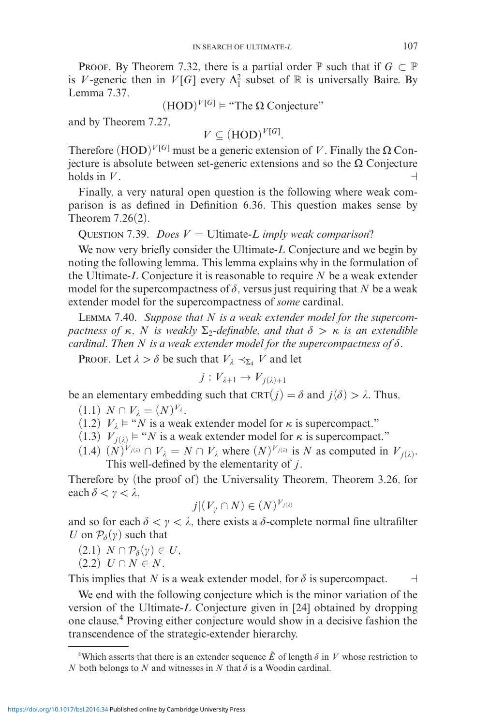**PROOF.** By Theorem 7.32, there is a partial order  $\mathbb{P}$  such that if  $G \subset \mathbb{P}$ is *V*-generic then in  $V[G]$  every  $\Delta_1^2$  subset of R is universally Baire. By Lemma 7.37,

$$
(HOD)V[G] \models "The Ω Conjecture"
$$

and by Theorem 7.27,

$$
V \subseteq (HOD)^{V[G]}.
$$

Therefore  $(HOD)^{V[G]}$  must be a generic extension of *V*. Finally the  $\Omega$  Conjecture is absolute between set-generic extensions and so the  $\Omega$  Conjecture holds in  $V$  .  $\Box$ 

Finally, a very natural open question is the following where weak comparison is as defined in Definition 6.36. This question makes sense by Theorem 7.26(2).

Question 7.39. *Does V* = Ultimate-*L imply weak comparison?*

We now very briefly consider the Ultimate-*L* Conjecture and we begin by noting the following lemma. This lemma explains why in the formulation of the Ultimate-*L* Conjecture it is reasonable to require *N* be a weak extender model for the supercompactness of  $\delta$ , versus just requiring that N be a weak extender model for the supercompactness of *some* cardinal.

Lemma 7.40. *Suppose that N is a weak extender model for the supercom* $p$ *actness of*  $\kappa$ ,  $N$  *is weakly*  $\Sigma_2$ -definable, and that  $\delta > \kappa$  is an extendible *cardinal. Then*  $N$  *is a weak extender model for the supercompactness of*  $\delta$ *.* 

Proof. Let  $\lambda > \delta$  be such that  $V_{\lambda} \prec_{\Sigma_4} V$  and let

$$
j:V_{\lambda+1}\to V_{j(\lambda)+1}
$$

be an elementary embedding such that  $CRT(j) = \delta$  and  $j(\delta) > \lambda$ . Thus,

$$
(1.1) N \cap V_{\lambda} = (N)^{V_{\lambda}}.
$$

 $(1.2)$   $V_{\lambda} \models$  "*N* is a weak extender model for  $\kappa$  is supercompact."

(1.3)  $V_{j(\lambda)} \models "N$  is a weak extender model for  $\kappa$  is supercompact."

(1.4)  $(N)^{V_{j(\lambda)}} \cap V_{\lambda} = N \cap V_{\lambda}$  where  $(N)^{V_{j(\lambda)}}$  is N as computed in  $V_{j(\lambda)}$ . This well-defined by the elementarity of *j*.

Therefore by (the proof of) the Universality Theorem, Theorem 3.26, for  $\text{each } \delta < \gamma < \lambda,$ 

$$
j|(V_{\gamma}\cap N)\in (N)^{V_{j(\lambda)}}
$$

and so for each  $\delta < \gamma < \lambda$ , there exists a  $\delta$ -complete normal fine ultrafilter *U* on  $P_{\delta}(\gamma)$  such that

- $(2.1)$  *N*  $\cap$   $\mathcal{P}_{\delta}(\gamma) \in U$ ,
- $(2.2) U \cap N \in N$ .

This implies that *N* is a weak extender model, for  $\delta$  is supercompact.  $\Box$ 

We end with the following conjecture which is the minor variation of the version of the Ultimate-*L* Conjecture given in [24] obtained by dropping one clause.<sup>4</sup> Proving either conjecture would show in a decisive fashion the transcendence of the strategic-extender hierarchy.

<sup>&</sup>lt;sup>4</sup>Which asserts that there is an extender sequence  $\tilde{E}$  of length  $\delta$  in *V* whose restriction to *N* both belongs to *N* and witnesses in *N* that  $\delta$  is a Woodin cardinal.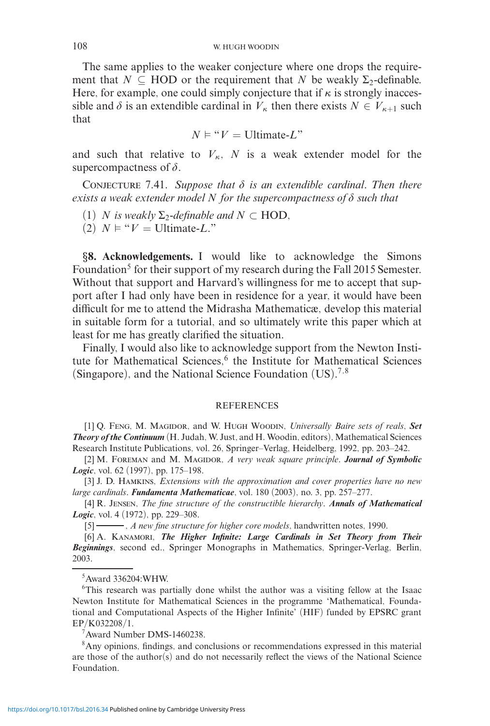The same applies to the weaker conjecture where one drops the requirement that  $N \subseteq \text{HOD}$  or the requirement that *N* be weakly  $\Sigma_2$ -definable. Here, for example, one could simply conjecture that if  $\kappa$  is strongly inaccessible and  $\delta$  is an extendible cardinal in  $V_{\kappa}$  then there exists  $N \in V_{\kappa+1}$  such that

$$
N \vDash "V = \text{Ultimate-}L"
$$

and such that relative to  $V_{\kappa}$ , *N* is a weak extender model for the supercompactness of  $\delta$ .

CONJECTURE 7.41. Suppose that  $\delta$  is an extendible cardinal. Then there  $e$ xists a weak extender model  $N$  for the supercompactness of  $\delta$  such that

(1) *N* is weakly  $\Sigma_2$ -definable and  $N \subset \text{HOD}$ ,

 $(2)$   $N \models "V = \text{Ultimate-}L."$ 

*§***8. Acknowledgements.** I would like to acknowledge the Simons Foundation<sup>5</sup> for their support of my research during the Fall 2015 Semester. Without that support and Harvard's willingness for me to accept that support after I had only have been in residence for a year, it would have been difficult for me to attend the Midrasha Mathematicæ, develop this material in suitable form for a tutorial, and so ultimately write this paper which at least for me has greatly clarified the situation.

Finally, I would also like to acknowledge support from the Newton Institute for Mathematical Sciences,<sup>6</sup> the Institute for Mathematical Sciences (Singapore), and the National Science Foundation (US).<sup>7</sup>*,*<sup>8</sup>

#### REFERENCES

[1] Q. Feng, M. Magidor, and W. Hugh Woodin, *Universally Baire sets of reals*, *Set Theory of the Continuum* (H. Judah, W. Just, and H. Woodin, editors), Mathematical Sciences Research Institute Publications, vol. 26, Springer–Verlag, Heidelberg, 1992, pp. 203–242.

[2] M. FOREMAN and M. MAGIDOR, *A very weak square principle*. *Journal of Symbolic Logic*, vol. 62 (1997), pp. 175–198.

[3] J. D. Hamkins, *Extensions with the approximation and cover properties have no new large cardinals*. *Fundamenta Mathematicae*, vol. 180 (2003), no. 3, pp. 257–277.

[4] R. Jensen, *The fine structure of the constructible hierarchy*. *Annals of Mathematical Logic*, vol. 4 (1972), pp. 229–308.

[5] , *A new fine structure for higher core models*, handwritten notes, 1990.

[6] A. KANAMORI, *The Higher Infinite: Large Cardinals in Set Theory from Their Beginnings*, second ed., Springer Monographs in Mathematics, Springer-Verlag, Berlin, 2003.

### 5 Award 336204:WHW.

<sup>6</sup>This research was partially done whilst the author was a visiting fellow at the Isaac Newton Institute for Mathematical Sciences in the programme 'Mathematical, Foundational and Computational Aspects of the Higher Infinite' (HIF) funded by EPSRC grant EP/K032208/1.

7 Award Number DMS-1460238.

<sup>8</sup> Any opinions, findings, and conclusions or recommendations expressed in this material are those of the author(s) and do not necessarily reflect the views of the National Science Foundation.